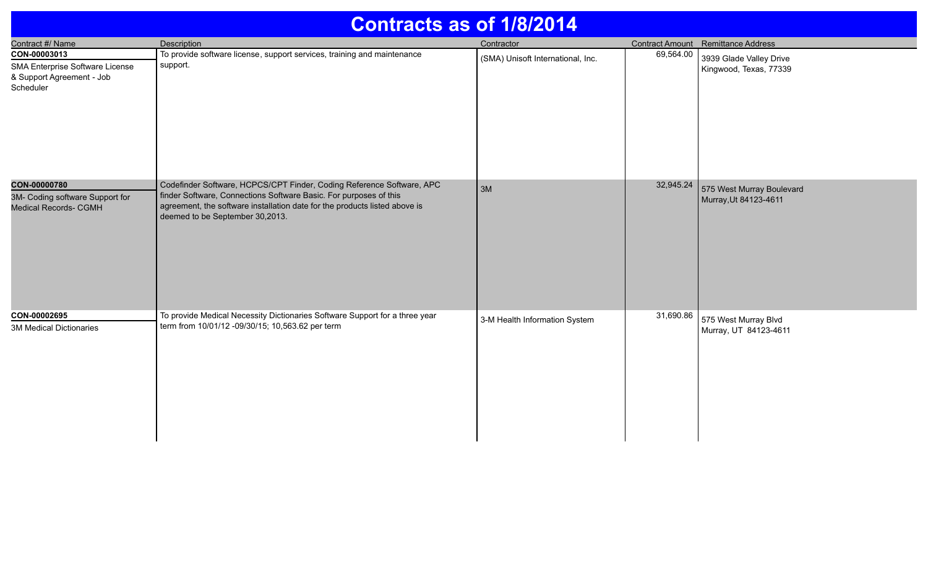| <b>Contracts as of 1/8/2014</b>                                                           |                                                                                                                                                                                                                                                             |                                   |           |                                                    |  |
|-------------------------------------------------------------------------------------------|-------------------------------------------------------------------------------------------------------------------------------------------------------------------------------------------------------------------------------------------------------------|-----------------------------------|-----------|----------------------------------------------------|--|
| Contract #/ Name                                                                          | <b>Description</b>                                                                                                                                                                                                                                          | Contractor                        |           | Contract Amount Remittance Address                 |  |
| CON-00003013<br>SMA Enterprise Software License<br>& Support Agreement - Job<br>Scheduler | To provide software license, support services, training and maintenance<br>support.                                                                                                                                                                         | (SMA) Unisoft International, Inc. | 69,564.00 | 3939 Glade Valley Drive<br>Kingwood, Texas, 77339  |  |
| CON-00000780<br>3M- Coding software Support for<br><b>Medical Records- CGMH</b>           | Codefinder Software, HCPCS/CPT Finder, Coding Reference Software, APC<br>finder Software, Connections Software Basic. For purposes of this<br>agreement, the software installation date for the products listed above is<br>deemed to be September 30,2013. | 3M                                | 32,945.24 | 575 West Murray Boulevard<br>Murray, Ut 84123-4611 |  |
| CON-00002695                                                                              | To provide Medical Necessity Dictionaries Software Support for a three year                                                                                                                                                                                 | 3-M Health Information System     | 31,690.86 | 575 West Murray Blvd                               |  |
| <b>3M Medical Dictionaries</b>                                                            | term from 10/01/12 -09/30/15; 10,563.62 per term                                                                                                                                                                                                            |                                   |           | Murray, UT 84123-4611                              |  |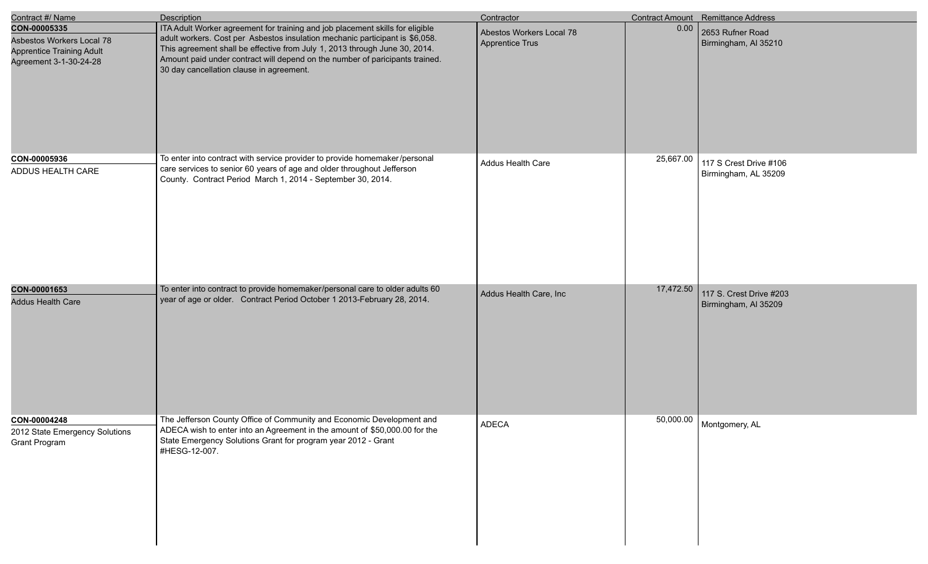| Contract #/ Name                                                                                        | <b>Description</b>                                                                                                                                                                                                                                                                                                                                                      | Contractor                                  |           | Contract Amount Remittance Address              |
|---------------------------------------------------------------------------------------------------------|-------------------------------------------------------------------------------------------------------------------------------------------------------------------------------------------------------------------------------------------------------------------------------------------------------------------------------------------------------------------------|---------------------------------------------|-----------|-------------------------------------------------|
| CON-00005335<br>Asbestos Workers Local 78<br><b>Apprentice Training Adult</b><br>Agreement 3-1-30-24-28 | ITA Adult Worker agreement for training and job placement skills for eligible<br>adult workers. Cost per Asbestos insulation mechanic participant is \$6,058.<br>This agreement shall be effective from July 1, 2013 through June 30, 2014.<br>Amount paid under contract will depend on the number of paricipants trained.<br>30 day cancellation clause in agreement. | Abestos Workers Local 78<br>Apprentice Trus | 0.00      | 2653 Rufner Road<br>Birmingham, AI 35210        |
| CON-00005936<br>ADDUS HEALTH CARE                                                                       | To enter into contract with service provider to provide homemaker/personal<br>care services to senior 60 years of age and older throughout Jefferson<br>County. Contract Period March 1, 2014 - September 30, 2014.                                                                                                                                                     | Addus Health Care                           | 25,667.00 | 117 S Crest Drive #106<br>Birmingham, AL 35209  |
| CON-00001653<br><b>Addus Health Care</b>                                                                | To enter into contract to provide homemaker/personal care to older adults 60<br>year of age or older. Contract Period October 1 2013-February 28, 2014.                                                                                                                                                                                                                 | Addus Health Care, Inc                      | 17,472.50 | 117 S. Crest Drive #203<br>Birmingham, AI 35209 |
| CON-00004248<br>2012 State Emergency Solutions<br>Grant Program                                         | The Jefferson County Office of Community and Economic Development and<br>ADECA wish to enter into an Agreement in the amount of \$50,000.00 for the<br>State Emergency Solutions Grant for program year 2012 - Grant<br>#HESG-12-007.                                                                                                                                   | <b>ADECA</b>                                |           | 50,000.00   Montgomery, AL                      |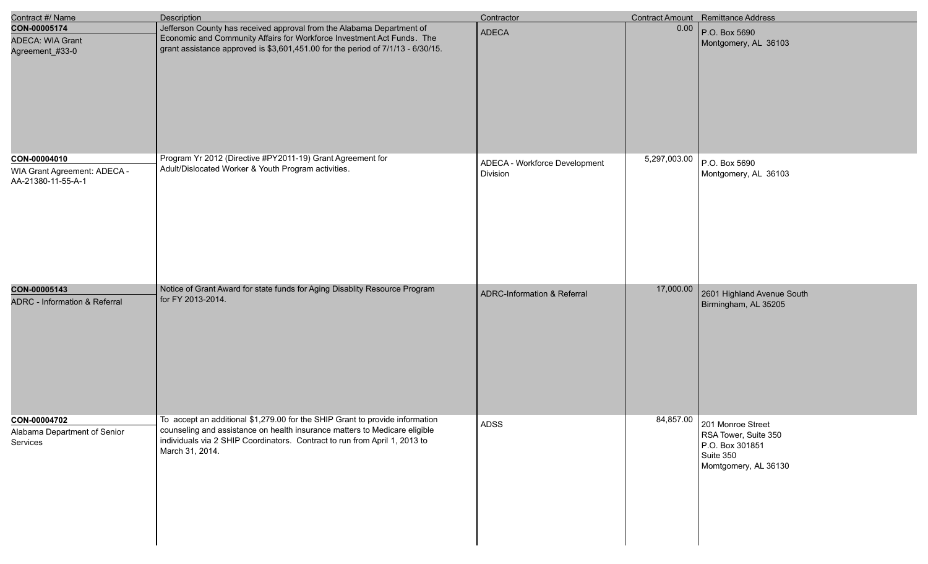| Contract #/ Name                                                   | <b>Description</b>                                                                                                                                                                                                                                          | Contractor                                |              | <b>Contract Amount</b> Remittance Address                                                                   |
|--------------------------------------------------------------------|-------------------------------------------------------------------------------------------------------------------------------------------------------------------------------------------------------------------------------------------------------------|-------------------------------------------|--------------|-------------------------------------------------------------------------------------------------------------|
| CON-00005174<br><b>ADECA: WIA Grant</b><br>Agreement_#33-0         | Jefferson County has received approval from the Alabama Department of<br>Economic and Community Affairs for Workforce Investment Act Funds. The<br>grant assistance approved is \$3,601,451.00 for the period of 7/1/13 - 6/30/15.                          | <b>ADECA</b>                              | 0.00         | P.O. Box 5690<br>Montgomery, AL 36103                                                                       |
| CON-00004010<br>WIA Grant Agreement: ADECA -<br>AA-21380-11-55-A-1 | Program Yr 2012 (Directive #PY2011-19) Grant Agreement for<br>Adult/Dislocated Worker & Youth Program activities.                                                                                                                                           | ADECA - Workforce Development<br>Division | 5,297,003.00 | P.O. Box 5690<br>Montgomery, AL 36103                                                                       |
| CON-00005143<br><b>ADRC</b> - Information & Referral               | Notice of Grant Award for state funds for Aging Disablity Resource Program<br>for FY 2013-2014.                                                                                                                                                             | ADRC-Information & Referral               | 17,000.00    | 2601 Highland Avenue South<br>Birmingham, AL 35205                                                          |
| CON-00004702<br>Alabama Department of Senior<br>Services           | To accept an additional \$1,279.00 for the SHIP Grant to provide information<br>counseling and assistance on health insurance matters to Medicare eligible<br>individuals via 2 SHIP Coordinators. Contract to run from April 1, 2013 to<br>March 31, 2014. | ADSS                                      |              | 84,857.00 201 Monroe Street<br>RSA Tower, Suite 350<br>P.O. Box 301851<br>Suite 350<br>Momtgomery, AL 36130 |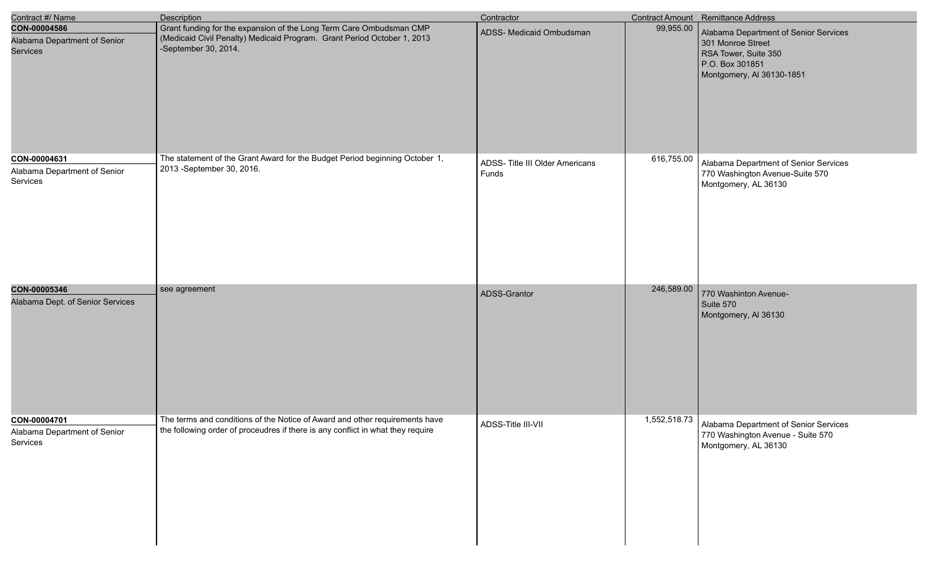| Contract #/ Name                                                | <b>Description</b>                                                                                                                                                     | Contractor                               |              | Contract Amount Remittance Address                                                                                                 |
|-----------------------------------------------------------------|------------------------------------------------------------------------------------------------------------------------------------------------------------------------|------------------------------------------|--------------|------------------------------------------------------------------------------------------------------------------------------------|
| CON-00004586<br>Alabama Department of Senior<br><b>Services</b> | Grant funding for the expansion of the Long Term Care Ombudsman CMP<br>(Medicaid Civil Penalty) Medicaid Program. Grant Period October 1, 2013<br>-September 30, 2014. | ADSS- Medicaid Ombudsman                 | 99,955.00    | Alabama Department of Senior Services<br>301 Monroe Street<br>RSA Tower, Suite 350<br>P.O. Box 301851<br>Montgomery, AI 36130-1851 |
| CON-00004631<br>Alabama Department of Senior<br>Services        | The statement of the Grant Award for the Budget Period beginning October 1,<br>2013 - September 30, 2016.                                                              | ADSS- Title III Older Americans<br>Funds | 616,755.00   | Alabama Department of Senior Services<br>770 Washington Avenue-Suite 570<br>Montgomery, AL 36130                                   |
| CON-00005346<br>Alabama Dept. of Senior Services                | see agreement                                                                                                                                                          | ADSS-Grantor                             | 246,589.00   | 770 Washinton Avenue-<br>Suite 570<br>Montgomery, AI 36130                                                                         |
| CON-00004701<br>Alabama Department of Senior<br>Services        | The terms and conditions of the Notice of Award and other requirements have<br>the following order of proceudres if there is any conflict in what they require         | ADSS-Title III-VII                       | 1,552,518.73 | Alabama Department of Senior Services<br>770 Washington Avenue - Suite 570<br>Montgomery, AL 36130                                 |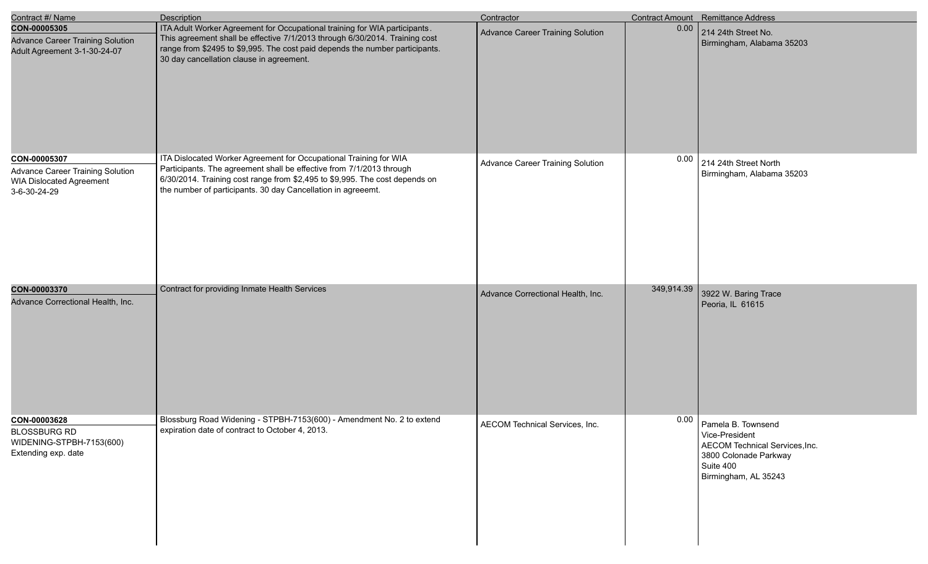| Contract #/ Name                                                                                           | <b>Description</b>                                                                                                                                                                                                                                                                       | Contractor                              |            | <b>Contract Amount</b> Remittance Address                                                                                            |
|------------------------------------------------------------------------------------------------------------|------------------------------------------------------------------------------------------------------------------------------------------------------------------------------------------------------------------------------------------------------------------------------------------|-----------------------------------------|------------|--------------------------------------------------------------------------------------------------------------------------------------|
| CON-00005305<br><b>Advance Career Training Solution</b><br>Adult Agreement 3-1-30-24-07                    | ITA Adult Worker Agreement for Occupational training for WIA participants.<br>This agreement shall be effective 7/1/2013 through 6/30/2014. Training cost<br>range from \$2495 to \$9,995. The cost paid depends the number participants.<br>30 day cancellation clause in agreement.    | <b>Advance Career Training Solution</b> | 0.00       | 214 24th Street No.<br>Birmingham, Alabama 35203                                                                                     |
| CON-00005307<br><b>Advance Career Training Solution</b><br><b>WIA Dislocated Agreement</b><br>3-6-30-24-29 | ITA Dislocated Worker Agreement for Occupational Training for WIA<br>Participants. The agreement shall be effective from 7/1/2013 through<br>6/30/2014. Training cost range from \$2,495 to \$9,995. The cost depends on<br>the number of participants. 30 day Cancellation in agreeemt. | <b>Advance Career Training Solution</b> | 0.00       | 214 24th Street North<br>Birmingham, Alabama 35203                                                                                   |
| CON-00003370<br>Advance Correctional Health, Inc.                                                          | Contract for providing Inmate Health Services                                                                                                                                                                                                                                            | Advance Correctional Health, Inc.       | 349,914.39 | 3922 W. Baring Trace<br>Peoria, IL 61615                                                                                             |
| CON-00003628<br><b>BLOSSBURG RD</b><br>WIDENING-STPBH-7153(600)<br>Extending exp. date                     | Blossburg Road Widening - STPBH-7153(600) - Amendment No. 2 to extend<br>expiration date of contract to October 4, 2013.                                                                                                                                                                 | AECOM Technical Services, Inc.          | 0.00       | Pamela B. Townsend<br>Vice-President<br>AECOM Technical Services, Inc.<br>3800 Colonade Parkway<br>Suite 400<br>Birmingham, AL 35243 |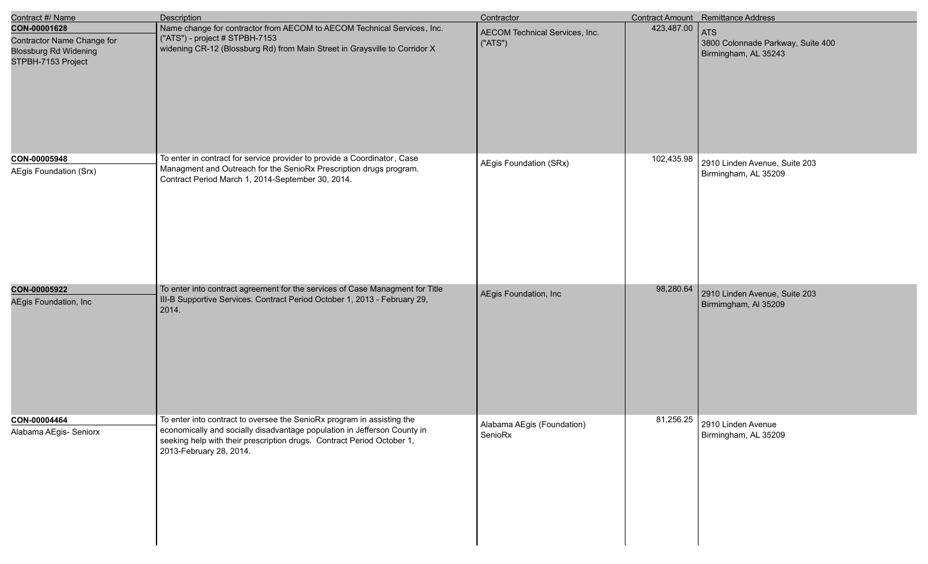| Contract #/ Name                                                                                 | <b>Description</b>                                                                                                                                                                                                                                      | Contractor                                |            | Contract Amount Remittance Address                               |
|--------------------------------------------------------------------------------------------------|---------------------------------------------------------------------------------------------------------------------------------------------------------------------------------------------------------------------------------------------------------|-------------------------------------------|------------|------------------------------------------------------------------|
| CON-00001628<br>Contractor Name Change for<br><b>Blossburg Rd Widening</b><br>STPBH-7153 Project | Name change for contractor from AECOM to AECOM Technical Services, Inc.<br>("ATS") - project # STPBH-7153<br>widening CR-12 (Blossburg Rd) from Main Street in Graysville to Corridor X                                                                 | AECOM Technical Services, Inc.<br>("ATS") | 423,487.00 | ATS<br>3800 Colonnade Parkway, Suite 400<br>Birmingham, AL 35243 |
| CON-00005948<br>AEgis Foundation (Srx)                                                           | To enter in contract for service provider to provide a Coordinator, Case<br>Managment and Outreach for the SenioRx Prescription drugs program.<br>Contract Period March 1, 2014-September 30, 2014.                                                     | AEgis Foundation (SRx)                    | 102,435.98 | 2910 Linden Avenue, Suite 203<br>Birmingham, AL 35209            |
| CON-00005922<br>AEgis Foundation, Inc                                                            | To enter into contract agreement for the services of Case Managment for Title<br>III-B Supportive Services. Contract Period October 1, 2013 - February 29,<br>2014.                                                                                     | AEgis Foundation, Inc                     | 98,280.64  | 2910 Linden Avenue, Suite 203<br>Birmimgham, Al 35209            |
| CON-00004464<br>Alabama AEgis- Seniorx                                                           | To enter into contract to oversee the SenioRx program in assisting the<br>economically and socially disadvantage population in Jefferson County in<br>seeking help with their prescription drugs. Contract Period October 1,<br>2013-February 28, 2014. | Alabama AEgis (Foundation)<br>SenioRx     |            | 81,256.25 2910 Linden Avenue<br>Birmingham, AL 35209             |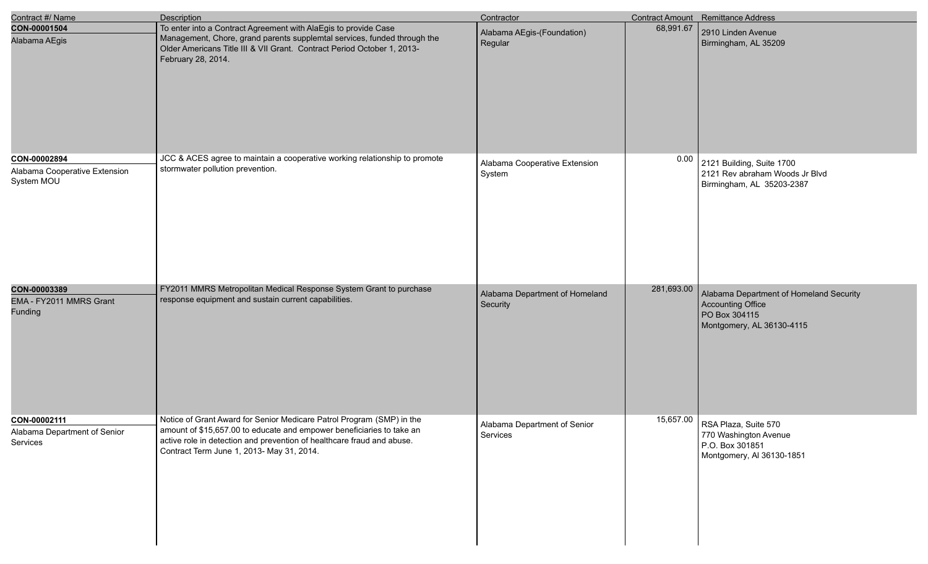| Contract #/ Name                                            | <b>Description</b>                                                                                                                                                                                                                                                    | Contractor                                 |            | <b>Contract Amount</b> Remittance Address                                                                  |
|-------------------------------------------------------------|-----------------------------------------------------------------------------------------------------------------------------------------------------------------------------------------------------------------------------------------------------------------------|--------------------------------------------|------------|------------------------------------------------------------------------------------------------------------|
| CON-00001504<br>Alabama AEgis                               | To enter into a Contract Agreement with AlaEgis to provide Case<br>Management, Chore, grand parents supplemtal services, funded through the<br>Older Americans Title III & VII Grant. Contract Period October 1, 2013-<br>February 28, 2014.                          | Alabama AEgis-(Foundation)<br>Regular      | 68,991.67  | 2910 Linden Avenue<br>Birmingham, AL 35209                                                                 |
| CON-00002894<br>Alabama Cooperative Extension<br>System MOU | JCC & ACES agree to maintain a cooperative working relationship to promote<br>stormwater pollution prevention.                                                                                                                                                        | Alabama Cooperative Extension<br>System    | 0.00       | 2121 Building, Suite 1700<br>2121 Rev abraham Woods Jr Blvd<br>Birmingham, AL 35203-2387                   |
| CON-00003389<br>EMA - FY2011 MMRS Grant<br><b>Funding</b>   | FY2011 MMRS Metropolitan Medical Response System Grant to purchase<br>response equipment and sustain current capabilities.                                                                                                                                            | Alabama Department of Homeland<br>Security | 281,693.00 | Alabama Department of Homeland Security<br>Accounting Office<br>PO Box 304115<br>Montgomery, AL 36130-4115 |
| CON-00002111<br>Alabama Department of Senior<br>Services    | Notice of Grant Award for Senior Medicare Patrol Program (SMP) in the<br>amount of \$15,657.00 to educate and empower beneficiaries to take an<br>active role in detection and prevention of healthcare fraud and abuse.<br>Contract Term June 1, 2013- May 31, 2014. | Alabama Department of Senior<br>Services   |            | 15,657.00 RSA Plaza, Suite 570<br>770 Washington Avenue<br>P.O. Box 301851<br>Montgomery, AI 36130-1851    |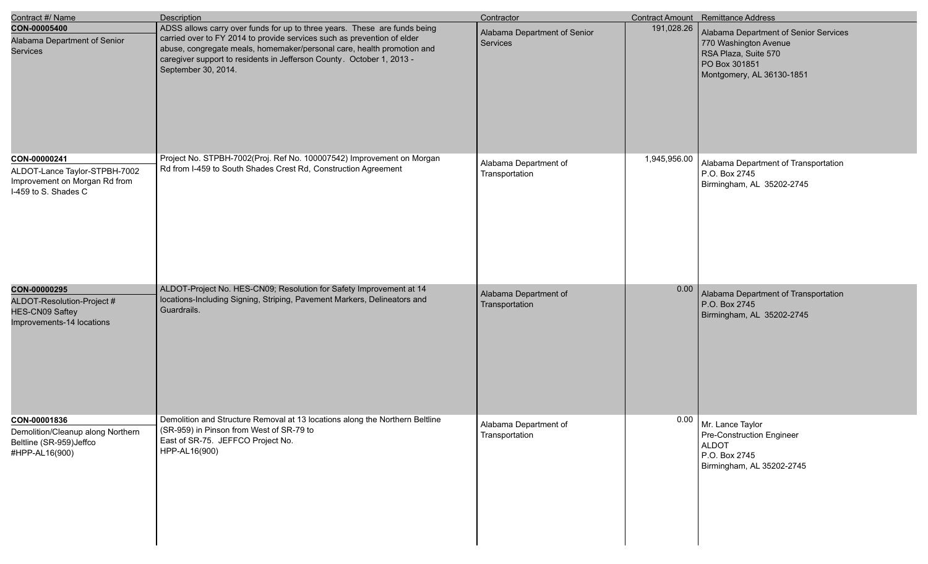| Contract #/ Name                                                                                       | Description                                                                                                                                                                                                                                                                                                                    | Contractor                               |              | Contract Amount Remittance Address                                                                                                   |
|--------------------------------------------------------------------------------------------------------|--------------------------------------------------------------------------------------------------------------------------------------------------------------------------------------------------------------------------------------------------------------------------------------------------------------------------------|------------------------------------------|--------------|--------------------------------------------------------------------------------------------------------------------------------------|
| CON-00005400<br>Alabama Department of Senior<br>Services                                               | ADSS allows carry over funds for up to three years. These are funds being<br>carried over to FY 2014 to provide services such as prevention of elder<br>abuse, congregate meals, homemaker/personal care, health promotion and<br>caregiver support to residents in Jefferson County. October 1, 2013 -<br>September 30, 2014. | Alabama Department of Senior<br>Services | 191,028.26   | Alabama Department of Senior Services<br>770 Washington Avenue<br>RSA Plaza, Suite 570<br>PO Box 301851<br>Montgomery, AL 36130-1851 |
| CON-00000241<br>ALDOT-Lance Taylor-STPBH-7002<br>Improvement on Morgan Rd from<br>I-459 to S. Shades C | Project No. STPBH-7002(Proj. Ref No. 100007542) Improvement on Morgan<br>Rd from I-459 to South Shades Crest Rd, Construction Agreement                                                                                                                                                                                        | Alabama Department of<br>Transportation  | 1,945,956.00 | Alabama Department of Transportation<br>P.O. Box 2745<br>Birmingham, AL 35202-2745                                                   |
| CON-00000295<br>ALDOT-Resolution-Project #<br>HES-CN09 Saftey<br>Improvements-14 locations             | ALDOT-Project No. HES-CN09; Resolution for Safety Improvement at 14<br>locations-Including Signing, Striping, Pavement Markers, Delineators and<br>Guardrails.                                                                                                                                                                 | Alabama Department of<br>Transportation  | 0.00         | Alabama Department of Transportation<br>P.O. Box 2745<br>Birmingham, AL 35202-2745                                                   |
| CON-00001836<br>Demolition/Cleanup along Northern<br>Beltline (SR-959)Jeffco<br>#HPP-AL16(900)         | Demolition and Structure Removal at 13 locations along the Northern Beltline<br>(SR-959) in Pinson from West of SR-79 to<br>East of SR-75. JEFFCO Project No.<br>HPP-AL16(900)                                                                                                                                                 | Alabama Department of<br>Transportation  |              | $0.00$   Mr. Lance Taylor<br>Pre-Construction Engineer<br><b>ALDOT</b><br>P.O. Box 2745<br>Birmingham, AL 35202-2745                 |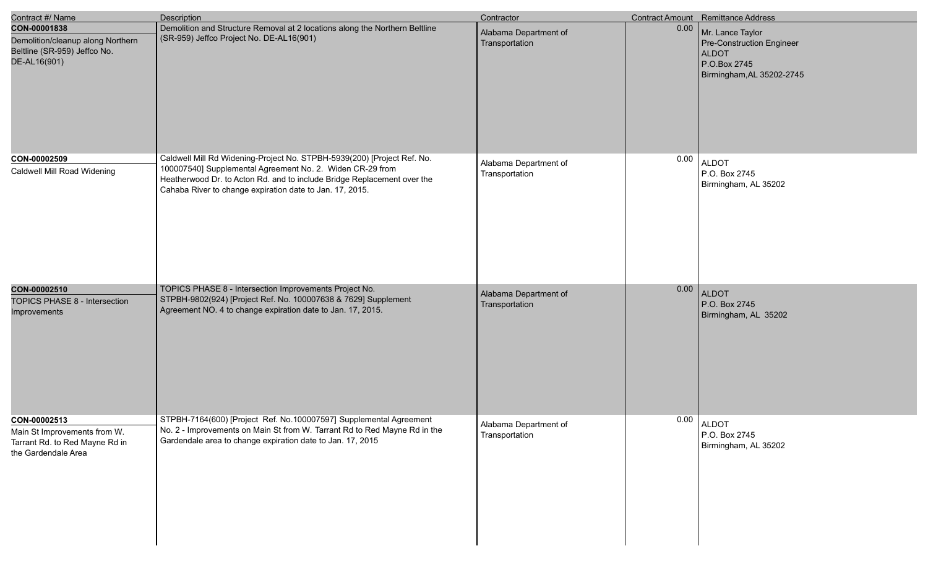| Contract #/ Name                                                                                      | <b>Description</b>                                                                                                                                                                                                                                                          | Contractor                              |      | Contract Amount Remittance Address                                                                                |
|-------------------------------------------------------------------------------------------------------|-----------------------------------------------------------------------------------------------------------------------------------------------------------------------------------------------------------------------------------------------------------------------------|-----------------------------------------|------|-------------------------------------------------------------------------------------------------------------------|
| CON-00001838<br>Demolition/cleanup along Northern<br>Beltline (SR-959) Jeffco No.<br>DE-AL16(901)     | Demolition and Structure Removal at 2 locations along the Northern Beltline<br>(SR-959) Jeffco Project No. DE-AL16(901)                                                                                                                                                     | Alabama Department of<br>Transportation | 0.00 | Mr. Lance Taylor<br><b>Pre-Construction Engineer</b><br><b>ALDOT</b><br>P.O.Box 2745<br>Birmingham, AL 35202-2745 |
| CON-00002509<br>Caldwell Mill Road Widening                                                           | Caldwell Mill Rd Widening-Project No. STPBH-5939(200) [Project Ref. No.<br>100007540] Supplemental Agreement No. 2. Widen CR-29 from<br>Heatherwood Dr. to Acton Rd. and to include Bridge Replacement over the<br>Cahaba River to change expiration date to Jan. 17, 2015. | Alabama Department of<br>Transportation | 0.00 | <b>ALDOT</b><br>P.O. Box 2745<br>Birmingham, AL 35202                                                             |
| CON-00002510<br>TOPICS PHASE 8 - Intersection<br>Improvements                                         | TOPICS PHASE 8 - Intersection Improvements Project No.<br>STPBH-9802(924) [Project Ref. No. 100007638 & 7629] Supplement<br>Agreement NO. 4 to change expiration date to Jan. 17, 2015.                                                                                     | Alabama Department of<br>Transportation | 0.00 | <b>ALDOT</b><br>P.O. Box 2745<br>Birmingham, AL 35202                                                             |
| CON-00002513<br>Main St Improvements from W.<br>Tarrant Rd. to Red Mayne Rd in<br>the Gardendale Area | STPBH-7164(600) [Project Ref. No.100007597] Supplemental Agreement<br>No. 2 - Improvements on Main St from W. Tarrant Rd to Red Mayne Rd in the<br>Gardendale area to change expiration date to Jan. 17, 2015                                                               | Alabama Department of<br>Transportation | 0.00 | ALDOT<br>P.O. Box 2745<br>Birmingham, AL 35202                                                                    |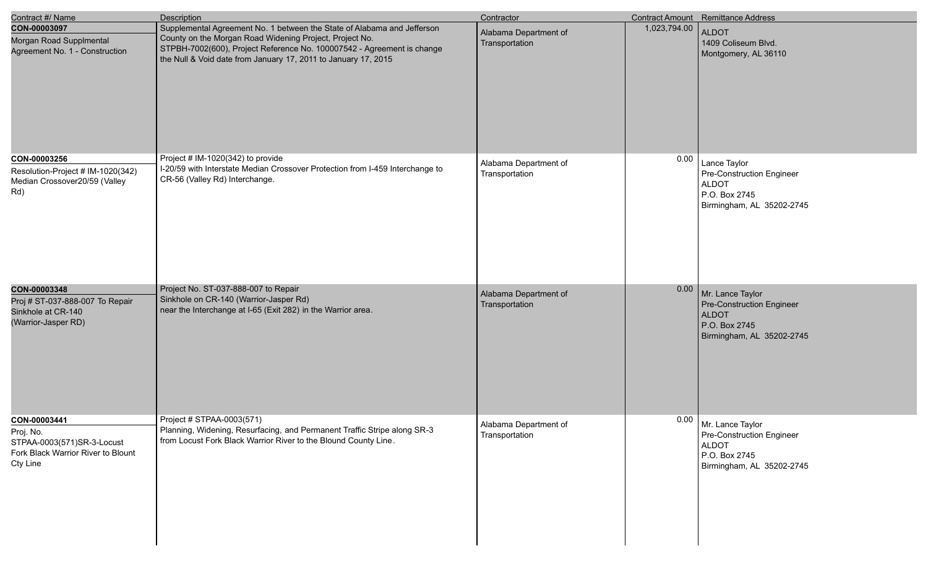| Contract #/ Name                                                                                          | <b>Description</b>                                                                                                                                                                                                                                                             | Contractor                              |              | <b>Contract Amount</b> Remittance Address                                                                            |
|-----------------------------------------------------------------------------------------------------------|--------------------------------------------------------------------------------------------------------------------------------------------------------------------------------------------------------------------------------------------------------------------------------|-----------------------------------------|--------------|----------------------------------------------------------------------------------------------------------------------|
| CON-00003097<br>Morgan Road Supplmental<br>Agreement No. 1 - Construction                                 | Supplemental Agreement No. 1 between the State of Alabama and Jefferson<br>County on the Morgan Road Widening Project, Project No.<br>STPBH-7002(600), Project Reference No. 100007542 - Agreement is change<br>the Null & Void date from January 17, 2011 to January 17, 2015 | Alabama Department of<br>Transportation | 1,023,794.00 | ALDOT<br>1409 Coliseum Blvd.<br>Montgomery, AL 36110                                                                 |
| CON-00003256<br>Resolution-Project # IM-1020(342)<br>Median Crossover20/59 (Valley<br>Rd)                 | Project # IM-1020(342) to provide<br>I-20/59 with Interstate Median Crossover Protection from I-459 Interchange to<br>CR-56 (Valley Rd) Interchange.                                                                                                                           | Alabama Department of<br>Transportation | 0.00         | Lance Taylor<br>Pre-Construction Engineer<br><b>ALDOT</b><br>P.O. Box 2745<br>Birmingham, AL 35202-2745              |
| CON-00003348<br>Proj # ST-037-888-007 To Repair<br>Sinkhole at CR-140<br>(Warrior-Jasper RD)              | Project No. ST-037-888-007 to Repair<br>Sinkhole on CR-140 (Warrior-Jasper Rd)<br>near the Interchange at I-65 (Exit 282) in the Warrior area.                                                                                                                                 | Alabama Department of<br>Transportation | 0.00         | Mr. Lance Taylor<br>Pre-Construction Engineer<br>ALDOT<br>P.O. Box 2745<br>Birmingham, AL 35202-2745                 |
| CON-00003441<br>Proj. No.<br>STPAA-0003(571)SR-3-Locust<br>Fork Black Warrior River to Blount<br>Cty Line | Project # STPAA-0003(571)<br>Planning, Widening, Resurfacing, and Permanent Traffic Stripe along SR-3<br>from Locust Fork Black Warrior River to the Blound County Line.                                                                                                       | Alabama Department of<br>Transportation |              | $0.00$   Mr. Lance Taylor<br>Pre-Construction Engineer<br><b>ALDOT</b><br>P.O. Box 2745<br>Birmingham, AL 35202-2745 |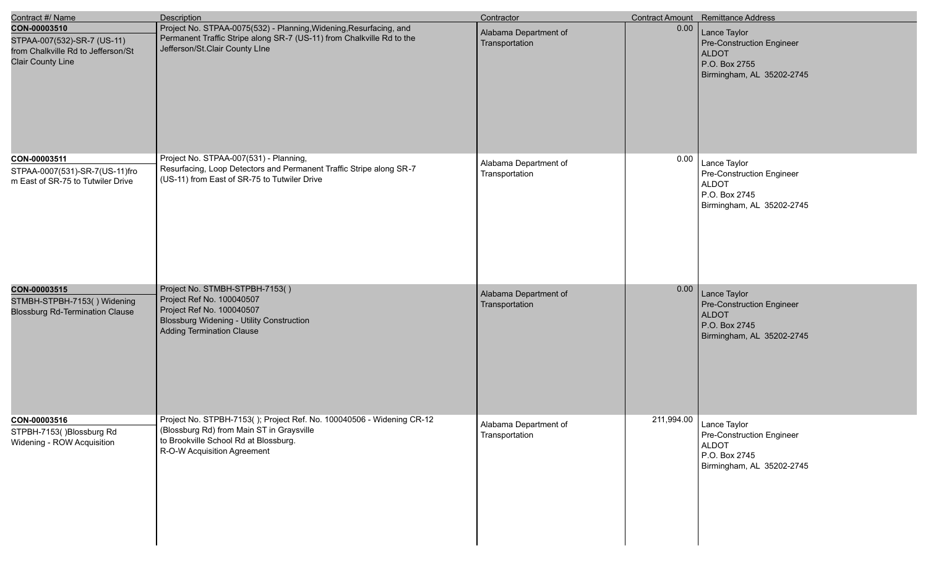| Contract #/ Name                                                                                              | <b>Description</b>                                                                                                                                                                         | Contractor                              |            | Contract Amount Remittance Address                                                                             |
|---------------------------------------------------------------------------------------------------------------|--------------------------------------------------------------------------------------------------------------------------------------------------------------------------------------------|-----------------------------------------|------------|----------------------------------------------------------------------------------------------------------------|
| CON-00003510<br>STPAA-007(532)-SR-7 (US-11)<br>from Chalkville Rd to Jefferson/St<br><b>Clair County Line</b> | Project No. STPAA-0075(532) - Planning, Widening, Resurfacing, and<br>Permanent Traffic Stripe along SR-7 (US-11) from Chalkville Rd to the<br>Jefferson/St.Clair County LIne              | Alabama Department of<br>Transportation | 0.00       | Lance Taylor<br>Pre-Construction Engineer<br><b>ALDOT</b><br>P.O. Box 2755<br>Birmingham, AL 35202-2745        |
| CON-00003511<br>STPAA-0007(531)-SR-7(US-11)fro<br>m East of SR-75 to Tutwiler Drive                           | Project No. STPAA-007(531) - Planning,<br>Resurfacing, Loop Detectors and Permanent Traffic Stripe along SR-7<br>(US-11) from East of SR-75 to Tutwiler Drive                              | Alabama Department of<br>Transportation | 0.00       | Lance Taylor<br><b>Pre-Construction Engineer</b><br><b>ALDOT</b><br>P.O. Box 2745<br>Birmingham, AL 35202-2745 |
| CON-00003515<br>STMBH-STPBH-7153() Widening<br><b>Blossburg Rd-Termination Clause</b>                         | Project No. STMBH-STPBH-7153()<br>Project Ref No. 100040507<br>Project Ref No. 100040507<br>Blossburg Widening - Utility Construction<br><b>Adding Termination Clause</b>                  | Alabama Department of<br>Transportation | 0.00       | Lance Taylor<br><b>Pre-Construction Engineer</b><br><b>ALDOT</b><br>P.O. Box 2745<br>Birmingham, AL 35202-2745 |
| CON-00003516<br>STPBH-7153()Blossburg Rd<br>Widening - ROW Acquisition                                        | Project No. STPBH-7153(); Project Ref. No. 100040506 - Widening CR-12<br>(Blossburg Rd) from Main ST in Graysville<br>to Brookville School Rd at Blossburg.<br>R-O-W Acquisition Agreement | Alabama Department of<br>Transportation | 211,994.00 | Lance Taylor<br>Pre-Construction Engineer<br><b>ALDOT</b><br>P.O. Box 2745<br>Birmingham, AL 35202-2745        |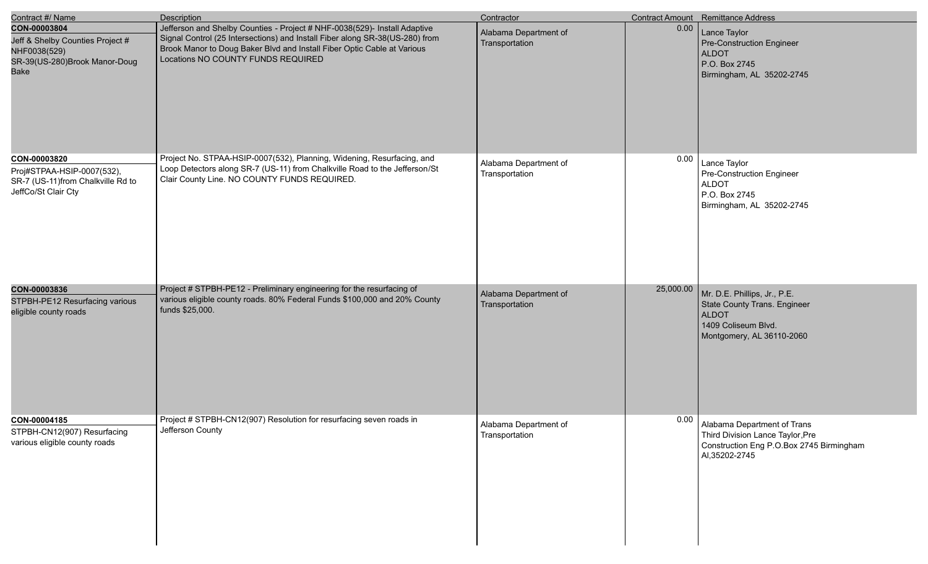| Contract #/ Name                                                                                                 | <b>Description</b>                                                                                                                                                                                                                                                         | Contractor                              |           | Contract Amount Remittance Address                                                                                               |
|------------------------------------------------------------------------------------------------------------------|----------------------------------------------------------------------------------------------------------------------------------------------------------------------------------------------------------------------------------------------------------------------------|-----------------------------------------|-----------|----------------------------------------------------------------------------------------------------------------------------------|
| CON-00003804<br>Jeff & Shelby Counties Project #<br>NHF0038(529)<br>SR-39(US-280)Brook Manor-Doug<br><b>Bake</b> | Jefferson and Shelby Counties - Project # NHF-0038(529)- Install Adaptive<br>Signal Control (25 Intersections) and Install Fiber along SR-38(US-280) from<br>Brook Manor to Doug Baker Blvd and Install Fiber Optic Cable at Various<br>Locations NO COUNTY FUNDS REQUIRED | Alabama Department of<br>Transportation | 0.00      | Lance Taylor<br>Pre-Construction Engineer<br><b>ALDOT</b><br>P.O. Box 2745<br>Birmingham, AL 35202-2745                          |
| CON-00003820<br>Proj#STPAA-HSIP-0007(532),<br>SR-7 (US-11)from Chalkville Rd to<br>JeffCo/St Clair Cty           | Project No. STPAA-HSIP-0007(532), Planning, Widening, Resurfacing, and<br>Loop Detectors along SR-7 (US-11) from Chalkville Road to the Jefferson/St<br>Clair County Line. NO COUNTY FUNDS REQUIRED.                                                                       | Alabama Department of<br>Transportation | 0.00      | Lance Taylor<br>Pre-Construction Engineer<br><b>ALDOT</b><br>P.O. Box 2745<br>Birmingham, AL 35202-2745                          |
| CON-00003836<br>STPBH-PE12 Resurfacing various<br>eligible county roads                                          | Project # STPBH-PE12 - Preliminary engineering for the resurfacing of<br>various eligible county roads. 80% Federal Funds \$100,000 and 20% County<br>funds \$25,000.                                                                                                      | Alabama Department of<br>Transportation | 25,000.00 | Mr. D.E. Phillips, Jr., P.E.<br>State County Trans. Engineer<br><b>ALDOT</b><br>1409 Coliseum Blvd.<br>Montgomery, AL 36110-2060 |
| CON-00004185<br>STPBH-CN12(907) Resurfacing<br>various eligible county roads                                     | Project # STPBH-CN12(907) Resolution for resurfacing seven roads in<br>Jefferson County                                                                                                                                                                                    | Alabama Department of<br>Transportation | 0.00      | Alabama Department of Trans<br>Third Division Lance Taylor, Pre<br>Construction Eng P.O.Box 2745 Birmingham<br>AI, 35202-2745    |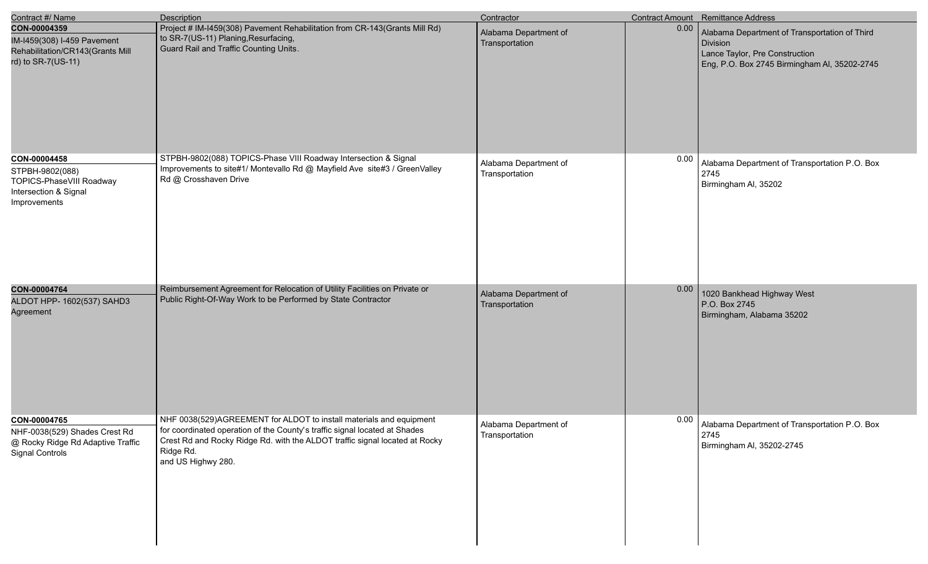| Contract #/ Name                                                                                      | Description                                                                                                                                                                                                                                                         | Contractor                              |      | Contract Amount Remittance Address                                                                                                                 |
|-------------------------------------------------------------------------------------------------------|---------------------------------------------------------------------------------------------------------------------------------------------------------------------------------------------------------------------------------------------------------------------|-----------------------------------------|------|----------------------------------------------------------------------------------------------------------------------------------------------------|
| CON-00004359<br>IM-I459(308) I-459 Pavement<br>Rehabilitation/CR143(Grants Mill<br>rd) to SR-7(US-11) | Project # IM-I459(308) Pavement Rehabilitation from CR-143(Grants Mill Rd)<br>to SR-7(US-11) Planing, Resurfacing,<br>Guard Rail and Traffic Counting Units.                                                                                                        | Alabama Department of<br>Transportation | 0.00 | Alabama Department of Transportation of Third<br><b>Division</b><br>Lance Taylor, Pre Construction<br>Eng, P.O. Box 2745 Birmingham Al, 35202-2745 |
| CON-00004458<br>STPBH-9802(088)<br>TOPICS-PhaseVIII Roadway<br>Intersection & Signal<br>Improvements  | STPBH-9802(088) TOPICS-Phase VIII Roadway Intersection & Signal<br>Improvements to site#1/ Montevallo Rd @ Mayfield Ave site#3 / GreenValley<br>Rd @ Crosshaven Drive                                                                                               | Alabama Department of<br>Transportation | 0.00 | Alabama Department of Transportation P.O. Box<br>2745<br>Birmingham Al, 35202                                                                      |
| CON-00004764<br>ALDOT HPP- 1602(537) SAHD3<br>Agreement                                               | Reimbursement Agreement for Relocation of Utility Facilities on Private or<br>Public Right-Of-Way Work to be Performed by State Contractor                                                                                                                          | Alabama Department of<br>Transportation | 0.00 | 1020 Bankhead Highway West<br>P.O. Box 2745<br>Birmingham, Alabama 35202                                                                           |
| CON-00004765<br>NHF-0038(529) Shades Crest Rd<br>@ Rocky Ridge Rd Adaptive Traffic<br>Signal Controls | NHF 0038(529)AGREEMENT for ALDOT to install materials and equipment<br>for coordinated operation of the County's traffic signal located at Shades<br>Crest Rd and Rocky Ridge Rd. with the ALDOT traffic signal located at Rocky<br>Ridge Rd.<br>and US Highwy 280. | Alabama Department of<br>Transportation | 0.00 | Alabama Department of Transportation P.O. Box<br>2745<br>Birmingham AI, 35202-2745                                                                 |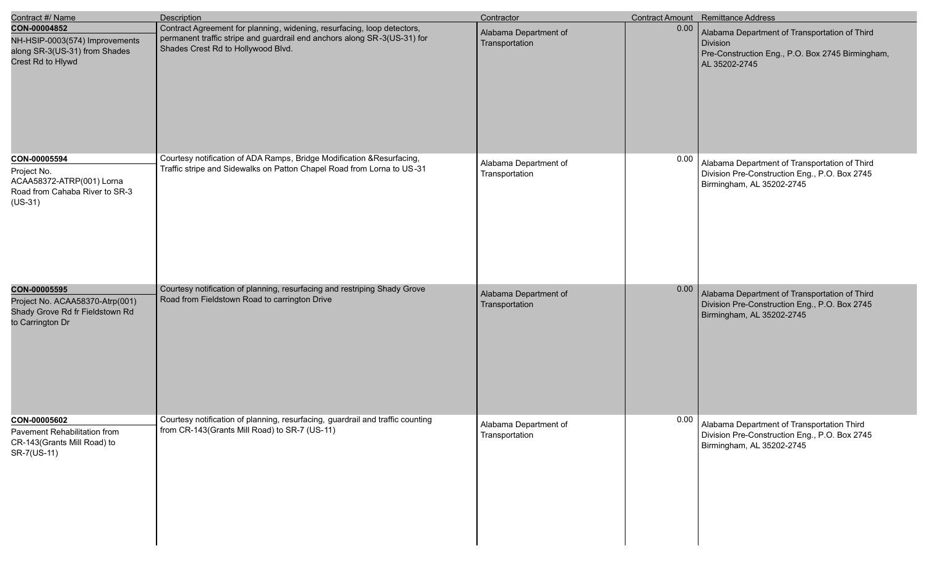| Contract #/ Name                                                                                        | Description                                                                                                                                                                               | Contractor                              |      | Contract Amount Remittance Address                                                                                                    |
|---------------------------------------------------------------------------------------------------------|-------------------------------------------------------------------------------------------------------------------------------------------------------------------------------------------|-----------------------------------------|------|---------------------------------------------------------------------------------------------------------------------------------------|
| CON-00004852<br>NH-HSIP-0003(574) Improvements<br>along SR-3(US-31) from Shades<br>Crest Rd to Hlywd    | Contract Agreement for planning, widening, resurfacing, loop detectors,<br>permanent traffic stripe and guardrail end anchors along SR-3(US-31) for<br>Shades Crest Rd to Hollywood Blvd. | Alabama Department of<br>Transportation | 0.00 | Alabama Department of Transportation of Third<br><b>Division</b><br>Pre-Construction Eng., P.O. Box 2745 Birmingham,<br>AL 35202-2745 |
| CON-00005594<br>Project No.<br>ACAA58372-ATRP(001) Lorna<br>Road from Cahaba River to SR-3<br>$(US-31)$ | Courtesy notification of ADA Ramps, Bridge Modification & Resurfacing,<br>Traffic stripe and Sidewalks on Patton Chapel Road from Lorna to US-31                                          | Alabama Department of<br>Transportation | 0.00 | Alabama Department of Transportation of Third<br>Division Pre-Construction Eng., P.O. Box 2745<br>Birmingham, AL 35202-2745           |
| CON-00005595<br>Project No. ACAA58370-Atrp(001)<br>Shady Grove Rd fr Fieldstown Rd<br>to Carrington Dr  | Courtesy notification of planning, resurfacing and restriping Shady Grove<br>Road from Fieldstown Road to carrington Drive                                                                | Alabama Department of<br>Transportation | 0.00 | Alabama Department of Transportation of Third<br>Division Pre-Construction Eng., P.O. Box 2745<br>Birmingham, AL 35202-2745           |
| CON-00005602<br>Pavement Rehabilitation from<br>CR-143(Grants Mill Road) to<br>SR-7(US-11)              | Courtesy notification of planning, resurfacing, guardrail and traffic counting<br>from CR-143(Grants Mill Road) to SR-7 (US-11)                                                           | Alabama Department of<br>Transportation | 0.00 | Alabama Department of Transportation Third<br>Division Pre-Construction Eng., P.O. Box 2745<br>Birmingham, AL 35202-2745              |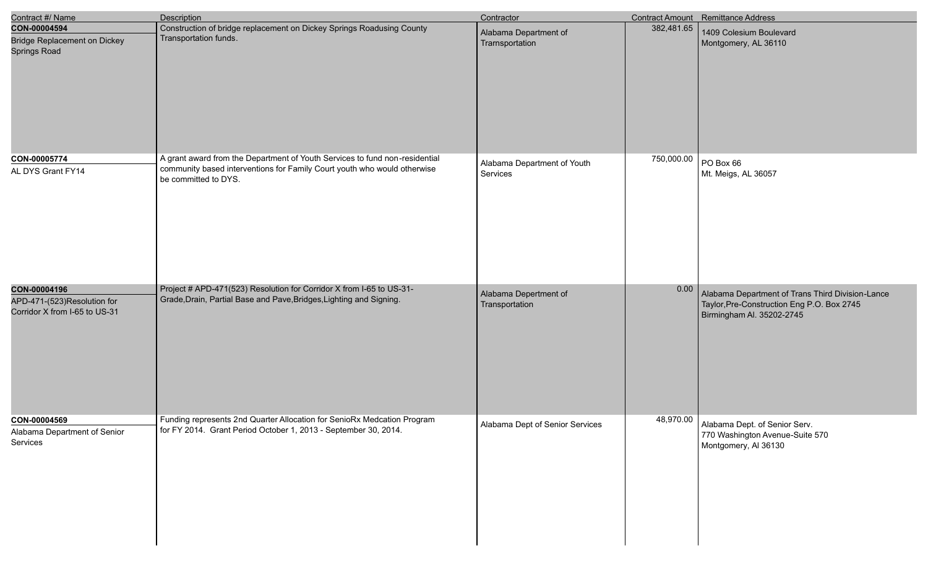| Contract #/ Name                                                             | Description                                                                                                                                                                     | Contractor                               |            | Contract Amount Remittance Address                                                                                          |
|------------------------------------------------------------------------------|---------------------------------------------------------------------------------------------------------------------------------------------------------------------------------|------------------------------------------|------------|-----------------------------------------------------------------------------------------------------------------------------|
| CON-00004594<br><b>Bridge Replacement on Dickey</b><br>Springs Road          | Construction of bridge replacement on Dickey Springs Roadusing County<br>Transportation funds.                                                                                  | Alabama Department of<br>Trarnsportation | 382,481.65 | 1409 Colesium Boulevard<br>Montgomery, AL 36110                                                                             |
| CON-00005774<br>AL DYS Grant FY14                                            | A grant award from the Department of Youth Services to fund non-residential<br>community based interventions for Family Court youth who would otherwise<br>be committed to DYS. | Alabama Department of Youth<br>Services  | 750,000.00 | PO Box 66<br>Mt. Meigs, AL 36057                                                                                            |
| CON-00004196<br>APD-471-(523)Resolution for<br>Corridor X from I-65 to US-31 | Project # APD-471(523) Resolution for Corridor X from I-65 to US-31-<br>Grade, Drain, Partial Base and Pave, Bridges, Lighting and Signing.                                     | Alabama Depertment of<br>Transportation  | 0.00       | Alabama Department of Trans Third Division-Lance<br>Taylor, Pre-Construction Eng P.O. Box 2745<br>Birmingham Al. 35202-2745 |
| CON-00004569<br>Alabama Department of Senior<br>Services                     | Funding represents 2nd Quarter Allocation for SenioRx Medcation Program<br>for FY 2014. Grant Period October 1, 2013 - September 30, 2014.                                      | Alabama Dept of Senior Services          | 48,970.00  | Alabama Dept. of Senior Serv.<br>770 Washington Avenue-Suite 570<br>Montgomery, AI 36130                                    |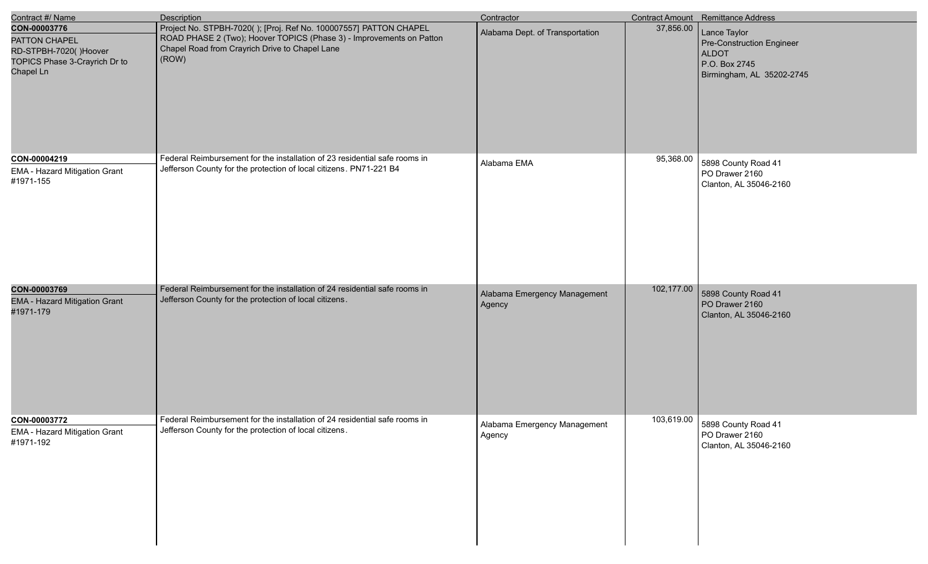| Contract #/ Name                                                                                     | <b>Description</b>                                                                                                                                                                                   | Contractor                             |            | Contract Amount Remittance Address                                                                      |
|------------------------------------------------------------------------------------------------------|------------------------------------------------------------------------------------------------------------------------------------------------------------------------------------------------------|----------------------------------------|------------|---------------------------------------------------------------------------------------------------------|
| CON-00003776<br>PATTON CHAPEL<br>RD-STPBH-7020()Hoover<br>TOPICS Phase 3-Crayrich Dr to<br>Chapel Ln | Project No. STPBH-7020(); [Proj. Ref No. 100007557] PATTON CHAPEL<br>ROAD PHASE 2 (Two); Hoover TOPICS (Phase 3) - Improvements on Patton<br>Chapel Road from Crayrich Drive to Chapel Lane<br>(ROW) | Alabama Dept. of Transportation        | 37,856.00  | Lance Taylor<br>Pre-Construction Engineer<br><b>ALDOT</b><br>P.O. Box 2745<br>Birmingham, AL 35202-2745 |
| CON-00004219<br>EMA - Hazard Mitigation Grant<br>#1971-155                                           | Federal Reimbursement for the installation of 23 residential safe rooms in<br>Jefferson County for the protection of local citizens. PN71-221 B4                                                     | Alabama EMA                            | 95,368.00  | 5898 County Road 41<br>PO Drawer 2160<br>Clanton, AL 35046-2160                                         |
| CON-00003769<br><b>EMA - Hazard Mitigation Grant</b><br>#1971-179                                    | Federal Reimbursement for the installation of 24 residential safe rooms in<br>Jefferson County for the protection of local citizens.                                                                 | Alabama Emergency Management<br>Agency | 102,177.00 | 5898 County Road 41<br>PO Drawer 2160<br>Clanton, AL 35046-2160                                         |
| CON-00003772<br>EMA - Hazard Mitigation Grant<br>#1971-192                                           | Federal Reimbursement for the installation of 24 residential safe rooms in<br>Jefferson County for the protection of local citizens.                                                                 | Alabama Emergency Management<br>Agency | 103,619.00 | 5898 County Road 41<br>PO Drawer 2160<br>Clanton, AL 35046-2160                                         |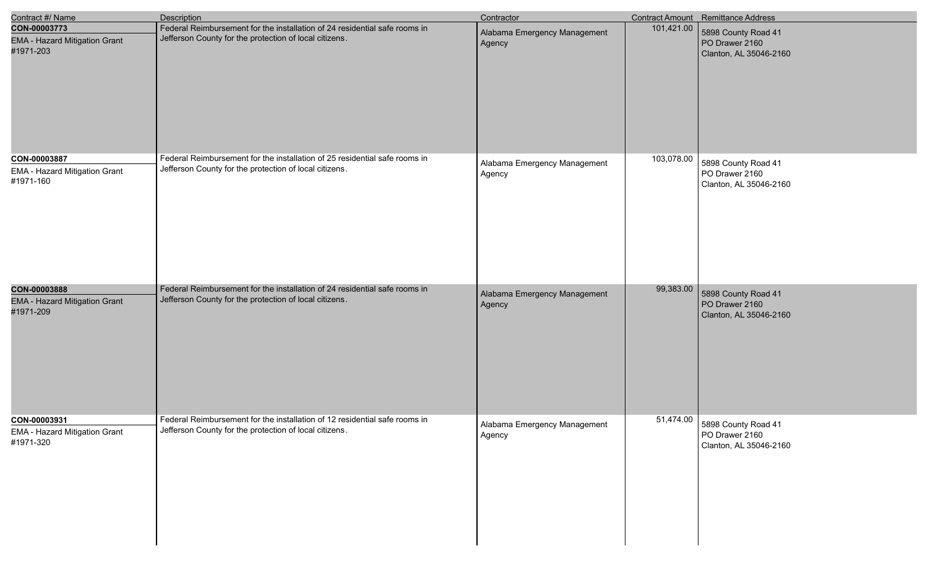| Contract #/ Name                                                  | <b>Description</b>                                                                                                                   | Contractor                             |            | Contract Amount Remittance Address                                        |
|-------------------------------------------------------------------|--------------------------------------------------------------------------------------------------------------------------------------|----------------------------------------|------------|---------------------------------------------------------------------------|
| CON-00003773<br><b>EMA - Hazard Mitigation Grant</b><br>#1971-203 | Federal Reimbursement for the installation of 24 residential safe rooms in<br>Jefferson County for the protection of local citizens. | Alabama Emergency Management<br>Agency | 101,421.00 | 5898 County Road 41<br>PO Drawer 2160<br>Clanton, AL 35046-2160           |
| CON-00003887<br>EMA - Hazard Mitigation Grant<br>#1971-160        | Federal Reimbursement for the installation of 25 residential safe rooms in<br>Jefferson County for the protection of local citizens. | Alabama Emergency Management<br>Agency | 103,078.00 | 5898 County Road 41<br>PO Drawer 2160<br>Clanton, AL 35046-2160           |
| CON-00003888<br><b>EMA - Hazard Mitigation Grant</b><br>#1971-209 | Federal Reimbursement for the installation of 24 residential safe rooms in<br>Jefferson County for the protection of local citizens. | Alabama Emergency Management<br>Agency | 99,383.00  | 5898 County Road 41<br>PO Drawer 2160<br>Clanton, AL 35046-2160           |
| CON-00003931<br>EMA - Hazard Mitigation Grant<br>#1971-320        | Federal Reimbursement for the installation of 12 residential safe rooms in<br>Jefferson County for the protection of local citizens. | Alabama Emergency Management<br>Agency |            | 51,474.00 5898 County Road 41<br>PO Drawer 2160<br>Clanton, AL 35046-2160 |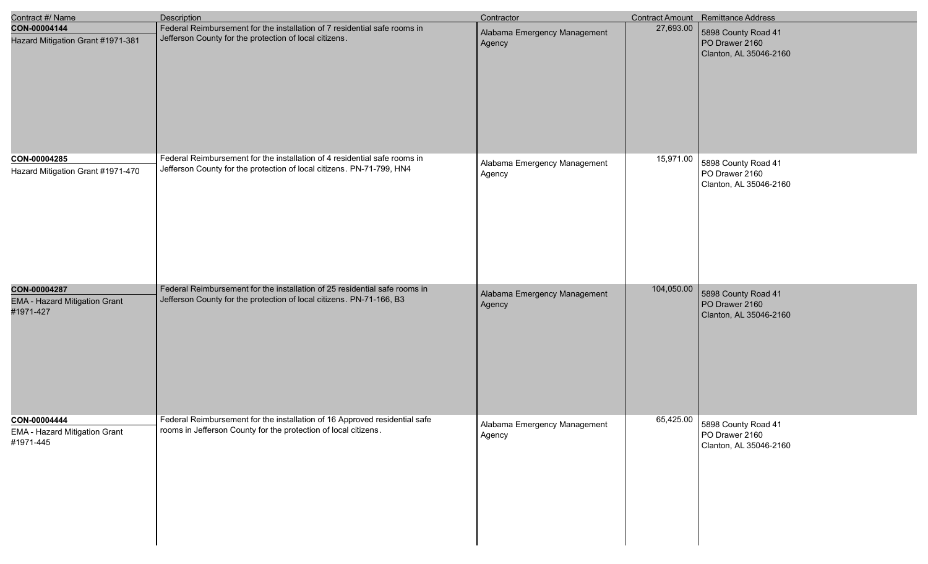| Contract #/ Name                                                  | <b>Description</b>                                                                                                                                 | Contractor                             |            | Contract Amount Remittance Address                                        |
|-------------------------------------------------------------------|----------------------------------------------------------------------------------------------------------------------------------------------------|----------------------------------------|------------|---------------------------------------------------------------------------|
| CON-00004144<br>Hazard Mitigation Grant #1971-381                 | Federal Reimbursement for the installation of 7 residential safe rooms in<br>Jefferson County for the protection of local citizens.                | Alabama Emergency Management<br>Agency | 27,693.00  | 5898 County Road 41<br>PO Drawer 2160<br>Clanton, AL 35046-2160           |
| CON-00004285<br>Hazard Mitigation Grant #1971-470                 | Federal Reimbursement for the installation of 4 residential safe rooms in<br>Jefferson County for the protection of local citizens. PN-71-799, HN4 | Alabama Emergency Management<br>Agency | 15,971.00  | 5898 County Road 41<br>PO Drawer 2160<br>Clanton, AL 35046-2160           |
| CON-00004287<br><b>EMA - Hazard Mitigation Grant</b><br>#1971-427 | Federal Reimbursement for the installation of 25 residential safe rooms in<br>Jefferson County for the protection of local citizens. PN-71-166, B3 | Alabama Emergency Management<br>Agency | 104,050.00 | 5898 County Road 41<br>PO Drawer 2160<br>Clanton, AL 35046-2160           |
| CON-00004444<br>EMA - Hazard Mitigation Grant<br>#1971-445        | Federal Reimbursement for the installation of 16 Approved residential safe<br>rooms in Jefferson County for the protection of local citizens.      | Alabama Emergency Management<br>Agency |            | 65,425.00 5898 County Road 41<br>PO Drawer 2160<br>Clanton, AL 35046-2160 |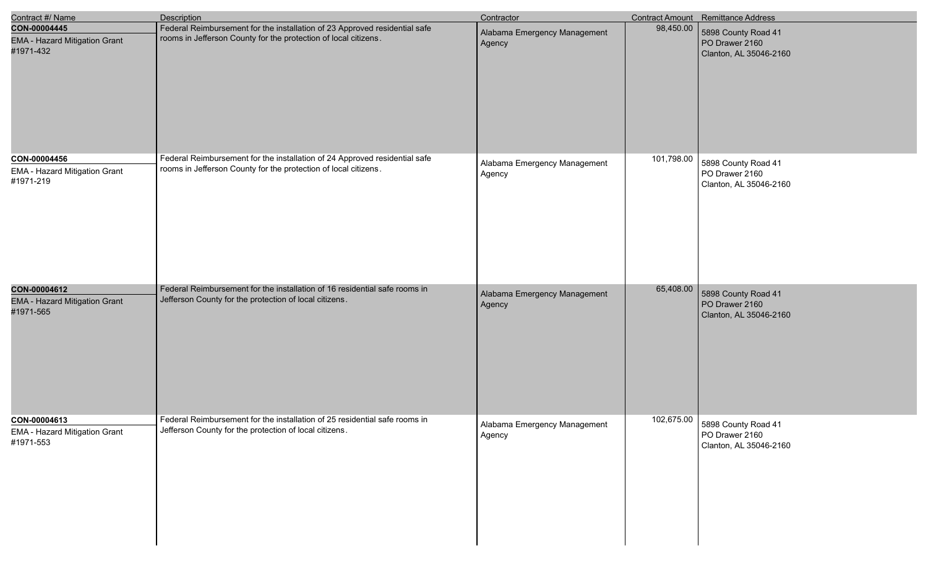| Contract #/ Name                                                  | Description                                                                                                                                   | Contractor                             |            | Contract Amount Remittance Address                                         |
|-------------------------------------------------------------------|-----------------------------------------------------------------------------------------------------------------------------------------------|----------------------------------------|------------|----------------------------------------------------------------------------|
| CON-00004445<br><b>EMA - Hazard Mitigation Grant</b><br>#1971-432 | Federal Reimbursement for the installation of 23 Approved residential safe<br>rooms in Jefferson County for the protection of local citizens. | Alabama Emergency Management<br>Agency | 98,450.00  | 5898 County Road 41<br>PO Drawer 2160<br>Clanton, AL 35046-2160            |
| CON-00004456<br>EMA - Hazard Mitigation Grant<br>#1971-219        | Federal Reimbursement for the installation of 24 Approved residential safe<br>rooms in Jefferson County for the protection of local citizens. | Alabama Emergency Management<br>Agency | 101,798.00 | 5898 County Road 41<br>PO Drawer 2160<br>Clanton, AL 35046-2160            |
| CON-00004612<br><b>EMA - Hazard Mitigation Grant</b><br>#1971-565 | Federal Reimbursement for the installation of 16 residential safe rooms in<br>Jefferson County for the protection of local citizens.          | Alabama Emergency Management<br>Agency | 65,408.00  | 5898 County Road 41<br>PO Drawer 2160<br>Clanton, AL 35046-2160            |
| CON-00004613<br><b>EMA - Hazard Mitigation Grant</b><br>#1971-553 | Federal Reimbursement for the installation of 25 residential safe rooms in<br>Jefferson County for the protection of local citizens.          | Alabama Emergency Management<br>Agency |            | 102,675.00 5898 County Road 41<br>PO Drawer 2160<br>Clanton, AL 35046-2160 |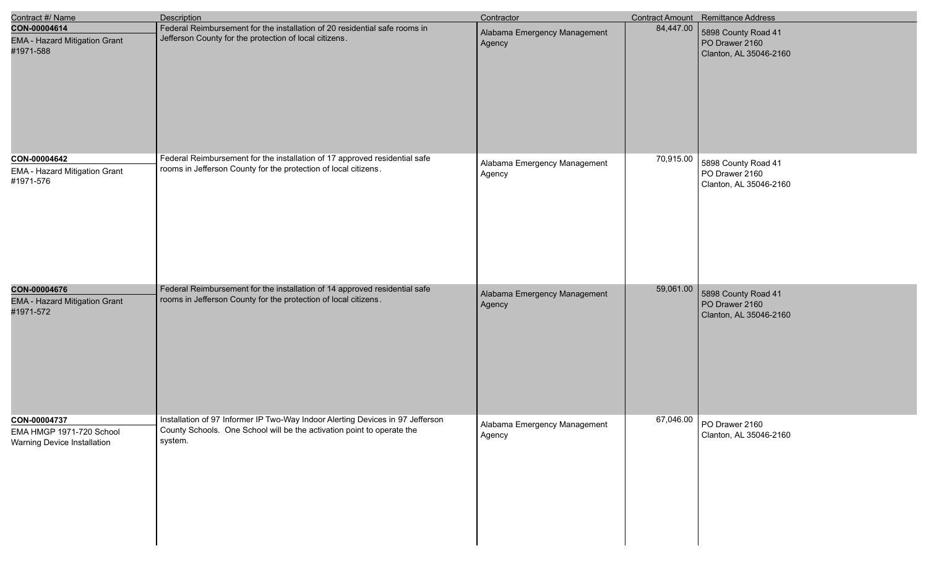| Contract #/ Name                                                        | <b>Description</b>                                                                                                                                                  | Contractor                             |           | Contract Amount Remittance Address                              |
|-------------------------------------------------------------------------|---------------------------------------------------------------------------------------------------------------------------------------------------------------------|----------------------------------------|-----------|-----------------------------------------------------------------|
| CON-00004614<br><b>EMA - Hazard Mitigation Grant</b><br>#1971-588       | Federal Reimbursement for the installation of 20 residential safe rooms in<br>Jefferson County for the protection of local citizens.                                | Alabama Emergency Management<br>Agency | 84,447.00 | 5898 County Road 41<br>PO Drawer 2160<br>Clanton, AL 35046-2160 |
| CON-00004642<br>EMA - Hazard Mitigation Grant<br>#1971-576              | Federal Reimbursement for the installation of 17 approved residential safe<br>rooms in Jefferson County for the protection of local citizens.                       | Alabama Emergency Management<br>Agency | 70,915.00 | 5898 County Road 41<br>PO Drawer 2160<br>Clanton, AL 35046-2160 |
| CON-00004676<br><b>EMA - Hazard Mitigation Grant</b><br>#1971-572       | Federal Reimbursement for the installation of 14 approved residential safe<br>rooms in Jefferson County for the protection of local citizens.                       | Alabama Emergency Management<br>Agency | 59,061.00 | 5898 County Road 41<br>PO Drawer 2160<br>Clanton, AL 35046-2160 |
| CON-00004737<br>EMA HMGP 1971-720 School<br>Warning Device Installation | Installation of 97 Informer IP Two-Way Indoor Alerting Devices in 97 Jefferson<br>County Schools. One School will be the activation point to operate the<br>system. | Alabama Emergency Management<br>Agency |           | 67,046.00 PO Drawer 2160<br>Clanton, AL 35046-2160              |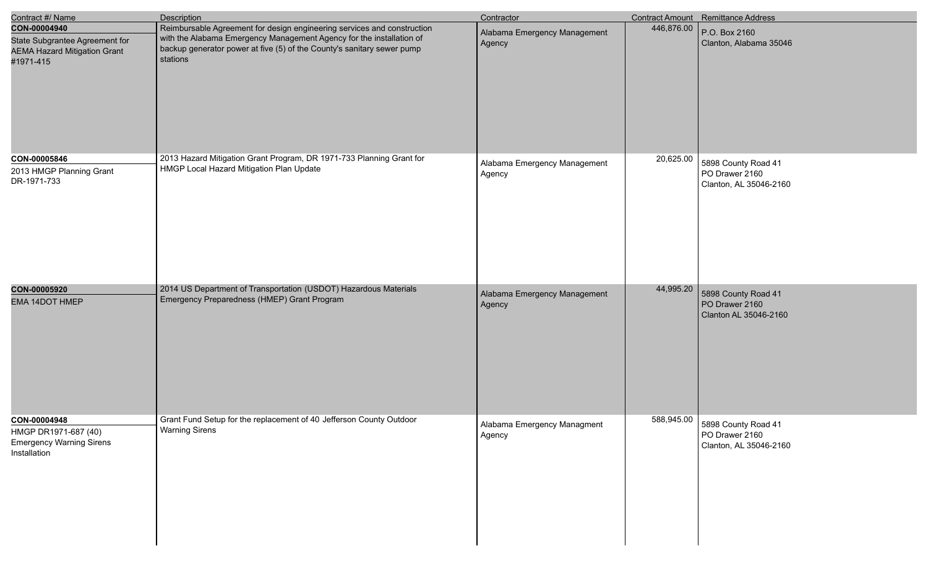| Contract #/ Name                                                                                   | <b>Description</b>                                                                                                                                                                                                                    | Contractor                             |            | Contract Amount Remittance Address                              |
|----------------------------------------------------------------------------------------------------|---------------------------------------------------------------------------------------------------------------------------------------------------------------------------------------------------------------------------------------|----------------------------------------|------------|-----------------------------------------------------------------|
| CON-00004940<br>State Subgrantee Agreement for<br><b>AEMA Hazard Mitigation Grant</b><br>#1971-415 | Reimbursable Agreement for design engineering services and construction<br>with the Alabama Emergency Management Agency for the installation of<br>backup generator power at five (5) of the County's sanitary sewer pump<br>stations | Alabama Emergency Management<br>Agency | 446,876.00 | P.O. Box 2160<br>Clanton, Alabama 35046                         |
| CON-00005846<br>2013 HMGP Planning Grant<br>DR-1971-733                                            | 2013 Hazard Mitigation Grant Program, DR 1971-733 Planning Grant for<br>HMGP Local Hazard Mitigation Plan Update                                                                                                                      | Alabama Emergency Management<br>Agency | 20,625.00  | 5898 County Road 41<br>PO Drawer 2160<br>Clanton, AL 35046-2160 |
| CON-00005920<br><b>EMA 14DOT HMEP</b>                                                              | 2014 US Department of Transportation (USDOT) Hazardous Materials<br>Emergency Preparedness (HMEP) Grant Program                                                                                                                       | Alabama Emergency Management<br>Agency | 44,995.20  | 5898 County Road 41<br>PO Drawer 2160<br>Clanton AL 35046-2160  |
| CON-00004948<br>HMGP DR1971-687 (40)<br><b>Emergency Warning Sirens</b><br>Installation            | Grant Fund Setup for the replacement of 40 Jefferson County Outdoor<br><b>Warning Sirens</b>                                                                                                                                          | Alabama Emergency Managment<br>Agency  | 588,945.00 | 5898 County Road 41<br>PO Drawer 2160<br>Clanton, AL 35046-2160 |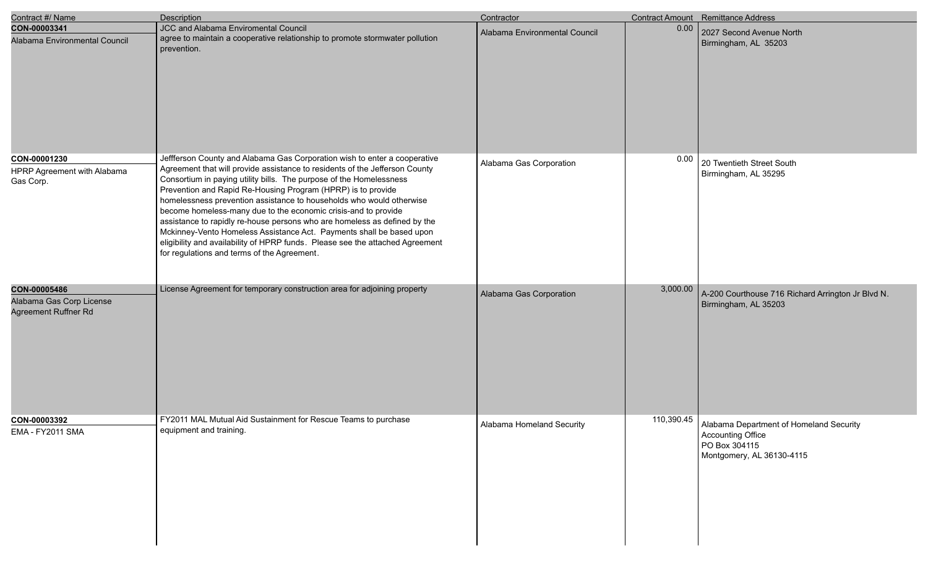| Contract #/ Name                                                 | Description                                                                                                                                                                                                                                                                                                                                                                                                                                                                                                                                                                                                                                                                                                                    | Contractor                    |            | <b>Contract Amount</b> Remittance Address                                                                  |
|------------------------------------------------------------------|--------------------------------------------------------------------------------------------------------------------------------------------------------------------------------------------------------------------------------------------------------------------------------------------------------------------------------------------------------------------------------------------------------------------------------------------------------------------------------------------------------------------------------------------------------------------------------------------------------------------------------------------------------------------------------------------------------------------------------|-------------------------------|------------|------------------------------------------------------------------------------------------------------------|
| CON-00003341<br>Alabama Environmental Council                    | JCC and Alabama Enviromental Council<br>agree to maintain a cooperative relationship to promote stormwater pollution<br>prevention.                                                                                                                                                                                                                                                                                                                                                                                                                                                                                                                                                                                            | Alabama Environmental Council | 0.00       | 2027 Second Avenue North<br>Birmingham, AL 35203                                                           |
| CON-00001230<br>HPRP Agreement with Alabama<br>Gas Corp.         | Jeffferson County and Alabama Gas Corporation wish to enter a cooperative<br>Agreement that will provide assistance to residents of the Jefferson County<br>Consortium in paying utility bills. The purpose of the Homelessness<br>Prevention and Rapid Re-Housing Program (HPRP) is to provide<br>homelessness prevention assistance to households who would otherwise<br>become homeless-many due to the economic crisis-and to provide<br>assistance to rapidly re-house persons who are homeless as defined by the<br>Mckinney-Vento Homeless Assistance Act. Payments shall be based upon<br>eligibility and availability of HPRP funds. Please see the attached Agreement<br>for regulations and terms of the Agreement. | Alabama Gas Corporation       | 0.00       | 20 Twentieth Street South<br>Birmingham, AL 35295                                                          |
| CON-00005486<br>Alabama Gas Corp License<br>Agreement Ruffner Rd | License Agreement for temporary construction area for adjoining property                                                                                                                                                                                                                                                                                                                                                                                                                                                                                                                                                                                                                                                       | Alabama Gas Corporation       | 3,000.00   | A-200 Courthouse 716 Richard Arrington Jr Blvd N.<br>Birmingham, AL 35203                                  |
| CON-00003392<br>EMA - FY2011 SMA                                 | FY2011 MAL Mutual Aid Sustainment for Rescue Teams to purchase<br>equipment and training.                                                                                                                                                                                                                                                                                                                                                                                                                                                                                                                                                                                                                                      | Alabama Homeland Security     | 110,390.45 | Alabama Department of Homeland Security<br>Accounting Office<br>PO Box 304115<br>Montgomery, AL 36130-4115 |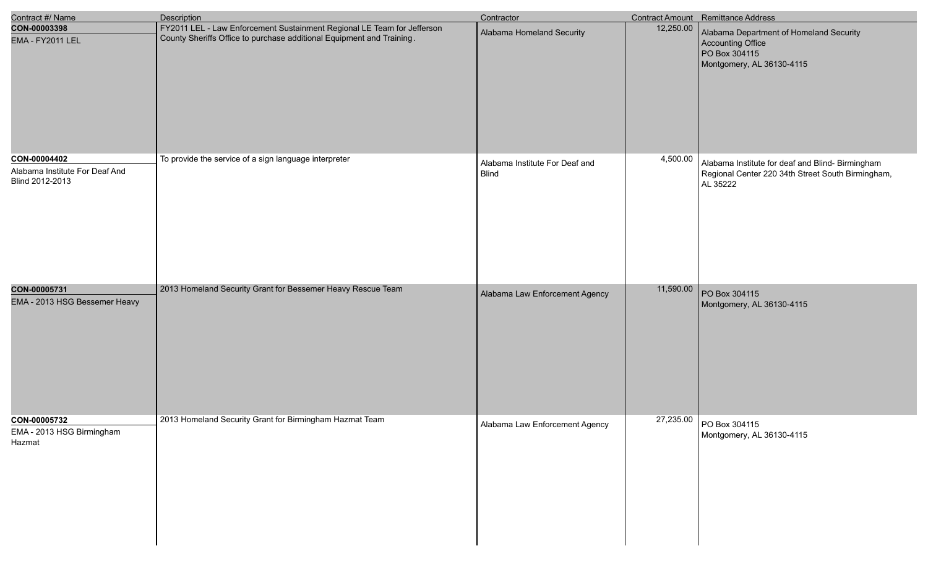| Contract #/ Name                                                  | <b>Description</b>                                                                                                                               | Contractor                                     |           | Contract Amount Remittance Address                                                                                |
|-------------------------------------------------------------------|--------------------------------------------------------------------------------------------------------------------------------------------------|------------------------------------------------|-----------|-------------------------------------------------------------------------------------------------------------------|
| CON-00003398<br>EMA - FY2011 LEL                                  | FY2011 LEL - Law Enforcement Sustainment Regional LE Team for Jefferson<br>County Sheriffs Office to purchase additional Equipment and Training. | Alabama Homeland Security                      | 12,250.00 | Alabama Department of Homeland Security<br>Accounting Office<br>PO Box 304115<br>Montgomery, AL 36130-4115        |
| CON-00004402<br>Alabama Institute For Deaf And<br>Blind 2012-2013 | To provide the service of a sign language interpreter                                                                                            | Alabama Institute For Deaf and<br><b>Blind</b> | 4,500.00  | Alabama Institute for deaf and Blind- Birmingham<br>Regional Center 220 34th Street South Birmingham,<br>AL 35222 |
| CON-00005731<br>EMA - 2013 HSG Bessemer Heavy                     | 2013 Homeland Security Grant for Bessemer Heavy Rescue Team                                                                                      | Alabama Law Enforcement Agency                 | 11,590.00 | PO Box 304115<br>Montgomery, AL 36130-4115                                                                        |
| CON-00005732<br>EMA - 2013 HSG Birmingham<br>Hazmat               | 2013 Homeland Security Grant for Birmingham Hazmat Team                                                                                          | Alabama Law Enforcement Agency                 |           | 27,235.00 PO Box 304115<br>Montgomery, AL 36130-4115                                                              |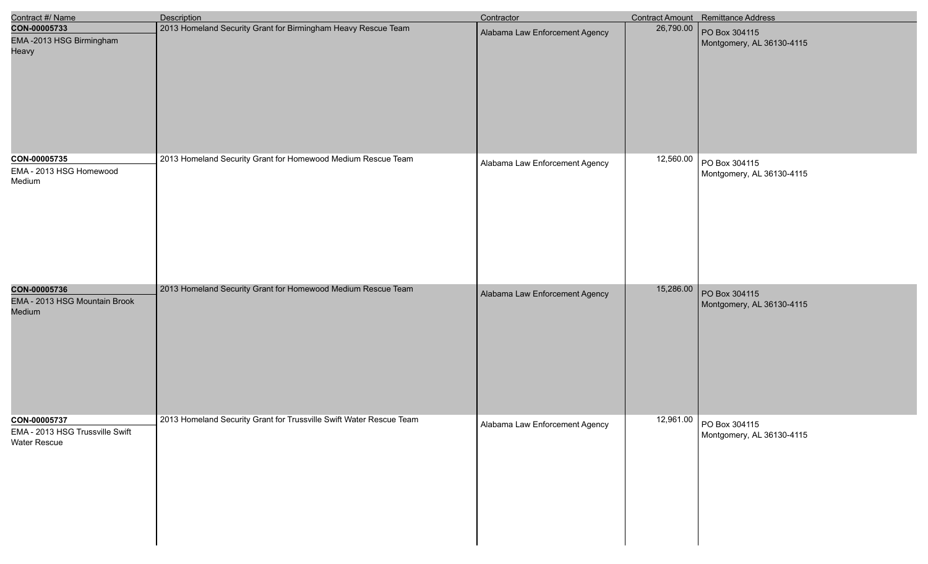| Contract #/ Name                                                       | Description                                                         | Contractor                     |           | Contract Amount Remittance Address                   |
|------------------------------------------------------------------------|---------------------------------------------------------------------|--------------------------------|-----------|------------------------------------------------------|
| CON-00005733<br>EMA-2013 HSG Birmingham<br>Heavy                       | 2013 Homeland Security Grant for Birmingham Heavy Rescue Team       | Alabama Law Enforcement Agency | 26,790.00 | PO Box 304115<br>Montgomery, AL 36130-4115           |
| CON-00005735<br>EMA - 2013 HSG Homewood<br>Medium                      | 2013 Homeland Security Grant for Homewood Medium Rescue Team        | Alabama Law Enforcement Agency | 12,560.00 | PO Box 304115<br>Montgomery, AL 36130-4115           |
| CON-00005736<br>EMA - 2013 HSG Mountain Brook<br>Medium                | 2013 Homeland Security Grant for Homewood Medium Rescue Team        | Alabama Law Enforcement Agency | 15,286.00 | PO Box 304115<br>Montgomery, AL 36130-4115           |
| CON-00005737<br>EMA - 2013 HSG Trussville Swift<br><b>Water Rescue</b> | 2013 Homeland Security Grant for Trussville Swift Water Rescue Team | Alabama Law Enforcement Agency |           | 12,961.00 PO Box 304115<br>Montgomery, AL 36130-4115 |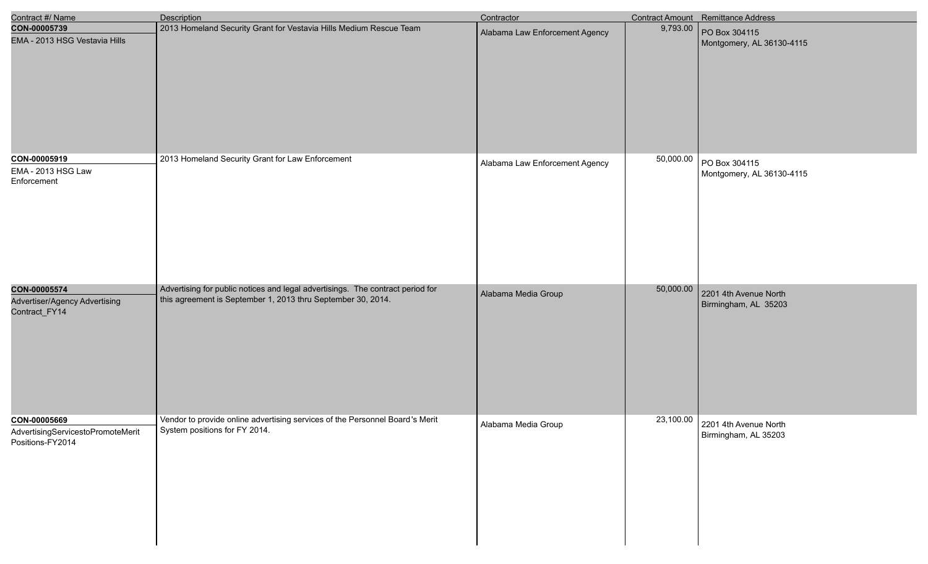| Contract #/ Name                                                      | <b>Description</b>                                                                                                                             | Contractor                     |           | Contract Amount Remittance Address            |
|-----------------------------------------------------------------------|------------------------------------------------------------------------------------------------------------------------------------------------|--------------------------------|-----------|-----------------------------------------------|
| CON-00005739<br>EMA - 2013 HSG Vestavia Hills                         | 2013 Homeland Security Grant for Vestavia Hills Medium Rescue Team                                                                             | Alabama Law Enforcement Agency | 9,793.00  | PO Box 304115<br>Montgomery, AL 36130-4115    |
| CON-00005919                                                          | 2013 Homeland Security Grant for Law Enforcement                                                                                               |                                | 50,000.00 |                                               |
| EMA - 2013 HSG Law<br>Enforcement                                     |                                                                                                                                                | Alabama Law Enforcement Agency |           | PO Box 304115<br>Montgomery, AL 36130-4115    |
| CON-00005574<br>Advertiser/Agency Advertising<br>Contract_FY14        | Advertising for public notices and legal advertisings. The contract period for<br>this agreement is September 1, 2013 thru September 30, 2014. | Alabama Media Group            | 50,000.00 | 2201 4th Avenue North<br>Birmingham, AL 35203 |
| CON-00005669<br>AdvertisingServicestoPromoteMerit<br>Positions-FY2014 | Vendor to provide online advertising services of the Personnel Board's Merit<br>System positions for FY 2014.                                  | Alabama Media Group            | 23,100.00 | 2201 4th Avenue North<br>Birmingham, AL 35203 |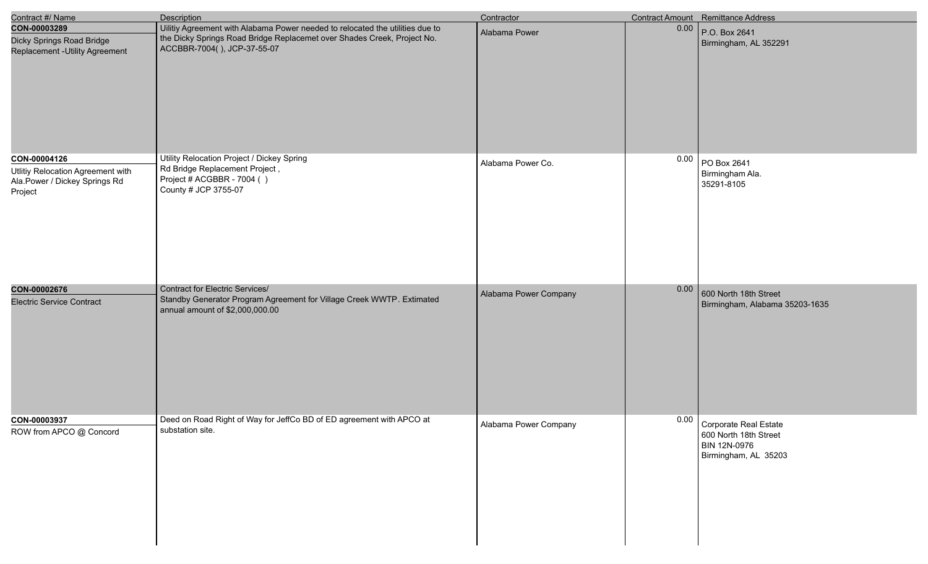| Contract #/ Name                                                                              | <b>Description</b>                                                                                                                                                                      | Contractor            |      | <b>Contract Amount</b> Remittance Address                                                   |
|-----------------------------------------------------------------------------------------------|-----------------------------------------------------------------------------------------------------------------------------------------------------------------------------------------|-----------------------|------|---------------------------------------------------------------------------------------------|
| CON-00003289<br>Dicky Springs Road Bridge<br>Replacement - Utility Agreement                  | Uilitiy Agreement with Alabama Power needed to relocated the utilities due to<br>the Dicky Springs Road Bridge Replacemet over Shades Creek, Project No.<br>ACCBBR-7004(), JCP-37-55-07 | Alabama Power         | 0.00 | P.O. Box 2641<br>Birmingham, AL 352291                                                      |
| CON-00004126<br>Utlitiy Relocation Agreement with<br>Ala.Power / Dickey Springs Rd<br>Project | Utility Relocation Project / Dickey Spring<br>Rd Bridge Replacement Project,<br>Project # ACGBBR - 7004 ()<br>County # JCP 3755-07                                                      | Alabama Power Co.     | 0.00 | PO Box 2641<br>Birmingham Ala.<br>35291-8105                                                |
| CON-00002676<br><b>Electric Service Contract</b>                                              | <b>Contract for Electric Services/</b><br>Standby Generator Program Agreement for Village Creek WWTP. Extimated<br>annual amount of \$2,000,000.00                                      | Alabama Power Company | 0.00 | 600 North 18th Street<br>Birmingham, Alabama 35203-1635                                     |
| CON-00003937<br>ROW from APCO @ Concord                                                       | Deed on Road Right of Way for JeffCo BD of ED agreement with APCO at<br>substation site.                                                                                                | Alabama Power Company |      | 0.00 Corporate Real Estate<br>600 North 18th Street<br>BIN 12N-0976<br>Birmingham, AL 35203 |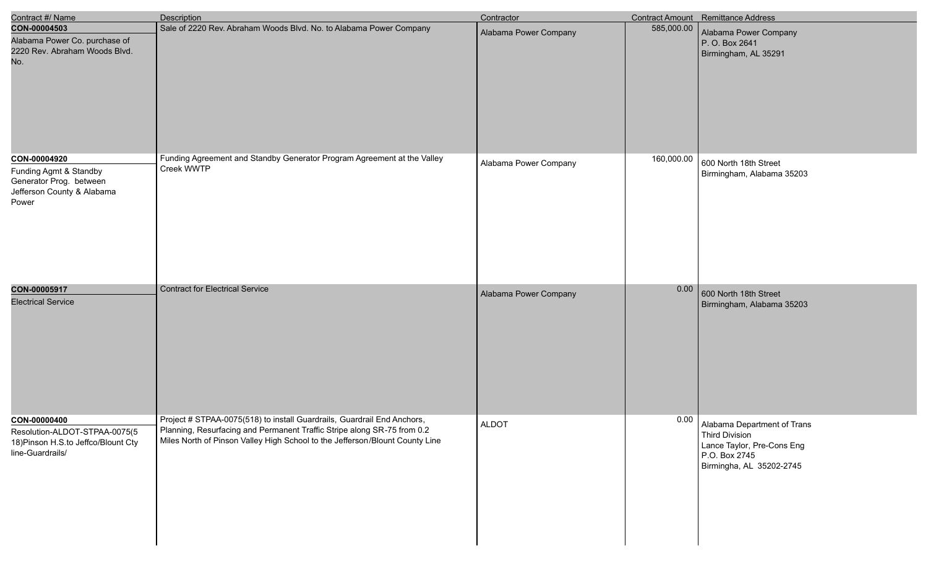| Contract #/ Name                                                                                         | Description                                                                                                                                                                                                                        | Contractor            |            | Contract Amount Remittance Address                                                                                            |
|----------------------------------------------------------------------------------------------------------|------------------------------------------------------------------------------------------------------------------------------------------------------------------------------------------------------------------------------------|-----------------------|------------|-------------------------------------------------------------------------------------------------------------------------------|
| CON-00004503<br>Alabama Power Co. purchase of<br>2220 Rev. Abraham Woods Blvd.<br>No.                    | Sale of 2220 Rev. Abraham Woods Blvd. No. to Alabama Power Company                                                                                                                                                                 | Alabama Power Company | 585,000.00 | Alabama Power Company<br>P. O. Box 2641<br>Birmingham, AL 35291                                                               |
| CON-00004920<br>Funding Agmt & Standby<br>Generator Prog. between<br>Jefferson County & Alabama<br>Power | Funding Agreement and Standby Generator Program Agreement at the Valley<br>Creek WWTP                                                                                                                                              | Alabama Power Company | 160,000.00 | 600 North 18th Street<br>Birmingham, Alabama 35203                                                                            |
| CON-00005917<br><b>Electrical Service</b>                                                                | <b>Contract for Electrical Service</b>                                                                                                                                                                                             | Alabama Power Company | 0.00       | 600 North 18th Street<br>Birmingham, Alabama 35203                                                                            |
| CON-00000400<br>Resolution-ALDOT-STPAA-0075(5<br>18) Pinson H.S.to Jeffco/Blount Cty<br>line-Guardrails/ | Project # STPAA-0075(518) to install Guardrails, Guardrail End Anchors,<br>Planning, Resurfacing and Permanent Traffic Stripe along SR-75 from 0.2<br>Miles North of Pinson Valley High School to the Jefferson/Blount County Line | <b>ALDOT</b>          |            | 0.00 Alabama Department of Trans<br>Third Division<br>Lance Taylor, Pre-Cons Eng<br>P.O. Box 2745<br>Birmingha, AL 35202-2745 |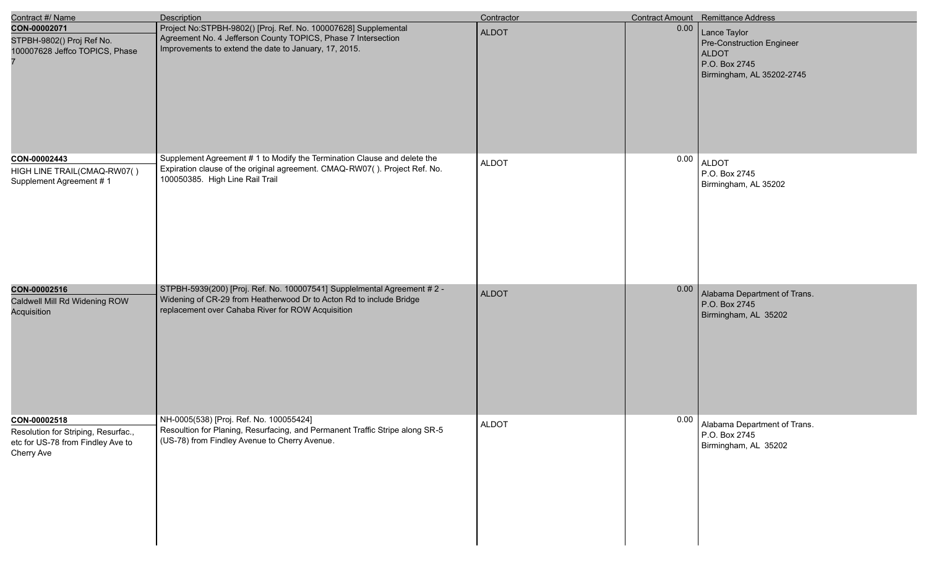| Contract #/ Name                                                                                       | <b>Description</b>                                                                                                                                                                                   | Contractor   |      | <b>Contract Amount</b> Remittance Address                                                               |
|--------------------------------------------------------------------------------------------------------|------------------------------------------------------------------------------------------------------------------------------------------------------------------------------------------------------|--------------|------|---------------------------------------------------------------------------------------------------------|
| CON-00002071<br>STPBH-9802() Proj Ref No.<br>100007628 Jeffco TOPICS, Phase                            | Project No:STPBH-9802() [Proj. Ref. No. 100007628] Supplemental<br>Agreement No. 4 Jefferson County TOPICS, Phase 7 Intersection<br>Improvements to extend the date to January, 17, 2015.            | <b>ALDOT</b> | 0.00 | Lance Taylor<br>Pre-Construction Engineer<br><b>ALDOT</b><br>P.O. Box 2745<br>Birmingham, AL 35202-2745 |
| CON-00002443<br>HIGH LINE TRAIL(CMAQ-RW07()<br>Supplement Agreement #1                                 | Supplement Agreement # 1 to Modify the Termination Clause and delete the<br>Expiration clause of the original agreement. CMAQ-RW07(). Project Ref. No.<br>100050385. High Line Rail Trail            | <b>ALDOT</b> | 0.00 | <b>ALDOT</b><br>P.O. Box 2745<br>Birmingham, AL 35202                                                   |
| CON-00002516<br>Caldwell Mill Rd Widening ROW<br>Acquisition                                           | STPBH-5939(200) [Proj. Ref. No. 100007541] SuppleImental Agreement # 2 -<br>Widening of CR-29 from Heatherwood Dr to Acton Rd to include Bridge<br>replacement over Cahaba River for ROW Acquisition | <b>ALDOT</b> | 0.00 | Alabama Department of Trans.<br>P.O. Box 2745<br>Birmingham, AL 35202                                   |
| CON-00002518<br>Resolution for Striping, Resurfac.,<br>etc for US-78 from Findley Ave to<br>Cherry Ave | NH-0005(538) [Proj. Ref. No. 100055424]<br>Resoultion for Planing, Resurfacing, and Permanent Traffic Stripe along SR-5<br>(US-78) from Findley Avenue to Cherry Avenue.                             | <b>ALDOT</b> | 0.00 | Alabama Department of Trans.<br>P.O. Box 2745<br>Birmingham, AL 35202                                   |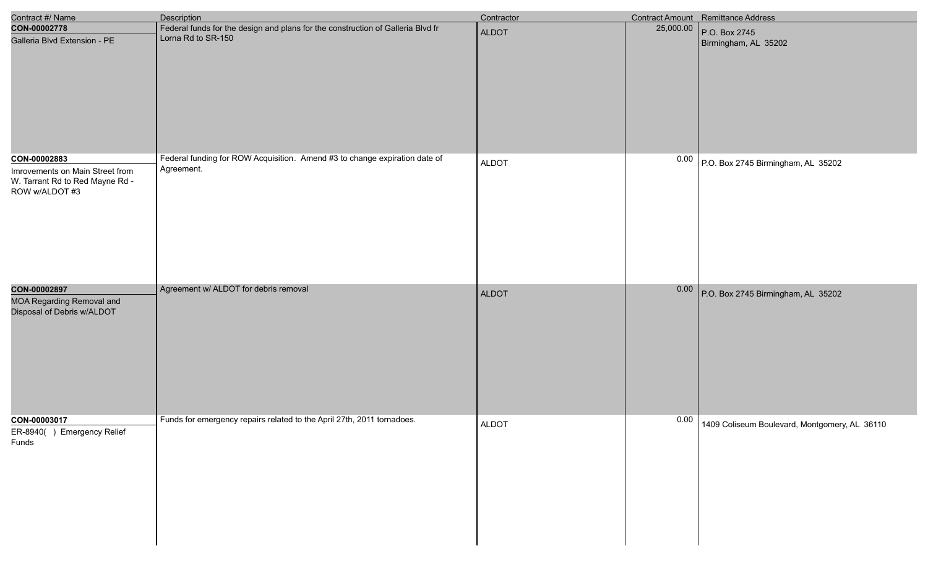| Contract #/ Name                                                                     | Description                                                                                                                                                                         | Contractor   |      | Contract Amount Remittance Address                                                                              |
|--------------------------------------------------------------------------------------|-------------------------------------------------------------------------------------------------------------------------------------------------------------------------------------|--------------|------|-----------------------------------------------------------------------------------------------------------------|
| CON-00002778<br>Galleria Blvd Extension - PE<br>CON-00002883                         | Federal funds for the design and plans for the construction of Galleria Blvd fr<br>Lorna Rd to SR-150<br>Federal funding for ROW Acquisition. Amend #3 to change expiration date of | ALDOT        |      | $\begin{array}{ c c c c c } \hline 25,000.00 & \text{P.O. Box 2745} \hline \end{array}$<br>Birmingham, AL 35202 |
| Imrovements on Main Street from<br>W. Tarrant Rd to Red Mayne Rd -<br>ROW w/ALDOT #3 | Agreement.                                                                                                                                                                          | <b>ALDOT</b> |      | $0.00$ P.O. Box 2745 Birmingham, AL 35202                                                                       |
| CON-00002897<br><b>MOA Regarding Removal and</b><br>Disposal of Debris w/ALDOT       | Agreement w/ ALDOT for debris removal                                                                                                                                               | ALDOT        |      | 0.00 P.O. Box 2745 Birmingham, AL 35202                                                                         |
| CON-00003017<br>ER-8940() Emergency Relief<br>Funds                                  | Funds for emergency repairs related to the April 27th, 2011 tornadoes.                                                                                                              | <b>ALDOT</b> | 0.00 | 1409 Coliseum Boulevard, Montgomery, AL 36110                                                                   |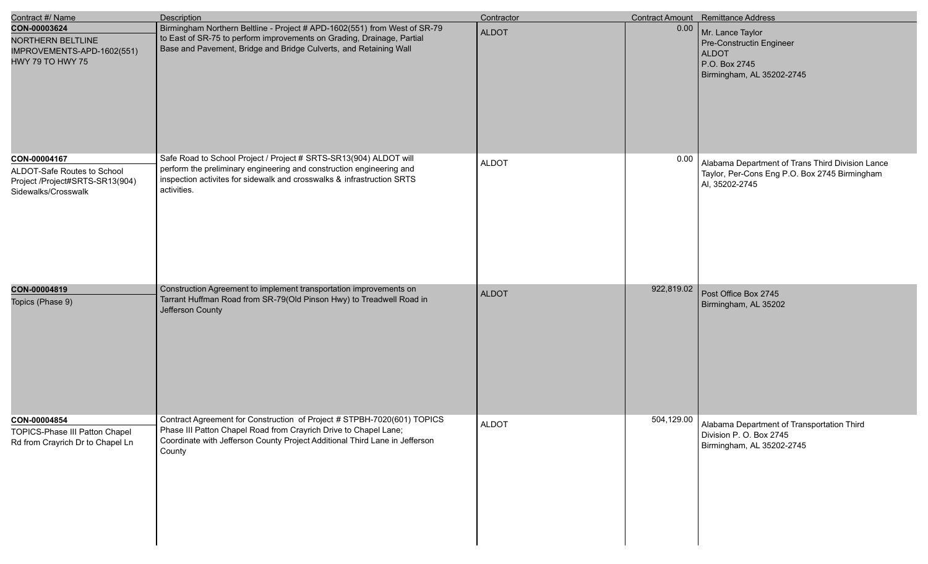| Contract #/ Name                                                                                      | <b>Description</b>                                                                                                                                                                                                                   | Contractor   |            | Contract Amount Remittance Address                                                                                  |
|-------------------------------------------------------------------------------------------------------|--------------------------------------------------------------------------------------------------------------------------------------------------------------------------------------------------------------------------------------|--------------|------------|---------------------------------------------------------------------------------------------------------------------|
| CON-00003624<br><b>NORTHERN BELTLINE</b><br>IMPROVEMENTS-APD-1602(551)<br><b>HWY 79 TO HWY 75</b>     | Birmingham Northern Beltline - Project # APD-1602(551) from West of SR-79<br>to East of SR-75 to perform improvements on Grading, Drainage, Partial<br>Base and Pavement, Bridge and Bridge Culverts, and Retaining Wall             | <b>ALDOT</b> | 0.00       | Mr. Lance Taylor<br>Pre-Constructin Engineer<br><b>ALDOT</b><br>P.O. Box 2745<br>Birmingham, AL 35202-2745          |
| CON-00004167<br>ALDOT-Safe Routes to School<br>Project /Project#SRTS-SR13(904)<br>Sidewalks/Crosswalk | Safe Road to School Project / Project # SRTS-SR13(904) ALDOT will<br>perform the preliminary engineering and construction engineering and<br>inspection activites for sidewalk and crosswalks & infrastruction SRTS<br>activities.   | <b>ALDOT</b> | 0.00       | Alabama Department of Trans Third Division Lance<br>Taylor, Per-Cons Eng P.O. Box 2745 Birmingham<br>Al, 35202-2745 |
| CON-00004819<br>Topics (Phase 9)                                                                      | Construction Agreement to implement transportation improvements on<br>Tarrant Huffman Road from SR-79(Old Pinson Hwy) to Treadwell Road in<br>Jefferson County                                                                       | <b>ALDOT</b> | 922,819.02 | Post Office Box 2745<br>Birmingham, AL 35202                                                                        |
| CON-00004854<br>TOPICS-Phase III Patton Chapel<br>Rd from Crayrich Dr to Chapel Ln                    | Contract Agreement for Construction of Project # STPBH-7020(601) TOPICS<br>Phase III Patton Chapel Road from Crayrich Drive to Chapel Lane;<br>Coordinate with Jefferson County Project Additional Third Lane in Jefferson<br>County | <b>ALDOT</b> |            | 504,129.00 Alabama Department of Transportation Third<br>Division P. O. Box 2745<br>Birmingham, AL 35202-2745       |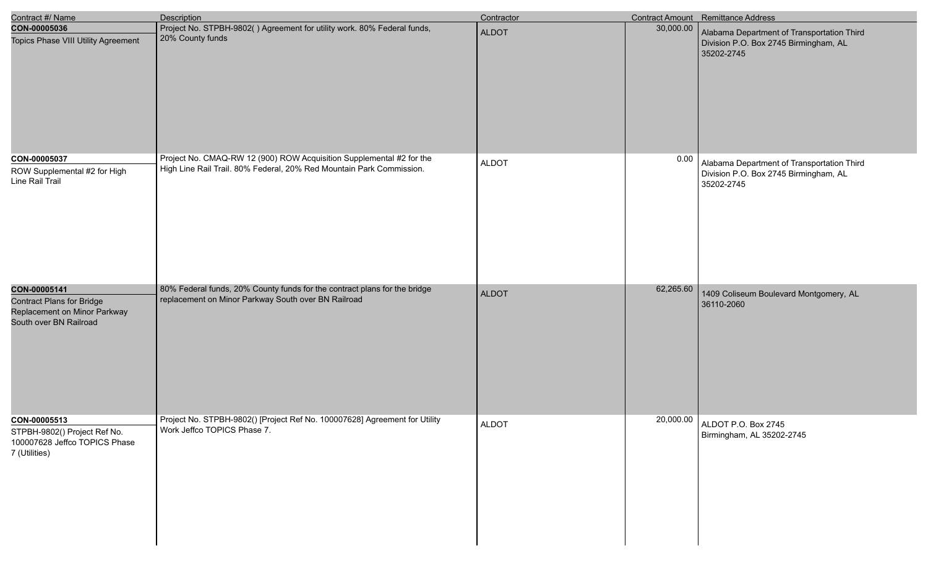| Contract #/ Name                                                                                           | <b>Description</b>                                                                                                                           | Contractor   |           | <b>Contract Amount</b> Remittance Address                                                         |
|------------------------------------------------------------------------------------------------------------|----------------------------------------------------------------------------------------------------------------------------------------------|--------------|-----------|---------------------------------------------------------------------------------------------------|
| CON-00005036<br>Topics Phase VIII Utility Agreement                                                        | Project No. STPBH-9802() Agreement for utility work. 80% Federal funds,<br>20% County funds                                                  | <b>ALDOT</b> | 30,000.00 | Alabama Department of Transportation Third<br>Division P.O. Box 2745 Birmingham, AL<br>35202-2745 |
| CON-00005037<br>ROW Supplemental #2 for High<br>Line Rail Trail                                            | Project No. CMAQ-RW 12 (900) ROW Acquisition Supplemental #2 for the<br>High Line Rail Trail. 80% Federal, 20% Red Mountain Park Commission. | <b>ALDOT</b> | 0.00      | Alabama Department of Transportation Third<br>Division P.O. Box 2745 Birmingham, AL<br>35202-2745 |
| CON-00005141<br><b>Contract Plans for Bridge</b><br>Replacement on Minor Parkway<br>South over BN Railroad | 80% Federal funds, 20% County funds for the contract plans for the bridge<br>replacement on Minor Parkway South over BN Railroad             | <b>ALDOT</b> | 62,265.60 | 1409 Coliseum Boulevard Montgomery, AL<br>36110-2060                                              |
| CON-00005513<br>STPBH-9802() Project Ref No.<br>100007628 Jeffco TOPICS Phase<br>7 (Utilities)             | Project No. STPBH-9802() [Project Ref No. 100007628] Agreement for Utility<br>Work Jeffco TOPICS Phase 7.                                    | <b>ALDOT</b> |           | 20,000.00 ALDOT P.O. Box 2745<br>Birmingham, AL 35202-2745                                        |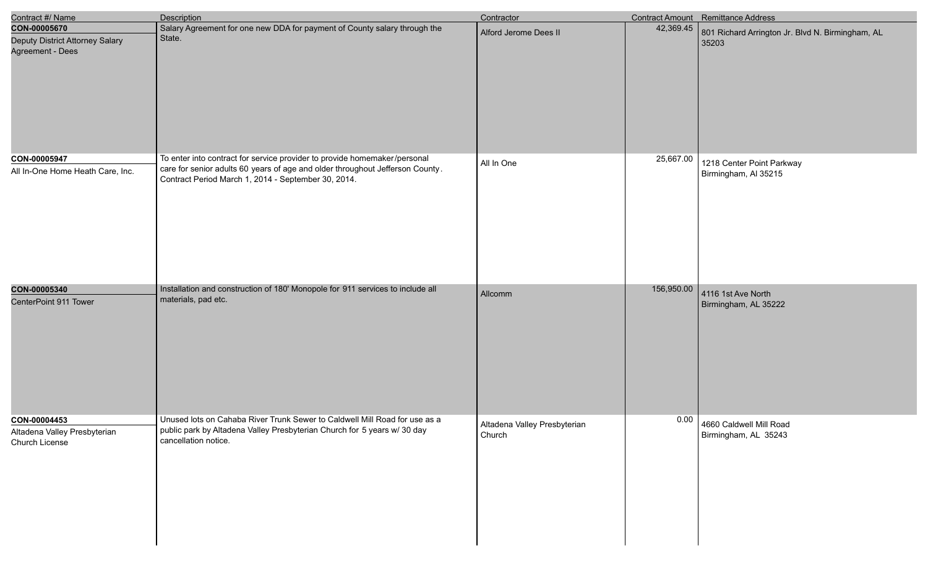| Contract #/ Name                                                                    | Description                                                                                                                                                                    | Contractor                             |                        | Contract Amount Remittance Address                        |
|-------------------------------------------------------------------------------------|--------------------------------------------------------------------------------------------------------------------------------------------------------------------------------|----------------------------------------|------------------------|-----------------------------------------------------------|
| CON-00005670<br>Deputy District Attorney Salary<br>Agreement - Dees<br>CON-00005947 | Salary Agreement for one new DDA for payment of County salary through the<br>State.<br>To enter into contract for service provider to provide homemaker/personal               | Alford Jerome Dees II                  | 42,369.45<br>25,667.00 | 801 Richard Arrington Jr. Blvd N. Birmingham, AL<br>35203 |
| All In-One Home Heath Care, Inc.                                                    | care for senior adults 60 years of age and older throughout Jefferson County.<br>Contract Period March 1, 2014 - September 30, 2014.                                           | All In One                             |                        | 1218 Center Point Parkway<br>Birmingham, Al 35215         |
| CON-00005340<br>CenterPoint 911 Tower                                               | Installation and construction of 180' Monopole for 911 services to include all<br>materials, pad etc.                                                                          | Allcomm                                | 156,950.00             | 4116 1st Ave North<br>Birmingham, AL 35222                |
| CON-00004453<br>Altadena Valley Presbyterian<br>Church License                      | Unused lots on Cahaba River Trunk Sewer to Caldwell Mill Road for use as a<br>public park by Altadena Valley Presbyterian Church for 5 years w/ 30 day<br>cancellation notice. | Altadena Valley Presbyterian<br>Church | 0.00                   | 4660 Caldwell Mill Road<br>Birmingham, AL 35243           |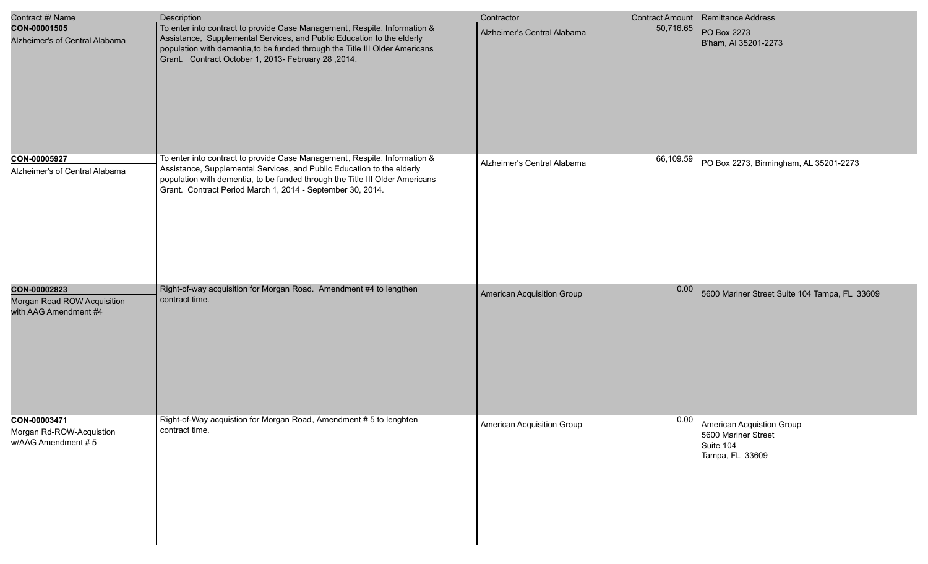| Contract #/ Name                                                     | <b>Description</b>                                                                                                                                                                                                                                                                                | Contractor                  |           | <b>Contract Amount</b> Remittance Address                                        |
|----------------------------------------------------------------------|---------------------------------------------------------------------------------------------------------------------------------------------------------------------------------------------------------------------------------------------------------------------------------------------------|-----------------------------|-----------|----------------------------------------------------------------------------------|
| CON-00001505<br>Alzheimer's of Central Alabama                       | To enter into contract to provide Case Management, Respite, Information &<br>Assistance, Supplemental Services, and Public Education to the elderly<br>population with dementia, to be funded through the Title III Older Americans<br>Grant. Contract October 1, 2013- February 28, 2014.        | Alzheimer's Central Alabama | 50,716.65 | PO Box 2273<br>B'ham, AI 35201-2273                                              |
| CON-00005927<br>Alzheimer's of Central Alabama                       | To enter into contract to provide Case Management, Respite, Information &<br>Assistance, Supplemental Services, and Public Education to the elderly<br>population with dementia, to be funded through the Title III Older Americans<br>Grant. Contract Period March 1, 2014 - September 30, 2014. | Alzheimer's Central Alabama | 66,109.59 | PO Box 2273, Birmingham, AL 35201-2273                                           |
| CON-00002823<br>Morgan Road ROW Acquisition<br>with AAG Amendment #4 | Right-of-way acquisition for Morgan Road. Amendment #4 to lengthen<br>contract time.                                                                                                                                                                                                              | American Acquisition Group  | 0.00      | 5600 Mariner Street Suite 104 Tampa, FL 33609                                    |
| CON-00003471<br>Morgan Rd-ROW-Acquistion<br>w/AAG Amendment #5       | Right-of-Way acquistion for Morgan Road, Amendment # 5 to lenghten<br>contract time.                                                                                                                                                                                                              | American Acquisition Group  | 0.00      | American Acquistion Group<br>5600 Mariner Street<br>Suite 104<br>Tampa, FL 33609 |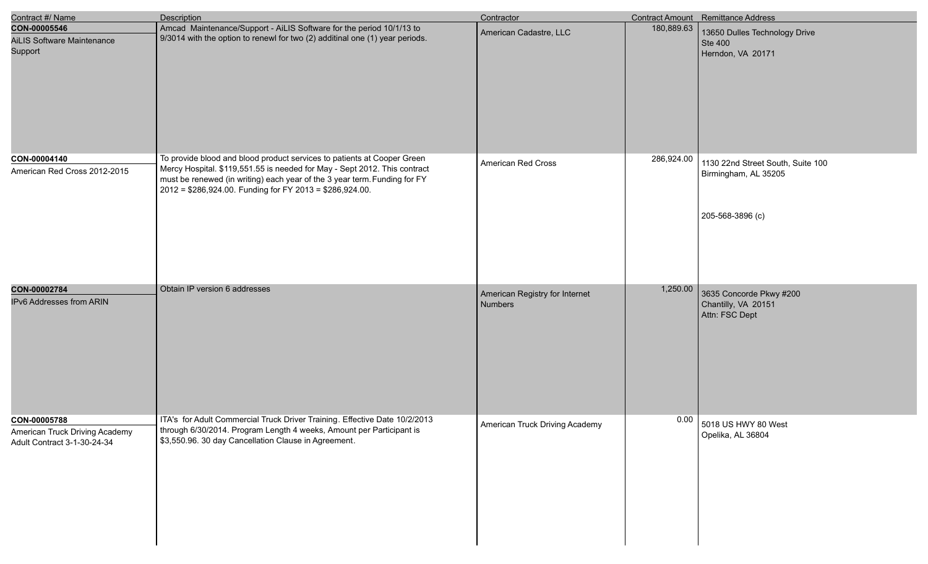| Contract #/ Name                                                              | Description                                                                                                                                                                                                                                                                                   | Contractor                                |            | Contract Amount Remittance Address                                            |
|-------------------------------------------------------------------------------|-----------------------------------------------------------------------------------------------------------------------------------------------------------------------------------------------------------------------------------------------------------------------------------------------|-------------------------------------------|------------|-------------------------------------------------------------------------------|
| CON-00005546<br><b>AiLIS Software Maintenance</b><br>Support                  | Amcad Maintenance/Support - AiLIS Software for the period 10/1/13 to<br>$\sqrt{9/3014}$ with the option to renewl for two (2) additinal one (1) year periods.                                                                                                                                 | American Cadastre, LLC                    | 180,889.63 | 13650 Dulles Technology Drive<br>Ste 400<br>Herndon, VA 20171                 |
| CON-00004140<br>American Red Cross 2012-2015                                  | To provide blood and blood product services to patients at Cooper Green<br>Mercy Hospital. \$119,551.55 is needed for May - Sept 2012. This contract<br>must be renewed (in writing) each year of the 3 year term. Funding for FY<br>2012 = \$286,924.00. Funding for FY 2013 = \$286,924.00. | American Red Cross                        | 286,924.00 | 1130 22nd Street South, Suite 100<br>Birmingham, AL 35205<br>205-568-3896 (c) |
| CON-00002784<br>IPv6 Addresses from ARIN                                      | Obtain IP version 6 addresses                                                                                                                                                                                                                                                                 | American Registry for Internet<br>Numbers | 1,250.00   | 3635 Concorde Pkwy #200<br>Chantilly, VA 20151<br>Attn: FSC Dept              |
| CON-00005788<br>American Truck Driving Academy<br>Adult Contract 3-1-30-24-34 | ITA's for Adult Commercial Truck Driver Training. Effective Date 10/2/2013<br>through 6/30/2014. Program Length 4 weeks, Amount per Participant is<br>\$3,550.96. 30 day Cancellation Clause in Agreement.                                                                                    | American Truck Driving Academy            | 0.00       | 5018 US HWY 80 West<br>Opelika, AL 36804                                      |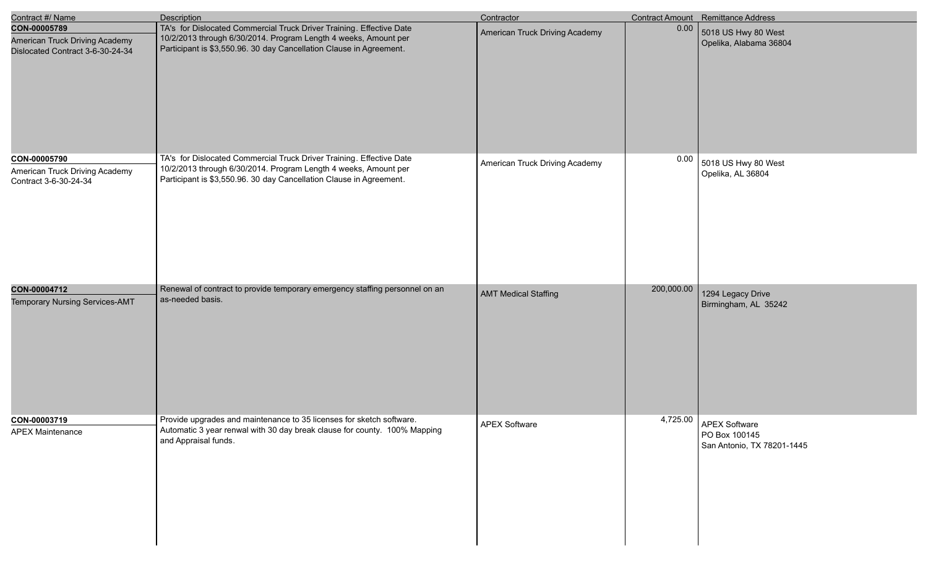| Contract #/ Name                                                                   | <b>Description</b>                                                                                                                                                                                             | Contractor                     |            | Contract Amount Remittance Address                                  |
|------------------------------------------------------------------------------------|----------------------------------------------------------------------------------------------------------------------------------------------------------------------------------------------------------------|--------------------------------|------------|---------------------------------------------------------------------|
| CON-00005789<br>American Truck Driving Academy<br>Dislocated Contract 3-6-30-24-34 | TA's for Dislocated Commercial Truck Driver Training. Effective Date<br>10/2/2013 through 6/30/2014. Program Length 4 weeks, Amount per<br>Participant is \$3,550.96. 30 day Cancellation Clause in Agreement. | American Truck Driving Academy | 0.00       | 5018 US Hwy 80 West<br>Opelika, Alabama 36804                       |
| CON-00005790<br>American Truck Driving Academy<br>Contract 3-6-30-24-34            | TA's for Dislocated Commercial Truck Driver Training. Effective Date<br>10/2/2013 through 6/30/2014. Program Length 4 weeks, Amount per<br>Participant is \$3,550.96. 30 day Cancellation Clause in Agreement. | American Truck Driving Academy | 0.00       | 5018 US Hwy 80 West<br>Opelika, AL 36804                            |
| CON-00004712<br>Temporary Nursing Services-AMT                                     | Renewal of contract to provide temporary emergency staffing personnel on an<br>as-needed basis.                                                                                                                | <b>AMT Medical Staffing</b>    | 200,000.00 | 1294 Legacy Drive<br>Birmingham, AL 35242                           |
| CON-00003719<br><b>APEX Maintenance</b>                                            | Provide upgrades and maintenance to 35 licenses for sketch software.<br>Automatic 3 year renwal with 30 day break clause for county. 100% Mapping<br>and Appraisal funds.                                      | <b>APEX Software</b>           | 4,725.00   | <b>APEX Software</b><br>PO Box 100145<br>San Antonio, TX 78201-1445 |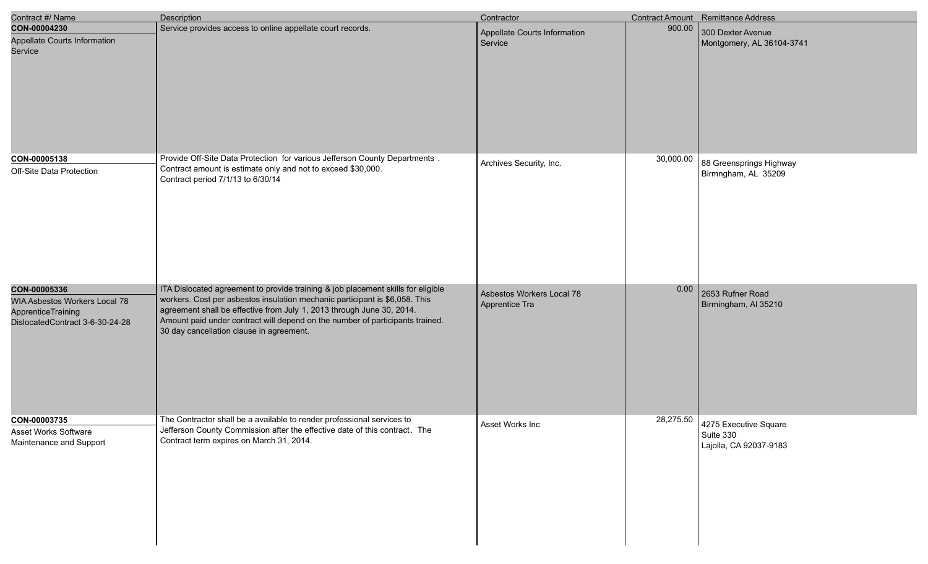| Contract #/ Name                                                                                              | <b>Description</b>                                                                                                                                                                                                                                                                                                                                                    | Contractor                                  |           | <b>Contract Amount</b> Remittance Address                    |
|---------------------------------------------------------------------------------------------------------------|-----------------------------------------------------------------------------------------------------------------------------------------------------------------------------------------------------------------------------------------------------------------------------------------------------------------------------------------------------------------------|---------------------------------------------|-----------|--------------------------------------------------------------|
| CON-00004230<br>Appellate Courts Information<br>Service                                                       | Service provides access to online appellate court records.                                                                                                                                                                                                                                                                                                            | Appellate Courts Information<br>Service     | 900.00    | 300 Dexter Avenue<br>Montgomery, AL 36104-3741               |
| CON-00005138<br>Off-Site Data Protection                                                                      | Provide Off-Site Data Protection for various Jefferson County Departments.<br>Contract amount is estimate only and not to exceed \$30,000.<br>Contract period 7/1/13 to 6/30/14                                                                                                                                                                                       | Archives Security, Inc.                     | 30,000.00 | 88 Greensprings Highway<br>Birmngham, AL 35209               |
| CON-00005336<br>WIA Asbestos Workers Local 78<br><b>ApprenticeTraining</b><br>DislocatedContract 3-6-30-24-28 | ITA Dislocated agreement to provide training & job placement skills for eligible<br>workers. Cost per asbestos insulation mechanic participant is \$6,058. This<br>agreement shall be effective from July 1, 2013 through June 30, 2014.<br>Amount paid under contract will depend on the number of participants trained.<br>30 day cancellation clause in agreement. | Asbestos Workers Local 78<br>Apprentice Tra | 0.00      | 2653 Rufner Road<br>Birmingham, Al 35210                     |
| CON-00003735<br>Asset Works Software<br>Maintenance and Support                                               | The Contractor shall be a available to render professional services to<br>Jefferson County Commission after the effective date of this contract. The<br>Contract term expires on March 31, 2014.                                                                                                                                                                      | Asset Works Inc                             | 28,275.50 | 4275 Executive Square<br>Suite 330<br>Lajolla, CA 92037-9183 |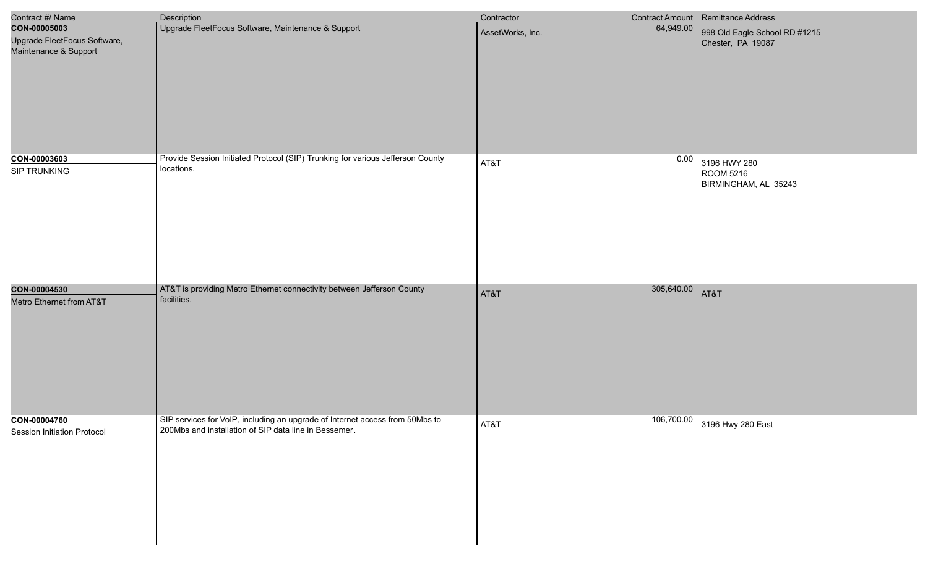| Contract #/ Name                                                      | Description                                                                                                                        | Contractor       |                 | <b>Contract Amount</b> Remittance Address          |
|-----------------------------------------------------------------------|------------------------------------------------------------------------------------------------------------------------------------|------------------|-----------------|----------------------------------------------------|
| CON-00005003<br>Upgrade FleetFocus Software,<br>Maintenance & Support | Upgrade FleetFocus Software, Maintenance & Support                                                                                 | AssetWorks, Inc. | 64,949.00       | 998 Old Eagle School RD #1215<br>Chester, PA 19087 |
| CON-00003603<br>SIP TRUNKING                                          | Provide Session Initiated Protocol (SIP) Trunking for various Jefferson County<br>locations.                                       | AT&T             | 0.00            | 3196 HWY 280<br>ROOM 5216<br>BIRMINGHAM, AL 35243  |
| CON-00004530<br>Metro Ethernet from AT&T                              | AT&T is providing Metro Ethernet connectivity between Jefferson County<br>facilities.                                              | AT&T             | 305,640.00 AT&T |                                                    |
| CON-00004760<br><b>Session Initiation Protocol</b>                    | SIP services for VoIP, including an upgrade of Internet access from 50Mbs to 200Mbs and installation of SIP data line in Bessemer. | AT&T             |                 | 106,700.00 3196 Hwy 280 East                       |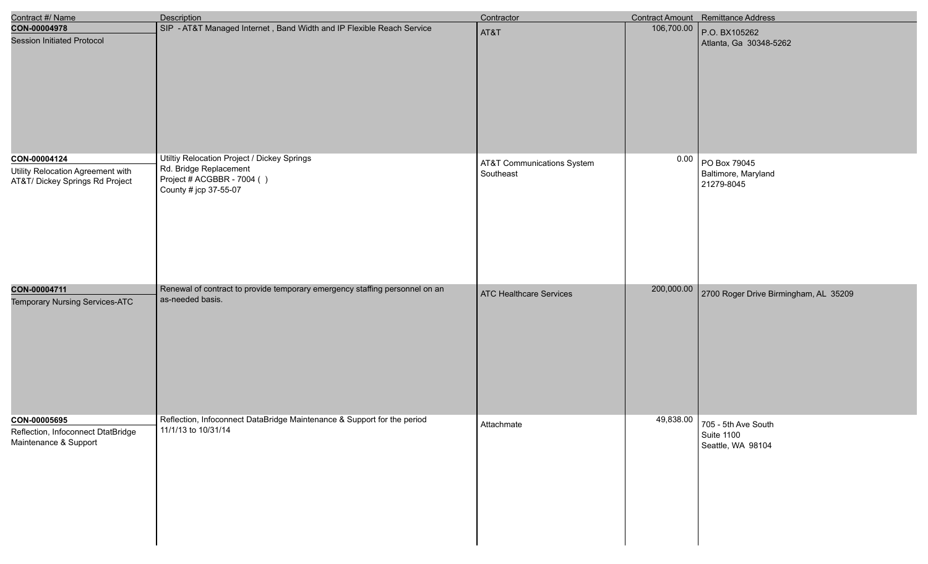| Contract #/ Name                                                                     | <b>Description</b>                                                                                                           | Contractor                                         |            | Contract Amount Remittance Address                                 |
|--------------------------------------------------------------------------------------|------------------------------------------------------------------------------------------------------------------------------|----------------------------------------------------|------------|--------------------------------------------------------------------|
| CON-00004978<br><b>Session Initiated Protocol</b>                                    | SIP - AT&T Managed Internet, Band Width and IP Flexible Reach Service                                                        | AT&T                                               | 106,700.00 | P.O. BX105262<br>Atlanta, Ga 30348-5262                            |
| CON-00004124<br>Utility Relocation Agreement with<br>AT&T/ Dickey Springs Rd Project | Utiltiy Relocation Project / Dickey Springs<br>Rd. Bridge Replacement<br>Project # ACGBBR - 7004 ()<br>County # jcp 37-55-07 | <b>AT&amp;T Communications System</b><br>Southeast | 0.00       | PO Box 79045<br>Baltimore, Maryland<br>21279-8045                  |
| CON-00004711<br>Temporary Nursing Services-ATC                                       | Renewal of contract to provide temporary emergency staffing personnel on an<br>as-needed basis.                              | ATC Healthcare Services                            | 200,000.00 | 2700 Roger Drive Birmingham, AL 35209                              |
| CON-00005695<br>Reflection, Infoconnect DtatBridge<br>Maintenance & Support          | Reflection, Infoconnect DataBridge Maintenance & Support for the period<br>11/1/13 to 10/31/14                               | Attachmate                                         |            | $49,838.00$ 705 - 5th Ave South<br>Suite 1100<br>Seattle, WA 98104 |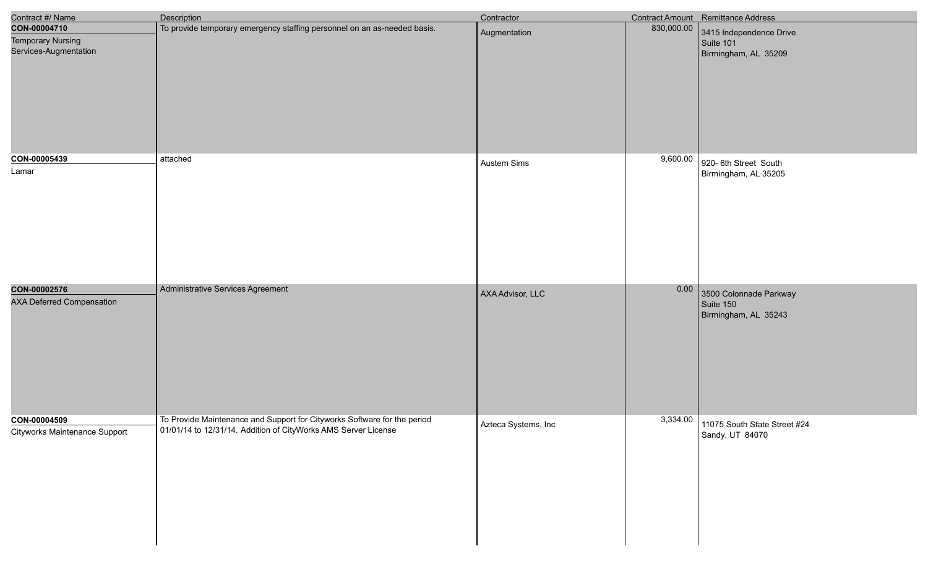| Contract #/ Name                                                  | Description                                                                                                                                | Contractor          |            | <b>Contract Amount</b> Remittance Address                    |
|-------------------------------------------------------------------|--------------------------------------------------------------------------------------------------------------------------------------------|---------------------|------------|--------------------------------------------------------------|
| CON-00004710<br><b>Temporary Nursing</b><br>Services-Augmentation | To provide temporary emergency staffing personnel on an as-needed basis.                                                                   | Augmentation        | 830,000.00 | 3415 Independence Drive<br>Suite 101<br>Birmingham, AL 35209 |
| CON-00005439<br>Lamar                                             | attached                                                                                                                                   | Austem Sims         | 9,600.00   | 920- 6th Street South<br>Birmingham, AL 35205                |
| CON-00002576<br><b>AXA Deferred Compensation</b>                  | Administrative Services Agreement                                                                                                          | AXA Advisor, LLC    | 0.00       | 3500 Colonnade Parkway<br>Suite 150<br>Birmingham, AL 35243  |
| CON-00004509<br>Cityworks Maintenance Support                     | To Provide Maintenance and Support for Cityworks Software for the period<br>01/01/14 to 12/31/14. Addition of CityWorks AMS Server License | Azteca Systems, Inc |            | 3,334.00 11075 South State Street #24<br>Sandy, UT 84070     |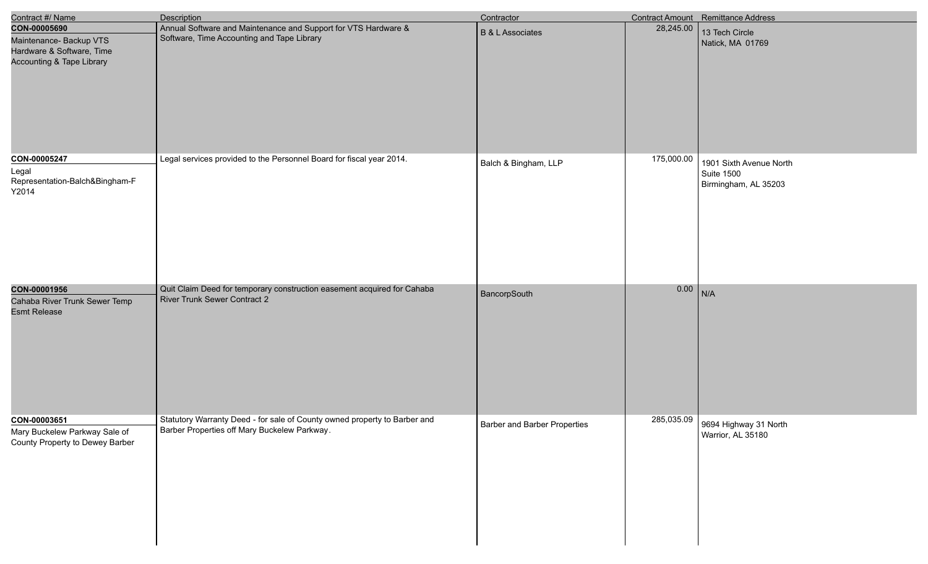| Contract #/ Name                                                                                             | <b>Description</b>                                                                                                        | Contractor                   |            | Contract Amount Remittance Address                            |
|--------------------------------------------------------------------------------------------------------------|---------------------------------------------------------------------------------------------------------------------------|------------------------------|------------|---------------------------------------------------------------|
| CON-00005690<br>Maintenance- Backup VTS<br>Hardware & Software, Time<br><b>Accounting &amp; Tape Library</b> | Annual Software and Maintenance and Support for VTS Hardware &<br>Software, Time Accounting and Tape Library              | <b>B &amp; L Associates</b>  | 28,245.00  | 13 Tech Circle<br>Natick, MA 01769                            |
| CON-00005247<br>Legal<br>Representation-Balch&Bingham-F<br>Y2014                                             | Legal services provided to the Personnel Board for fiscal year 2014.                                                      | Balch & Bingham, LLP         | 175,000.00 | 1901 Sixth Avenue North<br>Suite 1500<br>Birmingham, AL 35203 |
| CON-00001956<br>Cahaba River Trunk Sewer Temp<br><b>Esmt Release</b>                                         | Quit Claim Deed for temporary construction easement acquired for Cahaba<br>River Trunk Sewer Contract 2                   | BancorpSouth                 | $0.00$ N/A |                                                               |
| CON-00003651<br>Mary Buckelew Parkway Sale of<br>County Property to Dewey Barber                             | Statutory Warranty Deed - for sale of County owned property to Barber and<br>Barber Properties off Mary Buckelew Parkway. | Barber and Barber Properties |            | 285,035.09 9694 Highway 31 North<br>Warrior, AL 35180         |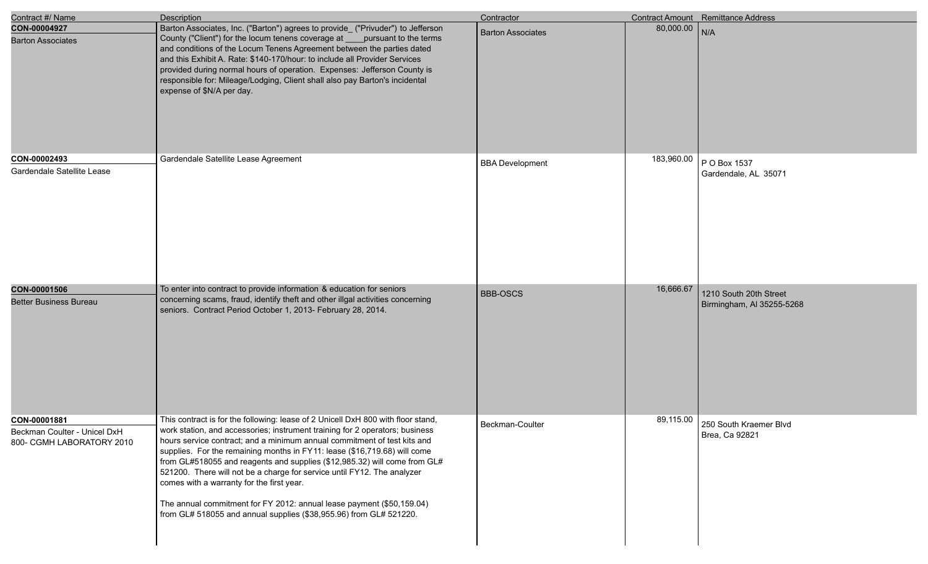| Contract #/ Name                                                          | Description                                                                                                                                                                                                                                                                                                                                                                                                                                                                                                                                                                                                                                                                   | Contractor               |            | <b>Contract Amount</b> Remittance Address           |
|---------------------------------------------------------------------------|-------------------------------------------------------------------------------------------------------------------------------------------------------------------------------------------------------------------------------------------------------------------------------------------------------------------------------------------------------------------------------------------------------------------------------------------------------------------------------------------------------------------------------------------------------------------------------------------------------------------------------------------------------------------------------|--------------------------|------------|-----------------------------------------------------|
| CON-00004927<br><b>Barton Associates</b>                                  | Barton Associates, Inc. ("Barton") agrees to provide_ ("Privuder") to Jefferson<br>County ("Client") for the locum tenens coverage at pursuant to the terms<br>and conditions of the Locum Tenens Agreement between the parties dated<br>and this Exhibit A. Rate: \$140-170/hour: to include all Provider Services<br>provided during normal hours of operation. Expenses: Jefferson County is<br>responsible for: Mileage/Lodging, Client shall also pay Barton's incidental<br>expense of \$N/A per day.                                                                                                                                                                   | <b>Barton Associates</b> | 80,000.00  | N/A                                                 |
| CON-00002493<br>Gardendale Satellite Lease                                | Gardendale Satellite Lease Agreement                                                                                                                                                                                                                                                                                                                                                                                                                                                                                                                                                                                                                                          | <b>BBA</b> Development   | 183,960.00 | P O Box 1537<br>Gardendale, AL 35071                |
| CON-00001506<br><b>Better Business Bureau</b>                             | To enter into contract to provide information & education for seniors<br>concerning scams, fraud, identify theft and other illgal activities concerning<br>seniors. Contract Period October 1, 2013- February 28, 2014.                                                                                                                                                                                                                                                                                                                                                                                                                                                       | <b>BBB-OSCS</b>          | 16,666.67  | 1210 South 20th Street<br>Birmingham, AI 35255-5268 |
| CON-00001881<br>Beckman Coulter - Unicel DxH<br>800- CGMH LABORATORY 2010 | This contract is for the following: lease of 2 Unicell DxH 800 with floor stand,<br>work station, and accessories; instrument training for 2 operators; business<br>hours service contract; and a minimum annual commitment of test kits and<br>supplies. For the remaining months in FY11: lease (\$16,719.68) will come<br>from GL#518055 and reagents and supplies (\$12,985.32) will come from GL#<br>521200. There will not be a charge for service until FY12. The analyzer<br>comes with a warranty for the first year.<br>The annual commitment for FY 2012: annual lease payment (\$50,159.04)<br>from GL# 518055 and annual supplies (\$38,955.96) from GL# 521220. | Beckman-Coulter          | 89,115.00  | 250 South Kraemer Blvd<br>Brea, Ca 92821            |

e<br>V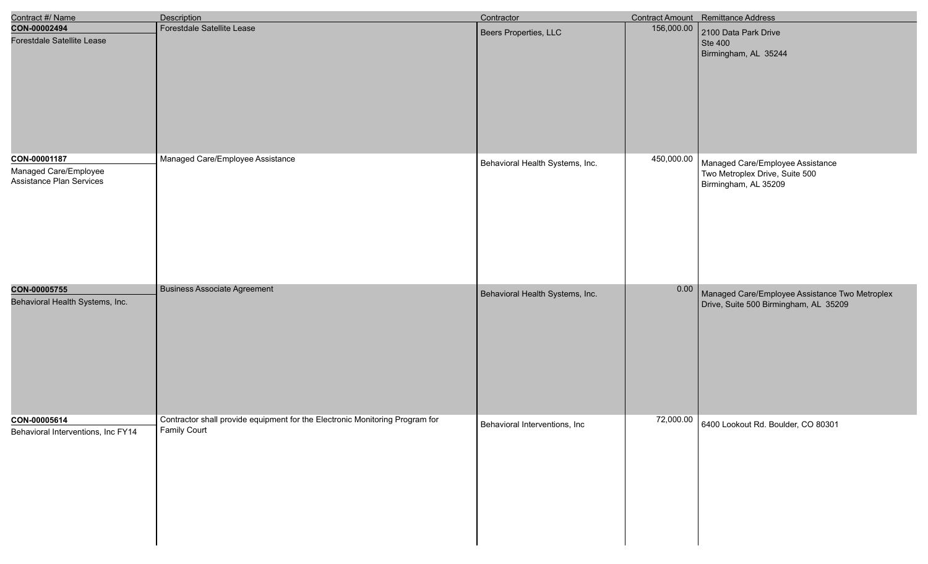| Contract #/ Name                                                  | Description                                                                                         | Contractor                      |            | Contract Amount Remittance Address                                                         |
|-------------------------------------------------------------------|-----------------------------------------------------------------------------------------------------|---------------------------------|------------|--------------------------------------------------------------------------------------------|
| CON-00002494<br>Forestdale Satellite Lease                        | Forestdale Satellite Lease                                                                          | Beers Properties, LLC           | 156,000.00 | 2100 Data Park Drive<br>Ste 400<br>Birmingham, AL 35244                                    |
| CON-00001187<br>Managed Care/Employee<br>Assistance Plan Services | Managed Care/Employee Assistance                                                                    | Behavioral Health Systems, Inc. | 450,000.00 | Managed Care/Employee Assistance<br>Two Metroplex Drive, Suite 500<br>Birmingham, AL 35209 |
| CON-00005755<br>Behavioral Health Systems, Inc.                   | <b>Business Associate Agreement</b>                                                                 | Behavioral Health Systems, Inc. | 0.00       | Managed Care/Employee Assistance Two Metroplex<br>Drive, Suite 500 Birmingham, AL 35209    |
| CON-00005614<br>Behavioral Interventions, Inc FY14                | Contractor shall provide equipment for the Electronic Monitoring Program for<br><b>Family Court</b> | Behavioral Interventions, Inc   |            | 72,000.00 6400 Lookout Rd. Boulder, CO 80301                                               |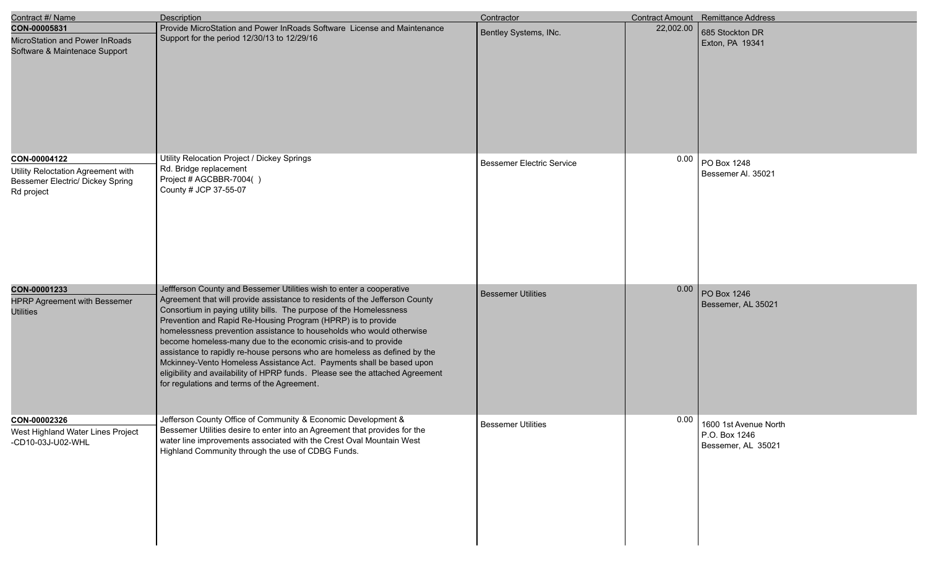| Contract #/ Name                                                                                     | <b>Description</b>                                                                                                                                                                                                                                                                                                                                                                                                                                                                                                                                                                                                                                                                                                        | Contractor                       |           | Contract Amount Remittance Address                           |
|------------------------------------------------------------------------------------------------------|---------------------------------------------------------------------------------------------------------------------------------------------------------------------------------------------------------------------------------------------------------------------------------------------------------------------------------------------------------------------------------------------------------------------------------------------------------------------------------------------------------------------------------------------------------------------------------------------------------------------------------------------------------------------------------------------------------------------------|----------------------------------|-----------|--------------------------------------------------------------|
| CON-00005831<br>MicroStation and Power InRoads<br>Software & Maintenace Support                      | Provide MicroStation and Power InRoads Software License and Maintenance<br>Support for the period 12/30/13 to 12/29/16                                                                                                                                                                                                                                                                                                                                                                                                                                                                                                                                                                                                    | Bentley Systems, INc.            | 22,002.00 | 685 Stockton DR<br>Exton, PA 19341                           |
| CON-00004122<br>Utility Reloctation Agreement with<br>Bessemer Electric/ Dickey Spring<br>Rd project | Utility Relocation Project / Dickey Springs<br>Rd. Bridge replacement<br>Project # AGCBBR-7004()<br>County # JCP 37-55-07                                                                                                                                                                                                                                                                                                                                                                                                                                                                                                                                                                                                 | <b>Bessemer Electric Service</b> | 0.00      | PO Box 1248<br>Bessemer Al. 35021                            |
| CON-00001233<br><b>HPRP Agreement with Bessemer</b><br><b>Utilities</b>                              | Jeffferson County and Bessemer Utilities wish to enter a cooperative<br>Agreement that will provide assistance to residents of the Jefferson County<br>Consortium in paying utility bills. The purpose of the Homelessness<br>Prevention and Rapid Re-Housing Program (HPRP) is to provide<br>homelessness prevention assistance to households who would otherwise<br>become homeless-many due to the economic crisis-and to provide<br>assistance to rapidly re-house persons who are homeless as defined by the<br>Mckinney-Vento Homeless Assistance Act. Payments shall be based upon<br>eligibility and availability of HPRP funds. Please see the attached Agreement<br>for regulations and terms of the Agreement. | <b>Bessemer Utilities</b>        | 0.00      | PO Box 1246<br>Bessemer, AL 35021                            |
| CON-00002326<br>West Highland Water Lines Project<br>-CD10-03J-U02-WHL                               | Jefferson County Office of Community & Economic Development &<br>Bessemer Utilities desire to enter into an Agreement that provides for the<br>water line improvements associated with the Crest Oval Mountain West<br>Highland Community through the use of CDBG Funds.                                                                                                                                                                                                                                                                                                                                                                                                                                                  | <b>Bessemer Utilities</b>        | 0.00      | 1600 1st Avenue North<br>P.O. Box 1246<br>Bessemer, AL 35021 |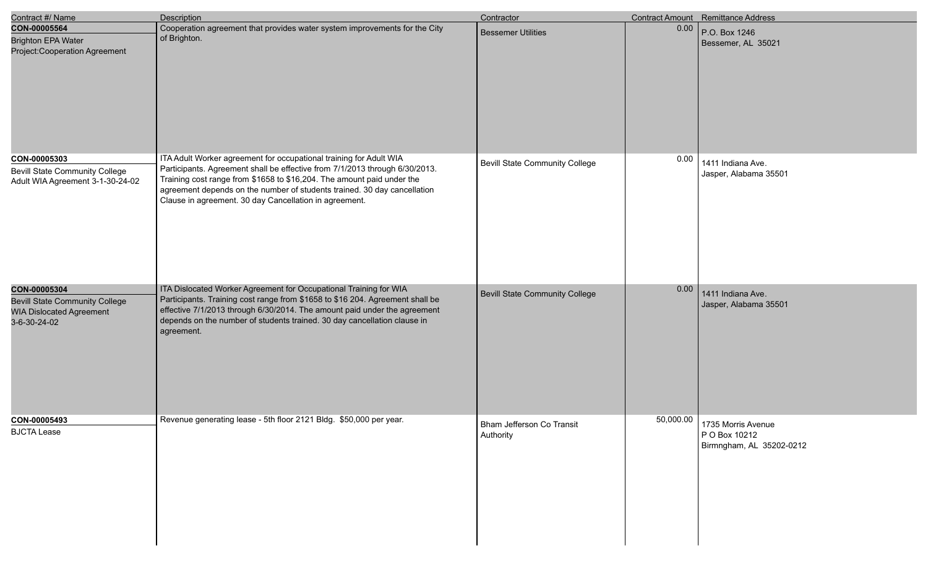| Contract #/ Name                                                                                         | <b>Description</b>                                                                                                                                                                                                                                                                                                                                                | Contractor                             |           | <b>Contract Amount</b> Remittance Address                       |
|----------------------------------------------------------------------------------------------------------|-------------------------------------------------------------------------------------------------------------------------------------------------------------------------------------------------------------------------------------------------------------------------------------------------------------------------------------------------------------------|----------------------------------------|-----------|-----------------------------------------------------------------|
| CON-00005564<br><b>Brighton EPA Water</b><br>Project: Cooperation Agreement                              | Cooperation agreement that provides water system improvements for the City<br>of Brighton.                                                                                                                                                                                                                                                                        | <b>Bessemer Utilities</b>              | 0.00      | P.O. Box 1246<br>Bessemer, AL 35021                             |
| CON-00005303<br><b>Bevill State Community College</b><br>Adult WIA Agreement 3-1-30-24-02                | ITA Adult Worker agreement for occupational training for Adult WIA<br>Participants. Agreement shall be effective from 7/1/2013 through 6/30/2013.<br>Training cost range from \$1658 to \$16,204. The amount paid under the<br>agreement depends on the number of students trained. 30 day cancellation<br>Clause in agreement. 30 day Cancellation in agreement. | <b>Bevill State Community College</b>  | 0.00      | 1411 Indiana Ave.<br>Jasper, Alabama 35501                      |
| CON-00005304<br><b>Bevill State Community College</b><br><b>WIA Dislocated Agreement</b><br>3-6-30-24-02 | ITA Dislocated Worker Agreement for Occupational Training for WIA<br>Participants. Training cost range from \$1658 to \$16 204. Agreement shall be<br>effective 7/1/2013 through 6/30/2014. The amount paid under the agreement<br>depends on the number of students trained. 30 day cancellation clause in<br>agreement.                                         | Bevill State Community College         | 0.00      | 1411 Indiana Ave.<br>Jasper, Alabama 35501                      |
| CON-00005493<br><b>BJCTA Lease</b>                                                                       | Revenue generating lease - 5th floor 2121 Bldg. \$50,000 per year.                                                                                                                                                                                                                                                                                                | Bham Jefferson Co Transit<br>Authority | 50,000.00 | 1735 Morris Avenue<br>P O Box 10212<br>Birmngham, AL 35202-0212 |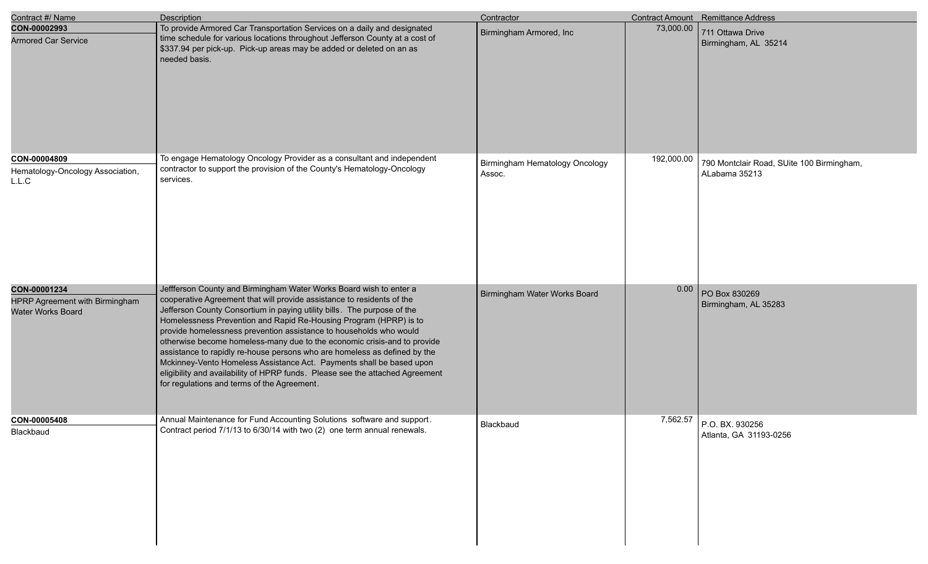| Contract #/ Name                                                    | Description                                                                                                                                                                                                                                                                                                                                                                                                                                                                                                                                                                                                                                                                                                                         | Contractor                               |            | <b>Contract Amount</b> Remittance Address                  |
|---------------------------------------------------------------------|-------------------------------------------------------------------------------------------------------------------------------------------------------------------------------------------------------------------------------------------------------------------------------------------------------------------------------------------------------------------------------------------------------------------------------------------------------------------------------------------------------------------------------------------------------------------------------------------------------------------------------------------------------------------------------------------------------------------------------------|------------------------------------------|------------|------------------------------------------------------------|
| CON-00002993<br><b>Armored Car Service</b>                          | To provide Armored Car Transportation Services on a daily and designated<br>time schedule for various locations throughout Jefferson County at a cost of<br>\$337.94 per pick-up. Pick-up areas may be added or deleted on an as<br>needed basis.                                                                                                                                                                                                                                                                                                                                                                                                                                                                                   | Birmingham Armored, Inc                  | 73,000.00  | 711 Ottawa Drive<br>Birmingham, AL 35214                   |
| CON-00004809<br>Hematology-Oncology Association,<br>L.L.C           | To engage Hematology Oncology Provider as a consultant and independent<br>contractor to support the provision of the County's Hematology-Oncology<br>services.                                                                                                                                                                                                                                                                                                                                                                                                                                                                                                                                                                      | Birmingham Hematology Oncology<br>Assoc. | 192,000.00 | 790 Montclair Road, SUite 100 Birmingham,<br>ALabama 35213 |
| CON-00001234<br>HPRP Agreement with Birmingham<br>Water Works Board | Jeffferson County and Birmingham Water Works Board wish to enter a<br>cooperative Agreement that will provide assistance to residents of the<br>Jefferson County Consortium in paying utility bills. The purpose of the<br>Homelessness Prevention and Rapid Re-Housing Program (HPRP) is to<br>provide homelessness prevention assistance to households who would<br>otherwise become homeless-many due to the economic crisis-and to provide<br>assistance to rapidly re-house persons who are homeless as defined by the<br>Mckinney-Vento Homeless Assistance Act. Payments shall be based upon<br>eligibility and availability of HPRP funds. Please see the attached Agreement<br>for regulations and terms of the Agreement. | Birmingham Water Works Board             | 0.00       | PO Box 830269<br>Birmingham, AL 35283                      |
| CON-00005408<br>Blackbaud                                           | Annual Maintenance for Fund Accounting Solutions software and support.<br>Contract period 7/1/13 to 6/30/14 with two (2) one term annual renewals.                                                                                                                                                                                                                                                                                                                                                                                                                                                                                                                                                                                  | Blackbaud                                | 7,562.57   | P.O. BX. 930256<br>Atlanta, GA 31193-0256                  |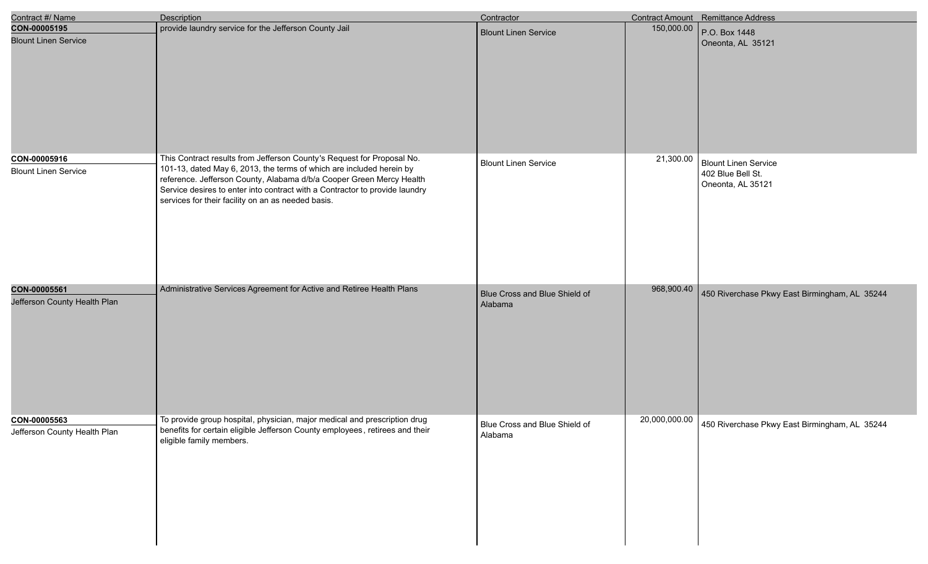| Contract #/ Name                             | <b>Description</b>                                                                                                                                                                                                                                                                                                                                          | Contractor                               |               | Contract Amount Remittance Address                                    |
|----------------------------------------------|-------------------------------------------------------------------------------------------------------------------------------------------------------------------------------------------------------------------------------------------------------------------------------------------------------------------------------------------------------------|------------------------------------------|---------------|-----------------------------------------------------------------------|
| CON-00005195<br><b>Blount Linen Service</b>  | provide laundry service for the Jefferson County Jail                                                                                                                                                                                                                                                                                                       | <b>Blount Linen Service</b>              | 150,000.00    | P.O. Box 1448<br>Oneonta, AL 35121                                    |
| CON-00005916<br><b>Blount Linen Service</b>  | This Contract results from Jefferson County's Request for Proposal No.<br>101-13, dated May 6, 2013, the terms of which are included herein by<br>reference. Jefferson County, Alabama d/b/a Cooper Green Mercy Health<br>Service desires to enter into contract with a Contractor to provide laundry<br>services for their facility on an as needed basis. | <b>Blount Linen Service</b>              | 21,300.00     | <b>Blount Linen Service</b><br>402 Blue Bell St.<br>Oneonta, AL 35121 |
| CON-00005561<br>Jefferson County Health Plan | Administrative Services Agreement for Active and Retiree Health Plans                                                                                                                                                                                                                                                                                       | Blue Cross and Blue Shield of<br>Alabama | 968,900.40    | 450 Riverchase Pkwy East Birmingham, AL 35244                         |
| CON-00005563<br>Jefferson County Health Plan | To provide group hospital, physician, major medical and prescription drug<br>benefits for certain eligible Jefferson County employees, retirees and their<br>eligible family members.                                                                                                                                                                       | Blue Cross and Blue Shield of<br>Alabama | 20,000,000.00 | 450 Riverchase Pkwy East Birmingham, AL 35244                         |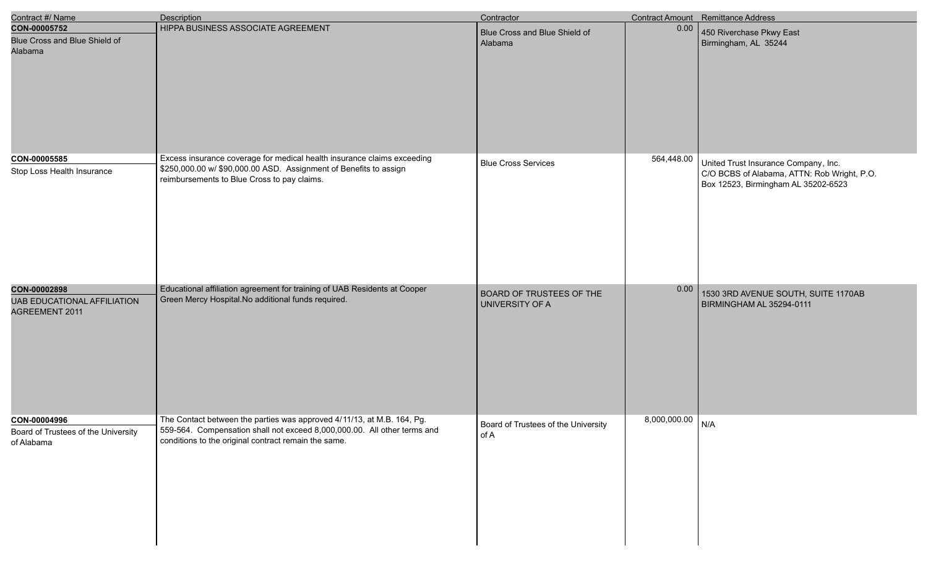| Contract #/ Name                                                     | Description                                                                                                                                                                                                | Contractor                                         |                  | Contract Amount Remittance Address                                                                                         |
|----------------------------------------------------------------------|------------------------------------------------------------------------------------------------------------------------------------------------------------------------------------------------------------|----------------------------------------------------|------------------|----------------------------------------------------------------------------------------------------------------------------|
| CON-00005752<br>Blue Cross and Blue Shield of<br>Alabama             | HIPPA BUSINESS ASSOCIATE AGREEMENT                                                                                                                                                                         | Blue Cross and Blue Shield of<br>Alabama           | 0.00             | 450 Riverchase Pkwy East<br>Birmingham, AL 35244                                                                           |
| CON-00005585<br>Stop Loss Health Insurance                           | Excess insurance coverage for medical health insurance claims exceeding<br>\$250,000.00 w/ \$90,000.00 ASD. Assignment of Benefits to assign<br>reimbursements to Blue Cross to pay claims.                | <b>Blue Cross Services</b>                         | 564,448.00       | United Trust Insurance Company, Inc.<br>C/O BCBS of Alabama, ATTN: Rob Wright, P.O.<br>Box 12523, Birmingham AL 35202-6523 |
| CON-00002898<br><b>UAB EDUCATIONAL AFFILIATION</b><br>AGREEMENT 2011 | Educational affiliation agreement for training of UAB Residents at Cooper<br>Green Mercy Hospital. No additional funds required.                                                                           | <b>BOARD OF TRUSTEES OF THE</b><br>UNIVERSITY OF A | 0.00             | 1530 3RD AVENUE SOUTH, SUITE 1170AB<br>BIRMINGHAM AL 35294-0111                                                            |
| CON-00004996<br>Board of Trustees of the University<br>of Alabama    | The Contact between the parties was approved 4/11/13, at M.B. 164, Pg.<br>559-564. Compensation shall not exceed 8,000,000.00. All other terms and<br>conditions to the original contract remain the same. | Board of Trustees of the University<br>of A        | 8,000,000.00 N/A |                                                                                                                            |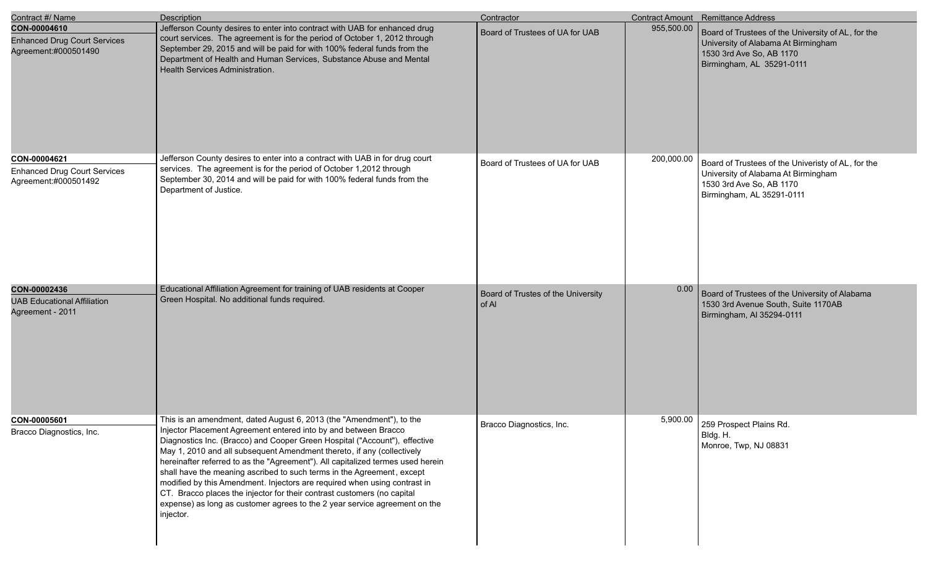| Contract #/ Name                                                            | Description                                                                                                                                                                                                                                                                                                                                                                                                                                                                                                                                                                                                                                                                                                     | Contractor                                  |            | Contract Amount Remittance Address                                                                                                                 |
|-----------------------------------------------------------------------------|-----------------------------------------------------------------------------------------------------------------------------------------------------------------------------------------------------------------------------------------------------------------------------------------------------------------------------------------------------------------------------------------------------------------------------------------------------------------------------------------------------------------------------------------------------------------------------------------------------------------------------------------------------------------------------------------------------------------|---------------------------------------------|------------|----------------------------------------------------------------------------------------------------------------------------------------------------|
| CON-00004610<br><b>Enhanced Drug Court Services</b><br>Agreement:#000501490 | Jefferson County desires to enter into contract with UAB for enhanced drug<br>court services. The agreement is for the period of October 1, 2012 through<br>September 29, 2015 and will be paid for with 100% federal funds from the<br>Department of Health and Human Services, Substance Abuse and Mental<br>Health Services Administration.                                                                                                                                                                                                                                                                                                                                                                  | Board of Trustees of UA for UAB             | 955,500.00 | Board of Trustees of the University of AL, for the<br>University of Alabama At Birmingham<br>1530 3rd Ave So, AB 1170<br>Birmingham, AL 35291-0111 |
| CON-00004621<br><b>Enhanced Drug Court Services</b><br>Agreement:#000501492 | Jefferson County desires to enter into a contract with UAB in for drug court<br>services. The agreement is for the period of October 1,2012 through<br>September 30, 2014 and will be paid for with 100% federal funds from the<br>Department of Justice.                                                                                                                                                                                                                                                                                                                                                                                                                                                       | Board of Trustees of UA for UAB             | 200,000.00 | Board of Trustees of the Univeristy of AL, for the<br>University of Alabama At Birmingham<br>1530 3rd Ave So, AB 1170<br>Birmingham, AL 35291-0111 |
| CON-00002436<br><b>UAB Educational Affiliation</b><br>Agreement - 2011      | Educational Affiliation Agreement for training of UAB residents at Cooper<br>Green Hospital. No additional funds required.                                                                                                                                                                                                                                                                                                                                                                                                                                                                                                                                                                                      | Board of Trustes of the University<br>of Al | 0.00       | Board of Trustees of the University of Alabama<br>1530 3rd Avenue South, Suite 1170AB<br>Birmingham, AI 35294-0111                                 |
| CON-00005601<br>Bracco Diagnostics, Inc.                                    | This is an amendment, dated August 6, 2013 (the "Amendment"), to the<br>Injector Placement Agreement entered into by and between Bracco<br>Diagnostics Inc. (Bracco) and Cooper Green Hospital ("Account"), effective<br>May 1, 2010 and all subsequent Amendment thereto, if any (collectively<br>hereinafter referred to as the "Agreement"). All capitalized termes used herein<br>shall have the meaning ascribed to such terms in the Agreement, except<br>modified by this Amendment. Injectors are required when using contrast in<br>CT. Bracco places the injector for their contrast customers (no capital<br>expense) as long as customer agrees to the 2 year service agreement on the<br>injector. | Bracco Diagnostics, Inc.                    |            | $5,900.00$ 259 Prospect Plains Rd.<br>Bldg. H.<br>Monroe, Twp, NJ 08831                                                                            |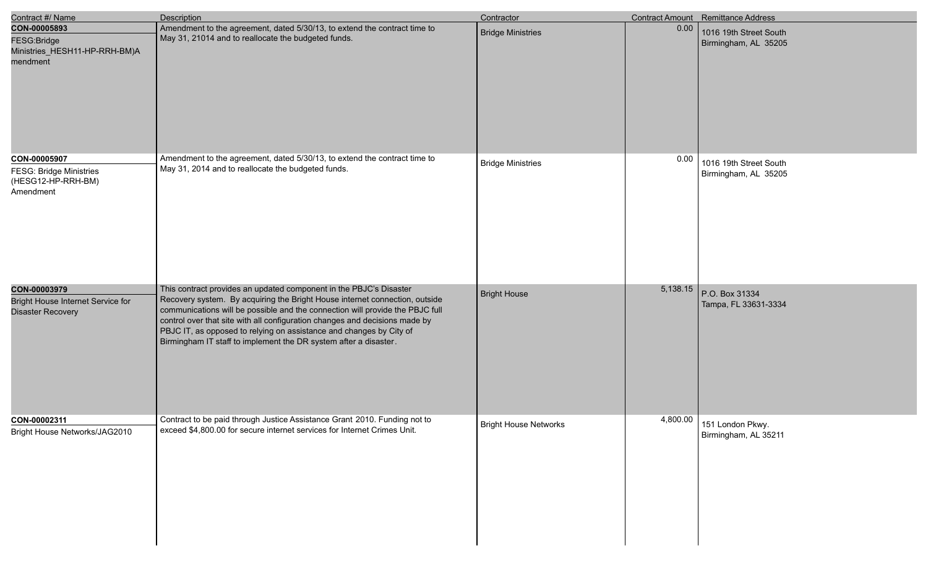| Contract #/ Name                                                                  | <b>Description</b>                                                                                                                                                                                                                                                                                                                                                                                                                                           | Contractor                   |          | <b>Contract Amount</b> Remittance Address      |
|-----------------------------------------------------------------------------------|--------------------------------------------------------------------------------------------------------------------------------------------------------------------------------------------------------------------------------------------------------------------------------------------------------------------------------------------------------------------------------------------------------------------------------------------------------------|------------------------------|----------|------------------------------------------------|
| CON-00005893<br>FESG:Bridge<br>Ministries_HESH11-HP-RRH-BM)A<br>mendment          | Amendment to the agreement, dated 5/30/13, to extend the contract time to<br>May 31, 21014 and to reallocate the budgeted funds.                                                                                                                                                                                                                                                                                                                             | <b>Bridge Ministries</b>     | 0.00     | 1016 19th Street South<br>Birmingham, AL 35205 |
| CON-00005907<br><b>FESG: Bridge Ministries</b><br>(HESG12-HP-RRH-BM)<br>Amendment | Amendment to the agreement, dated 5/30/13, to extend the contract time to<br>May 31, 2014 and to reallocate the budgeted funds.                                                                                                                                                                                                                                                                                                                              | <b>Bridge Ministries</b>     | 0.00     | 1016 19th Street South<br>Birmingham, AL 35205 |
| CON-00003979<br>Bright House Internet Service for<br><b>Disaster Recovery</b>     | This contract provides an updated component in the PBJC's Disaster<br>Recovery system. By acquiring the Bright House internet connection, outside<br>communications will be possible and the connection will provide the PBJC full<br>control over that site with all configuration changes and decisions made by<br>PBJC IT, as opposed to relying on assistance and changes by City of<br>Birmingham IT staff to implement the DR system after a disaster. | Bright House                 | 5,138.15 | P.O. Box 31334<br>Tampa, FL 33631-3334         |
| CON-00002311<br>Bright House Networks/JAG2010                                     | Contract to be paid through Justice Assistance Grant 2010. Funding not to<br>exceed \$4,800.00 for secure internet services for Internet Crimes Unit.                                                                                                                                                                                                                                                                                                        | <b>Bright House Networks</b> | 4,800.00 | 151 London Pkwy.<br>Birmingham, AL 35211       |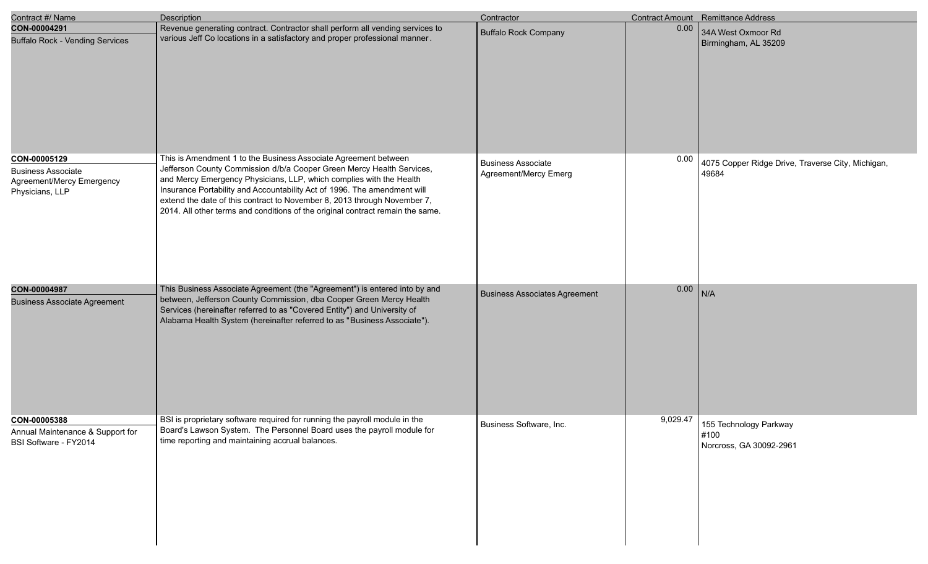| Contract #/ Name                                                                          | Description                                                                                                                                                                                                                                                                                                                                                                                                                                               | Contractor                                         |          | Contract Amount Remittance Address                         |
|-------------------------------------------------------------------------------------------|-----------------------------------------------------------------------------------------------------------------------------------------------------------------------------------------------------------------------------------------------------------------------------------------------------------------------------------------------------------------------------------------------------------------------------------------------------------|----------------------------------------------------|----------|------------------------------------------------------------|
| CON-00004291<br><b>Buffalo Rock - Vending Services</b>                                    | Revenue generating contract. Contractor shall perform all vending services to<br>various Jeff Co locations in a satisfactory and proper professional manner.                                                                                                                                                                                                                                                                                              | <b>Buffalo Rock Company</b>                        | 0.00     | 34A West Oxmoor Rd<br>Birmingham, AL 35209                 |
| CON-00005129<br><b>Business Associate</b><br>Agreement/Mercy Emergency<br>Physicians, LLP | This is Amendment 1 to the Business Associate Agreement between<br>Jefferson County Commission d/b/a Cooper Green Mercy Health Services,<br>and Mercy Emergency Physicians, LLP, which complies with the Health<br>Insurance Portability and Accountability Act of 1996. The amendment will<br>extend the date of this contract to November 8, 2013 through November 7,<br>2014. All other terms and conditions of the original contract remain the same. | <b>Business Associate</b><br>Agreement/Mercy Emerg | 0.00     | 4075 Copper Ridge Drive, Traverse City, Michigan,<br>49684 |
| CON-00004987<br><b>Business Associate Agreement</b>                                       | This Business Associate Agreement (the "Agreement") is entered into by and<br>between, Jefferson County Commission, dba Cooper Green Mercy Health<br>Services (hereinafter referred to as "Covered Entity") and University of<br>Alabama Health System (hereinafter referred to as "Business Associate").                                                                                                                                                 | <b>Business Associates Agreement</b>               | 0.00     | N/A                                                        |
| CON-00005388<br>Annual Maintenance & Support for<br>BSI Software - FY2014                 | BSI is proprietary software required for running the payroll module in the<br>Board's Lawson System. The Personnel Board uses the payroll module for<br>time reporting and maintaining accrual balances.                                                                                                                                                                                                                                                  | Business Software, Inc.                            | 9,029.47 | 155 Technology Parkway<br>#100<br>Norcross, GA 30092-2961  |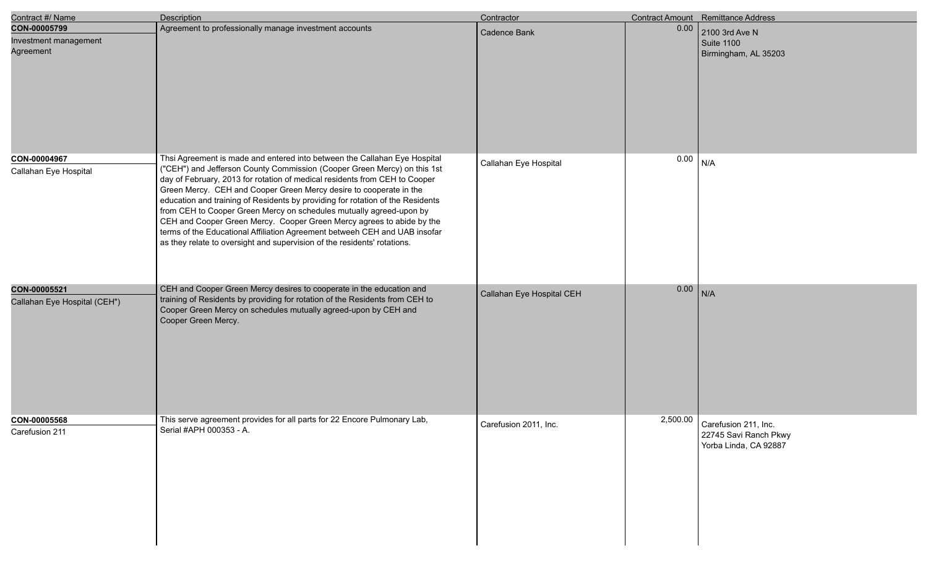| Contract #/ Name                                   | <b>Description</b>                                                                                                                                                                                                                                                                                                                                                                                                                                                                                                                                                                                                                                                                                    | Contractor                |      | Contract Amount Remittance Address                                                |
|----------------------------------------------------|-------------------------------------------------------------------------------------------------------------------------------------------------------------------------------------------------------------------------------------------------------------------------------------------------------------------------------------------------------------------------------------------------------------------------------------------------------------------------------------------------------------------------------------------------------------------------------------------------------------------------------------------------------------------------------------------------------|---------------------------|------|-----------------------------------------------------------------------------------|
| CON-00005799<br>Investment management<br>Agreement | Agreement to professionally manage investment accounts                                                                                                                                                                                                                                                                                                                                                                                                                                                                                                                                                                                                                                                | Cadence Bank              | 0.00 | 2100 3rd Ave N<br>Suite 1100<br>Birmingham, AL 35203                              |
| CON-00004967<br>Callahan Eye Hospital              | Thsi Agreement is made and entered into between the Callahan Eye Hospital<br>("CEH") and Jefferson County Commission (Cooper Green Mercy) on this 1st<br>day of February, 2013 for rotation of medical residents from CEH to Cooper<br>Green Mercy. CEH and Cooper Green Mercy desire to cooperate in the<br>education and training of Residents by providing for rotation of the Residents<br>from CEH to Cooper Green Mercy on schedules mutually agreed-upon by<br>CEH and Cooper Green Mercy. Cooper Green Mercy agrees to abide by the<br>terms of the Educational Affiliation Agreement betweeh CEH and UAB insofar<br>as they relate to oversight and supervision of the residents' rotations. | Callahan Eye Hospital     | 0.00 | N/A                                                                               |
| CON-00005521<br>Callahan Eye Hospital (CEH")       | CEH and Cooper Green Mercy desires to cooperate in the education and<br>training of Residents by providing for rotation of the Residents from CEH to<br>Cooper Green Mercy on schedules mutually agreed-upon by CEH and<br>Cooper Green Mercy.                                                                                                                                                                                                                                                                                                                                                                                                                                                        | Callahan Eye Hospital CEH | 0.00 | N/A                                                                               |
| CON-00005568<br>Carefusion 211                     | This serve agreement provides for all parts for 22 Encore Pulmonary Lab,<br>Serial #APH 000353 - A.                                                                                                                                                                                                                                                                                                                                                                                                                                                                                                                                                                                                   | Carefusion 2011, Inc.     |      | $2,500.00$ Carefusion 211, Inc.<br>22745 Savi Ranch Pkwy<br>Yorba Linda, CA 92887 |

e<br>V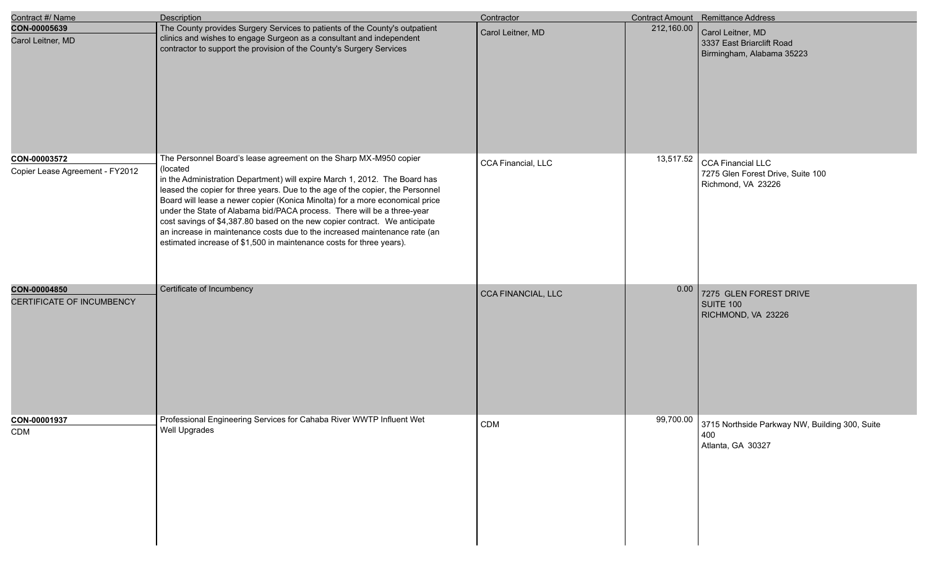| Contract #/ Name                                | Description                                                                                                                                                                                                                                                                                                                                                                                                                                                                                                                                                                                                                                  | Contractor                |            | Contract Amount Remittance Address                                                  |
|-------------------------------------------------|----------------------------------------------------------------------------------------------------------------------------------------------------------------------------------------------------------------------------------------------------------------------------------------------------------------------------------------------------------------------------------------------------------------------------------------------------------------------------------------------------------------------------------------------------------------------------------------------------------------------------------------------|---------------------------|------------|-------------------------------------------------------------------------------------|
| CON-00005639<br>Carol Leitner, MD               | The County provides Surgery Services to patients of the County's outpatient<br>clinics and wishes to engage Surgeon as a consultant and independent<br>contractor to support the provision of the County's Surgery Services                                                                                                                                                                                                                                                                                                                                                                                                                  | Carol Leitner, MD         | 212,160.00 | Carol Leitner, MD<br>3337 East Briarclift Road<br>Birmingham, Alabama 35223         |
| CON-00003572<br>Copier Lease Agreement - FY2012 | The Personnel Board's lease agreement on the Sharp MX-M950 copier<br>(located<br>in the Administration Department) will expire March 1, 2012. The Board has<br>leased the copier for three years. Due to the age of the copier, the Personnel<br>Board will lease a newer copier (Konica Minolta) for a more economical price<br>under the State of Alabama bid/PACA process. There will be a three-year<br>cost savings of \$4,387.80 based on the new copier contract. We anticipate<br>an increase in maintenance costs due to the increased maintenance rate (an<br>estimated increase of \$1,500 in maintenance costs for three years). | CCA Financial, LLC        | 13,517.52  | <b>CCA Financial LLC</b><br>7275 Glen Forest Drive, Suite 100<br>Richmond, VA 23226 |
| CON-00004850<br>CERTIFICATE OF INCUMBENCY       | Certificate of Incumbency                                                                                                                                                                                                                                                                                                                                                                                                                                                                                                                                                                                                                    | <b>CCA FINANCIAL, LLC</b> | 0.00       | 7275 GLEN FOREST DRIVE<br><b>SUITE 100</b><br>RICHMOND, VA 23226                    |
| CON-00001937<br>CDM                             | Professional Engineering Services for Cahaba River WWTP Influent Wet<br><b>Well Upgrades</b>                                                                                                                                                                                                                                                                                                                                                                                                                                                                                                                                                 | CDM                       | 99,700.00  | 3715 Northside Parkway NW, Building 300, Suite<br>400<br>Atlanta, GA 30327          |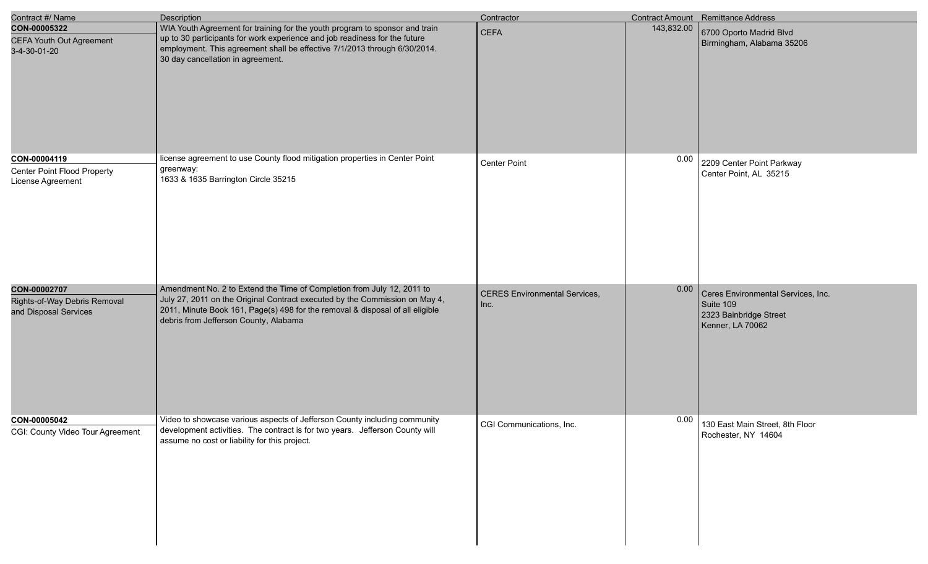| Contract #/ Name                                                        | <b>Description</b>                                                                                                                                                                                                                                                              | Contractor                                   |            | Contract Amount Remittance Address                                                            |
|-------------------------------------------------------------------------|---------------------------------------------------------------------------------------------------------------------------------------------------------------------------------------------------------------------------------------------------------------------------------|----------------------------------------------|------------|-----------------------------------------------------------------------------------------------|
| CON-00005322<br><b>CEFA Youth Out Agreement</b><br>3-4-30-01-20         | WIA Youth Agreement for training for the youth program to sponsor and train<br>up to 30 participants for work experience and job readiness for the future<br>employment. This agreement shall be effective 7/1/2013 through 6/30/2014.<br>30 day cancellation in agreement.     | <b>CEFA</b>                                  | 143,832.00 | 6700 Oporto Madrid Blvd<br>Birmingham, Alabama 35206                                          |
| CON-00004119<br><b>Center Point Flood Property</b><br>License Agreement | license agreement to use County flood mitigation properties in Center Point<br>greenway:<br>1633 & 1635 Barrington Circle 35215                                                                                                                                                 | <b>Center Point</b>                          | 0.00       | 2209 Center Point Parkway<br>Center Point, AL 35215                                           |
| CON-00002707<br>Rights-of-Way Debris Removal<br>and Disposal Services   | Amendment No. 2 to Extend the Time of Completion from July 12, 2011 to<br>July 27, 2011 on the Original Contract executed by the Commission on May 4,<br>2011, Minute Book 161, Page(s) 498 for the removal & disposal of all eligible<br>debris from Jefferson County, Alabama | <b>CERES Environmental Services,</b><br>Inc. | 0.00       | Ceres Environmental Services, Inc.<br>Suite 109<br>2323 Bainbridge Street<br>Kenner, LA 70062 |
| CON-00005042<br>CGI: County Video Tour Agreement                        | Video to showcase various aspects of Jefferson County including community<br>development activities. The contract is for two years. Jefferson County will<br>assume no cost or liability for this project.                                                                      | CGI Communications, Inc.                     | 0.00       | 130 East Main Street, 8th Floor<br>Rochester, NY 14604                                        |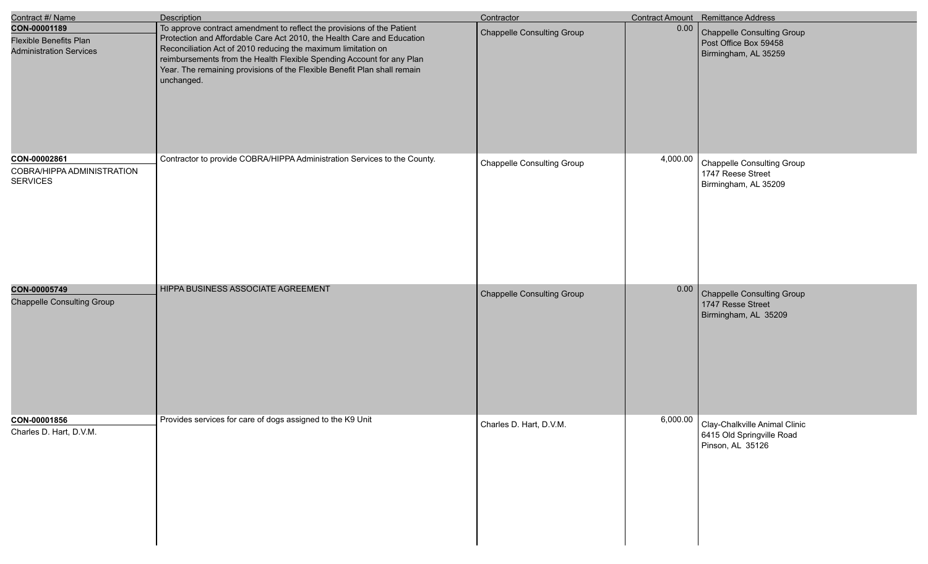| Contract #/ Name                                                                | Description                                                                                                                                                                                                                                                                                                                                                                          | Contractor                        |          | Contract Amount Remittance Address                                             |
|---------------------------------------------------------------------------------|--------------------------------------------------------------------------------------------------------------------------------------------------------------------------------------------------------------------------------------------------------------------------------------------------------------------------------------------------------------------------------------|-----------------------------------|----------|--------------------------------------------------------------------------------|
| CON-00001189<br><b>Flexible Benefits Plan</b><br><b>Administration Services</b> | To approve contract amendment to reflect the provisions of the Patient<br>Protection and Affordable Care Act 2010, the Health Care and Education<br>Reconciliation Act of 2010 reducing the maximum limitation on<br>reimbursements from the Health Flexible Spending Account for any Plan<br>Year. The remaining provisions of the Flexible Benefit Plan shall remain<br>unchanged. | <b>Chappelle Consulting Group</b> | $0.00\,$ | Chappelle Consulting Group<br>Post Office Box 59458<br>Birmingham, AL 35259    |
| CON-00002861<br>COBRA/HIPPA ADMINISTRATION<br><b>SERVICES</b>                   | Contractor to provide COBRA/HIPPA Administration Services to the County.                                                                                                                                                                                                                                                                                                             | <b>Chappelle Consulting Group</b> | 4,000.00 | <b>Chappelle Consulting Group</b><br>1747 Reese Street<br>Birmingham, AL 35209 |
| CON-00005749<br><b>Chappelle Consulting Group</b>                               | HIPPA BUSINESS ASSOCIATE AGREEMENT                                                                                                                                                                                                                                                                                                                                                   | Chappelle Consulting Group        | 0.00     | Chappelle Consulting Group<br>1747 Resse Street<br>Birmingham, AL 35209        |
| CON-00001856<br>Charles D. Hart, D.V.M.                                         | Provides services for care of dogs assigned to the K9 Unit                                                                                                                                                                                                                                                                                                                           | Charles D. Hart, D.V.M.           | 6,000.00 | Clay-Chalkville Animal Clinic<br>6415 Old Springville Road<br>Pinson, AL 35126 |

I

I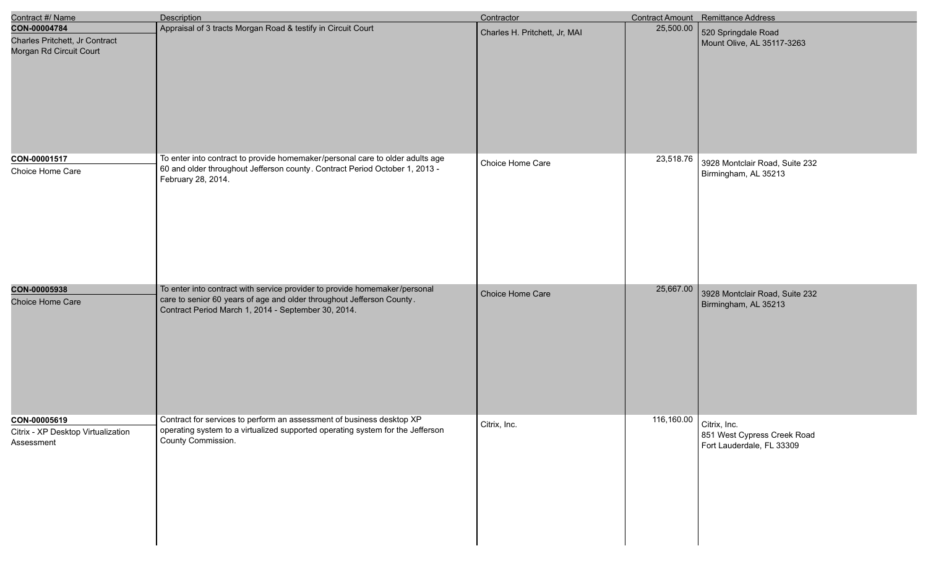| Contract #/ Name                                                          | <b>Description</b>                                                                                                                                                                                         | Contractor                    |                         | <b>Contract Amount</b> Remittance Address                |
|---------------------------------------------------------------------------|------------------------------------------------------------------------------------------------------------------------------------------------------------------------------------------------------------|-------------------------------|-------------------------|----------------------------------------------------------|
| CON-00004784<br>Charles Pritchett, Jr Contract<br>Morgan Rd Circuit Court | Appraisal of 3 tracts Morgan Road & testify in Circuit Court                                                                                                                                               | Charles H. Pritchett, Jr, MAI | 25,500.00               | 520 Springdale Road<br>Mount Olive, AL 35117-3263        |
| CON-00001517<br>Choice Home Care                                          | To enter into contract to provide homemaker/personal care to older adults age<br>60 and older throughout Jefferson county. Contract Period October 1, 2013 -<br>February 28, 2014.                         | Choice Home Care              | 23,518.76               | 3928 Montclair Road, Suite 232<br>Birmingham, AL 35213   |
| CON-00005938<br>Choice Home Care                                          | To enter into contract with service provider to provide homemaker/personal<br>care to senior 60 years of age and older throughout Jefferson County.<br>Contract Period March 1, 2014 - September 30, 2014. | Choice Home Care              | 25,667.00               | 3928 Montclair Road, Suite 232<br>Birmingham, AL 35213   |
| CON-00005619<br>Citrix - XP Desktop Virtualization<br>Assessment          | Contract for services to perform an assessment of business desktop XP<br>operating system to a virtualized supported operating system for the Jefferson<br>County Commission.                              | Citrix, Inc.                  | 116,160.00 Citrix, Inc. | 851 West Cypress Creek Road<br>Fort Lauderdale, FL 33309 |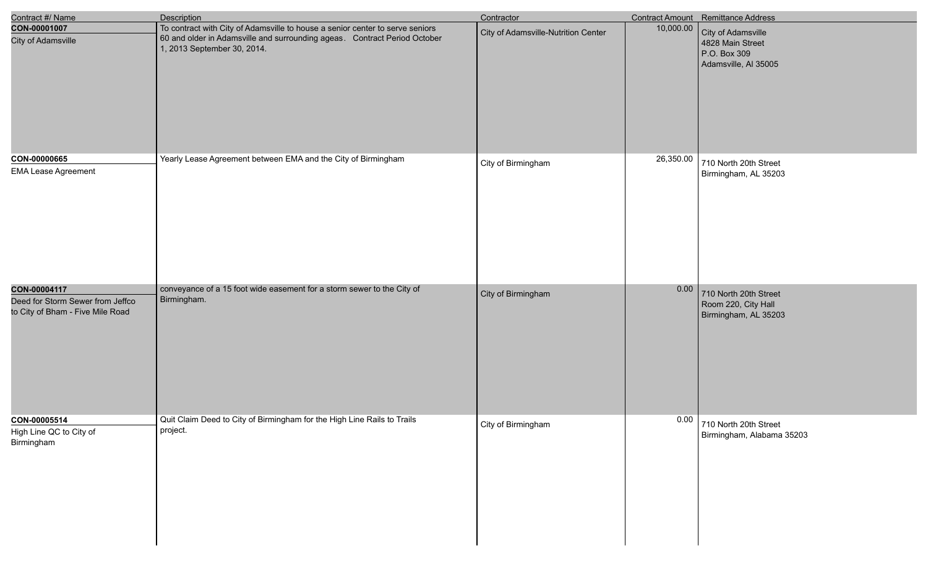| Contract #/ Name                                                     | <b>Description</b>                                                                                                                                                                        | Contractor                          |           | Contract Amount Remittance Address                                             |
|----------------------------------------------------------------------|-------------------------------------------------------------------------------------------------------------------------------------------------------------------------------------------|-------------------------------------|-----------|--------------------------------------------------------------------------------|
| CON-00001007<br><b>City of Adamsville</b>                            | To contract with City of Adamsville to house a senior center to serve seniors<br>60 and older in Adamsville and surrounding ageas. Contract Period October<br>1, 2013 September 30, 2014. | City of Adamsville-Nutrition Center | 10,000.00 | City of Adamsville<br>4828 Main Street<br>P.O. Box 309<br>Adamsville, Al 35005 |
| CON-00000665                                                         | Yearly Lease Agreement between EMA and the City of Birmingham                                                                                                                             | City of Birmingham                  | 26,350.00 | 710 North 20th Street                                                          |
| <b>EMA Lease Agreement</b>                                           |                                                                                                                                                                                           |                                     |           | Birmingham, AL 35203                                                           |
| CON-00004117                                                         | conveyance of a 15 foot wide easement for a storm sewer to the City of                                                                                                                    | City of Birmingham                  | 0.00      | 710 North 20th Street                                                          |
| Deed for Storm Sewer from Jeffco<br>to City of Bham - Five Mile Road | Birmingham.                                                                                                                                                                               |                                     |           | Room 220, City Hall<br>Birmingham, AL 35203                                    |
| CON-00005514                                                         | Quit Claim Deed to City of Birmingham for the High Line Rails to Trails                                                                                                                   | City of Birmingham                  | 0.00      | 710 North 20th Street                                                          |
| High Line QC to City of<br>Birmingham                                | project.                                                                                                                                                                                  |                                     |           | Birmingham, Alabama 35203                                                      |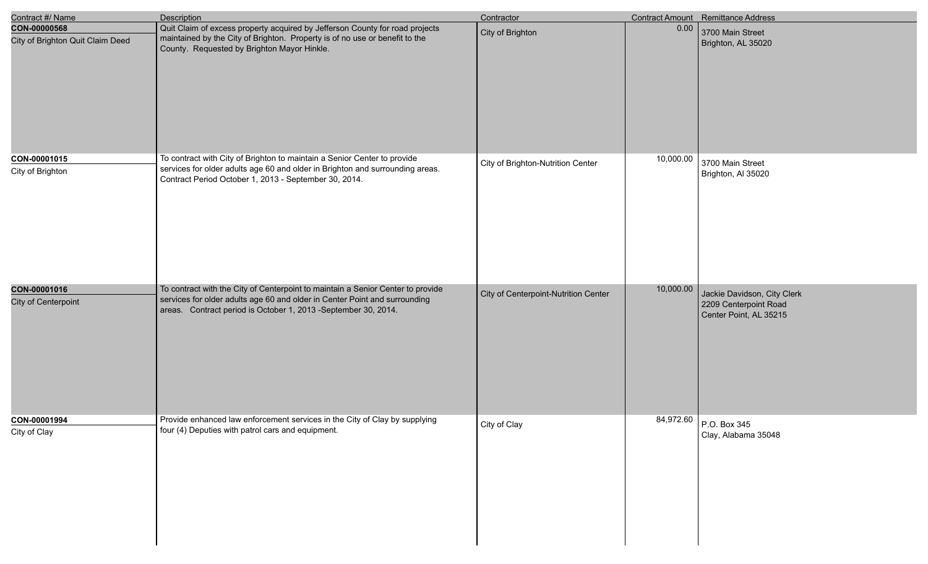| Contract #/ Name                                 | <b>Description</b>                                                                                                                                                                                                              | Contractor                           |           | Contract Amount Remittance Address                                             |
|--------------------------------------------------|---------------------------------------------------------------------------------------------------------------------------------------------------------------------------------------------------------------------------------|--------------------------------------|-----------|--------------------------------------------------------------------------------|
| CON-00000568<br>City of Brighton Quit Claim Deed | Quit Claim of excess property acquired by Jefferson County for road projects<br>maintained by the City of Brighton. Property is of no use or benefit to the<br>County. Requested by Brighton Mayor Hinkle.                      | City of Brighton                     | 0.00      | 3700 Main Street<br>Brighton, AL 35020                                         |
| CON-00001015<br>City of Brighton                 | To contract with City of Brighton to maintain a Senior Center to provide<br>services for older adults age 60 and older in Brighton and surrounding areas.<br>Contract Period October 1, 2013 - September 30, 2014.              | City of Brighton-Nutrition Center    | 10,000.00 | 3700 Main Street<br>Brighton, Al 35020                                         |
| CON-00001016<br>City of Centerpoint              | To contract with the City of Centerpoint to maintain a Senior Center to provide<br>services for older adults age 60 and older in Center Point and surrounding<br>areas. Contract period is October 1, 2013 -September 30, 2014. | City of Centerpoint-Nutrition Center | 10,000.00 | Jackie Davidson, City Clerk<br>2209 Centerpoint Road<br>Center Point, AL 35215 |
| CON-00001994<br>City of Clay                     | Provide enhanced law enforcement services in the City of Clay by supplying<br>four (4) Deputies with patrol cars and equipment.                                                                                                 | City of Clay                         |           | 84,972.60 P.O. Box 345<br>Clay, Alabama 35048                                  |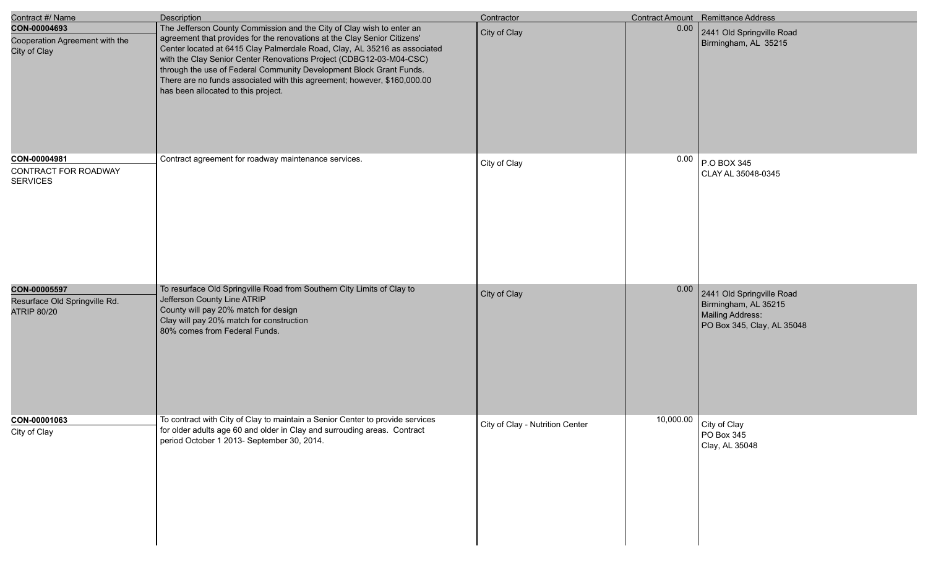| Contract #/ Name                                                    | <b>Description</b>                                                                                                                                                                                                                                                                                                                                                                                                                                                                              | Contractor                      |      | Contract Amount Remittance Address                                                                  |
|---------------------------------------------------------------------|-------------------------------------------------------------------------------------------------------------------------------------------------------------------------------------------------------------------------------------------------------------------------------------------------------------------------------------------------------------------------------------------------------------------------------------------------------------------------------------------------|---------------------------------|------|-----------------------------------------------------------------------------------------------------|
| CON-00004693<br>Cooperation Agreement with the<br>City of Clay      | The Jefferson County Commission and the City of Clay wish to enter an<br>agreement that provides for the renovations at the Clay Senior Citizens'<br>Center located at 6415 Clay Palmerdale Road, Clay, AL 35216 as associated<br>with the Clay Senior Center Renovations Project (CDBG12-03-M04-CSC)<br>through the use of Federal Community Development Block Grant Funds.<br>There are no funds associated with this agreement; however, \$160,000.00<br>has been allocated to this project. | City of Clay                    | 0.00 | 2441 Old Springville Road<br>Birmingham, AL 35215                                                   |
| CON-00004981<br>CONTRACT FOR ROADWAY<br><b>SERVICES</b>             | Contract agreement for roadway maintenance services.                                                                                                                                                                                                                                                                                                                                                                                                                                            | City of Clay                    | 0.00 | $P.O$ BOX 345<br>CLAY AL 35048-0345                                                                 |
| CON-00005597<br>Resurface Old Springville Rd.<br><b>ATRIP 80/20</b> | To resurface Old Springville Road from Southern City Limits of Clay to<br>Jefferson County Line ATRIP<br>County will pay 20% match for design<br>Clay will pay 20% match for construction<br>80% comes from Federal Funds.                                                                                                                                                                                                                                                                      | City of Clay                    | 0.00 | 2441 Old Springville Road<br>Birmingham, AL 35215<br>Mailing Address:<br>PO Box 345, Clay, AL 35048 |
| CON-00001063<br>City of Clay                                        | To contract with City of Clay to maintain a Senior Center to provide services<br>for older adults age 60 and older in Clay and surrouding areas. Contract<br>period October 1 2013- September 30, 2014.                                                                                                                                                                                                                                                                                         | City of Clay - Nutrition Center |      | 10,000.00 City of Clay<br>PO Box 345<br>Clay, AL 35048                                              |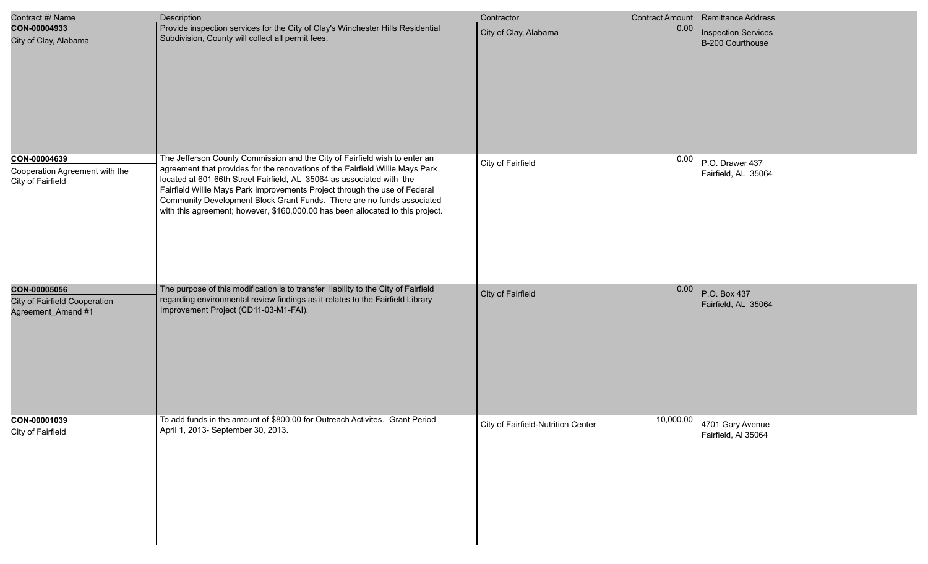| Contract #/ Name                                                           | <b>Description</b>                                                                                                                                                                                                                                                                                                 | Contractor                         |           | Contract Amount Remittance Address      |
|----------------------------------------------------------------------------|--------------------------------------------------------------------------------------------------------------------------------------------------------------------------------------------------------------------------------------------------------------------------------------------------------------------|------------------------------------|-----------|-----------------------------------------|
| CON-00004933<br>City of Clay, Alabama                                      | Provide inspection services for the City of Clay's Winchester Hills Residential<br>Subdivision, County will collect all permit fees.                                                                                                                                                                               | City of Clay, Alabama              | 0.00      | Inspection Services<br>B-200 Courthouse |
| CON-00004639<br>Cooperation Agreement with the<br>City of Fairfield        | The Jefferson County Commission and the City of Fairfield wish to enter an<br>agreement that provides for the renovations of the Fairfield Willie Mays Park<br>located at 601 66th Street Fairfield, AL 35064 as associated with the<br>Fairfield Willie Mays Park Improvements Project through the use of Federal | City of Fairfield                  | 0.00      | P.O. Drawer 437<br>Fairfield, AL 35064  |
|                                                                            | Community Development Block Grant Funds. There are no funds associated<br>with this agreement; however, \$160,000.00 has been allocated to this project.                                                                                                                                                           |                                    |           |                                         |
| <b>CON-00005056</b><br>City of Fairfield Cooperation<br>Agreement_Amend #1 | The purpose of this modification is to transfer liability to the City of Fairfield<br>regarding environmental review findings as it relates to the Fairfield Library<br>Improvement Project (CD11-03-M1-FAI).                                                                                                      | City of Fairfield                  | 0.00      | P.O. Box 437<br>Fairfield, AL 35064     |
| CON-00001039<br>City of Fairfield                                          | To add funds in the amount of \$800.00 for Outreach Activites. Grant Period<br>April 1, 2013- September 30, 2013.                                                                                                                                                                                                  | City of Fairfield-Nutrition Center | 10,000.00 | 4701 Gary Avenue<br>Fairfield, Al 35064 |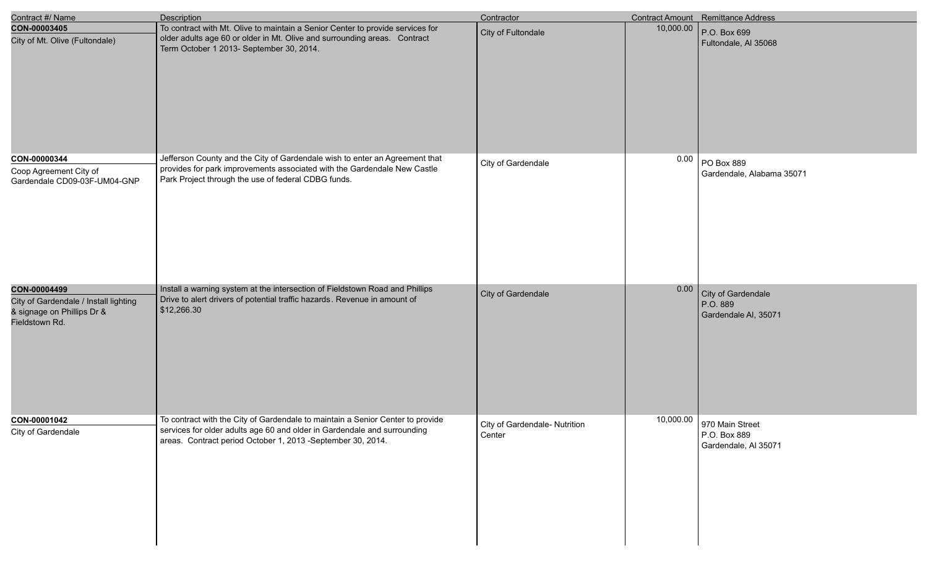| Contract #/ Name                                                                                      | <b>Description</b>                                                                                                                                                                                                        | Contractor                              |           | Contract Amount Remittance Address                                |
|-------------------------------------------------------------------------------------------------------|---------------------------------------------------------------------------------------------------------------------------------------------------------------------------------------------------------------------------|-----------------------------------------|-----------|-------------------------------------------------------------------|
| CON-00003405<br>City of Mt. Olive (Fultondale)                                                        | To contract with Mt. Olive to maintain a Senior Center to provide services for<br>older adults age 60 or older in Mt. Olive and surrounding areas. Contract<br>Term October 1 2013- September 30, 2014.                   | City of Fultondale                      | 10,000.00 | P.O. Box 699<br>Fultondale, AI 35068                              |
| CON-00000344<br>Coop Agreement City of<br>Gardendale CD09-03F-UM04-GNP                                | Jefferson County and the City of Gardendale wish to enter an Agreement that<br>provides for park improvements associated with the Gardendale New Castle<br>Park Project through the use of federal CDBG funds.            | City of Gardendale                      | 0.00      | PO Box 889<br>Gardendale, Alabama 35071                           |
| CON-00004499<br>City of Gardendale / Install lighting<br>& signage on Phillips Dr &<br>Fieldstown Rd. | Install a warning system at the intersection of Fieldstown Road and Phillips<br>Drive to alert drivers of potential traffic hazards. Revenue in amount of<br>\$12,266.30                                                  | City of Gardendale                      | 0.00      | City of Gardendale<br>P.O. 889<br>Gardendale AI, 35071            |
| CON-00001042<br>City of Gardendale                                                                    | To contract with the City of Gardendale to maintain a Senior Center to provide<br>services for older adults age 60 and older in Gardendale and surrounding<br>areas. Contract period October 1, 2013 -September 30, 2014. | City of Gardendale- Nutrition<br>Center |           | 10,000.00 970 Main Street<br>P.O. Box 889<br>Gardendale, Al 35071 |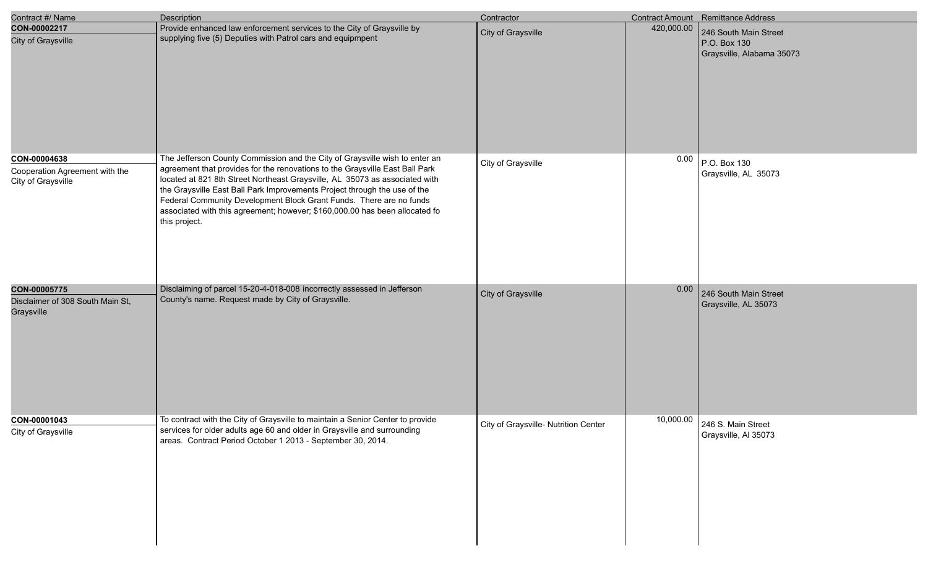| Contract #/ Name                                                     | Description                                                                                                                                                                                                                                                                                                                                                                                                                                                                                    | Contractor                           |            | Contract Amount Remittance Address                                 |
|----------------------------------------------------------------------|------------------------------------------------------------------------------------------------------------------------------------------------------------------------------------------------------------------------------------------------------------------------------------------------------------------------------------------------------------------------------------------------------------------------------------------------------------------------------------------------|--------------------------------------|------------|--------------------------------------------------------------------|
| CON-00002217<br>City of Graysville                                   | Provide enhanced law enforcement services to the City of Graysville by<br>supplying five (5) Deputies with Patrol cars and equipmpent                                                                                                                                                                                                                                                                                                                                                          | City of Graysville                   | 420,000.00 | 246 South Main Street<br>P.O. Box 130<br>Graysville, Alabama 35073 |
| CON-00004638<br>Cooperation Agreement with the<br>City of Graysville | The Jefferson County Commission and the City of Graysville wish to enter an<br>agreement that provides for the renovations to the Graysville East Ball Park<br>located at 821 8th Street Northeast Graysville, AL 35073 as associated with<br>the Graysville East Ball Park Improvements Project through the use of the<br>Federal Community Development Block Grant Funds. There are no funds<br>associated with this agreement; however; \$160,000.00 has been allocated fo<br>this project. | City of Graysville                   | 0.00       | P.O. Box 130<br>Graysville, AL 35073                               |
| CON-00005775<br>Disclaimer of 308 South Main St,<br>Graysville       | Disclaiming of parcel 15-20-4-018-008 incorrectly assessed in Jefferson<br>County's name. Request made by City of Graysville.                                                                                                                                                                                                                                                                                                                                                                  | City of Graysville                   | 0.00       | 246 South Main Street<br>Graysville, AL 35073                      |
| CON-00001043<br>City of Graysville                                   | To contract with the City of Graysville to maintain a Senior Center to provide<br>services for older adults age 60 and older in Graysville and surrounding<br>areas. Contract Period October 1 2013 - September 30, 2014.                                                                                                                                                                                                                                                                      | City of Graysville- Nutrition Center | 10,000.00  | 246 S. Main Street<br>Graysville, Al 35073                         |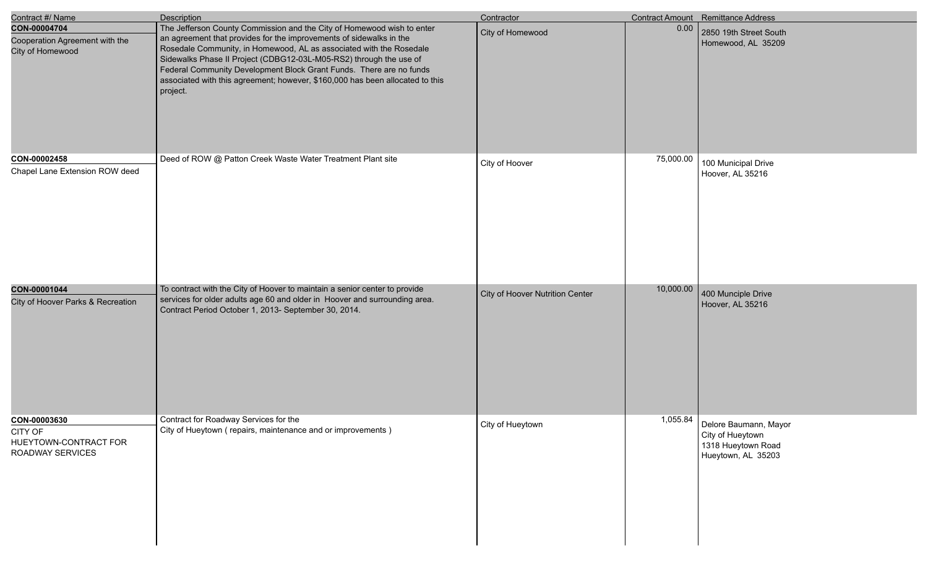| Contract #/ Name                                                     | <b>Description</b>                                                                                                                                                                                                                                                                                                                                                                                                                                             | Contractor                      |           | <b>Contract Amount</b> Remittance Address                                             |
|----------------------------------------------------------------------|----------------------------------------------------------------------------------------------------------------------------------------------------------------------------------------------------------------------------------------------------------------------------------------------------------------------------------------------------------------------------------------------------------------------------------------------------------------|---------------------------------|-----------|---------------------------------------------------------------------------------------|
| CON-00004704<br>Cooperation Agreement with the<br>City of Homewood   | The Jefferson County Commission and the City of Homewood wish to enter<br>an agreement that provides for the improvements of sidewalks in the<br>Rosedale Community, in Homewood, AL as associated with the Rosedale<br>Sidewalks Phase II Project (CDBG12-03L-M05-RS2) through the use of<br>Federal Community Development Block Grant Funds. There are no funds<br>associated with this agreement; however, \$160,000 has been allocated to this<br>project. | City of Homewood                | 0.00      | 2850 19th Street South<br>Homewood, AL 35209                                          |
| CON-00002458<br>Chapel Lane Extension ROW deed                       | Deed of ROW @ Patton Creek Waste Water Treatment Plant site                                                                                                                                                                                                                                                                                                                                                                                                    | City of Hoover                  | 75,000.00 | 100 Municipal Drive<br>Hoover, AL 35216                                               |
| CON-00001044<br>City of Hoover Parks & Recreation                    | To contract with the City of Hoover to maintain a senior center to provide<br>services for older adults age 60 and older in Hoover and surrounding area.<br>Contract Period October 1, 2013- September 30, 2014.                                                                                                                                                                                                                                               | City of Hoover Nutrition Center | 10,000.00 | 400 Munciple Drive<br>Hoover, AL 35216                                                |
| CON-00003630<br>CITY OF<br>HUEYTOWN-CONTRACT FOR<br>ROADWAY SERVICES | Contract for Roadway Services for the<br>City of Hueytown (repairs, maintenance and or improvements)                                                                                                                                                                                                                                                                                                                                                           | City of Hueytown                | 1,055.84  | Delore Baumann, Mayor<br>City of Hueytown<br>1318 Hueytown Road<br>Hueytown, AL 35203 |

e<br>V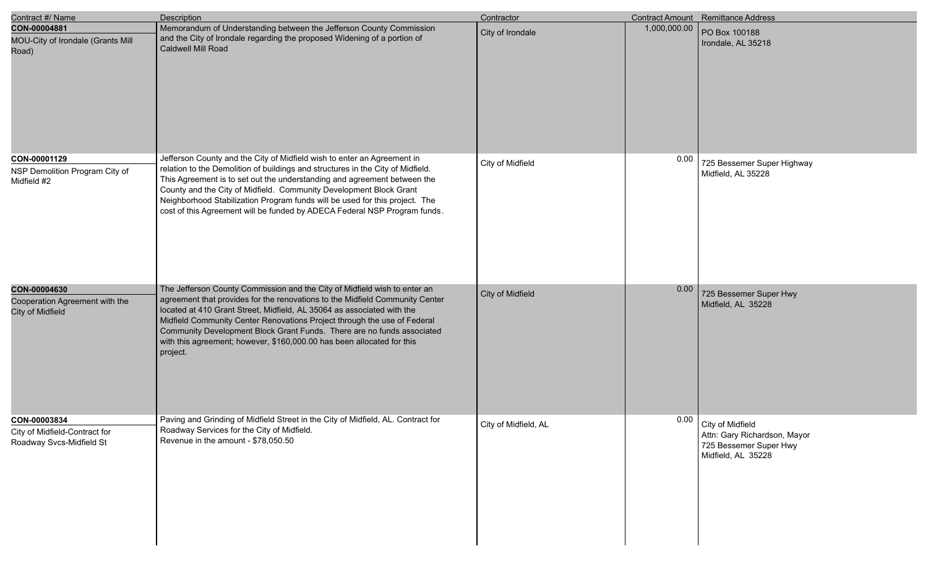| Contract #/ Name                                                          | Description                                                                                                                                                                                                                                                                                                                                                                                                                                                                     | Contractor           |              | <b>Contract Amount</b> Remittance Address                                                             |
|---------------------------------------------------------------------------|---------------------------------------------------------------------------------------------------------------------------------------------------------------------------------------------------------------------------------------------------------------------------------------------------------------------------------------------------------------------------------------------------------------------------------------------------------------------------------|----------------------|--------------|-------------------------------------------------------------------------------------------------------|
| CON-00004881<br>MOU-City of Irondale (Grants Mill<br>Road)                | Memorandum of Understanding between the Jefferson County Commission<br>and the City of Irondale regarding the proposed Widening of a portion of<br>Caldwell Mill Road                                                                                                                                                                                                                                                                                                           | City of Irondale     | 1,000,000.00 | PO Box 100188<br>Irondale, AL 35218                                                                   |
| CON-00001129<br>NSP Demolition Program City of<br>Midfield #2             | Jefferson County and the City of Midfield wish to enter an Agreement in<br>relation to the Demolition of buildings and structures in the City of Midfield.<br>This Agreement is to set out the understanding and agreement between the<br>County and the City of Midfield. Community Development Block Grant<br>Neighborhood Stabilization Program funds will be used for this project. The<br>cost of this Agreement will be funded by ADECA Federal NSP Program funds.        | City of Midfield     | 0.00         | 725 Bessemer Super Highway<br>Midfield, AL 35228                                                      |
| CON-00004630<br>Cooperation Agreement with the<br>City of Midfield        | The Jefferson County Commission and the City of Midfield wish to enter an<br>agreement that provides for the renovations to the Midfield Community Center<br>located at 410 Grant Street, Midfield, AL 35064 as associated with the<br>Midfield Community Center Renovations Project through the use of Federal<br>Community Development Block Grant Funds. There are no funds associated<br>with this agreement; however, \$160,000.00 has been allocated for this<br>project. | City of Midfield     | 0.00         | 725 Bessemer Super Hwy<br>Midfield, AL 35228                                                          |
| CON-00003834<br>City of Midfield-Contract for<br>Roadway Svcs-Midfield St | Paving and Grinding of Midfield Street in the City of Midfield, AL. Contract for<br>Roadway Services for the City of Midfield.<br>Revenue in the amount - \$78,050.50                                                                                                                                                                                                                                                                                                           | City of Midfield, AL |              | 0.00 City of Midfield<br>Attn: Gary Richardson, Mayor<br>725 Bessemer Super Hwy<br>Midfield, AL 35228 |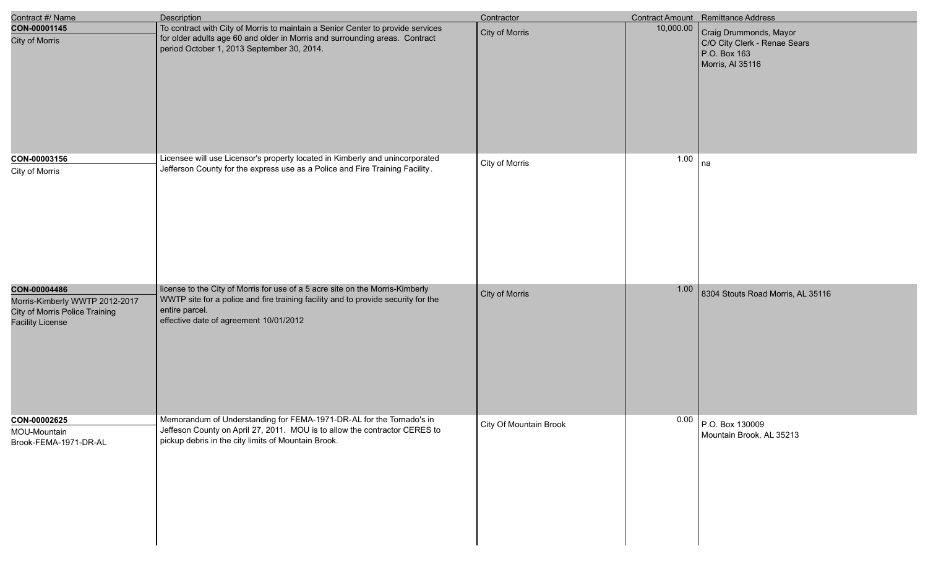| Contract #/ Name                                                                                            | <b>Description</b>                                                                                                                                                                                                             | Contractor             |           | <b>Contract Amount</b> Remittance Address                                                  |
|-------------------------------------------------------------------------------------------------------------|--------------------------------------------------------------------------------------------------------------------------------------------------------------------------------------------------------------------------------|------------------------|-----------|--------------------------------------------------------------------------------------------|
| CON-00001145<br><b>City of Morris</b>                                                                       | To contract with City of Morris to maintain a Senior Center to provide services<br>for older adults age 60 and older in Morris and surrounding areas. Contract<br>period October 1, 2013 September 30, 2014.                   | City of Morris         | 10,000.00 | Craig Drummonds, Mayor<br>C/O City Clerk - Renae Sears<br>P.O. Box 163<br>Morris, AI 35116 |
| CON-00003156<br>City of Morris                                                                              | Licensee will use Licensor's property located in Kimberly and unincorporated<br>Jefferson County for the express use as a Police and Fire Training Facility.                                                                   | City of Morris         | 1.00      | na                                                                                         |
| CON-00004486<br>Morris-Kimberly WWTP 2012-2017<br>City of Morris Police Training<br><b>Facility License</b> | license to the City of Morris for use of a 5 acre site on the Morris-Kimberly<br>WWTP site for a police and fire training facility and to provide security for the<br>entire parcel.<br>effective date of agreement 10/01/2012 | City of Morris         | 1.00      | 8304 Stouts Road Morris, AL 35116                                                          |
| CON-00002625<br>MOU-Mountain<br>Brook-FEMA-1971-DR-AL                                                       | Memorandum of Understanding for FEMA-1971-DR-AL for the Tornado's in<br>Jeffeson County on April 27, 2011. MOU is to allow the contractor CERES to<br>pickup debris in the city limits of Mountain Brook.                      | City Of Mountain Brook |           | $0.00$ P.O. Box 130009<br>Mountain Brook, AL 35213                                         |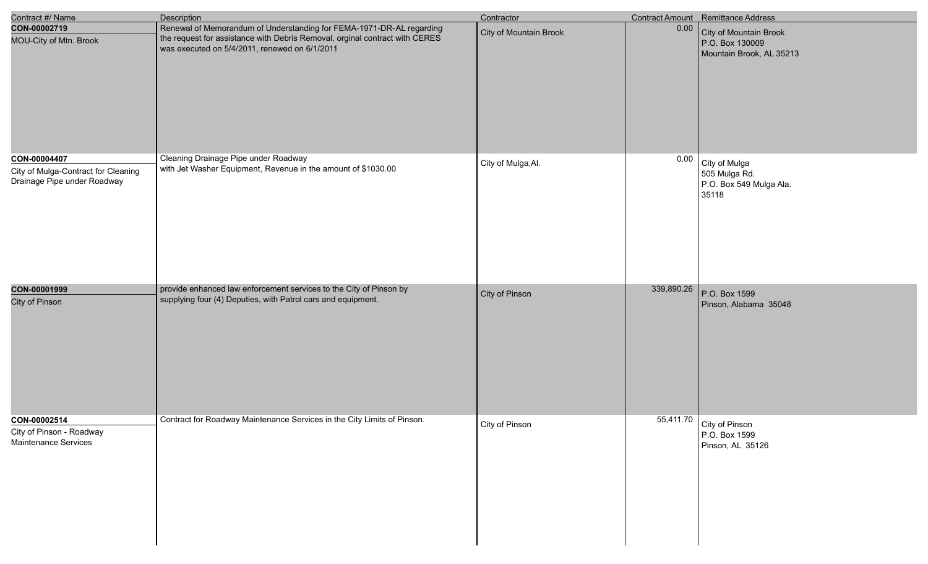| Contract #/ Name                                                                   | <b>Description</b>                                                                                                                                                                                   | Contractor             |            | Contract Amount Remittance Address                                    |
|------------------------------------------------------------------------------------|------------------------------------------------------------------------------------------------------------------------------------------------------------------------------------------------------|------------------------|------------|-----------------------------------------------------------------------|
| CON-00002719<br>MOU-City of Mtn. Brook                                             | Renewal of Memorandum of Understanding for FEMA-1971-DR-AL regarding<br>the request for assistance with Debris Removal, orginal contract with CERES<br>was executed on 5/4/2011, renewed on 6/1/2011 | City of Mountain Brook | 0.00       | City of Mountain Brook<br>P.O. Box 130009<br>Mountain Brook, AL 35213 |
| CON-00004407<br>City of Mulga-Contract for Cleaning<br>Drainage Pipe under Roadway | Cleaning Drainage Pipe under Roadway<br>with Jet Washer Equipment, Revenue in the amount of \$1030.00                                                                                                | City of Mulga, Al.     | 0.00       | City of Mulga<br>505 Mulga Rd.<br>P.O. Box 549 Mulga Ala.<br>35118    |
| CON-00001999<br>City of Pinson                                                     | provide enhanced law enforcement services to the City of Pinson by<br>supplying four (4) Deputies, with Patrol cars and equipment.                                                                   | City of Pinson         | 339,890.26 | P.O. Box 1599<br>Pinson, Alabama 35048                                |
| CON-00002514<br>City of Pinson - Roadway<br><b>Maintenance Services</b>            | Contract for Roadway Maintenance Services in the City Limits of Pinson.                                                                                                                              | City of Pinson         |            | 55,411.70   City of Pinson<br>P.O. Box 1599<br>Pinson, AL 35126       |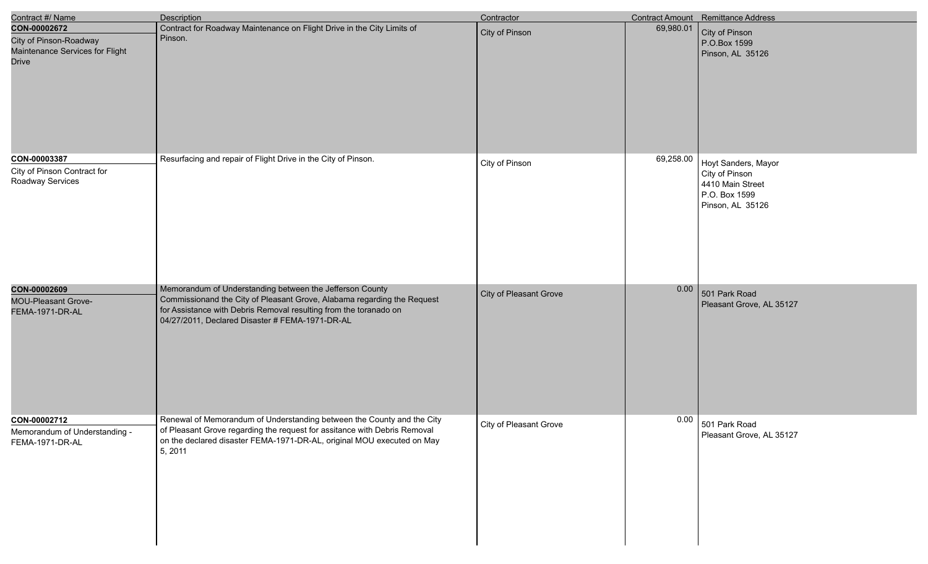| Contract #/ Name                                                                          | <b>Description</b>                                                                                                                                                                                                                                          | Contractor             |           | Contract Amount Remittance Address                                                                 |
|-------------------------------------------------------------------------------------------|-------------------------------------------------------------------------------------------------------------------------------------------------------------------------------------------------------------------------------------------------------------|------------------------|-----------|----------------------------------------------------------------------------------------------------|
| CON-00002672<br>City of Pinson-Roadway<br>Maintenance Services for Flight<br><b>Drive</b> | Contract for Roadway Maintenance on Flight Drive in the City Limits of<br>Pinson.                                                                                                                                                                           | City of Pinson         | 69,980.01 | City of Pinson<br>P.O.Box 1599<br>Pinson, AL 35126                                                 |
| CON-00003387<br>City of Pinson Contract for<br>Roadway Services                           | Resurfacing and repair of Flight Drive in the City of Pinson.                                                                                                                                                                                               | City of Pinson         | 69,258.00 | Hoyt Sanders, Mayor<br>City of Pinson<br>4410 Main Street<br>P.O. Box 1599<br>Pinson, AL 35126     |
| CON-00002609<br><b>MOU-Pleasant Grove-</b><br>FEMA-1971-DR-AL                             | Memorandum of Understanding between the Jefferson County<br>Commissionand the City of Pleasant Grove, Alabama regarding the Request<br>for Assistance with Debris Removal resulting from the toranado on<br>04/27/2011, Declared Disaster # FEMA-1971-DR-AL | City of Pleasant Grove | 0.00      | 501 Park Road<br>Pleasant Grove, AL 35127                                                          |
| CON-00002712<br>Memorandum of Understanding -<br>FEMA-1971-DR-AL                          | Renewal of Memorandum of Understanding between the County and the City<br>of Pleasant Grove regarding the request for assitance with Debris Removal<br>on the declared disaster FEMA-1971-DR-AL, original MOU executed on May<br>5, 2011                    | City of Pleasant Grove |           | $\begin{array}{ c c } \hline 0.00 & 501 \text{ Park Road} \end{array}$<br>Pleasant Grove, AL 35127 |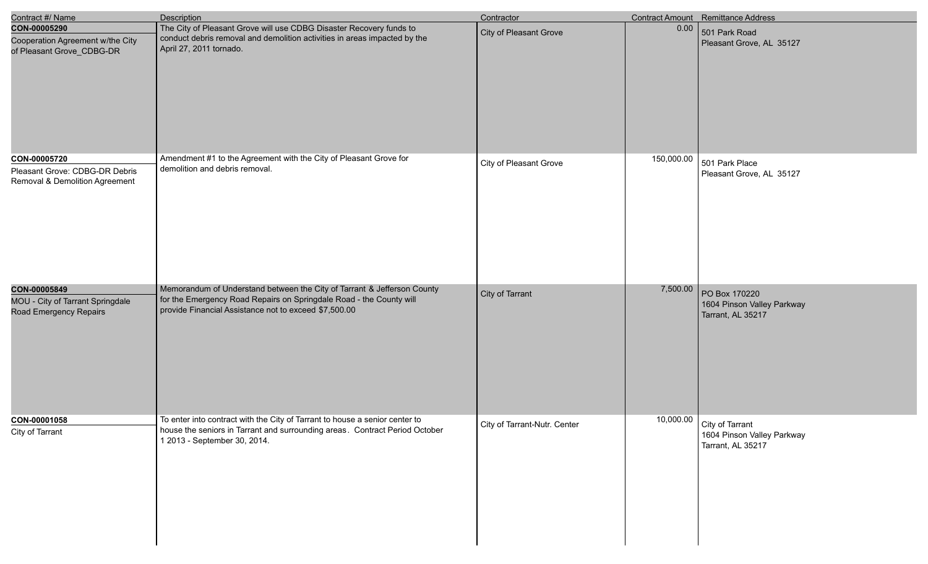| Contract #/ Name                                                                 | <b>Description</b>                                                                                                                                                                                      | Contractor                   |            | Contract Amount Remittance Address                                 |
|----------------------------------------------------------------------------------|---------------------------------------------------------------------------------------------------------------------------------------------------------------------------------------------------------|------------------------------|------------|--------------------------------------------------------------------|
| CON-00005290<br>Cooperation Agreement w/the City<br>of Pleasant Grove_CDBG-DR    | The City of Pleasant Grove will use CDBG Disaster Recovery funds to<br>conduct debris removal and demolition activities in areas impacted by the<br>April 27, 2011 tornado.                             | City of Pleasant Grove       | 0.00       | 501 Park Road<br>Pleasant Grove, AL 35127                          |
| CON-00005720<br>Pleasant Grove: CDBG-DR Debris<br>Removal & Demolition Agreement | Amendment #1 to the Agreement with the City of Pleasant Grove for<br>demolition and debris removal.                                                                                                     | City of Pleasant Grove       | 150,000.00 | 501 Park Place<br>Pleasant Grove, AL 35127                         |
| CON-00005849<br>MOU - City of Tarrant Springdale<br>Road Emergency Repairs       | Memorandum of Understand between the City of Tarrant & Jefferson County<br>for the Emergency Road Repairs on Springdale Road - the County will<br>provide Financial Assistance not to exceed \$7,500.00 | City of Tarrant              | 7,500.00   | PO Box 170220<br>1604 Pinson Valley Parkway<br>Tarrant, AL 35217   |
| CON-00001058<br>City of Tarrant                                                  | To enter into contract with the City of Tarrant to house a senior center to<br>house the seniors in Tarrant and surrounding areas. Contract Period October<br>1 2013 - September 30, 2014.              | City of Tarrant-Nutr. Center | 10,000.00  | City of Tarrant<br>1604 Pinson Valley Parkway<br>Tarrant, AL 35217 |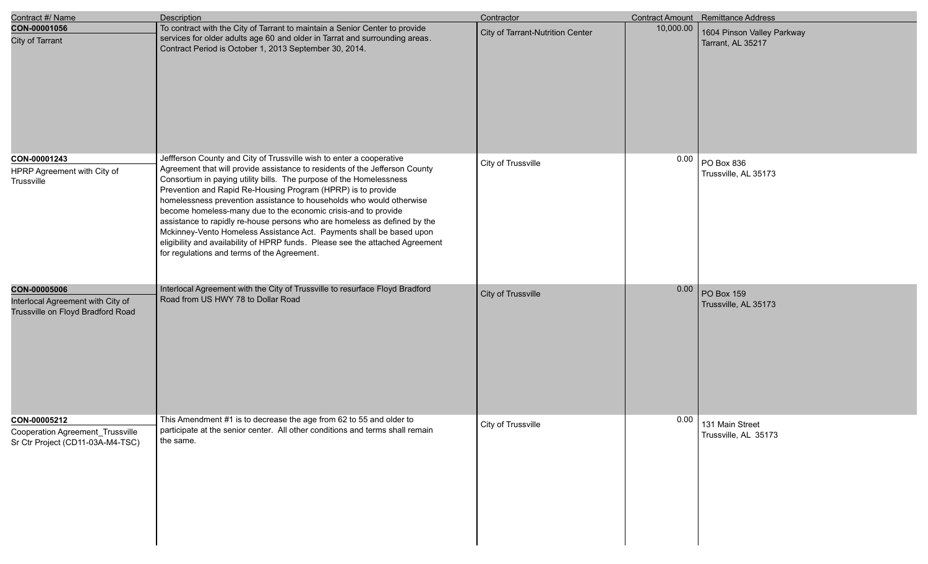| Contract #/ Name                                                                       | <b>Description</b>                                                                                                                                                                                                                                                                                                                                                                                                                                                                                                                                                                                                                                                                                                        | Contractor                              |           | Contract Amount Remittance Address              |
|----------------------------------------------------------------------------------------|---------------------------------------------------------------------------------------------------------------------------------------------------------------------------------------------------------------------------------------------------------------------------------------------------------------------------------------------------------------------------------------------------------------------------------------------------------------------------------------------------------------------------------------------------------------------------------------------------------------------------------------------------------------------------------------------------------------------------|-----------------------------------------|-----------|-------------------------------------------------|
| CON-00001056<br>City of Tarrant                                                        | To contract with the City of Tarrant to maintain a Senior Center to provide<br>services for older adults age 60 and older in Tarrat and surrounding areas.<br>Contract Period is October 1, 2013 September 30, 2014.                                                                                                                                                                                                                                                                                                                                                                                                                                                                                                      | <b>City of Tarrant-Nutrition Center</b> | 10,000.00 | 1604 Pinson Valley Parkway<br>Tarrant, AL 35217 |
| CON-00001243<br>HPRP Agreement with City of<br>Trussville                              | Jeffferson County and City of Trussville wish to enter a cooperative<br>Agreement that will provide assistance to residents of the Jefferson County<br>Consortium in paying utility bills. The purpose of the Homelessness<br>Prevention and Rapid Re-Housing Program (HPRP) is to provide<br>homelessness prevention assistance to households who would otherwise<br>become homeless-many due to the economic crisis-and to provide<br>assistance to rapidly re-house persons who are homeless as defined by the<br>Mckinney-Vento Homeless Assistance Act. Payments shall be based upon<br>eligibility and availability of HPRP funds. Please see the attached Agreement<br>for regulations and terms of the Agreement. | City of Trussville                      | 0.00      | PO Box 836<br>Trussville, AL 35173              |
| CON-00005006<br>Interlocal Agreement with City of<br>Trussville on Floyd Bradford Road | Interlocal Agreement with the City of Trussville to resurface Floyd Bradford<br>Road from US HWY 78 to Dollar Road                                                                                                                                                                                                                                                                                                                                                                                                                                                                                                                                                                                                        | City of Trussville                      | 0.00      | PO Box 159<br>Trussville, AL 35173              |
| CON-00005212<br>Cooperation Agreement_Trussville<br>Sr Ctr Project (CD11-03A-M4-TSC)   | This Amendment #1 is to decrease the age from 62 to 55 and older to<br>participate at the senior center. All other conditions and terms shall remain<br>the same.                                                                                                                                                                                                                                                                                                                                                                                                                                                                                                                                                         | City of Trussville                      | 0.00      | 131 Main Street<br>Trussville, AL 35173         |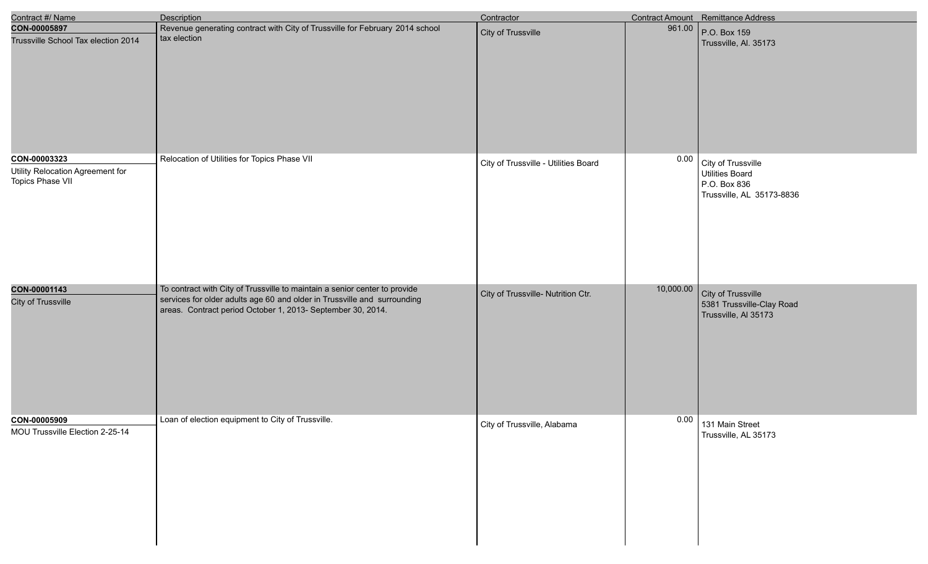| Contract #/ Name                                     | <b>Description</b>                                                                                                                      | Contractor                           |           | Contract Amount Remittance Address                                  |
|------------------------------------------------------|-----------------------------------------------------------------------------------------------------------------------------------------|--------------------------------------|-----------|---------------------------------------------------------------------|
| CON-00005897                                         | Revenue generating contract with City of Trussville for February 2014 school                                                            | City of Trussville                   | 961.00    | P.O. Box 159                                                        |
| Trussville School Tax election 2014                  | tax election                                                                                                                            |                                      |           | Trussville, Al. 35173                                               |
| CON-00003323                                         | Relocation of Utilities for Topics Phase VII                                                                                            | City of Trussville - Utilities Board | 0.00      | City of Trussville                                                  |
| Utility Relocation Agreement for<br>Topics Phase VII |                                                                                                                                         |                                      |           | <b>Utilities Board</b><br>P.O. Box 836<br>Trussville, AL 35173-8836 |
| CON-00001143                                         | To contract with City of Trussville to maintain a senior center to provide                                                              | City of Trussville- Nutrition Ctr.   | 10,000.00 | City of Trussville                                                  |
| <b>City of Trussville</b>                            | services for older adults age 60 and older in Trussville and surrounding<br>areas. Contract period October 1, 2013- September 30, 2014. |                                      |           | 5381 Trussville-Clay Road<br>Trussville, Al 35173                   |
| CON-00005909                                         | Loan of election equipment to City of Trussville.                                                                                       | City of Trussville, Alabama          | 0.00      | 131 Main Street                                                     |
| MOU Trussville Election 2-25-14                      |                                                                                                                                         |                                      |           | Trussville, AL 35173                                                |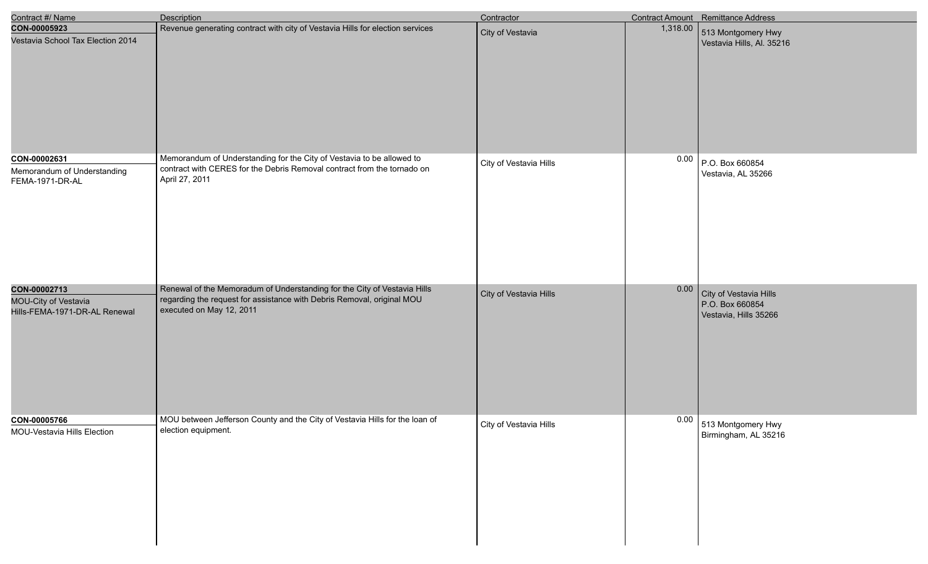| Contract #/ Name                                                      | <b>Description</b>                                                                                                                                                             | Contractor             |          | Contract Amount Remittance Address                                 |
|-----------------------------------------------------------------------|--------------------------------------------------------------------------------------------------------------------------------------------------------------------------------|------------------------|----------|--------------------------------------------------------------------|
| CON-00005923<br>Vestavia School Tax Election 2014                     | Revenue generating contract with city of Vestavia Hills for election services                                                                                                  | City of Vestavia       | 1,318.00 | 513 Montgomery Hwy<br>Vestavia Hills, Al. 35216                    |
| CON-00002631<br>Memorandum of Understanding<br>FEMA-1971-DR-AL        | Memorandum of Understanding for the City of Vestavia to be allowed to<br>contract with CERES for the Debris Removal contract from the tornado on<br>April 27, 2011             | City of Vestavia Hills | 0.00     | P.O. Box 660854<br>Vestavia, AL 35266                              |
| CON-00002713<br>MOU-City of Vestavia<br>Hills-FEMA-1971-DR-AL Renewal | Renewal of the Memoradum of Understanding for the City of Vestavia Hills<br>regarding the request for assistance with Debris Removal, original MOU<br>executed on May 12, 2011 | City of Vestavia Hills | 0.00     | City of Vestavia Hills<br>P.O. Box 660854<br>Vestavia, Hills 35266 |
| CON-00005766<br>MOU-Vestavia Hills Election                           | MOU between Jefferson County and the City of Vestavia Hills for the loan of<br>election equipment.                                                                             | City of Vestavia Hills | 0.00     | 513 Montgomery Hwy<br>Birmingham, AL 35216                         |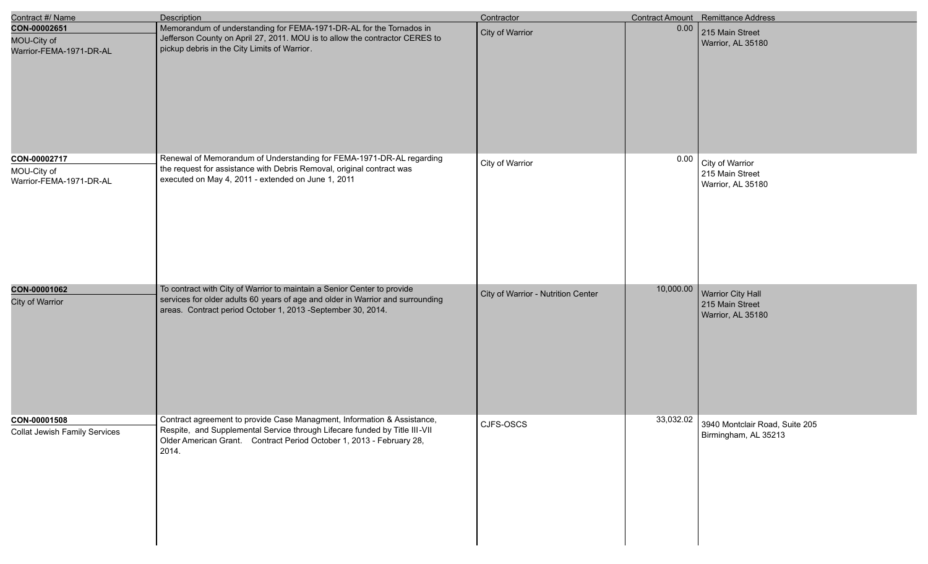| Contract #/ Name                                       | <b>Description</b>                                                                                                                                                                                                                     | Contractor                         |           | Contract Amount Remittance Address                               |
|--------------------------------------------------------|----------------------------------------------------------------------------------------------------------------------------------------------------------------------------------------------------------------------------------------|------------------------------------|-----------|------------------------------------------------------------------|
| CON-00002651<br>MOU-City of<br>Warrior-FEMA-1971-DR-AL | Memorandum of understanding for FEMA-1971-DR-AL for the Tornados in<br>Jefferson County on April 27, 2011. MOU is to allow the contractor CERES to<br>pickup debris in the City Limits of Warrior.                                     | <b>City of Warrior</b>             | 0.00      | 215 Main Street<br>Warrior, AL 35180                             |
| CON-00002717<br>MOU-City of<br>Warrior-FEMA-1971-DR-AL | Renewal of Memorandum of Understanding for FEMA-1971-DR-AL regarding<br>the request for assistance with Debris Removal, original contract was<br>executed on May 4, 2011 - extended on June 1, 2011                                    | City of Warrior                    | 0.00      | City of Warrior<br>215 Main Street<br>Warrior, AL 35180          |
| CON-00001062<br>City of Warrior                        | To contract with City of Warrior to maintain a Senior Center to provide<br>services for older adults 60 years of age and older in Warrior and surrounding<br>areas. Contract period October 1, 2013 -September 30, 2014.               | City of Warrior - Nutrition Center | 10,000.00 | Warrior City Hall<br>215 Main Street<br>Warrior, AL 35180        |
| CON-00001508<br><b>Collat Jewish Family Services</b>   | Contract agreement to provide Case Managment, Information & Assistance,<br>Respite, and Supplemental Service through Lifecare funded by Title III-VII<br>Older American Grant. Contract Period October 1, 2013 - February 28,<br>2014. | CJFS-OSCS                          |           | 33,032.02 3940 Montclair Road, Suite 205<br>Birmingham, AL 35213 |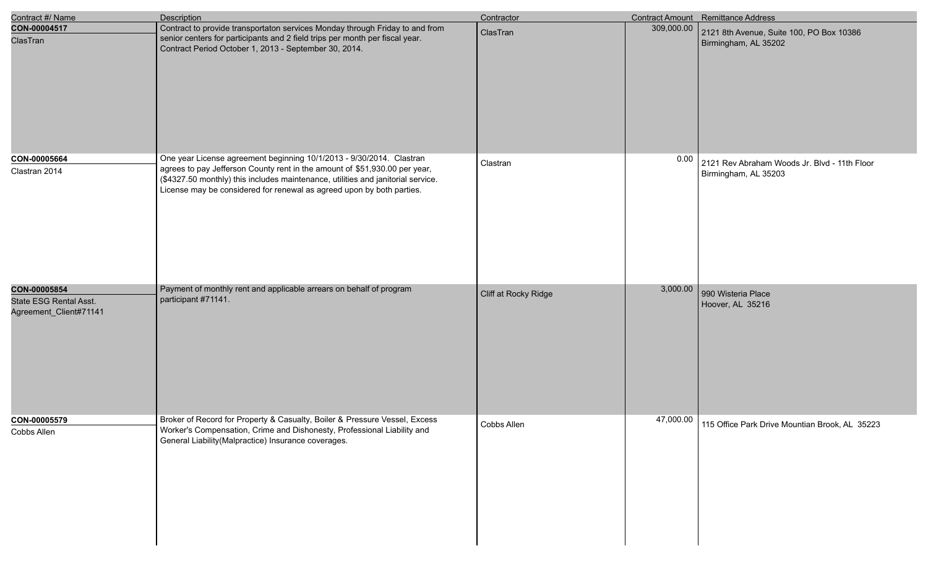| Contract #/ Name                                                 | Description                                                                                                                                                                                                                                                                                                     | Contractor           |            | Contract Amount Remittance Address                                   |
|------------------------------------------------------------------|-----------------------------------------------------------------------------------------------------------------------------------------------------------------------------------------------------------------------------------------------------------------------------------------------------------------|----------------------|------------|----------------------------------------------------------------------|
| CON-00004517<br>ClasTran                                         | Contract to provide transportaton services Monday through Friday to and from<br>senior centers for participants and 2 field trips per month per fiscal year.<br>Contract Period October 1, 2013 - September 30, 2014.                                                                                           | ClasTran             | 309,000.00 | 2121 8th Avenue, Suite 100, PO Box 10386<br>Birmingham, AL 35202     |
| CON-00005664<br>Clastran 2014                                    | One year License agreement beginning 10/1/2013 - 9/30/2014. Clastran<br>agrees to pay Jefferson County rent in the amount of \$51,930.00 per year,<br>(\$4327.50 monthly) this includes maintenance, utilities and janitorial service.<br>License may be considered for renewal as agreed upon by both parties. | Clastran             | 0.00       | 2121 Rev Abraham Woods Jr. Blvd - 11th Floor<br>Birmingham, AL 35203 |
| CON-00005854<br>State ESG Rental Asst.<br>Agreement_Client#71141 | Payment of monthly rent and applicable arrears on behalf of program<br>participant #71141.                                                                                                                                                                                                                      | Cliff at Rocky Ridge | 3,000.00   | 990 Wisteria Place<br>Hoover, AL 35216                               |
| CON-00005579<br>Cobbs Allen                                      | Broker of Record for Property & Casualty, Boiler & Pressure Vessel, Excess<br>Worker's Compensation, Crime and Dishonesty, Professional Liability and<br>General Liability (Malpractice) Insurance coverages.                                                                                                   | Cobbs Allen          | 47,000.00  | 115 Office Park Drive Mountian Brook, AL 35223                       |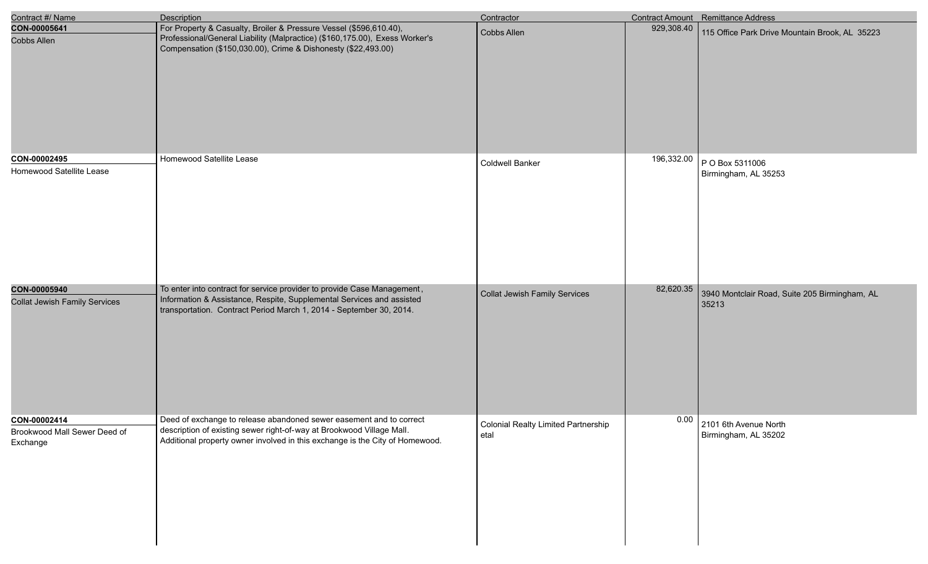| Contract #/ Name                                         | <b>Description</b>                                                                                                                                                                                                           | Contractor                                  |            | <b>Contract Amount</b> Remittance Address              |
|----------------------------------------------------------|------------------------------------------------------------------------------------------------------------------------------------------------------------------------------------------------------------------------------|---------------------------------------------|------------|--------------------------------------------------------|
| CON-00005641<br><b>Cobbs Allen</b>                       | For Property & Casualty, Broiler & Pressure Vessel (\$596,610.40),<br>Professional/General Liability (Malpractice) (\$160,175.00), Exess Worker's<br>Compensation (\$150,030.00), Crime & Dishonesty (\$22,493.00)           | Cobbs Allen                                 | 929,308.40 | 115 Office Park Drive Mountain Brook, AL 35223         |
| CON-00002495<br>Homewood Satellite Lease                 | Homewood Satellite Lease                                                                                                                                                                                                     | Coldwell Banker                             | 196,332.00 | P O Box 5311006<br>Birmingham, AL 35253                |
| CON-00005940<br><b>Collat Jewish Family Services</b>     | To enter into contract for service provider to provide Case Management,<br>Information & Assistance, Respite, Supplemental Services and assisted<br>transportation. Contract Period March 1, 2014 - September 30, 2014.      | Collat Jewish Family Services               | 82,620.35  | 3940 Montclair Road, Suite 205 Birmingham, AL<br>35213 |
| CON-00002414<br>Brookwood Mall Sewer Deed of<br>Exchange | Deed of exchange to release abandoned sewer easement and to correct<br>description of existing sewer right-of-way at Brookwood Village Mall.<br>Additional property owner involved in this exchange is the City of Homewood. | Colonial Realty Limited Partnership<br>etal |            | $0.00$ 2101 6th Avenue North<br>Birmingham, AL 35202   |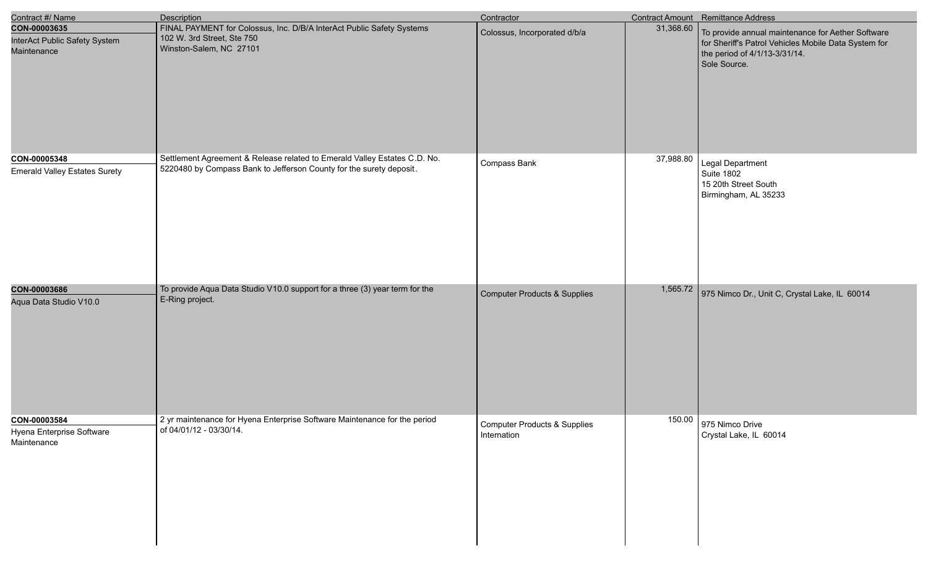| Contract #/ Name                                             | <b>Description</b>                                                                                                                               | Contractor                                             |           | Contract Amount Remittance Address                                                                                                                         |
|--------------------------------------------------------------|--------------------------------------------------------------------------------------------------------------------------------------------------|--------------------------------------------------------|-----------|------------------------------------------------------------------------------------------------------------------------------------------------------------|
| CON-00003635<br>InterAct Public Safety System<br>Maintenance | FINAL PAYMENT for Colossus, Inc. D/B/A InterAct Public Safety Systems<br>102 W. 3rd Street, Ste 750<br>Winston-Salem, NC 27101                   | Colossus, Incorporated d/b/a                           | 31,368.60 | To provide annual maintenance for Aether Software<br>for Sheriff's Patrol Vehicles Mobile Data System for<br>the period of 4/1/13-3/31/14.<br>Sole Source. |
| CON-00005348<br><b>Emerald Valley Estates Surety</b>         | Settlement Agreement & Release related to Emerald Valley Estates C.D. No.<br>5220480 by Compass Bank to Jefferson County for the surety deposit. | Compass Bank                                           | 37,988.80 | Legal Department<br><b>Suite 1802</b><br>15 20th Street South<br>Birmingham, AL 35233                                                                      |
| CON-00003686<br>Aqua Data Studio V10.0                       | To provide Aqua Data Studio V10.0 support for a three (3) year term for the<br>E-Ring project.                                                   | Computer Products & Supplies                           | 1,565.72  | 975 Nimco Dr., Unit C, Crystal Lake, IL 60014                                                                                                              |
| CON-00003584<br>Hyena Enterprise Software<br>Maintenance     | 2 yr maintenance for Hyena Enterprise Software Maintenance for the period<br>of 04/01/12 - 03/30/14.                                             | <b>Computer Products &amp; Supplies</b><br>Internation |           | 150.00 975 Nimco Drive<br>Crystal Lake, IL 60014                                                                                                           |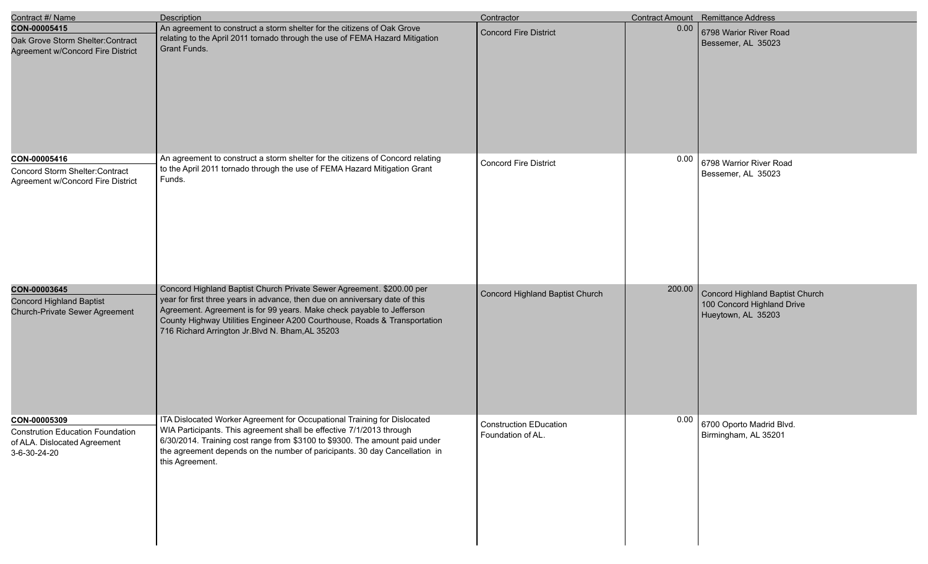| Contract #/ Name                                                                                        | <b>Description</b>                                                                                                                                                                                                                                                                                                                                             | Contractor                                         |        | Contract Amount Remittance Address                                                  |
|---------------------------------------------------------------------------------------------------------|----------------------------------------------------------------------------------------------------------------------------------------------------------------------------------------------------------------------------------------------------------------------------------------------------------------------------------------------------------------|----------------------------------------------------|--------|-------------------------------------------------------------------------------------|
| CON-00005415<br>Oak Grove Storm Shelter: Contract<br>Agreement w/Concord Fire District                  | An agreement to construct a storm shelter for the citizens of Oak Grove<br>relating to the April 2011 tornado through the use of FEMA Hazard Mitigation<br>Grant Funds.                                                                                                                                                                                        | <b>Concord Fire District</b>                       | 0.00   | 6798 Warior River Road<br>Bessemer, AL 35023                                        |
| CON-00005416<br>Concord Storm Shelter:Contract<br>Agreement w/Concord Fire District                     | An agreement to construct a storm shelter for the citizens of Concord relating<br>to the April 2011 tornado through the use of FEMA Hazard Mitigation Grant<br>Funds.                                                                                                                                                                                          | <b>Concord Fire District</b>                       | 0.00   | 6798 Warrior River Road<br>Bessemer, AL 35023                                       |
| CON-00003645<br><b>Concord Highland Baptist</b><br>Church-Private Sewer Agreement                       | Concord Highland Baptist Church Private Sewer Agreement. \$200.00 per<br>year for first three years in advance, then due on anniversary date of this<br>Agreement. Agreement is for 99 years. Make check payable to Jefferson<br>County Highway Utilities Engineer A200 Courthouse, Roads & Transportation<br>716 Richard Arrington Jr. Blvd N. Bham, AL 35203 | Concord Highland Baptist Church                    | 200.00 | Concord Highland Baptist Church<br>100 Concord Highland Drive<br>Hueytown, AL 35203 |
| CON-00005309<br><b>Constrution Education Foundation</b><br>of ALA. Dislocated Agreement<br>3-6-30-24-20 | ITA Dislocated Worker Agreement for Occupational Training for Dislocated<br>WIA Participants. This agreement shall be effective 7/1/2013 through<br>6/30/2014. Training cost range from \$3100 to \$9300. The amount paid under<br>the agreement depends on the number of paricipants. 30 day Cancellation in<br>this Agreement.                               | <b>Construction EDucation</b><br>Foundation of AL. | 0.00   | 6700 Oporto Madrid Blvd.<br>Birmingham, AL 35201                                    |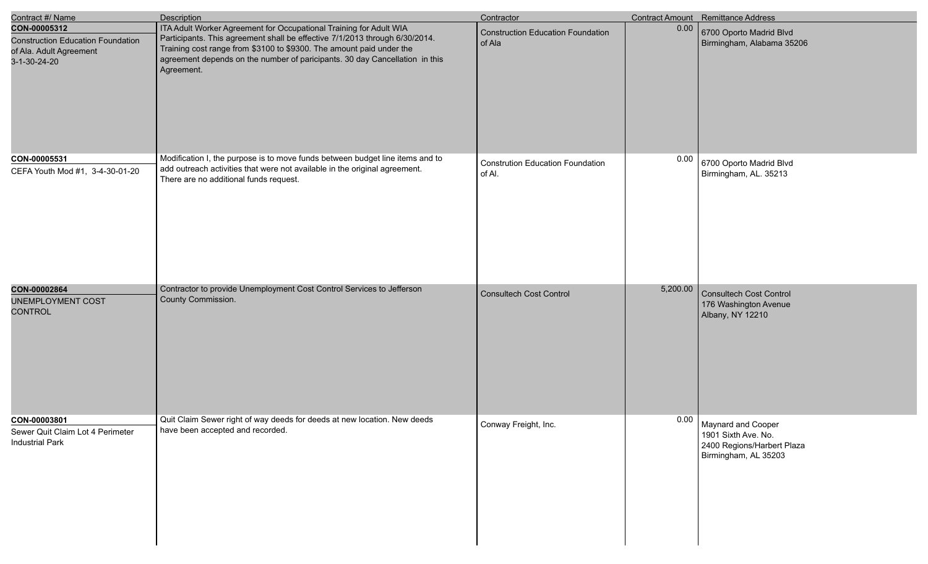| Contract #/ Name                                                                                    | <b>Description</b>                                                                                                                                                                                                                                                                                                     | Contractor                                         |          | Contract Amount Remittance Address                                                              |
|-----------------------------------------------------------------------------------------------------|------------------------------------------------------------------------------------------------------------------------------------------------------------------------------------------------------------------------------------------------------------------------------------------------------------------------|----------------------------------------------------|----------|-------------------------------------------------------------------------------------------------|
| CON-00005312<br><b>Construction Education Foundation</b><br>of Ala. Adult Agreement<br>3-1-30-24-20 | ITA Adult Worker Agreement for Occupational Training for Adult WIA<br>Participants. This agreement shall be effective 7/1/2013 through 6/30/2014.<br>Training cost range from \$3100 to \$9300. The amount paid under the<br>agreement depends on the number of paricipants. 30 day Cancellation in this<br>Agreement. | <b>Construction Education Foundation</b><br>of Ala | 0.00     | 6700 Oporto Madrid Blvd<br>Birmingham, Alabama 35206                                            |
| CON-00005531<br>CEFA Youth Mod #1, 3-4-30-01-20                                                     | Modification I, the purpose is to move funds between budget line items and to<br>add outreach activities that were not available in the original agreement.<br>There are no additional funds request.                                                                                                                  | <b>Constrution Education Foundation</b><br>of Al.  | 0.00     | 6700 Oporto Madrid Blvd<br>Birmingham, AL. 35213                                                |
| CON-00002864<br><b>UNEMPLOYMENT COST</b><br><b>CONTROL</b>                                          | Contractor to provide Unemployment Cost Control Services to Jefferson<br>County Commission.                                                                                                                                                                                                                            | <b>Consultech Cost Control</b>                     | 5,200.00 | <b>Consultech Cost Control</b><br>176 Washington Avenue<br>Albany, NY 12210                     |
| CON-00003801<br>Sewer Quit Claim Lot 4 Perimeter<br><b>Industrial Park</b>                          | Quit Claim Sewer right of way deeds for deeds at new location. New deeds<br>have been accepted and recorded.                                                                                                                                                                                                           | Conway Freight, Inc.                               | 0.00     | Maynard and Cooper<br>1901 Sixth Ave. No.<br>2400 Regions/Harbert Plaza<br>Birmingham, AL 35203 |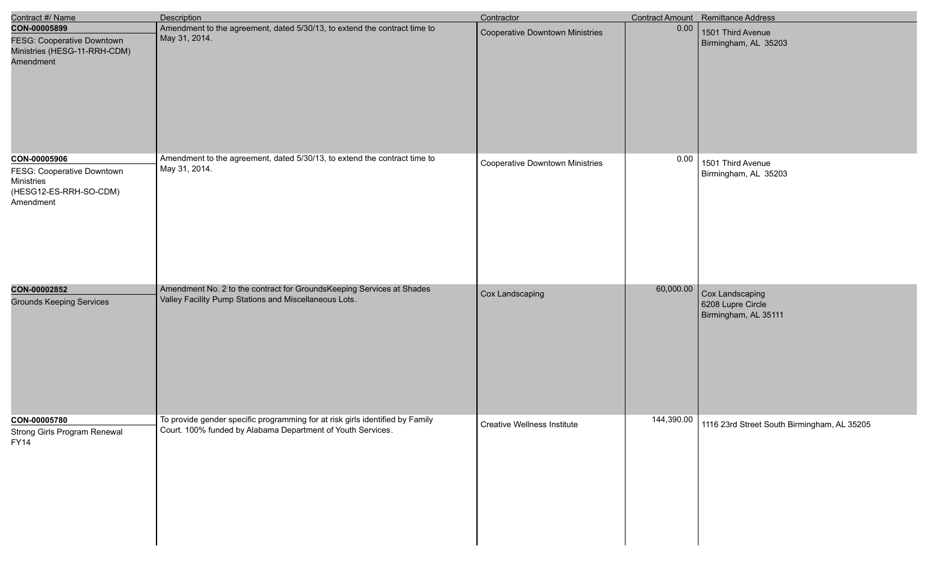| Contract #/ Name                                                                                | Description                                                                                                                                  | Contractor                             |           | Contract Amount Remittance Address                           |
|-------------------------------------------------------------------------------------------------|----------------------------------------------------------------------------------------------------------------------------------------------|----------------------------------------|-----------|--------------------------------------------------------------|
| CON-00005899<br><b>FESG: Cooperative Downtown</b><br>Ministries (HESG-11-RRH-CDM)<br>Amendment  | Amendment to the agreement, dated 5/30/13, to extend the contract time to<br>May 31, 2014.                                                   | <b>Cooperative Downtown Ministries</b> | 0.00      | 1501 Third Avenue<br>Birmingham, AL 35203                    |
| CON-00005906<br>FESG: Cooperative Downtown<br>Ministries<br>(HESG12-ES-RRH-SO-CDM)<br>Amendment | Amendment to the agreement, dated 5/30/13, to extend the contract time to<br>May 31, 2014.                                                   | <b>Cooperative Downtown Ministries</b> | 0.00      | 1501 Third Avenue<br>Birmingham, AL 35203                    |
| CON-00002852<br><b>Grounds Keeping Services</b>                                                 | Amendment No. 2 to the contract for GroundsKeeping Services at Shades<br>Valley Facility Pump Stations and Miscellaneous Lots.               | Cox Landscaping                        | 60,000.00 | Cox Landscaping<br>6208 Lupre Circle<br>Birmingham, AL 35111 |
| CON-00005780<br>Strong Girls Program Renewal<br><b>FY14</b>                                     | To provide gender specific programming for at risk girls identified by Family<br>Court. 100% funded by Alabama Department of Youth Services. | <b>Creative Wellness Institute</b>     |           | 144,390.00 1116 23rd Street South Birmingham, AL 35205       |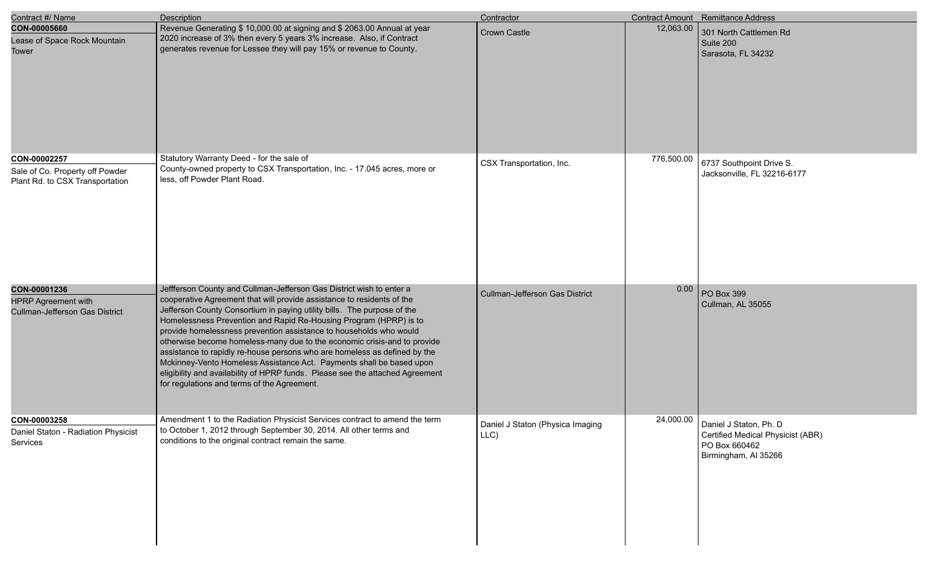| Contract #/ Name                                                                   | Description                                                                                                                                                                                                                                                                                                                                                                                                                                                                                                                                                                                                                                                                                                                           | Contractor                               |            | Contract Amount Remittance Address                                                                   |
|------------------------------------------------------------------------------------|---------------------------------------------------------------------------------------------------------------------------------------------------------------------------------------------------------------------------------------------------------------------------------------------------------------------------------------------------------------------------------------------------------------------------------------------------------------------------------------------------------------------------------------------------------------------------------------------------------------------------------------------------------------------------------------------------------------------------------------|------------------------------------------|------------|------------------------------------------------------------------------------------------------------|
| CON-00005660<br>Lease of Space Rock Mountain<br><b>Tower</b>                       | Revenue Generating \$ 10,000.00 at signing and \$ 2063.00 Annual at year<br>2020 increase of 3% then every 5 years 3% increase. Also, if Contract<br>generates revenue for Lessee they will pay 15% or revenue to County.                                                                                                                                                                                                                                                                                                                                                                                                                                                                                                             | <b>Crown Castle</b>                      | 12,063.00  | 301 North Cattlemen Rd<br>Suite 200<br>Sarasota, FL 34232                                            |
| CON-00002257<br>Sale of Co. Property off Powder<br>Plant Rd. to CSX Transportation | Statutory Warranty Deed - for the sale of<br>County-owned property to CSX Transportation, Inc. - 17.045 acres, more or<br>less, off Powder Plant Road.                                                                                                                                                                                                                                                                                                                                                                                                                                                                                                                                                                                | CSX Transportation, Inc.                 | 776,500.00 | 6737 Southpoint Drive S.<br>Jacksonville, FL 32216-6177                                              |
| CON-00001236<br><b>HPRP Agreement with</b><br>Cullman-Jefferson Gas District       | Jeffferson County and Cullman-Jefferson Gas District wish to enter a<br>cooperative Agreement that will provide assistance to residents of the<br>Jefferson County Consortium in paying utility bills. The purpose of the<br>Homelessness Prevention and Rapid Re-Housing Program (HPRP) is to<br>provide homelessness prevention assistance to households who would<br>otherwise become homeless-many due to the economic crisis-and to provide<br>assistance to rapidly re-house persons who are homeless as defined by the<br>Mckinney-Vento Homeless Assistance Act. Payments shall be based upon<br>eligibility and availability of HPRP funds. Please see the attached Agreement<br>for regulations and terms of the Agreement. | <b>Cullman-Jefferson Gas District</b>    | 0.00       | PO Box 399<br>Cullman, AL 35055                                                                      |
| CON-00003258<br>Daniel Staton - Radiation Physicist<br>Services                    | Amendment 1 to the Radiation Physicist Services contract to amend the term<br>to October 1, 2012 through September 30, 2014. All other terms and<br>conditions to the original contract remain the same.                                                                                                                                                                                                                                                                                                                                                                                                                                                                                                                              | Daniel J Staton (Physica Imaging<br>LLC) | 24,000.00  | Daniel J Staton, Ph. D<br>Certified Medical Physicist (ABR)<br>PO Box 660462<br>Birmingham, Al 35266 |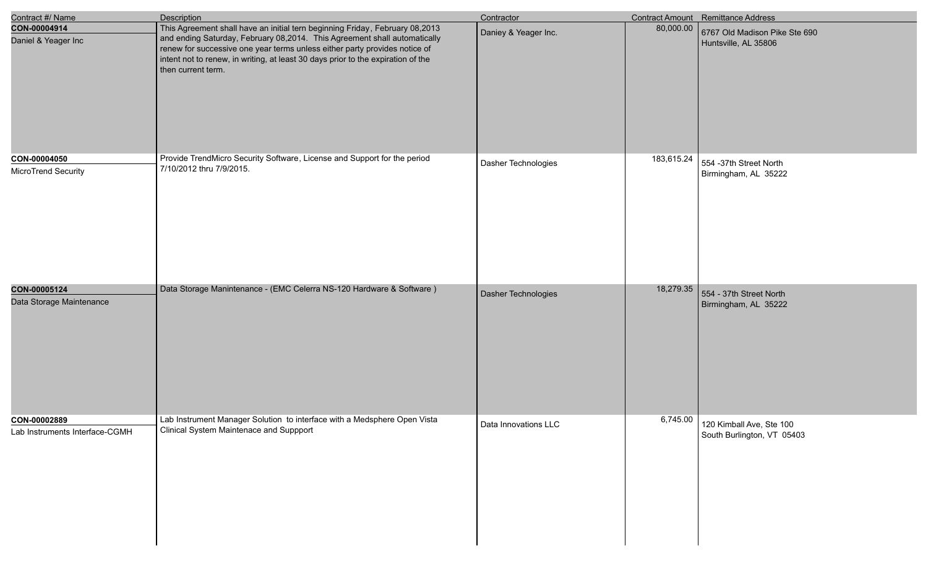| Contract #/ Name                               | Description                                                                                                                                                                                                                                                                                                                                       | Contractor           |            | Contract Amount Remittance Address                     |
|------------------------------------------------|---------------------------------------------------------------------------------------------------------------------------------------------------------------------------------------------------------------------------------------------------------------------------------------------------------------------------------------------------|----------------------|------------|--------------------------------------------------------|
| CON-00004914<br>Daniel & Yeager Inc            | This Agreement shall have an initial tern beginning Friday, February 08,2013<br>and ending Saturday, February 08,2014. This Agreement shall automatically<br>renew for successive one year terms unless either party provides notice of<br>intent not to renew, in writing, at least 30 days prior to the expiration of the<br>then current term. | Daniey & Yeager Inc. | 80,000.00  | 6767 Old Madison Pike Ste 690<br>Huntsville, AL 35806  |
| CON-00004050<br>MicroTrend Security            | Provide TrendMicro Security Software, License and Support for the period<br>7/10/2012 thru 7/9/2015.                                                                                                                                                                                                                                              | Dasher Technologies  | 183,615.24 | 554 -37th Street North<br>Birmingham, AL 35222         |
| CON-00005124<br>Data Storage Maintenance       | Data Storage Manintenance - (EMC Celerra NS-120 Hardware & Software)                                                                                                                                                                                                                                                                              | Dasher Technologies  | 18,279.35  | 554 - 37th Street North<br>Birmingham, AL 35222        |
| CON-00002889<br>Lab Instruments Interface-CGMH | Lab Instrument Manager Solution to interface with a Medsphere Open Vista<br>Clinical System Maintenace and Suppport                                                                                                                                                                                                                               | Data Innovations LLC | 6,745.00   | 120 Kimball Ave, Ste 100<br>South Burlington, VT 05403 |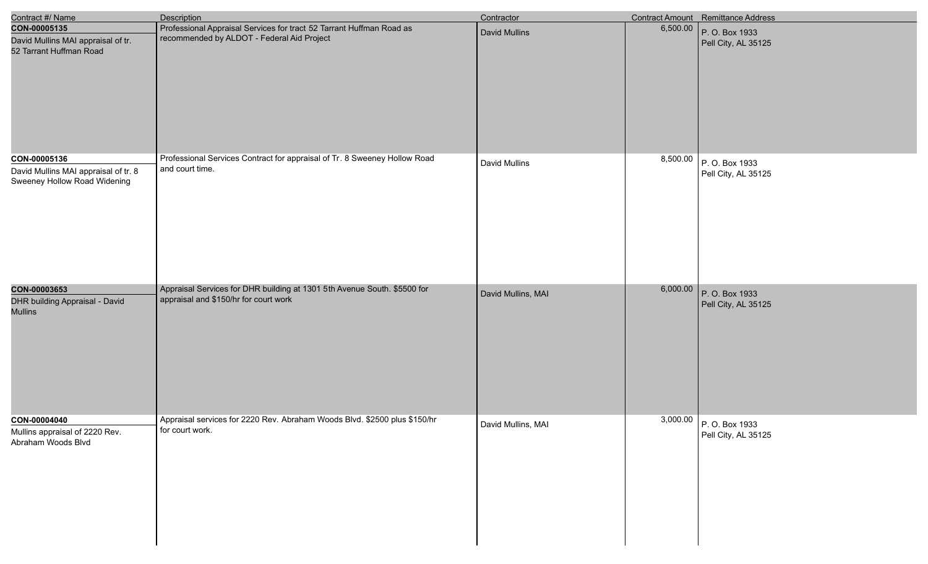| Contract #/ Name                                                                     | Description                                                                                                        | Contractor         |          | Contract Amount Remittance Address              |
|--------------------------------------------------------------------------------------|--------------------------------------------------------------------------------------------------------------------|--------------------|----------|-------------------------------------------------|
| CON-00005135<br>David Mullins MAI appraisal of tr.<br>52 Tarrant Huffman Road        | Professional Appraisal Services for tract 52 Tarrant Huffman Road as<br>recommended by ALDOT - Federal Aid Project | David Mullins      | 6,500.00 | P. O. Box 1933<br>Pell City, AL 35125           |
| CON-00005136<br>David Mullins MAI appraisal of tr. 8<br>Sweeney Hollow Road Widening | Professional Services Contract for appraisal of Tr. 8 Sweeney Hollow Road<br>and court time.                       | David Mullins      | 8,500.00 | P. O. Box 1933<br>Pell City, AL 35125           |
| CON-00003653<br>DHR building Appraisal - David<br><b>Mullins</b>                     | Appraisal Services for DHR building at 1301 5th Avenue South. \$5500 for<br>appraisal and \$150/hr for court work  | David Mullins, MAI | 6,000.00 | P. O. Box 1933<br>Pell City, AL 35125           |
| CON-00004040<br>Mullins appraisal of 2220 Rev.<br>Abraham Woods Blvd                 | Appraisal services for 2220 Rev. Abraham Woods Blvd. \$2500 plus \$150/hr<br>for court work.                       | David Mullins, MAI |          | $3,000.00$ P.O. Box 1933<br>Pell City, AL 35125 |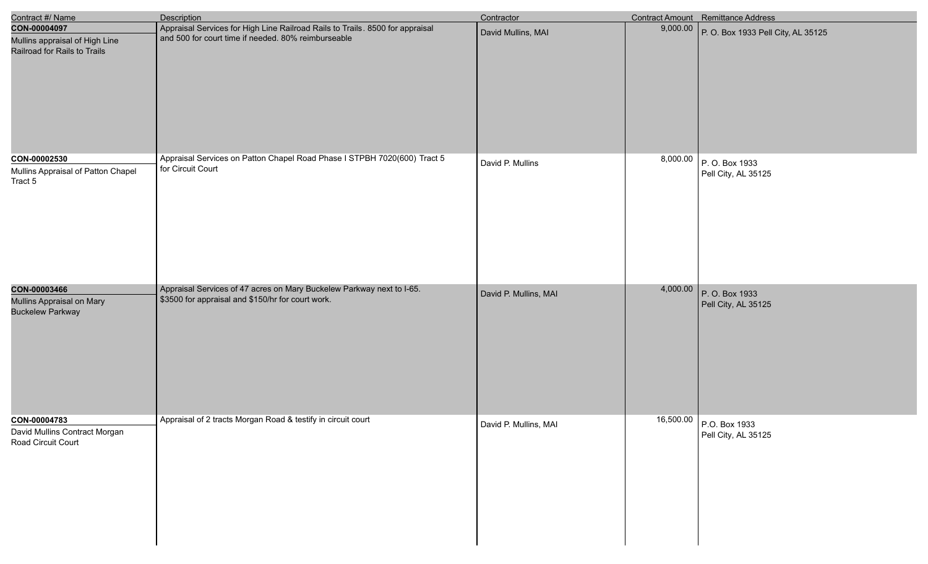| Contract #/ Name                                                               | <b>Description</b>                                                                                                                   | Contractor            |          | Contract Amount Remittance Address              |
|--------------------------------------------------------------------------------|--------------------------------------------------------------------------------------------------------------------------------------|-----------------------|----------|-------------------------------------------------|
| CON-00004097<br>Mullins appraisal of High Line<br>Railroad for Rails to Trails | Appraisal Services for High Line Railroad Rails to Trails. 8500 for appraisal<br>and 500 for court time if needed. 80% reimburseable | David Mullins, MAI    | 9,000.00 | P. O. Box 1933 Pell City, AL 35125              |
| CON-00002530<br>Mullins Appraisal of Patton Chapel<br>Tract 5                  | Appraisal Services on Patton Chapel Road Phase I STPBH 7020(600) Tract 5<br>for Circuit Court                                        | David P. Mullins      |          | $8,000.00$ P.O. Box 1933<br>Pell City, AL 35125 |
| CON-00003466<br>Mullins Appraisal on Mary<br><b>Buckelew Parkway</b>           | Appraisal Services of 47 acres on Mary Buckelew Parkway next to I-65.<br>\$3500 for appraisal and \$150/hr for court work.           | David P. Mullins, MAI |          | 4,000.00 P.O. Box 1933<br>Pell City, AL 35125   |
| CON-00004783<br>David Mullins Contract Morgan<br>Road Circuit Court            | Appraisal of 2 tracts Morgan Road & testify in circuit court                                                                         | David P. Mullins, MAI |          | 16,500.00 P.O. Box 1933<br>Pell City, AL 35125  |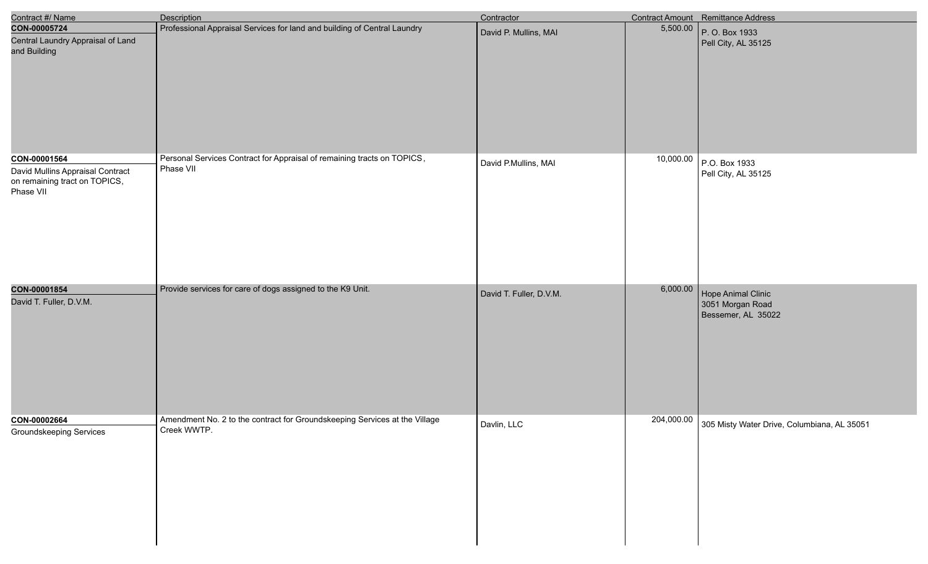| Contract #/ Name                                                                               | Description                                                                               | Contractor              |            | Contract Amount Remittance Address                           |
|------------------------------------------------------------------------------------------------|-------------------------------------------------------------------------------------------|-------------------------|------------|--------------------------------------------------------------|
| CON-00005724<br>Central Laundry Appraisal of Land<br>and Building                              | Professional Appraisal Services for land and building of Central Laundry                  | David P. Mullins, MAI   | 5,500.00   | P. O. Box 1933<br>Pell City, AL 35125                        |
| CON-00001564<br>David Mullins Appraisal Contract<br>on remaining tract on TOPICS,<br>Phase VII | Personal Services Contract for Appraisal of remaining tracts on TOPICS,<br>Phase VII      | David P.Mullins, MAI    | 10,000.00  | P.O. Box 1933<br>Pell City, AL 35125                         |
| CON-00001854<br>David T. Fuller, D.V.M.                                                        | Provide services for care of dogs assigned to the K9 Unit.                                | David T. Fuller, D.V.M. | 6,000.00   | Hope Animal Clinic<br>3051 Morgan Road<br>Bessemer, AL 35022 |
| CON-00002664<br><b>Groundskeeping Services</b>                                                 | Amendment No. 2 to the contract for Groundskeeping Services at the Village<br>Creek WWTP. | Davlin, LLC             | 204,000.00 | 305 Misty Water Drive, Columbiana, AL 35051                  |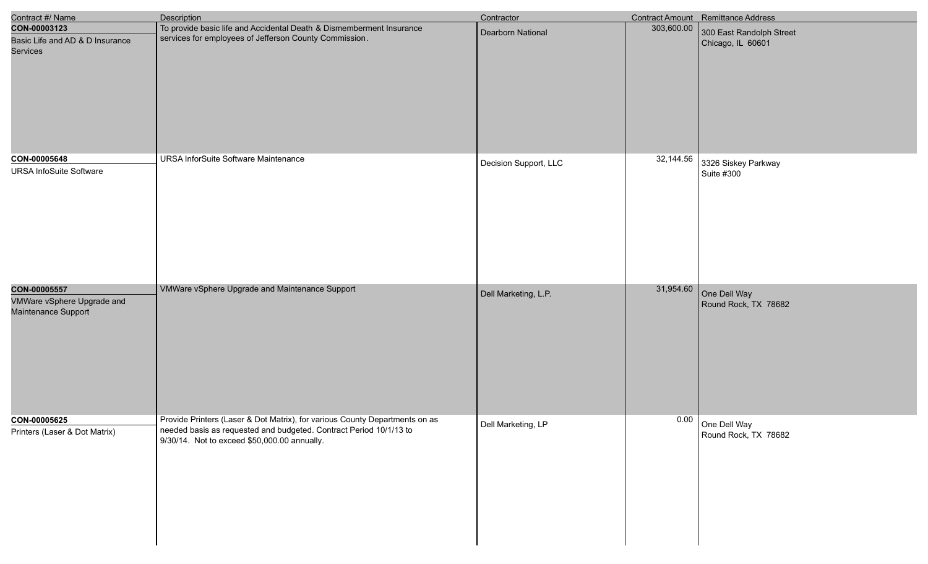| Contract #/ Name                                  | <b>Description</b>                                                                                                 | Contractor            |            | Contract Amount Remittance Address |
|---------------------------------------------------|--------------------------------------------------------------------------------------------------------------------|-----------------------|------------|------------------------------------|
| CON-00003123                                      | To provide basic life and Accidental Death & Dismemberment Insurance                                               | Dearborn National     | 303,600.00 | 300 East Randolph Street           |
| Basic Life and AD & D Insurance<br>Services       | services for employees of Jefferson County Commission.                                                             |                       |            | Chicago, IL 60601                  |
| CON-00005648                                      | URSA InforSuite Software Maintenance                                                                               | Decision Support, LLC | 32,144.56  | 3326 Siskey Parkway                |
| <b>URSA InfoSuite Software</b>                    |                                                                                                                    |                       |            | Suite #300                         |
| CON-00005557                                      | VMWare vSphere Upgrade and Maintenance Support                                                                     | Dell Marketing, L.P.  | 31,954.60  | One Dell Way                       |
| VMWare vSphere Upgrade and<br>Maintenance Support |                                                                                                                    |                       |            | Round Rock, TX 78682               |
| CON-00005625                                      | Provide Printers (Laser & Dot Matrix), for various County Departments on as                                        | Dell Marketing, LP    | 0.00       | One Dell Way                       |
| Printers (Laser & Dot Matrix)                     | needed basis as requested and budgeted. Contract Period 10/1/13 to<br>9/30/14. Not to exceed \$50,000.00 annually. |                       |            | Round Rock, TX 78682               |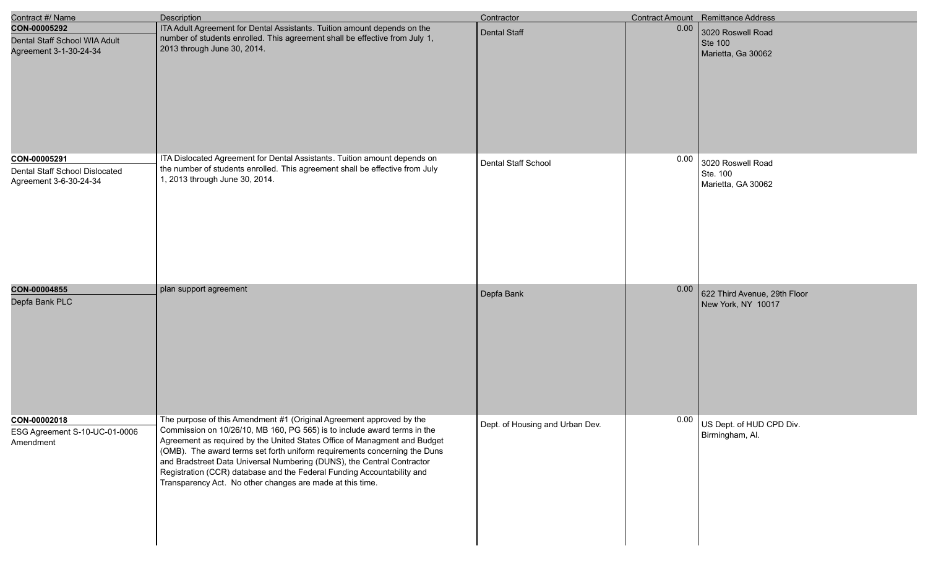| Contract #/ Name                                                         | <b>Description</b>                                                                                                                                                                                                                                                                                                                                                                                                                                                                                                          | Contractor                      |      | <b>Contract Amount</b> Remittance Address                 |
|--------------------------------------------------------------------------|-----------------------------------------------------------------------------------------------------------------------------------------------------------------------------------------------------------------------------------------------------------------------------------------------------------------------------------------------------------------------------------------------------------------------------------------------------------------------------------------------------------------------------|---------------------------------|------|-----------------------------------------------------------|
| CON-00005292<br>Dental Staff School WIA Adult<br>Agreement 3-1-30-24-34  | ITA Adult Agreement for Dental Assistants. Tuition amount depends on the<br>number of students enrolled. This agreement shall be effective from July 1,<br>2013 through June 30, 2014.                                                                                                                                                                                                                                                                                                                                      | <b>Dental Staff</b>             | 0.00 | 3020 Roswell Road<br><b>Ste 100</b><br>Marietta, Ga 30062 |
| CON-00005291<br>Dental Staff School Dislocated<br>Agreement 3-6-30-24-34 | ITA Dislocated Agreement for Dental Assistants. Tuition amount depends on<br>the number of students enrolled. This agreement shall be effective from July<br>1, 2013 through June 30, 2014.                                                                                                                                                                                                                                                                                                                                 | Dental Staff School             | 0.00 | 3020 Roswell Road<br>Ste. 100<br>Marietta, GA 30062       |
| CON-00004855<br>Depfa Bank PLC                                           | plan support agreement                                                                                                                                                                                                                                                                                                                                                                                                                                                                                                      | Depfa Bank                      | 0.00 | 622 Third Avenue, 29th Floor<br>New York, NY 10017        |
| CON-00002018<br>ESG Agreement S-10-UC-01-0006<br>Amendment               | The purpose of this Amendment #1 (Original Agreement approved by the<br>Commission on 10/26/10, MB 160, PG 565) is to include award terms in the<br>Agreement as required by the United States Office of Managment and Budget<br>(OMB). The award terms set forth uniform requirements concerning the Duns<br>and Bradstreet Data Universal Numbering (DUNS), the Central Contractor<br>Registration (CCR) database and the Federal Funding Accountability and<br>Transparency Act. No other changes are made at this time. | Dept. of Housing and Urban Dev. | 0.00 | US Dept. of HUD CPD Div.<br>Birmingham, Al.               |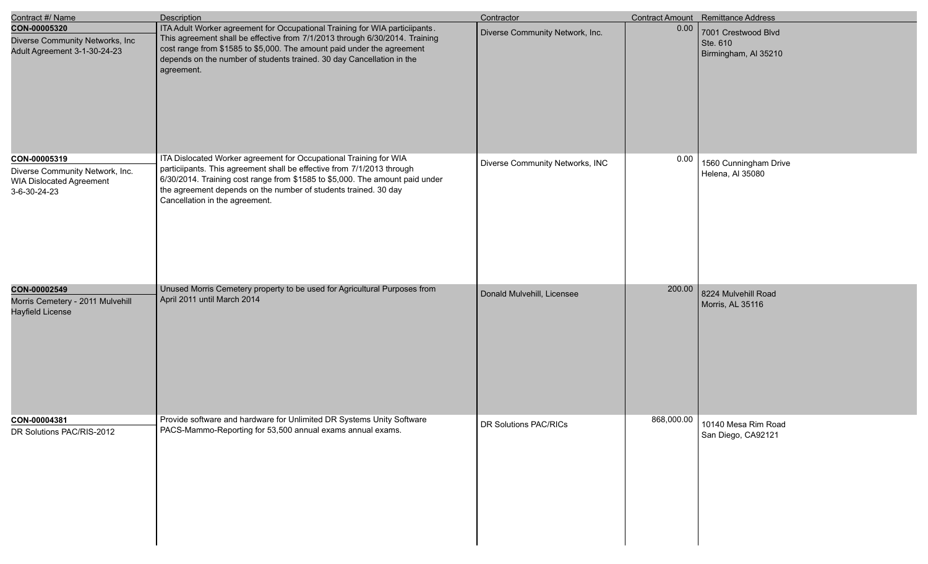| Contract #/ Name                                                                                   | <b>Description</b>                                                                                                                                                                                                                                                                                                               | Contractor                      |            | Contract Amount Remittance Address                      |
|----------------------------------------------------------------------------------------------------|----------------------------------------------------------------------------------------------------------------------------------------------------------------------------------------------------------------------------------------------------------------------------------------------------------------------------------|---------------------------------|------------|---------------------------------------------------------|
| CON-00005320<br>Diverse Community Networks, Inc<br>Adult Agreement 3-1-30-24-23                    | ITA Adult Worker agreement for Occupational Training for WIA particiipants.<br>This agreement shall be effective from 7/1/2013 through 6/30/2014. Training<br>cost range from \$1585 to \$5,000. The amount paid under the agreement<br>depends on the number of students trained. 30 day Cancellation in the<br>agreement.      | Diverse Community Network, Inc. | 0.00       | 7001 Crestwood Blvd<br>Ste. 610<br>Birmingham, Al 35210 |
| CON-00005319<br>Diverse Community Network, Inc.<br><b>WIA Dislocated Agreement</b><br>3-6-30-24-23 | ITA Dislocated Worker agreement for Occupational Training for WIA<br>particiipants. This agreement shall be effective from 7/1/2013 through<br>6/30/2014. Training cost range from \$1585 to \$5,000. The amount paid under<br>the agreement depends on the number of students trained. 30 day<br>Cancellation in the agreement. | Diverse Community Networks, INC | 0.00       | 1560 Cunningham Drive<br>Helena, Al 35080               |
| CON-00002549<br>Morris Cemetery - 2011 Mulvehill<br><b>Hayfield License</b>                        | Unused Morris Cemetery property to be used for Agricultural Purposes from<br>April 2011 until March 2014                                                                                                                                                                                                                         | Donald Mulvehill, Licensee      | 200.00     | 8224 Mulvehill Road<br>Morris, AL 35116                 |
| CON-00004381<br>DR Solutions PAC/RIS-2012                                                          | Provide software and hardware for Unlimited DR Systems Unity Software<br>PACS-Mammo-Reporting for 53,500 annual exams annual exams.                                                                                                                                                                                              | DR Solutions PAC/RICs           | 868,000.00 | 10140 Mesa Rim Road<br>San Diego, CA92121               |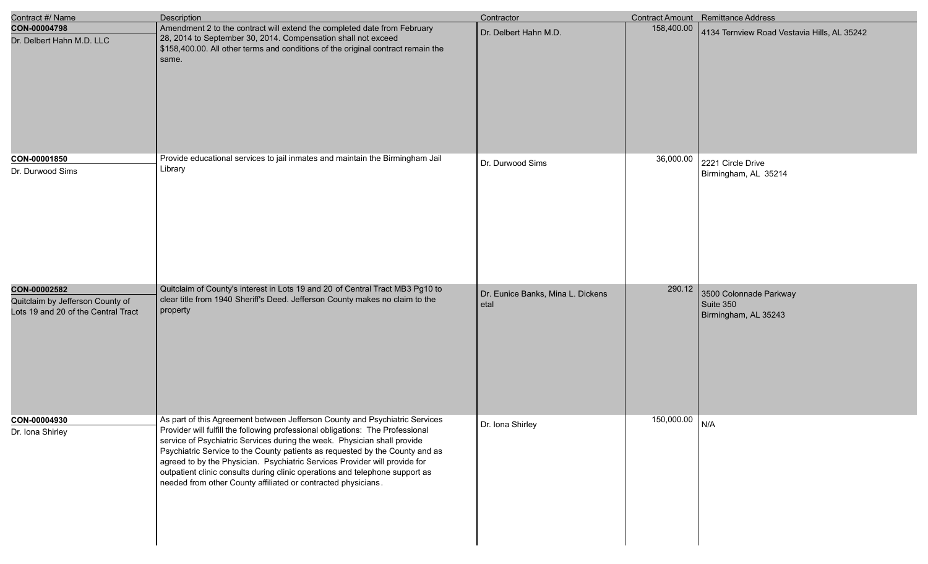| Contract #/ Name                                                                        | Description                                                                                                                                                                                                                                                                                                                                                                                                                                                                                                                                              | Contractor                                |            | Contract Amount Remittance Address                          |
|-----------------------------------------------------------------------------------------|----------------------------------------------------------------------------------------------------------------------------------------------------------------------------------------------------------------------------------------------------------------------------------------------------------------------------------------------------------------------------------------------------------------------------------------------------------------------------------------------------------------------------------------------------------|-------------------------------------------|------------|-------------------------------------------------------------|
| CON-00004798<br>Dr. Delbert Hahn M.D. LLC                                               | Amendment 2 to the contract will extend the completed date from February<br>28, 2014 to September 30, 2014. Compensation shall not exceed<br>\$158,400.00. All other terms and conditions of the original contract remain the<br>same.                                                                                                                                                                                                                                                                                                                   | Dr. Delbert Hahn M.D.                     | 158,400.00 | 4134 Ternview Road Vestavia Hills, AL 35242                 |
| CON-00001850<br>Dr. Durwood Sims                                                        | Provide educational services to jail inmates and maintain the Birmingham Jail<br>Library                                                                                                                                                                                                                                                                                                                                                                                                                                                                 | Dr. Durwood Sims                          | 36,000.00  | 2221 Circle Drive<br>Birmingham, AL 35214                   |
| CON-00002582<br>Quitclaim by Jefferson County of<br>Lots 19 and 20 of the Central Tract | Quitclaim of County's interest in Lots 19 and 20 of Central Tract MB3 Pg10 to<br>clear title from 1940 Sheriff's Deed. Jefferson County makes no claim to the<br>property                                                                                                                                                                                                                                                                                                                                                                                | Dr. Eunice Banks, Mina L. Dickens<br>etal | 290.12     | 3500 Colonnade Parkway<br>Suite 350<br>Birmingham, AL 35243 |
| CON-00004930<br>Dr. Iona Shirley                                                        | As part of this Agreement between Jefferson County and Psychiatric Services<br>Provider will fulfill the following professional obligations: The Professional<br>service of Psychiatric Services during the week. Physician shall provide<br>Psychiatric Service to the County patients as requested by the County and as<br>agreed to by the Physician. Psychiatric Services Provider will provide for<br>outpatient clinic consults during clinic operations and telephone support as<br>needed from other County affiliated or contracted physicians. | Dr. Iona Shirley                          | 150,000.00 | N/A                                                         |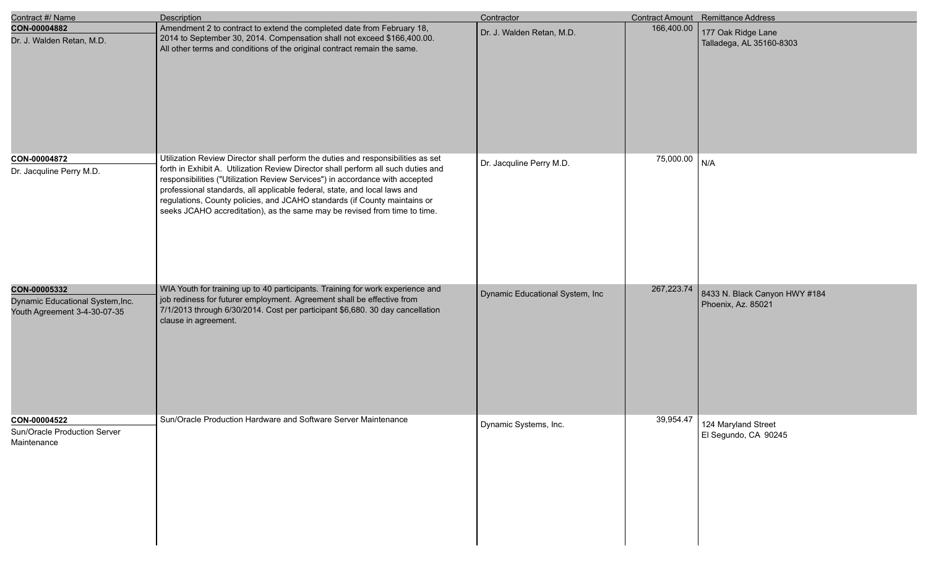| Contract #/ Name                                                                 | Description                                                                                                                                                                                                                                                                                                                                                                                                                                                                                  | Contractor                      |            | <b>Contract Amount</b> Remittance Address           |
|----------------------------------------------------------------------------------|----------------------------------------------------------------------------------------------------------------------------------------------------------------------------------------------------------------------------------------------------------------------------------------------------------------------------------------------------------------------------------------------------------------------------------------------------------------------------------------------|---------------------------------|------------|-----------------------------------------------------|
| CON-00004882<br>Dr. J. Walden Retan, M.D.                                        | Amendment 2 to contract to extend the completed date from February 18,<br>2014 to September 30, 2014. Compensation shall not exceed \$166,400.00.<br>All other terms and conditions of the original contract remain the same.                                                                                                                                                                                                                                                                | Dr. J. Walden Retan, M.D.       | 166,400.00 | 177 Oak Ridge Lane<br>Talladega, AL 35160-8303      |
| CON-00004872<br>Dr. Jacquline Perry M.D.                                         | Utilization Review Director shall perform the duties and responsibilities as set<br>forth in Exhibit A. Utilization Review Director shall perform all such duties and<br>responsibilities ("Utilization Review Services") in accordance with accepted<br>professional standards, all applicable federal, state, and local laws and<br>regulations, County policies, and JCAHO standards (if County maintains or<br>seeks JCAHO accreditation), as the same may be revised from time to time. | Dr. Jacquline Perry M.D.        | 75,000.00  | N/A                                                 |
| CON-00005332<br>Dynamic Educational System, Inc.<br>Youth Agreement 3-4-30-07-35 | WIA Youth for training up to 40 participants. Training for work experience and<br>job rediness for futurer employment. Agreement shall be effective from<br>7/1/2013 through 6/30/2014. Cost per participant \$6,680. 30 day cancellation<br>clause in agreement.                                                                                                                                                                                                                            | Dynamic Educational System, Inc | 267,223.74 | 8433 N. Black Canyon HWY #184<br>Phoenix, Az. 85021 |
| CON-00004522<br>Sun/Oracle Production Server<br>Maintenance                      | Sun/Oracle Production Hardware and Software Server Maintenance                                                                                                                                                                                                                                                                                                                                                                                                                               | Dynamic Systems, Inc.           | 39,954.47  | 124 Maryland Street<br>El Segundo, CA 90245         |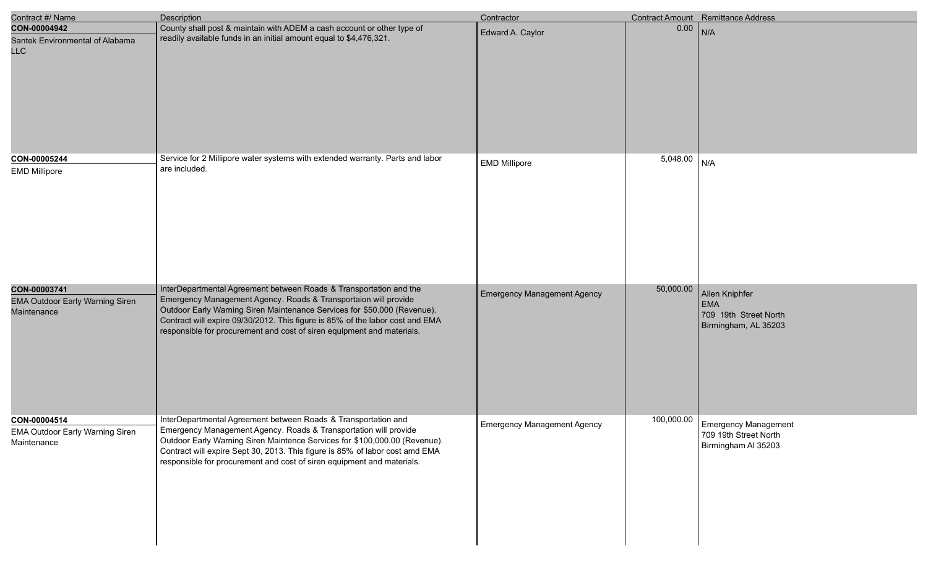| Contract #/ Name                                                      | <b>Description</b>                                                                                                                                                                                                                                                                                                                                                           | Contractor                         |           | Contract Amount Remittance Address                                                |
|-----------------------------------------------------------------------|------------------------------------------------------------------------------------------------------------------------------------------------------------------------------------------------------------------------------------------------------------------------------------------------------------------------------------------------------------------------------|------------------------------------|-----------|-----------------------------------------------------------------------------------|
| CON-00004942<br>Santek Environmental of Alabama<br><b>LLC</b>         | County shall post & maintain with ADEM a cash account or other type of<br>readily available funds in an initial amount equal to \$4,476,321.                                                                                                                                                                                                                                 | Edward A. Caylor                   | 0.00      | N/A                                                                               |
| CON-00005244<br><b>EMD Millipore</b>                                  | Service for 2 Millipore water systems with extended warranty. Parts and labor<br>are included.                                                                                                                                                                                                                                                                               | <b>EMD Millipore</b>               | 5,048.00  | N/A                                                                               |
| CON-00003741<br><b>EMA Outdoor Early Warning Siren</b><br>Maintenance | InterDepartmental Agreement between Roads & Transportation and the<br>Emergency Management Agency. Roads & Transportaion will provide<br>Outdoor Early Warning Siren Maintenance Services for \$50.000 (Revenue).<br>Contract will expire 09/30/2012. This figure is 85% of the labor cost and EMA<br>responsible for procurement and cost of siren equipment and materials. | <b>Emergency Management Agency</b> | 50,000.00 | Allen Kniphfer<br><b>EMA</b><br>709 19th Street North<br>Birmingham, AL 35203     |
| CON-00004514<br><b>EMA Outdoor Early Warning Siren</b><br>Maintenance | InterDepartmental Agreement between Roads & Transportation and<br>Emergency Management Agency. Roads & Transportation will provide<br>Outdoor Early Warning Siren Maintence Services for \$100,000.00 (Revenue).<br>Contract will expire Sept 30, 2013. This figure is 85% of labor cost amd EMA<br>responsible for procurement and cost of siren equipment and materials.   | <b>Emergency Management Agency</b> |           | 100,000.00   Emergency Management<br>709 19th Street North<br>Birmingham Al 35203 |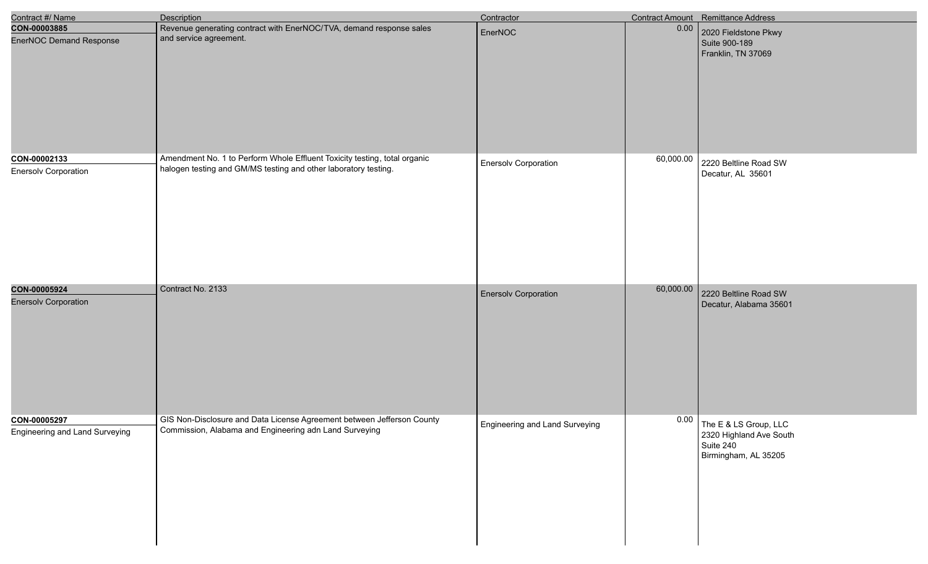| Contract #/ Name                               | <b>Description</b>                                                                                                                           | Contractor                     |           | Contract Amount Remittance Address                                                    |
|------------------------------------------------|----------------------------------------------------------------------------------------------------------------------------------------------|--------------------------------|-----------|---------------------------------------------------------------------------------------|
| CON-00003885<br><b>EnerNOC Demand Response</b> | Revenue generating contract with EnerNOC/TVA, demand response sales<br>and service agreement.                                                | EnerNOC                        | 0.00      | 2020 Fieldstone Pkwy<br>Suite 900-189<br>Franklin, TN 37069                           |
| CON-00002133<br><b>Enersolv Corporation</b>    | Amendment No. 1 to Perform Whole Effluent Toxicity testing, total organic<br>halogen testing and GM/MS testing and other laboratory testing. | <b>Enersolv Corporation</b>    | 60,000.00 | 2220 Beltline Road SW<br>Decatur, AL 35601                                            |
| CON-00005924<br><b>Enersolv Corporation</b>    | Contract No. 2133                                                                                                                            | <b>Enersolv Corporation</b>    | 60,000.00 | 2220 Beltline Road SW<br>Decatur, Alabama 35601                                       |
| CON-00005297<br>Engineering and Land Surveying | GIS Non-Disclosure and Data License Agreement between Jefferson County<br>Commission, Alabama and Engineering adn Land Surveying             | Engineering and Land Surveying | 0.00      | The E & LS Group, LLC<br>2320 Highland Ave South<br>Suite 240<br>Birmingham, AL 35205 |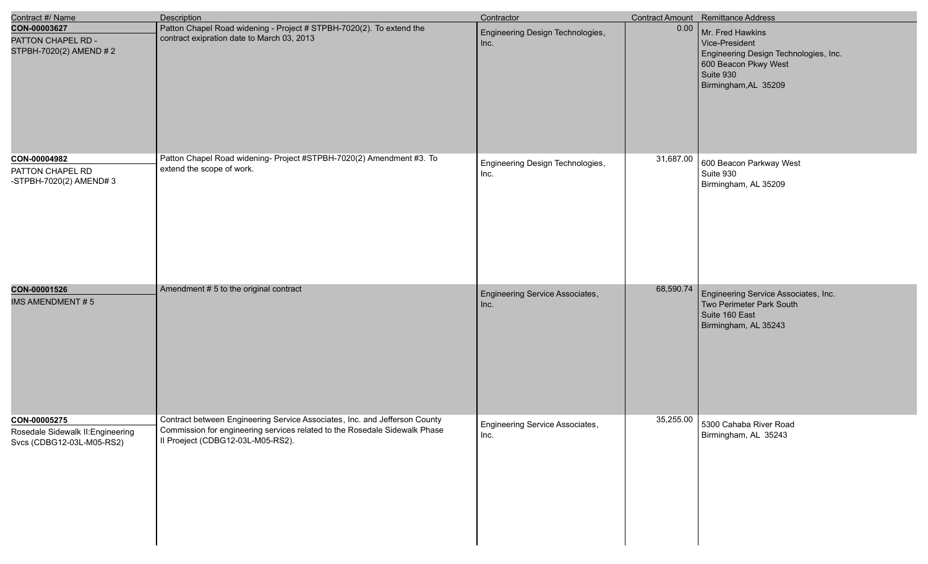| Contract #/ Name                                                               | <b>Description</b>                                                                                                                                                                            | Contractor                               |           | Contract Amount Remittance Address                                                                                                       |
|--------------------------------------------------------------------------------|-----------------------------------------------------------------------------------------------------------------------------------------------------------------------------------------------|------------------------------------------|-----------|------------------------------------------------------------------------------------------------------------------------------------------|
| CON-00003627<br>PATTON CHAPEL RD -<br>STPBH-7020(2) AMEND # 2                  | Patton Chapel Road widening - Project # STPBH-7020(2). To extend the<br>contract exipration date to March 03, 2013                                                                            | Engineering Design Technologies,<br>Inc. | 0.00      | Mr. Fred Hawkins<br>Vice-President<br>Engineering Design Technologies, Inc.<br>600 Beacon Pkwy West<br>Suite 930<br>Birmingham, AL 35209 |
| CON-00004982<br>PATTON CHAPEL RD<br>-STPBH-7020(2) AMEND#3                     | Patton Chapel Road widening- Project #STPBH-7020(2) Amendment #3. To<br>extend the scope of work.                                                                                             | Engineering Design Technologies,<br>Inc. | 31,687.00 | 600 Beacon Parkway West<br>Suite 930<br>Birmingham, AL 35209                                                                             |
| CON-00001526<br><b>IMS AMENDMENT#5</b>                                         | Amendment # 5 to the original contract                                                                                                                                                        | Engineering Service Associates,<br>Inc.  | 68,590.74 | Engineering Service Associates, Inc.<br>Two Perimeter Park South<br>Suite 160 East<br>Birmingham, AL 35243                               |
| CON-00005275<br>Rosedale Sidewalk II: Engineering<br>Svcs (CDBG12-03L-M05-RS2) | Contract between Engineering Service Associates, Inc. and Jefferson County<br>Commission for engineering services related to the Rosedale Sidewalk Phase<br>Il Proeject (CDBG12-03L-M05-RS2). | Engineering Service Associates,<br>Inc.  |           | 35,255.00 5300 Cahaba River Road<br>Birmingham, AL 35243                                                                                 |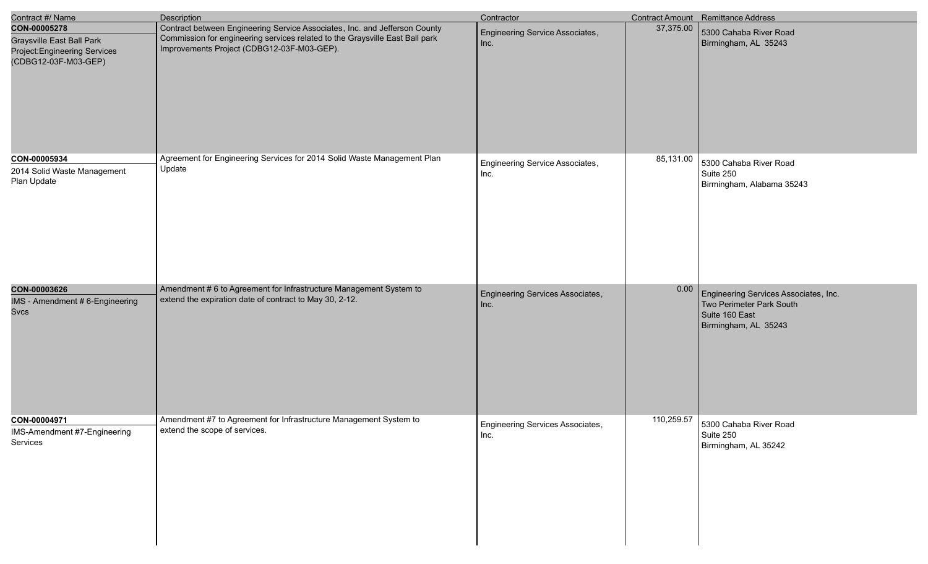| Contract #/ Name                                                                                          | <b>Description</b>                                                                                                                                                                                       | Contractor                               |            | Contract Amount Remittance Address                                                                          |
|-----------------------------------------------------------------------------------------------------------|----------------------------------------------------------------------------------------------------------------------------------------------------------------------------------------------------------|------------------------------------------|------------|-------------------------------------------------------------------------------------------------------------|
| CON-00005278<br><b>Graysville East Ball Park</b><br>Project: Engineering Services<br>(CDBG12-03F-M03-GEP) | Contract between Engineering Service Associates, Inc. and Jefferson County<br>Commission for engineering services related to the Graysville East Ball park<br>Improvements Project (CDBG12-03F-M03-GEP). | Engineering Service Associates,<br>Inc.  | 37,375.00  | 5300 Cahaba River Road<br>Birmingham, AL 35243                                                              |
| CON-00005934<br>2014 Solid Waste Management<br>Plan Update                                                | Agreement for Engineering Services for 2014 Solid Waste Management Plan<br>Update                                                                                                                        | Engineering Service Associates,<br>Inc.  | 85,131.00  | 5300 Cahaba River Road<br>Suite 250<br>Birmingham, Alabama 35243                                            |
| CON-00003626<br>IMS - Amendment # 6-Engineering<br><b>Svcs</b>                                            | Amendment # 6 to Agreement for Infrastructure Management System to<br>extend the expiration date of contract to May 30, 2-12.                                                                            | Engineering Services Associates,<br>Inc. | 0.00       | Engineering Services Associates, Inc.<br>Two Perimeter Park South<br>Suite 160 East<br>Birmingham, AL 35243 |
| CON-00004971<br>IMS-Amendment #7-Engineering<br>Services                                                  | Amendment #7 to Agreement for Infrastructure Management System to<br>extend the scope of services.                                                                                                       | Engineering Services Associates,<br>Inc. | 110,259.57 | 5300 Cahaba River Road<br>Suite 250<br>Birmingham, AL 35242                                                 |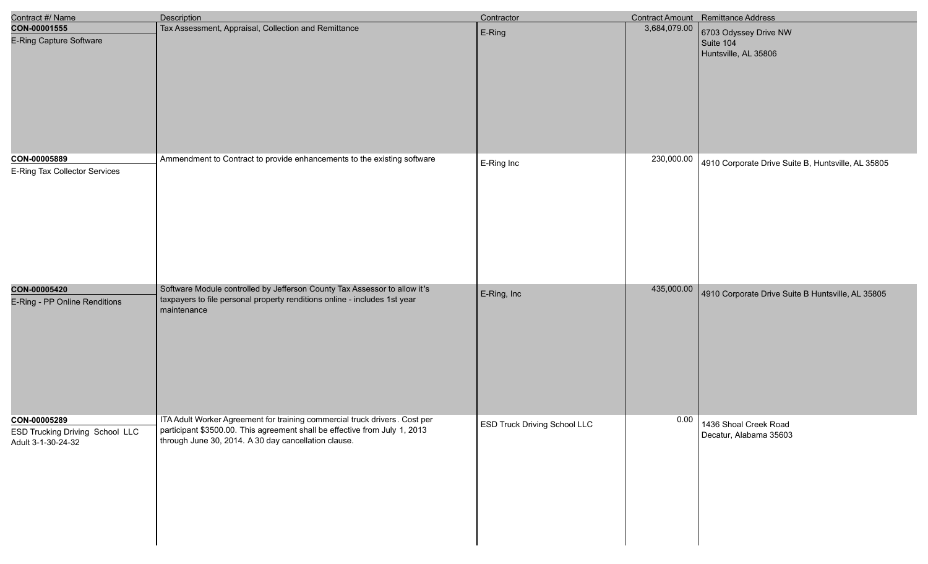| Contract #/ Name                                                      | <b>Description</b>                                                                                                                                                                                               | Contractor                          |              | Contract Amount Remittance Address                         |
|-----------------------------------------------------------------------|------------------------------------------------------------------------------------------------------------------------------------------------------------------------------------------------------------------|-------------------------------------|--------------|------------------------------------------------------------|
| CON-00001555<br><b>E-Ring Capture Software</b>                        | Tax Assessment, Appraisal, Collection and Remittance                                                                                                                                                             | E-Ring                              | 3,684,079.00 | 6703 Odyssey Drive NW<br>Suite 104<br>Huntsville, AL 35806 |
| CON-00005889<br>E-Ring Tax Collector Services                         | Ammendment to Contract to provide enhancements to the existing software                                                                                                                                          | E-Ring Inc                          | 230,000.00   | 4910 Corporate Drive Suite B, Huntsville, AL 35805         |
| CON-00005420<br>E-Ring - PP Online Renditions                         | Software Module controlled by Jefferson County Tax Assessor to allow it's<br>taxpayers to file personal property renditions online - includes 1st year<br>maintenance                                            | E-Ring, Inc                         | 435,000.00   | 4910 Corporate Drive Suite B Huntsville, AL 35805          |
| CON-00005289<br>ESD Trucking Driving School LLC<br>Adult 3-1-30-24-32 | ITA Adult Worker Agreement for training commercial truck drivers. Cost per<br>participant \$3500.00. This agreement shall be effective from July 1, 2013<br>through June 30, 2014. A 30 day cancellation clause. | <b>ESD Truck Driving School LLC</b> | 0.00         | 1436 Shoal Creek Road<br>Decatur, Alabama 35603            |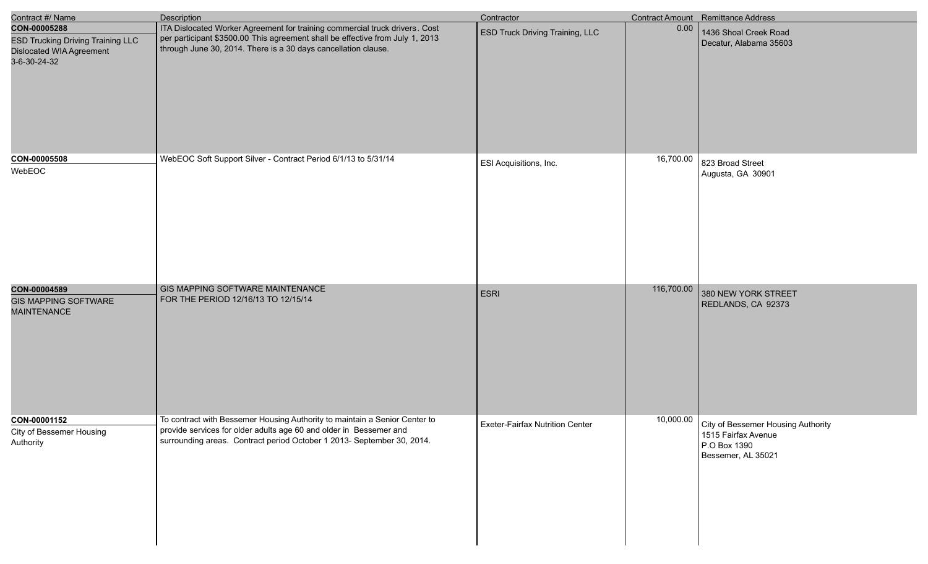| Contract #/ Name                                                                                     | <b>Description</b>                                                                                                                                                                                                             | Contractor                      |            | Contract Amount Remittance Address                                                                          |
|------------------------------------------------------------------------------------------------------|--------------------------------------------------------------------------------------------------------------------------------------------------------------------------------------------------------------------------------|---------------------------------|------------|-------------------------------------------------------------------------------------------------------------|
| CON-00005288<br><b>ESD Trucking Driving Training LLC</b><br>Dislocated WIA Agreement<br>3-6-30-24-32 | ITA Dislocated Worker Agreement for training commercial truck drivers. Cost<br>per participant \$3500.00 This agreement shall be effective from July 1, 2013<br>through June 30, 2014. There is a 30 days cancellation clause. | ESD Truck Driving Training, LLC | 0.00       | 1436 Shoal Creek Road<br>Decatur, Alabama 35603                                                             |
| CON-00005508<br>WebEOC                                                                               | WebEOC Soft Support Silver - Contract Period 6/1/13 to 5/31/14                                                                                                                                                                 | ESI Acquisitions, Inc.          | 16,700.00  | 823 Broad Street<br>Augusta, GA 30901                                                                       |
| CON-00004589<br><b>GIS MAPPING SOFTWARE</b><br><b>MAINTENANCE</b>                                    | GIS MAPPING SOFTWARE MAINTENANCE<br>FOR THE PERIOD 12/16/13 TO 12/15/14                                                                                                                                                        | <b>ESRI</b>                     | 116,700.00 | 380 NEW YORK STREET<br>REDLANDS, CA 92373                                                                   |
| CON-00001152<br>City of Bessemer Housing<br>Authority                                                | To contract with Bessemer Housing Authority to maintain a Senior Center to<br>provide services for older adults age 60 and older in Bessemer and<br>surrounding areas. Contract period October 1 2013- September 30, 2014.     | Exeter-Fairfax Nutrition Center |            | 10,000.00   City of Bessemer Housing Authority<br>1515 Fairfax Avenue<br>P.O Box 1390<br>Bessemer, AL 35021 |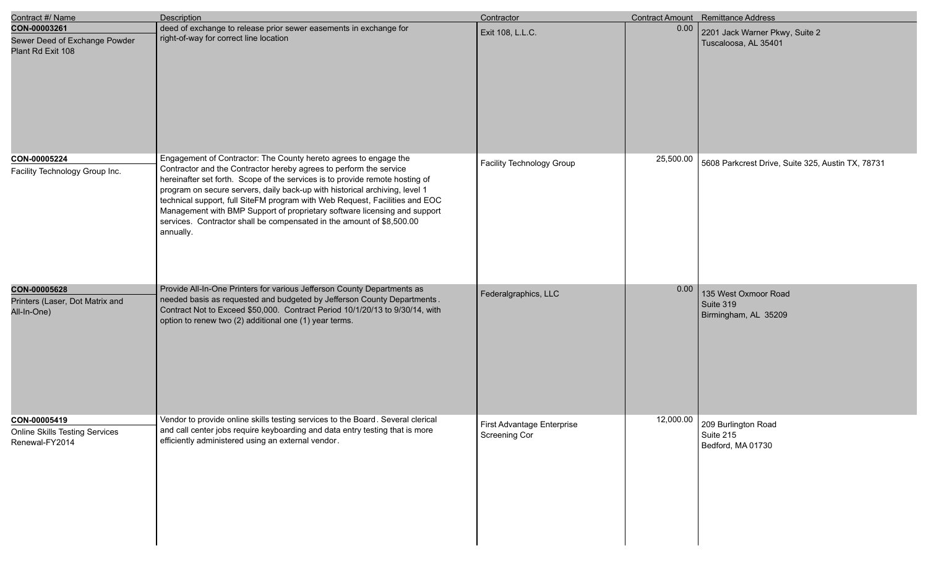| Contract #/ Name                                                        | <b>Description</b>                                                                                                                                                                                                                                                                                                                                                                                                                                                                                                                                      | Contractor                                  |           | Contract Amount Remittance Address                                        |
|-------------------------------------------------------------------------|---------------------------------------------------------------------------------------------------------------------------------------------------------------------------------------------------------------------------------------------------------------------------------------------------------------------------------------------------------------------------------------------------------------------------------------------------------------------------------------------------------------------------------------------------------|---------------------------------------------|-----------|---------------------------------------------------------------------------|
| CON-00003261<br>Sewer Deed of Exchange Powder<br>Plant Rd Exit 108      | deed of exchange to release prior sewer easements in exchange for<br>right-of-way for correct line location                                                                                                                                                                                                                                                                                                                                                                                                                                             | Exit 108, L.L.C.                            | 0.00      | 2201 Jack Warner Pkwy, Suite 2<br>Tuscaloosa, AL 35401                    |
| CON-00005224<br>Facility Technology Group Inc.                          | Engagement of Contractor: The County hereto agrees to engage the<br>Contractor and the Contractor hereby agrees to perform the service<br>hereinafter set forth. Scope of the services is to provide remote hosting of<br>program on secure servers, daily back-up with historical archiving, level 1<br>technical support, full SiteFM program with Web Request, Facilities and EOC<br>Management with BMP Support of proprietary software licensing and support<br>services. Contractor shall be compensated in the amount of \$8,500.00<br>annually. | Facility Technology Group                   | 25,500.00 | 5608 Parkcrest Drive, Suite 325, Austin TX, 78731                         |
| CON-00005628<br>Printers (Laser, Dot Matrix and<br>All-In-One)          | Provide All-In-One Printers for various Jefferson County Departments as<br>needed basis as requested and budgeted by Jefferson County Departments.<br>Contract Not to Exceed \$50,000. Contract Period 10/1/20/13 to 9/30/14, with<br>option to renew two (2) additional one (1) year terms.                                                                                                                                                                                                                                                            | Federalgraphics, LLC                        | 0.00      | 135 West Oxmoor Road<br>Suite 319<br>Birmingham, AL 35209                 |
| CON-00005419<br><b>Online Skills Testing Services</b><br>Renewal-FY2014 | Vendor to provide online skills testing services to the Board. Several clerical<br>and call center jobs require keyboarding and data entry testing that is more<br>efficiently administered using an external vendor.                                                                                                                                                                                                                                                                                                                                   | First Advantage Enterprise<br>Screening Cor |           | $\boxed{12,000.00}$ 209 Burlington Road<br>Suite 215<br>Bedford, MA 01730 |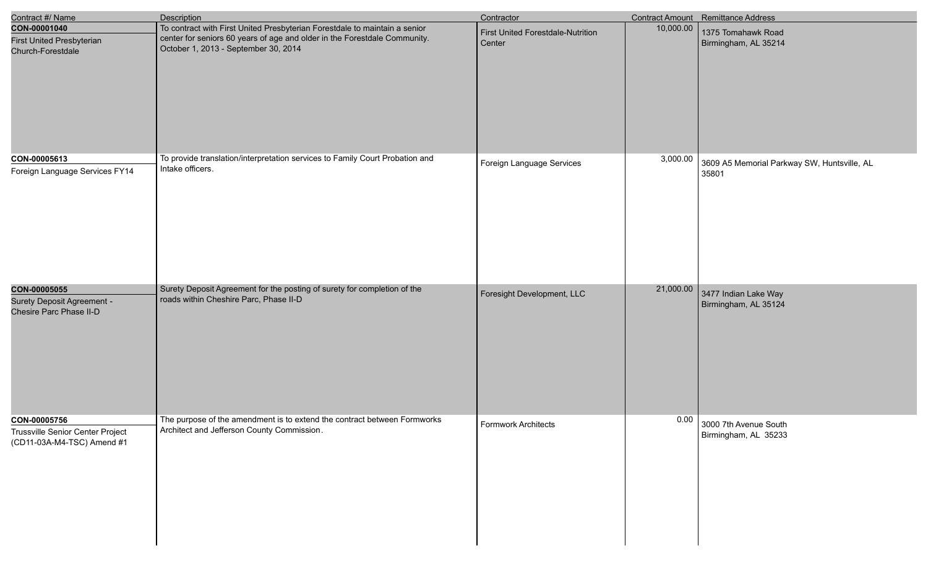| Contract #/ Name                                                               | <b>Description</b>                                                                                                                                                                              | Contractor                                  |           | Contract Amount Remittance Address                   |
|--------------------------------------------------------------------------------|-------------------------------------------------------------------------------------------------------------------------------------------------------------------------------------------------|---------------------------------------------|-----------|------------------------------------------------------|
| CON-00001040<br><b>First United Presbyterian</b><br>Church-Forestdale          | To contract with First United Presbyterian Forestdale to maintain a senior<br>center for seniors 60 years of age and older in the Forestdale Community.<br>October 1, 2013 - September 30, 2014 | First United Forestdale-Nutrition<br>Center | 10,000.00 | 1375 Tomahawk Road<br>Birmingham, AL 35214           |
| CON-00005613<br>Foreign Language Services FY14                                 | To provide translation/interpretation services to Family Court Probation and<br>Intake officers.                                                                                                | Foreign Language Services                   | 3,000.00  | 3609 A5 Memorial Parkway SW, Huntsville, AL<br>35801 |
| CON-00005055<br><b>Surety Deposit Agreement -</b><br>Chesire Parc Phase II-D   | Surety Deposit Agreement for the posting of surety for completion of the<br>roads within Cheshire Parc, Phase II-D                                                                              | Foresight Development, LLC                  | 21,000.00 | 3477 Indian Lake Way<br>Birmingham, AL 35124         |
| CON-00005756<br>Trussville Senior Center Project<br>(CD11-03A-M4-TSC) Amend #1 | The purpose of the amendment is to extend the contract between Formworks<br>Architect and Jefferson County Commission.                                                                          | Formwork Architects                         | 0.00      | 3000 7th Avenue South<br>Birmingham, AL 35233        |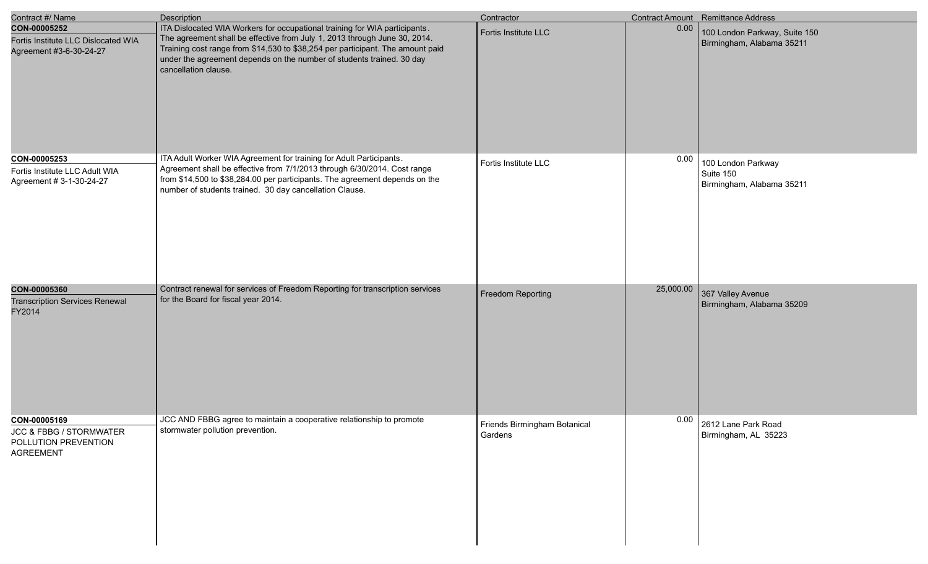| Contract #/ Name                                                                    | <b>Description</b>                                                                                                                                                                                                                                                                                                                         | Contractor                              |           | Contract Amount Remittance Address                           |
|-------------------------------------------------------------------------------------|--------------------------------------------------------------------------------------------------------------------------------------------------------------------------------------------------------------------------------------------------------------------------------------------------------------------------------------------|-----------------------------------------|-----------|--------------------------------------------------------------|
| CON-00005252<br>Fortis Institute LLC Dislocated WIA<br>Agreement #3-6-30-24-27      | ITA Dislocated WIA Workers for occupational training for WIA participants.<br>The agreement shall be effective from July 1, 2013 through June 30, 2014.<br>Training cost range from \$14,530 to \$38,254 per participant. The amount paid<br>under the agreement depends on the number of students trained. 30 day<br>cancellation clause. | Fortis Institute LLC                    | 0.00      | 100 London Parkway, Suite 150<br>Birmingham, Alabama 35211   |
| CON-00005253<br>Fortis Institute LLC Adult WIA<br>Agreement # 3-1-30-24-27          | ITA Adult Worker WIA Agreement for training for Adult Participants.<br>Agreement shall be effective from 7/1/2013 through 6/30/2014. Cost range<br>from \$14,500 to \$38,284.00 per participants. The agreement depends on the<br>number of students trained. 30 day cancellation Clause.                                                  | Fortis Institute LLC                    | 0.00      | 100 London Parkway<br>Suite 150<br>Birmingham, Alabama 35211 |
| CON-00005360<br><b>Transcription Services Renewal</b><br>FY2014                     | Contract renewal for services of Freedom Reporting for transcription services<br>for the Board for fiscal year 2014.                                                                                                                                                                                                                       | Freedom Reporting                       | 25,000.00 | 367 Valley Avenue<br>Birmingham, Alabama 35209               |
| CON-00005169<br>JCC & FBBG / STORMWATER<br>POLLUTION PREVENTION<br><b>AGREEMENT</b> | JCC AND FBBG agree to maintain a cooperative relationship to promote<br>stormwater pollution prevention.                                                                                                                                                                                                                                   | Friends Birmingham Botanical<br>Gardens | 0.00      | 2612 Lane Park Road<br>Birmingham, AL 35223                  |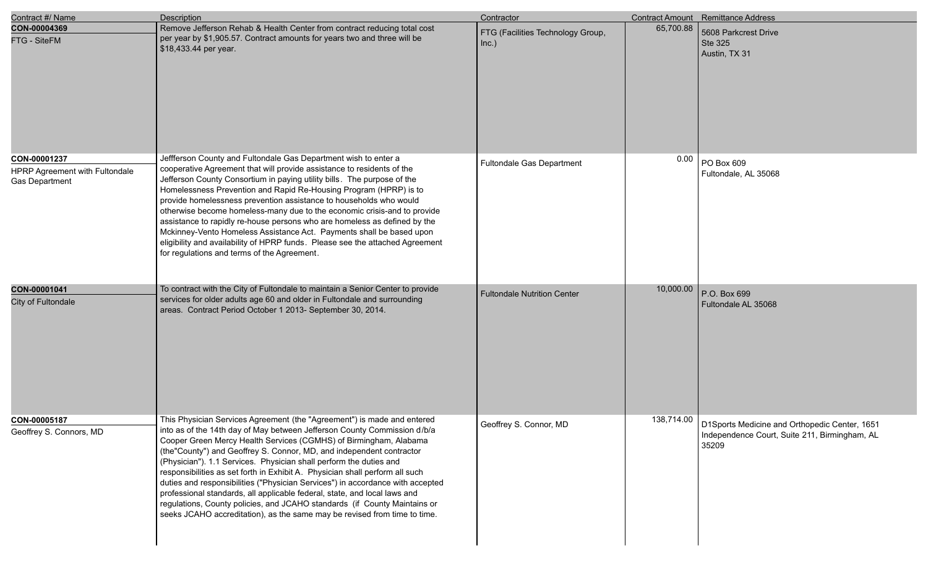| Contract #/ Name                                                        | Description                                                                                                                                                                                                                                                                                                                                                                                                                                                                                                                                                                                                                                                                                                                                                                     | Contractor                                 |           | Contract Amount Remittance Address                                                                                   |
|-------------------------------------------------------------------------|---------------------------------------------------------------------------------------------------------------------------------------------------------------------------------------------------------------------------------------------------------------------------------------------------------------------------------------------------------------------------------------------------------------------------------------------------------------------------------------------------------------------------------------------------------------------------------------------------------------------------------------------------------------------------------------------------------------------------------------------------------------------------------|--------------------------------------------|-----------|----------------------------------------------------------------------------------------------------------------------|
| CON-00004369<br>FTG - SiteFM                                            | Remove Jefferson Rehab & Health Center from contract reducing total cost<br>per year by \$1,905.57. Contract amounts for years two and three will be<br>\$18,433.44 per year.                                                                                                                                                                                                                                                                                                                                                                                                                                                                                                                                                                                                   | FTG (Facilities Technology Group,<br>Inc.) | 65,700.88 | 5608 Parkcrest Drive<br><b>Ste 325</b><br>Austin, TX 31                                                              |
| CON-00001237<br>HPRP Agreement with Fultondale<br><b>Gas Department</b> | Jeffferson County and Fultondale Gas Department wish to enter a<br>cooperative Agreement that will provide assistance to residents of the<br>Jefferson County Consortium in paying utility bills. The purpose of the<br>Homelessness Prevention and Rapid Re-Housing Program (HPRP) is to<br>provide homelessness prevention assistance to households who would<br>otherwise become homeless-many due to the economic crisis-and to provide<br>assistance to rapidly re-house persons who are homeless as defined by the<br>Mckinney-Vento Homeless Assistance Act. Payments shall be based upon<br>eligibility and availability of HPRP funds. Please see the attached Agreement<br>for regulations and terms of the Agreement.                                                | <b>Fultondale Gas Department</b>           | 0.00      | PO Box 609<br>Fultondale, AL 35068                                                                                   |
| CON-00001041<br>City of Fultondale                                      | To contract with the City of Fultondale to maintain a Senior Center to provide<br>services for older adults age 60 and older in Fultondale and surrounding<br>areas. Contract Period October 1 2013- September 30, 2014.                                                                                                                                                                                                                                                                                                                                                                                                                                                                                                                                                        | <b>Fultondale Nutrition Center</b>         | 10,000.00 | P.O. Box 699<br>Fultondale AL 35068                                                                                  |
| CON-00005187<br>Geoffrey S. Connors, MD                                 | This Physician Services Agreement (the "Agreement") is made and entered<br>into as of the 14th day of May between Jefferson County Commission d/b/a<br>Cooper Green Mercy Health Services (CGMHS) of Birmingham, Alabama<br>(the"County") and Geoffrey S. Connor, MD, and independent contractor<br>(Physician"). 1.1 Services. Physician shall perform the duties and<br>responsibilities as set forth in Exhibit A. Physician shall perform all such<br>duties and responsibilities ("Physician Services") in accordance with accepted<br>professional standards, all applicable federal, state, and local laws and<br>regulations, County policies, and JCAHO standards (if County Maintains or<br>seeks JCAHO accreditation), as the same may be revised from time to time. | Geoffrey S. Connor, MD                     |           | 138,714.00   D1Sports Medicine and Orthopedic Center, 1651<br>Independence Court, Suite 211, Birmingham, AL<br>35209 |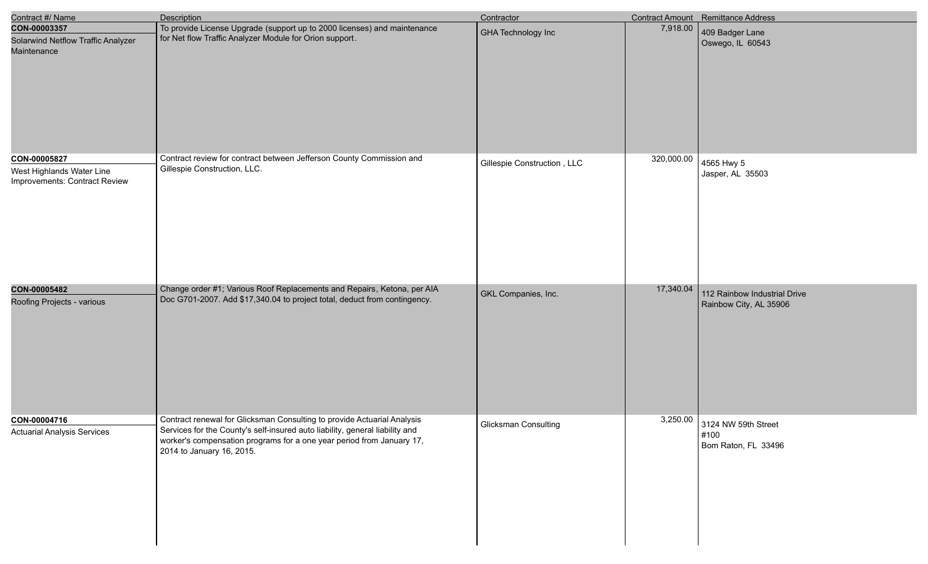| Contract #/ Name                                                           | Description                                                                                                                                                                                                                                                   | Contractor                  |            | Contract Amount Remittance Address                          |
|----------------------------------------------------------------------------|---------------------------------------------------------------------------------------------------------------------------------------------------------------------------------------------------------------------------------------------------------------|-----------------------------|------------|-------------------------------------------------------------|
| CON-00003357<br>Solarwind Netflow Traffic Analyzer<br>Maintenance          | To provide License Upgrade (support up to 2000 licenses) and maintenance<br>for Net flow Traffic Analyzer Module for Orion support.                                                                                                                           | <b>GHA Technology Inc</b>   | 7,918.00   | 409 Badger Lane<br>Oswego, IL 60543                         |
| CON-00005827<br>West Highlands Water Line<br>Improvements: Contract Review | Contract review for contract between Jefferson County Commission and<br>Gillespie Construction, LLC.                                                                                                                                                          | Gillespie Construction, LLC | 320,000.00 | 4565 Hwy 5<br>Jasper, AL 35503                              |
| CON-00005482<br>Roofing Projects - various                                 | Change order #1; Various Roof Replacements and Repairs, Ketona, per AIA<br>Doc G701-2007. Add \$17,340.04 to project total, deduct from contingency.                                                                                                          | GKL Companies, Inc.         | 17,340.04  | 112 Rainbow Industrial Drive<br>Rainbow City, AL 35906      |
| CON-00004716<br><b>Actuarial Analysis Services</b>                         | Contract renewal for Glicksman Consulting to provide Actuarial Analysis<br>Services for the County's self-insured auto liability, general liability and<br>worker's compensation programs for a one year period from January 17,<br>2014 to January 16, 2015. | Glicksman Consulting        |            | 3,250.00 3124 NW 59th Street<br>#100<br>Bom Raton, FL 33496 |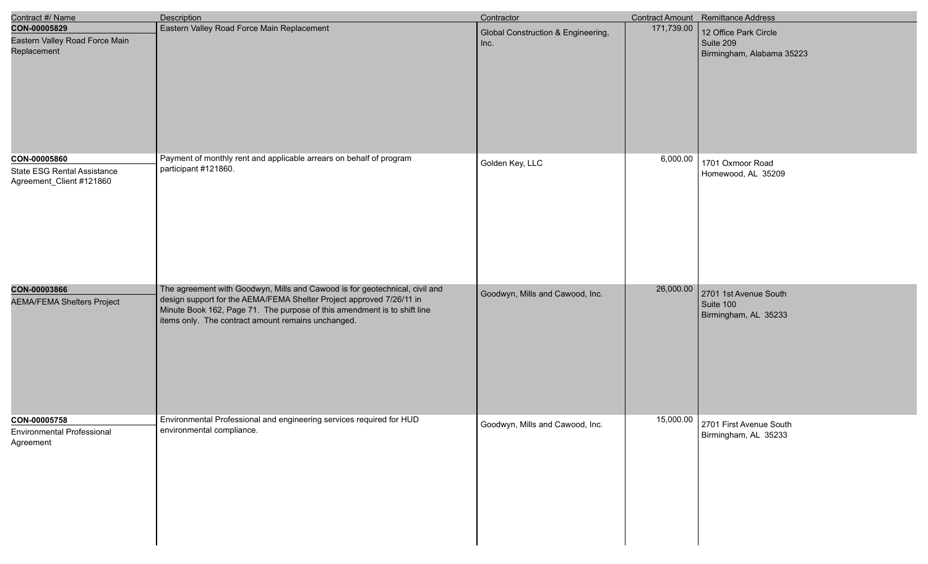| Contract #/ Name                                                               | <b>Description</b>                                                                                                                                                                                                                                                                    | Contractor                                 |            | Contract Amount Remittance Address                              |
|--------------------------------------------------------------------------------|---------------------------------------------------------------------------------------------------------------------------------------------------------------------------------------------------------------------------------------------------------------------------------------|--------------------------------------------|------------|-----------------------------------------------------------------|
| CON-00005829<br>Eastern Valley Road Force Main<br>Replacement                  | Eastern Valley Road Force Main Replacement                                                                                                                                                                                                                                            | Global Construction & Engineering,<br>Inc. | 171,739.00 | 12 Office Park Circle<br>Suite 209<br>Birmingham, Alabama 35223 |
| CON-00005860<br><b>State ESG Rental Assistance</b><br>Agreement_Client #121860 | Payment of monthly rent and applicable arrears on behalf of program<br>participant #121860.                                                                                                                                                                                           | Golden Key, LLC                            | 6,000.00   | 1701 Oxmoor Road<br>Homewood, AL 35209                          |
| CON-00003866<br><b>AEMA/FEMA Shelters Project</b>                              | The agreement with Goodwyn, Mills and Cawood is for geotechnical, civil and<br>design support for the AEMA/FEMA Shelter Project approved 7/26/11 in<br>Minute Book 162, Page 71. The purpose of this amendment is to shift line<br>items only. The contract amount remains unchanged. | Goodwyn, Mills and Cawood, Inc.            | 26,000.00  | 2701 1st Avenue South<br>Suite 100<br>Birmingham, AL 35233      |
| CON-00005758<br>Environmental Professional<br>Agreement                        | Environmental Professional and engineering services required for HUD<br>environmental compliance.                                                                                                                                                                                     | Goodwyn, Mills and Cawood, Inc.            | 15,000.00  | 2701 First Avenue South<br>Birmingham, AL 35233                 |

I

I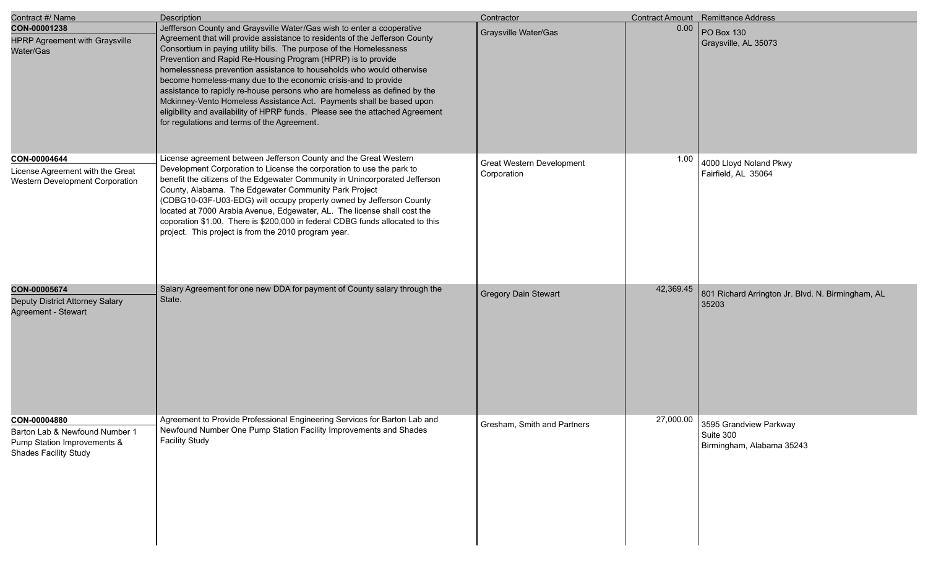| Contract #/ Name                                                                                              | <b>Description</b>                                                                                                                                                                                                                                                                                                                                                                                                                                                                                                                                                                                                                                                                                                          | Contractor                               |           | Contract Amount Remittance Address                                           |
|---------------------------------------------------------------------------------------------------------------|-----------------------------------------------------------------------------------------------------------------------------------------------------------------------------------------------------------------------------------------------------------------------------------------------------------------------------------------------------------------------------------------------------------------------------------------------------------------------------------------------------------------------------------------------------------------------------------------------------------------------------------------------------------------------------------------------------------------------------|------------------------------------------|-----------|------------------------------------------------------------------------------|
| CON-00001238<br><b>HPRP Agreement with Graysville</b><br>Water/Gas                                            | Jeffferson County and Graysville Water/Gas wish to enter a cooperative<br>Agreement that will provide assistance to residents of the Jefferson County<br>Consortium in paying utility bills. The purpose of the Homelessness<br>Prevention and Rapid Re-Housing Program (HPRP) is to provide<br>homelessness prevention assistance to households who would otherwise<br>become homeless-many due to the economic crisis-and to provide<br>assistance to rapidly re-house persons who are homeless as defined by the<br>Mckinney-Vento Homeless Assistance Act. Payments shall be based upon<br>eligibility and availability of HPRP funds. Please see the attached Agreement<br>for regulations and terms of the Agreement. | Graysville Water/Gas                     |           | 0.00 PO Box 130<br>Graysville, AL 35073                                      |
| CON-00004644<br>License Agreement with the Great<br>Western Development Corporation                           | License agreement between Jefferson County and the Great Western<br>Development Corporation to License the corporation to use the park to<br>benefit the citizens of the Edgewater Community in Unincorporated Jefferson<br>County, Alabama. The Edgewater Community Park Project<br>(CDBG10-03F-U03-EDG) will occupy property owned by Jefferson County<br>located at 7000 Arabia Avenue, Edgewater, AL. The license shall cost the<br>coporation \$1.00. There is \$200,000 in federal CDBG funds allocated to this<br>project. This project is from the 2010 program year.                                                                                                                                               | Great Western Development<br>Corporation | 1.00      | 4000 Lloyd Noland Pkwy<br>Fairfield, AL 35064                                |
| CON-00005674<br>Deputy District Attorney Salary<br>Agreement - Stewart                                        | Salary Agreement for one new DDA for payment of County salary through the<br>State.                                                                                                                                                                                                                                                                                                                                                                                                                                                                                                                                                                                                                                         | <b>Gregory Dain Stewart</b>              | 42,369.45 | 801 Richard Arrington Jr. Blvd. N. Birmingham, AL<br>35203                   |
| CON-00004880<br>Barton Lab & Newfound Number 1<br>Pump Station Improvements &<br><b>Shades Facility Study</b> | Agreement to Provide Professional Engineering Services for Barton Lab and<br>Newfound Number One Pump Station Facility Improvements and Shades<br><b>Facility Study</b>                                                                                                                                                                                                                                                                                                                                                                                                                                                                                                                                                     | Gresham, Smith and Partners              |           | $27,000.00$ 3595 Grandview Parkway<br>Suite 300<br>Birmingham, Alabama 35243 |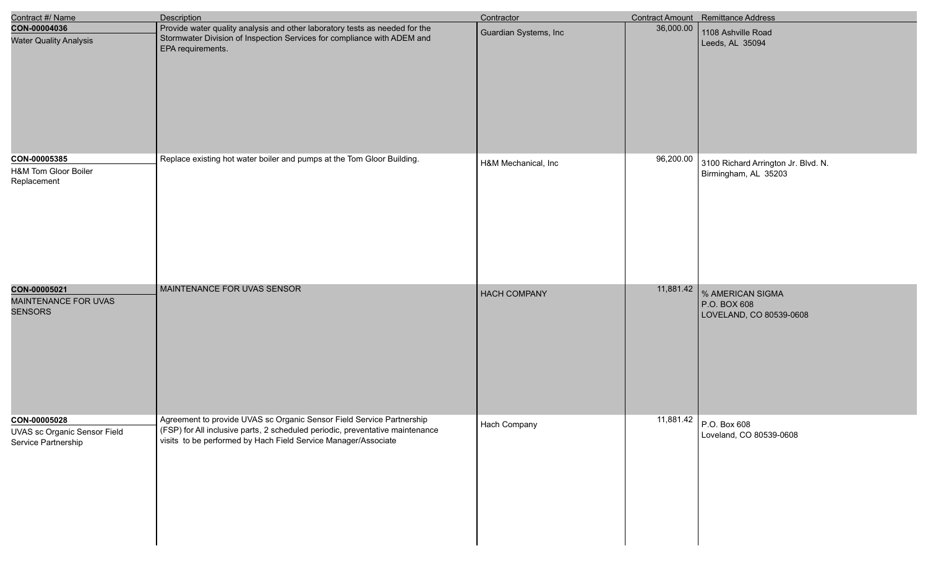| Contract #/ Name                                                           | Description                                                                                                                                                                                                              | Contractor            |           | Contract Amount Remittance Address                          |
|----------------------------------------------------------------------------|--------------------------------------------------------------------------------------------------------------------------------------------------------------------------------------------------------------------------|-----------------------|-----------|-------------------------------------------------------------|
| CON-00004036<br><b>Water Quality Analysis</b>                              | Provide water quality analysis and other laboratory tests as needed for the<br>Stormwater Division of Inspection Services for compliance with ADEM and<br>EPA requirements.                                              | Guardian Systems, Inc | 36,000.00 | 1108 Ashville Road<br>Leeds, AL 35094                       |
| CON-00005385<br>H&M Tom Gloor Boiler<br>Replacement                        | Replace existing hot water boiler and pumps at the Tom Gloor Building.                                                                                                                                                   | H&M Mechanical, Inc   | 96,200.00 | 3100 Richard Arrington Jr. Blvd. N.<br>Birmingham, AL 35203 |
| CON-00005021<br>MAINTENANCE FOR UVAS<br><b>SENSORS</b>                     | MAINTENANCE FOR UVAS SENSOR                                                                                                                                                                                              | <b>HACH COMPANY</b>   | 11,881.42 | % AMERICAN SIGMA<br>P.O. BOX 608<br>LOVELAND, CO 80539-0608 |
| CON-00005028<br><b>UVAS sc Organic Sensor Field</b><br>Service Partnership | Agreement to provide UVAS sc Organic Sensor Field Service Partnership<br>(FSP) for All inclusive parts, 2 scheduled periodic, preventative maintenance<br>visits to be performed by Hach Field Service Manager/Associate | Hach Company          |           | 11,881.42 P.O. Box 608<br>Loveland, CO 80539-0608           |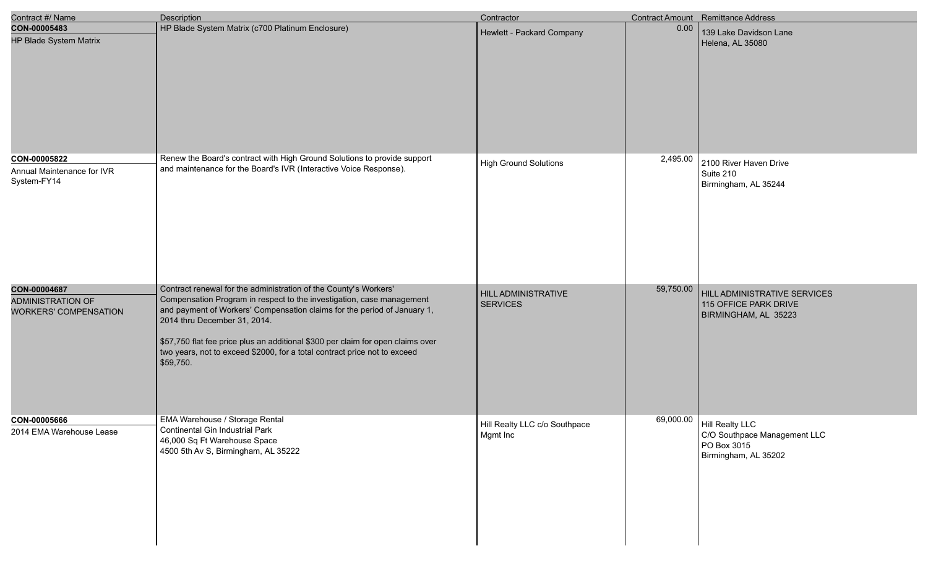| Contract #/ Name                                                         | <b>Description</b>                                                                                                                                                                                                                                                                                                                                                                                                                 | Contractor                                    |           | Contract Amount Remittance Address                                                                 |
|--------------------------------------------------------------------------|------------------------------------------------------------------------------------------------------------------------------------------------------------------------------------------------------------------------------------------------------------------------------------------------------------------------------------------------------------------------------------------------------------------------------------|-----------------------------------------------|-----------|----------------------------------------------------------------------------------------------------|
| CON-00005483<br>HP Blade System Matrix                                   | HP Blade System Matrix (c700 Platinum Enclosure)                                                                                                                                                                                                                                                                                                                                                                                   | Hewlett - Packard Company                     | 0.00      | 139 Lake Davidson Lane<br>Helena, AL 35080                                                         |
| CON-00005822<br>Annual Maintenance for IVR<br>System-FY14                | Renew the Board's contract with High Ground Solutions to provide support<br>and maintenance for the Board's IVR (Interactive Voice Response).                                                                                                                                                                                                                                                                                      | <b>High Ground Solutions</b>                  | 2,495.00  | 2100 River Haven Drive<br>Suite 210<br>Birmingham, AL 35244                                        |
| CON-00004687<br><b>ADMINISTRATION OF</b><br><b>WORKERS' COMPENSATION</b> | Contract renewal for the administration of the County's Workers'<br>Compensation Program in respect to the investigation, case management<br>and payment of Workers' Compensation claims for the period of January 1,<br>2014 thru December 31, 2014.<br>\$57,750 flat fee price plus an additional \$300 per claim for open claims over<br>two years, not to exceed \$2000, for a total contract price not to exceed<br>\$59,750. | <b>HILL ADMINISTRATIVE</b><br><b>SERVICES</b> | 59,750.00 | HILL ADMINISTRATIVE SERVICES<br>115 OFFICE PARK DRIVE<br>BIRMINGHAM, AL 35223                      |
| CON-00005666<br>2014 EMA Warehouse Lease                                 | EMA Warehouse / Storage Rental<br>Continental Gin Industrial Park<br>46,000 Sq Ft Warehouse Space<br>4500 5th Av S, Birmingham, AL 35222                                                                                                                                                                                                                                                                                           | Hill Realty LLC c/o Southpace<br>Mgmt Inc     |           | 69,000.00   Hill Realty LLC<br>C/O Southpace Management LLC<br>PO Box 3015<br>Birmingham, AL 35202 |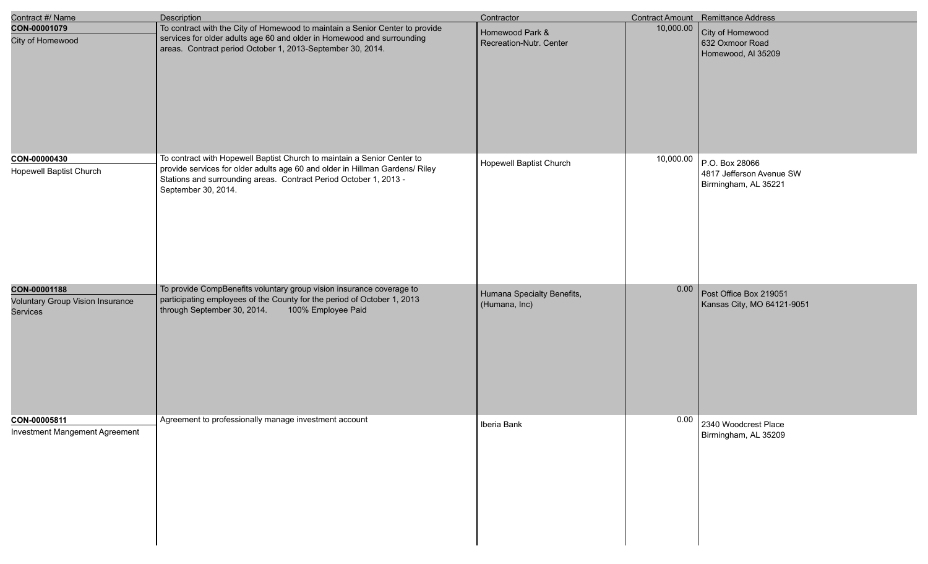| Contract #/ Name                                                    | Description                                                                                                                                                                                                                                         | Contractor                                  |           | Contract Amount Remittance Address                                 |
|---------------------------------------------------------------------|-----------------------------------------------------------------------------------------------------------------------------------------------------------------------------------------------------------------------------------------------------|---------------------------------------------|-----------|--------------------------------------------------------------------|
| CON-00001079<br>City of Homewood                                    | To contract with the City of Homewood to maintain a Senior Center to provide<br>services for older adults age 60 and older in Homewood and surrounding<br>areas. Contract period October 1, 2013-September 30, 2014.                                | Homewood Park &<br>Recreation-Nutr. Center  | 10,000.00 | City of Homewood<br>632 Oxmoor Road<br>Homewood, Al 35209          |
| CON-00000430<br><b>Hopewell Baptist Church</b>                      | To contract with Hopewell Baptist Church to maintain a Senior Center to<br>provide services for older adults age 60 and older in Hillman Gardens/ Riley<br>Stations and surrounding areas. Contract Period October 1, 2013 -<br>September 30, 2014. | <b>Hopewell Baptist Church</b>              | 10,000.00 | P.O. Box 28066<br>4817 Jefferson Avenue SW<br>Birmingham, AL 35221 |
| CON-00001188<br><b>Voluntary Group Vision Insurance</b><br>Services | To provide CompBenefits voluntary group vision insurance coverage to<br>participating employees of the County for the period of October 1, 2013<br>100% Employee Paid<br>through September 30, 2014.                                                | Humana Specialty Benefits,<br>(Humana, Inc) | 0.00      | Post Office Box 219051<br>Kansas City, MO 64121-9051               |
| CON-00005811<br><b>Investment Mangement Agreement</b>               | Agreement to professionally manage investment account                                                                                                                                                                                               | Iberia Bank                                 |           | 0.00 2340 Woodcrest Place<br>Birmingham, AL 35209                  |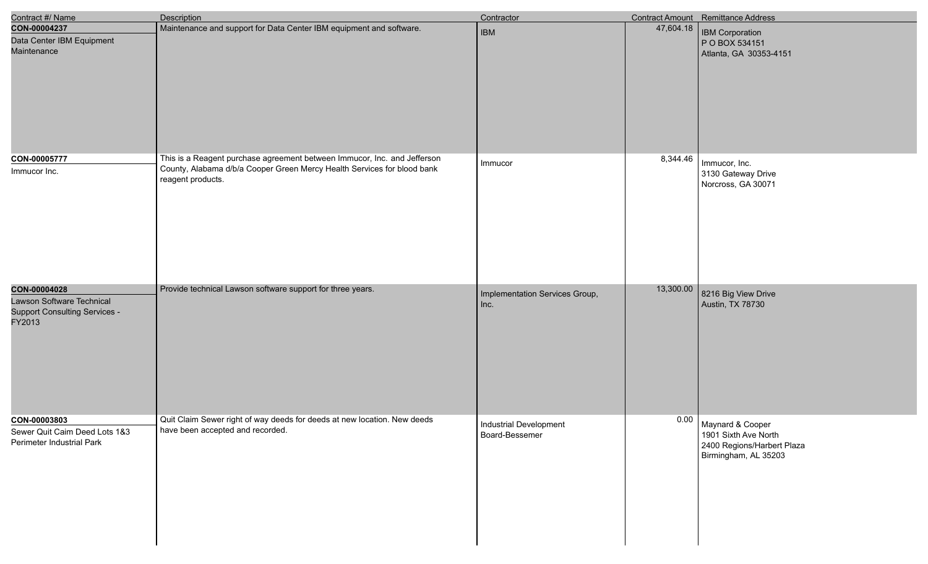| Contract #/ Name                                                                            | <b>Description</b>                                                                                                                                                       | Contractor                               |           | Contract Amount Remittance Address                                                             |
|---------------------------------------------------------------------------------------------|--------------------------------------------------------------------------------------------------------------------------------------------------------------------------|------------------------------------------|-----------|------------------------------------------------------------------------------------------------|
| CON-00004237<br>Data Center IBM Equipment<br>Maintenance                                    | Maintenance and support for Data Center IBM equipment and software.                                                                                                      | <b>IBM</b>                               | 47,604.18 | <b>IBM Corporation</b><br>P O BOX 534151<br>Atlanta, GA 30353-4151                             |
| CON-00005777<br>Immucor Inc.                                                                | This is a Reagent purchase agreement between Immucor, Inc. and Jefferson<br>County, Alabama d/b/a Cooper Green Mercy Health Services for blood bank<br>reagent products. | Immucor                                  | 8,344.46  | Immucor, Inc.<br>3130 Gateway Drive<br>Norcross, GA 30071                                      |
| CON-00004028<br>Lawson Software Technical<br><b>Support Consulting Services -</b><br>FY2013 | Provide technical Lawson software support for three years.                                                                                                               | Implementation Services Group,<br>Inc.   | 13,300.00 | 8216 Big View Drive<br>Austin, TX 78730                                                        |
| CON-00003803<br>Sewer Quit Caim Deed Lots 1&3<br>Perimeter Industrial Park                  | Quit Claim Sewer right of way deeds for deeds at new location. New deeds<br>have been accepted and recorded.                                                             | Industrial Development<br>Board-Bessemer | 0.00      | Maynard & Cooper<br>1901 Sixth Ave North<br>2400 Regions/Harbert Plaza<br>Birmingham, AL 35203 |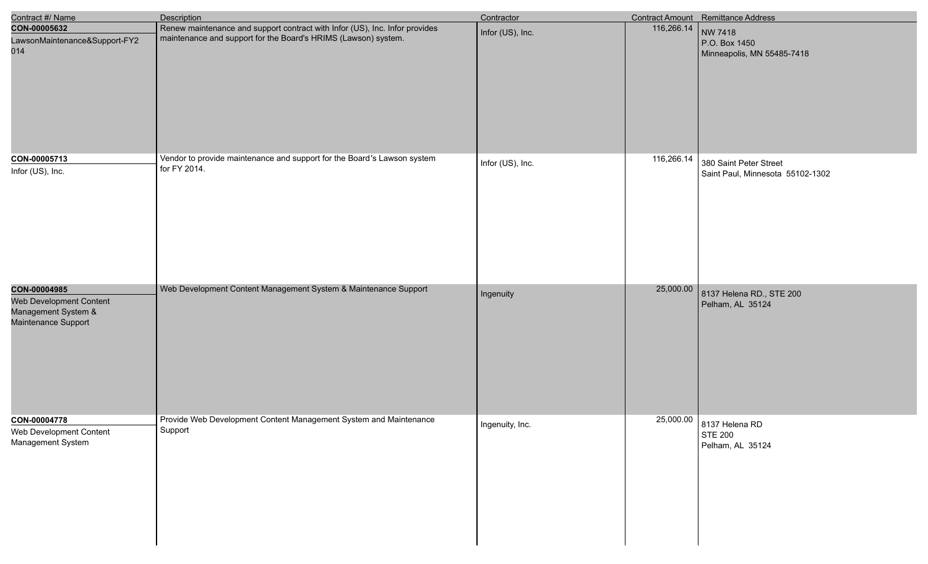| Contract #/ Name                                                                      | Description                                                                                                                                   | Contractor       |            | <b>Contract Amount</b> Remittance Address                      |
|---------------------------------------------------------------------------------------|-----------------------------------------------------------------------------------------------------------------------------------------------|------------------|------------|----------------------------------------------------------------|
| CON-00005632<br>LawsonMaintenance&Support-FY2<br>014                                  | Renew maintenance and support contract with Infor (US), Inc. Infor provides<br>maintenance and support for the Board's HRIMS (Lawson) system. | Infor (US), Inc. | 116,266.14 | NW 7418<br>P.O. Box 1450<br>Minneapolis, MN 55485-7418         |
| CON-00005713<br>Infor (US), Inc.                                                      | Vendor to provide maintenance and support for the Board's Lawson system<br>for FY 2014.                                                       | Infor (US), Inc. | 116,266.14 | 380 Saint Peter Street<br>Saint Paul, Minnesota 55102-1302     |
| CON-00004985<br>Web Development Content<br>Management System &<br>Maintenance Support | Web Development Content Management System & Maintenance Support                                                                               | Ingenuity        | 25,000.00  | 8137 Helena RD., STE 200<br>Pelham, AL 35124                   |
| CON-00004778<br>Web Development Content<br>Management System                          | Provide Web Development Content Management System and Maintenance<br>Support                                                                  | Ingenuity, Inc.  |            | 25,000.00 8137 Helena RD<br><b>STE 200</b><br>Pelham, AL 35124 |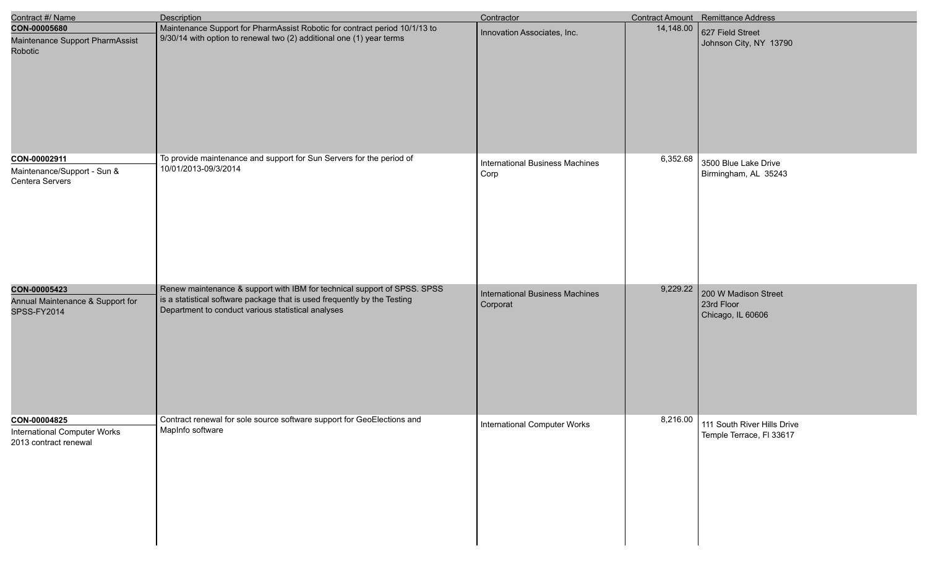| Contract #/ Name                                             | <b>Description</b>                                                                                                                                                                                       | Contractor                                     |           | <b>Contract Amount</b> Remittance Address    |
|--------------------------------------------------------------|----------------------------------------------------------------------------------------------------------------------------------------------------------------------------------------------------------|------------------------------------------------|-----------|----------------------------------------------|
| CON-00005680                                                 | Maintenance Support for PharmAssist Robotic for contract period 10/1/13 to                                                                                                                               | Innovation Associates, Inc.                    | 14,148.00 | 627 Field Street                             |
| Maintenance Support PharmAssist<br><b>Robotic</b>            | 9/30/14 with option to renewal two (2) additional one (1) year terms                                                                                                                                     |                                                |           | Johnson City, NY 13790                       |
| CON-00002911                                                 | To provide maintenance and support for Sun Servers for the period of                                                                                                                                     |                                                | 6,352.68  |                                              |
| Maintenance/Support - Sun &<br>Centera Servers               | 10/01/2013-09/3/2014                                                                                                                                                                                     | <b>International Business Machines</b><br>Corp |           | 3500 Blue Lake Drive<br>Birmingham, AL 35243 |
| CON-00005423                                                 | Renew maintenance & support with IBM for technical support of SPSS. SPSS                                                                                                                                 | <b>International Business Machines</b>         | 9,229.22  | 200 W Madison Street                         |
| Annual Maintenance & Support for<br>SPSS-FY2014              | is a statistical software package that is used frequently by the Testing<br>Department to conduct various statistical analyses<br>Contract renewal for sole source software support for GeoElections and | Corporat                                       | 8,216.00  | 23rd Floor<br>Chicago, IL 60606              |
| CON-00004825                                                 | MapInfo software                                                                                                                                                                                         | <b>International Computer Works</b>            |           | 111 South River Hills Drive                  |
| <b>International Computer Works</b><br>2013 contract renewal |                                                                                                                                                                                                          |                                                |           | Temple Terrace, FI 33617                     |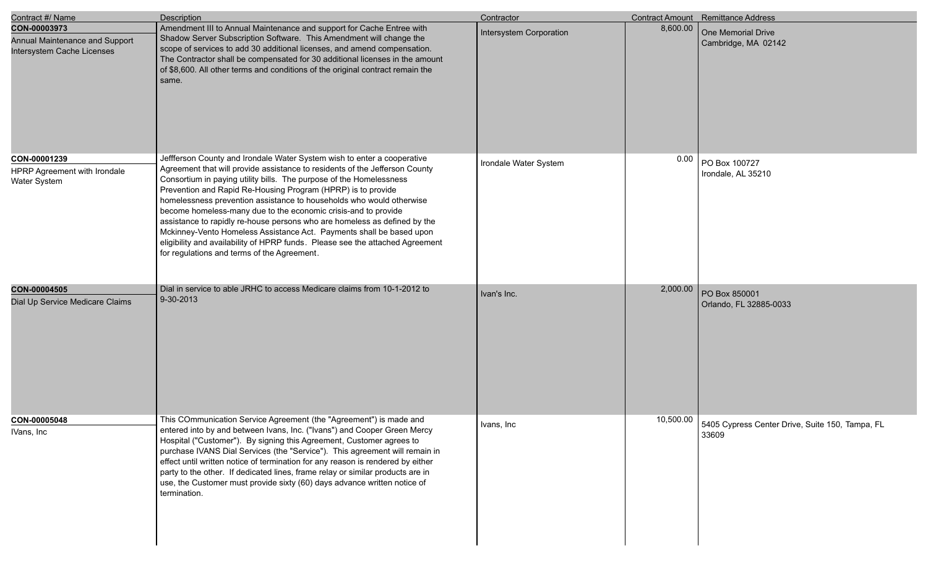| Contract #/ Name                                                             | Description                                                                                                                                                                                                                                                                                                                                                                                                                                                                                                                                                                                                                                                                                                                  | Contractor              |          | Contract Amount Remittance Address                                 |
|------------------------------------------------------------------------------|------------------------------------------------------------------------------------------------------------------------------------------------------------------------------------------------------------------------------------------------------------------------------------------------------------------------------------------------------------------------------------------------------------------------------------------------------------------------------------------------------------------------------------------------------------------------------------------------------------------------------------------------------------------------------------------------------------------------------|-------------------------|----------|--------------------------------------------------------------------|
| CON-00003973<br>Annual Maintenance and Support<br>Intersystem Cache Licenses | Amendment III to Annual Maintenance and support for Cache Entree with<br>Shadow Server Subscription Software. This Amendment will change the<br>scope of services to add 30 additional licenses, and amend compensation.<br>The Contractor shall be compensated for 30 additional licenses in the amount<br>of \$8,600. All other terms and conditions of the original contract remain the<br>same.                                                                                                                                                                                                                                                                                                                          | Intersystem Corporation | 8,600.00 | One Memorial Drive<br>Cambridge, MA 02142                          |
| CON-00001239<br>HPRP Agreement with Irondale<br>Water System                 | Jeffferson County and Irondale Water System wish to enter a cooperative<br>Agreement that will provide assistance to residents of the Jefferson County<br>Consortium in paying utility bills. The purpose of the Homelessness<br>Prevention and Rapid Re-Housing Program (HPRP) is to provide<br>homelessness prevention assistance to households who would otherwise<br>become homeless-many due to the economic crisis-and to provide<br>assistance to rapidly re-house persons who are homeless as defined by the<br>Mckinney-Vento Homeless Assistance Act. Payments shall be based upon<br>eligibility and availability of HPRP funds. Please see the attached Agreement<br>for regulations and terms of the Agreement. | Irondale Water System   |          | $0.00$ PO Box 100727<br>Irondale, AL 35210                         |
| CON-00004505<br>Dial Up Service Medicare Claims                              | Dial in service to able JRHC to access Medicare claims from 10-1-2012 to<br>9-30-2013                                                                                                                                                                                                                                                                                                                                                                                                                                                                                                                                                                                                                                        | Ivan's Inc.             | 2,000.00 | PO Box 850001<br>Orlando, FL 32885-0033                            |
| CON-00005048<br>IVans, Inc.                                                  | This COmmunication Service Agreement (the "Agreement") is made and<br>entered into by and between Ivans, Inc. ("Ivans") and Cooper Green Mercy<br>Hospital ("Customer"). By signing this Agreement, Customer agrees to<br>purchase IVANS Dial Services (the "Service"). This agreement will remain in<br>effect until written notice of termination for any reason is rendered by either<br>party to the other. If dedicated lines, frame relay or similar products are in<br>use, the Customer must provide sixty (60) days advance written notice of<br>termination.                                                                                                                                                       | Ivans, Inc              |          | 10,500.00 5405 Cypress Center Drive, Suite 150, Tampa, FL<br>33609 |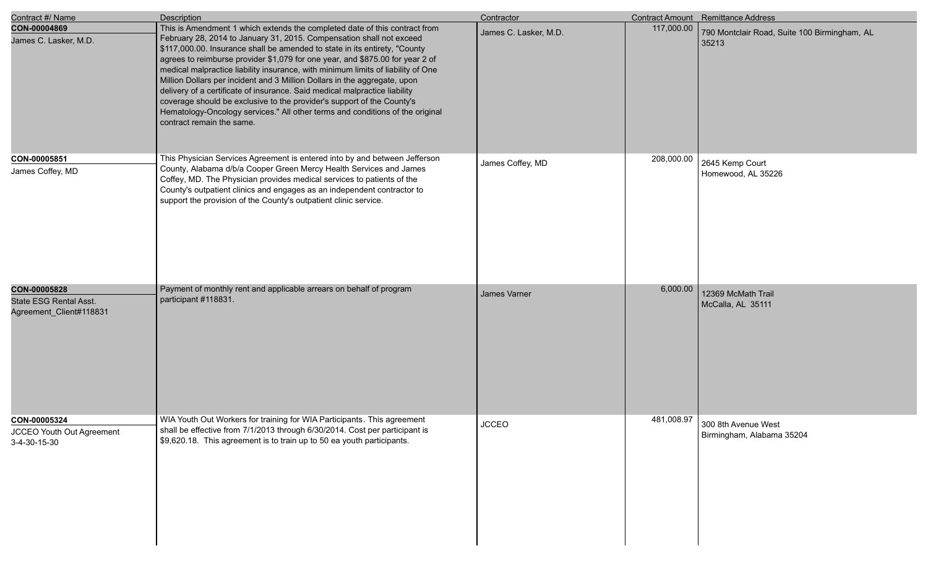| Contract #/ Name                                                  | <b>Description</b>                                                                                                                                                                                                                                                                                                                                                                                                                                                                                                                                                                                                                                                                                                                                       | Contractor            |            | Contract Amount Remittance Address                    |
|-------------------------------------------------------------------|----------------------------------------------------------------------------------------------------------------------------------------------------------------------------------------------------------------------------------------------------------------------------------------------------------------------------------------------------------------------------------------------------------------------------------------------------------------------------------------------------------------------------------------------------------------------------------------------------------------------------------------------------------------------------------------------------------------------------------------------------------|-----------------------|------------|-------------------------------------------------------|
| CON-00004869<br>James C. Lasker, M.D.                             | This is Amendment 1 which extends the completed date of this contract from<br>February 28, 2014 to January 31, 2015. Compensation shall not exceed<br>\$117,000.00. Insurance shall be amended to state in its entirety, "County<br>agrees to reimburse provider \$1,079 for one year, and \$875.00 for year 2 of<br>medical malpractice liability insurance, with minimum limits of liability of One<br>Million Dollars per incident and 3 Million Dollars in the aggregate, upon<br>delivery of a certificate of insurance. Said medical malpractice liability<br>coverage should be exclusive to the provider's support of the County's<br>Hematology-Oncology services." All other terms and conditions of the original<br>contract remain the same. | James C. Lasker, M.D. | 117,000.00 | 790 Montclair Road, Suite 100 Birmingham, AL<br>35213 |
| CON-00005851<br>James Coffey, MD                                  | This Physician Services Agreement is entered into by and between Jefferson<br>County, Alabama d/b/a Cooper Green Mercy Health Services and James<br>Coffey, MD. The Physician provides medical services to patients of the<br>County's outpatient clinics and engages as an independent contractor to<br>support the provision of the County's outpatient clinic service.                                                                                                                                                                                                                                                                                                                                                                                | James Coffey, MD      | 208,000.00 | 2645 Kemp Court<br>Homewood, AL 35226                 |
| CON-00005828<br>State ESG Rental Asst.<br>Agreement_Client#118831 | Payment of monthly rent and applicable arrears on behalf of program<br>participant #118831.                                                                                                                                                                                                                                                                                                                                                                                                                                                                                                                                                                                                                                                              | James Varner          | 6,000.00   | 12369 McMath Trail<br>McCalla, AL 35111               |
| CON-00005324<br>JCCEO Youth Out Agreement<br>3-4-30-15-30         | WIA Youth Out Workers for training for WIA Participants. This agreement<br>shall be effective from 7/1/2013 through 6/30/2014. Cost per participant is<br>\$9,620.18. This agreement is to train up to 50 ea youth participants.                                                                                                                                                                                                                                                                                                                                                                                                                                                                                                                         | <b>JCCEO</b>          | 481,008.97 | 300 8th Avenue West<br>Birmingham, Alabama 35204      |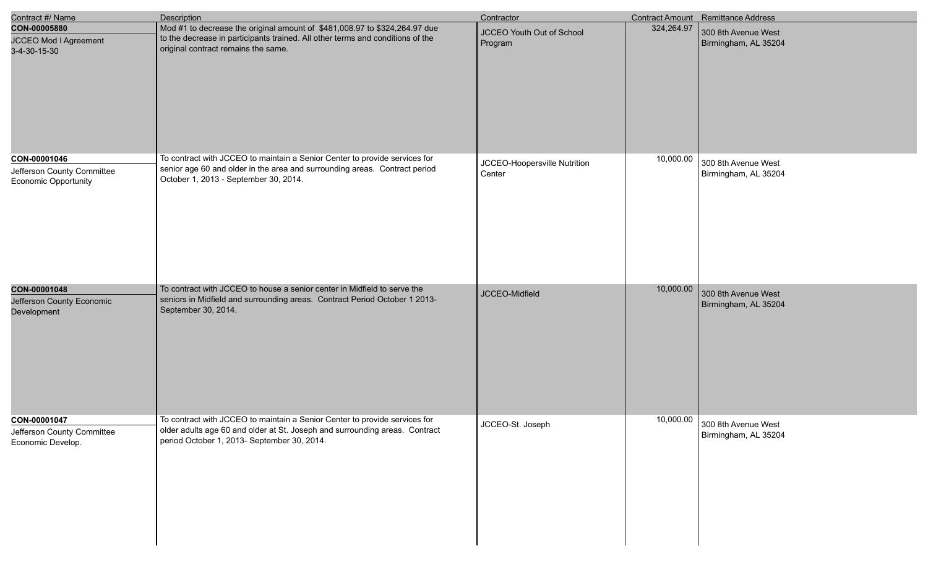| Contract #/ Name                                                          | <b>Description</b>                                                                                                                                                                                       | Contractor                             |            | Contract Amount Remittance Address                    |
|---------------------------------------------------------------------------|----------------------------------------------------------------------------------------------------------------------------------------------------------------------------------------------------------|----------------------------------------|------------|-------------------------------------------------------|
| CON-00005880<br>JCCEO Mod I Agreement<br>3-4-30-15-30                     | Mod #1 to decrease the original amount of \$481,008.97 to \$324,264.97 due<br>to the decrease in participants trained. All other terms and conditions of the<br>original contract remains the same.      | JCCEO Youth Out of School<br>Program   | 324,264.97 | 300 8th Avenue West<br>Birmingham, AL 35204           |
| CON-00001046<br>Jefferson County Committee<br><b>Economic Opportunity</b> | To contract with JCCEO to maintain a Senior Center to provide services for<br>senior age 60 and older in the area and surrounding areas. Contract period<br>October 1, 2013 - September 30, 2014.        | JCCEO-Hoopersville Nutrition<br>Center | 10,000.00  | 300 8th Avenue West<br>Birmingham, AL 35204           |
| CON-00001048<br>Jefferson County Economic<br>Development                  | To contract with JCCEO to house a senior center in Midfield to serve the<br>seniors in Midfield and surrounding areas. Contract Period October 1 2013-<br>September 30, 2014.                            | JCCEO-Midfield                         | 10,000.00  | 300 8th Avenue West<br>Birmingham, AL 35204           |
| CON-00001047<br>Jefferson County Committee<br>Economic Develop.           | To contract with JCCEO to maintain a Senior Center to provide services for<br>older adults age 60 and older at St. Joseph and surrounding areas. Contract<br>period October 1, 2013- September 30, 2014. | JCCEO-St. Joseph                       |            | 10,000.00 300 8th Avenue West<br>Birmingham, AL 35204 |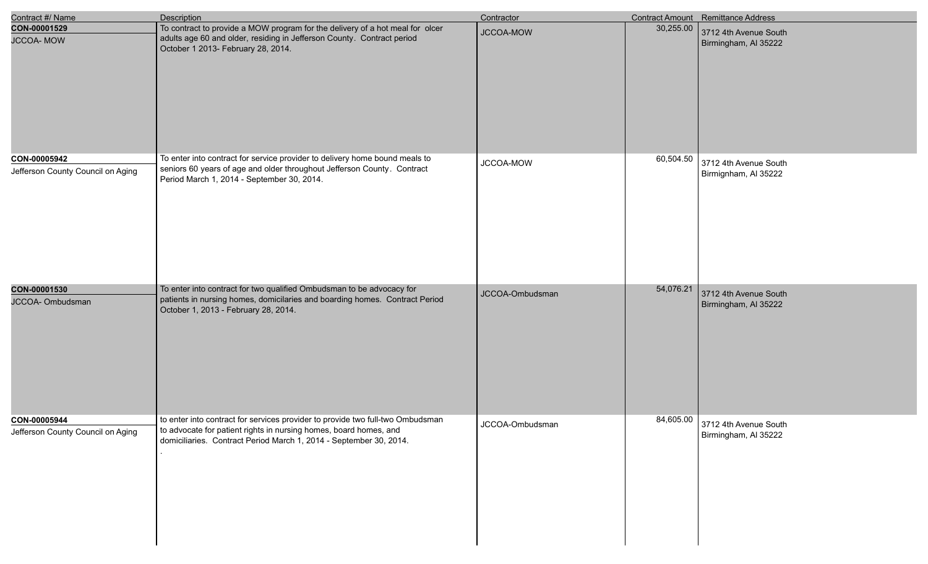| Contract #/ Name                                  | <b>Description</b>                                                                                                                                                                                                        | Contractor      |           | Contract Amount Remittance Address                      |
|---------------------------------------------------|---------------------------------------------------------------------------------------------------------------------------------------------------------------------------------------------------------------------------|-----------------|-----------|---------------------------------------------------------|
| CON-00001529<br><b>JCCOA-MOW</b>                  | To contract to provide a MOW program for the delivery of a hot meal for olcer<br>adults age 60 and older, residing in Jefferson County. Contract period<br>October 1 2013- February 28, 2014.                             | JCCOA-MOW       | 30,255.00 | 3712 4th Avenue South<br>Birmingham, Al 35222           |
| CON-00005942<br>Jefferson County Council on Aging | To enter into contract for service provider to delivery home bound meals to<br>seniors 60 years of age and older throughout Jefferson County. Contract<br>Period March 1, 2014 - September 30, 2014.                      | JCCOA-MOW       | 60,504.50 | 3712 4th Avenue South<br>Birmignham, Al 35222           |
| CON-00001530<br>JCCOA- Ombudsman                  | To enter into contract for two qualified Ombudsman to be advocacy for<br>patients in nursing homes, domicilaries and boarding homes. Contract Period<br>October 1, 2013 - February 28, 2014.                              | JCCOA-Ombudsman | 54,076.21 | 3712 4th Avenue South<br>Birmingham, Al 35222           |
| CON-00005944<br>Jefferson County Council on Aging | to enter into contract for services provider to provide two full-two Ombudsman<br>to advocate for patient rights in nursing homes, board homes, and<br>domiciliaries. Contract Period March 1, 2014 - September 30, 2014. | JCCOA-Ombudsman |           | 84,605.00 3712 4th Avenue South<br>Birmingham, Al 35222 |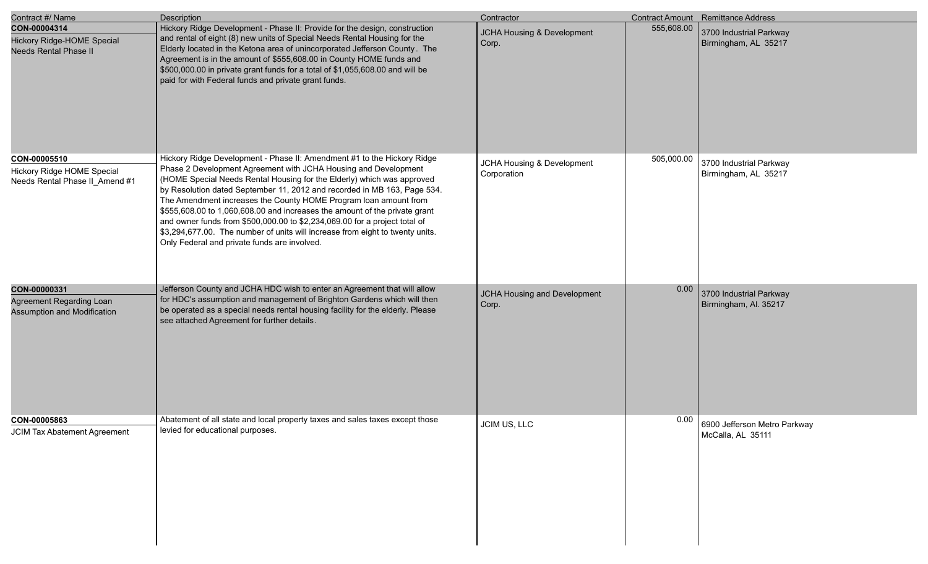| Contract #/ Name                                                                  | Description                                                                                                                                                                                                                                                                                                                                                                                                                                                                                                                                                                                                                                                       | Contractor                                |            | Contract Amount Remittance Address                |
|-----------------------------------------------------------------------------------|-------------------------------------------------------------------------------------------------------------------------------------------------------------------------------------------------------------------------------------------------------------------------------------------------------------------------------------------------------------------------------------------------------------------------------------------------------------------------------------------------------------------------------------------------------------------------------------------------------------------------------------------------------------------|-------------------------------------------|------------|---------------------------------------------------|
| CON-00004314<br><b>Hickory Ridge-HOME Special</b><br><b>Needs Rental Phase II</b> | Hickory Ridge Development - Phase II: Provide for the design, construction<br>and rental of eight (8) new units of Special Needs Rental Housing for the<br>Elderly located in the Ketona area of unincorporated Jefferson County. The<br>Agreement is in the amount of \$555,608.00 in County HOME funds and<br>\$500,000.00 in private grant funds for a total of \$1,055,608.00 and will be<br>paid for with Federal funds and private grant funds.                                                                                                                                                                                                             | JCHA Housing & Development<br>Corp.       | 555,608.00 | 3700 Industrial Parkway<br>Birmingham, AL 35217   |
| CON-00005510<br>Hickory Ridge HOME Special<br>Needs Rental Phase II_Amend #1      | Hickory Ridge Development - Phase II: Amendment #1 to the Hickory Ridge<br>Phase 2 Development Agreement with JCHA Housing and Development<br>(HOME Special Needs Rental Housing for the Elderly) which was approved<br>by Resolution dated September 11, 2012 and recorded in MB 163, Page 534.<br>The Amendment increases the County HOME Program loan amount from<br>\$555,608.00 to 1,060,608.00 and increases the amount of the private grant<br>and owner funds from \$500,000.00 to \$2,234,069.00 for a project total of<br>\$3,294,677.00. The number of units will increase from eight to twenty units.<br>Only Federal and private funds are involved. | JCHA Housing & Development<br>Corporation | 505,000.00 | 3700 Industrial Parkway<br>Birmingham, AL 35217   |
| CON-00000331<br>Agreement Regarding Loan<br>Assumption and Modification           | Jefferson County and JCHA HDC wish to enter an Agreement that will allow<br>for HDC's assumption and management of Brighton Gardens which will then<br>be operated as a special needs rental housing facility for the elderly. Please<br>see attached Agreement for further details.                                                                                                                                                                                                                                                                                                                                                                              | JCHA Housing and Development<br>Corp.     | 0.00       | 3700 Industrial Parkway<br>Birmingham, Al. 35217  |
| CON-00005863<br><b>JCIM Tax Abatement Agreement</b>                               | Abatement of all state and local property taxes and sales taxes except those<br>levied for educational purposes.                                                                                                                                                                                                                                                                                                                                                                                                                                                                                                                                                  | JCIM US, LLC                              | 0.00       | 6900 Jefferson Metro Parkway<br>McCalla, AL 35111 |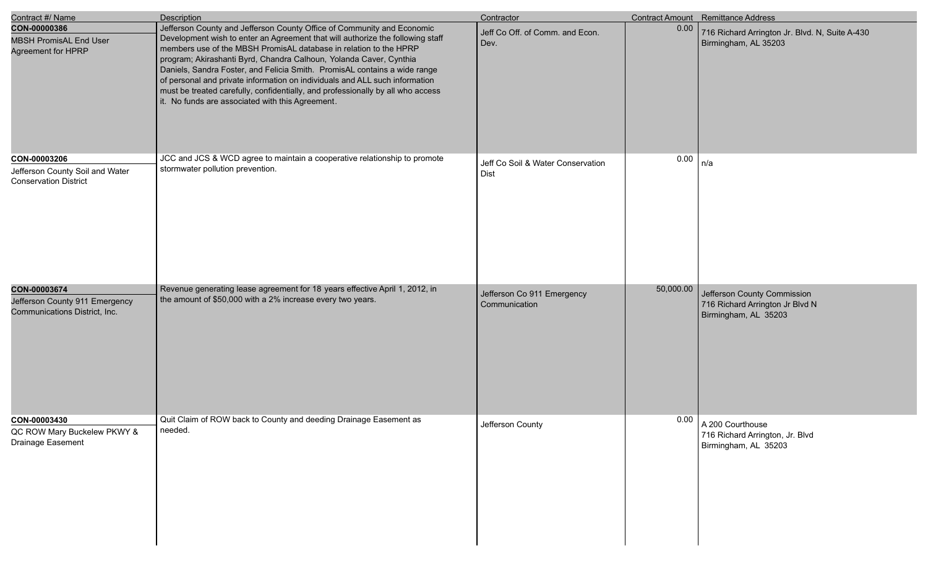| Contract #/ Name                                                                | <b>Description</b>                                                                                                                                                                                                                                                                                                                                                                                                                                                                                                                                                                                     | Contractor                                  |           | Contract Amount Remittance Address                                                     |
|---------------------------------------------------------------------------------|--------------------------------------------------------------------------------------------------------------------------------------------------------------------------------------------------------------------------------------------------------------------------------------------------------------------------------------------------------------------------------------------------------------------------------------------------------------------------------------------------------------------------------------------------------------------------------------------------------|---------------------------------------------|-----------|----------------------------------------------------------------------------------------|
| CON-00000386<br><b>MBSH PromisAL End User</b><br>Agreement for HPRP             | Jefferson County and Jefferson County Office of Community and Economic<br>Development wish to enter an Agreement that will authorize the following staff<br>members use of the MBSH PromisAL database in relation to the HPRP<br>program; Akirashanti Byrd, Chandra Calhoun, Yolanda Caver, Cynthia<br>Daniels, Sandra Foster, and Felicia Smith. PromisAL contains a wide range<br>of personal and private information on individuals and ALL such information<br>must be treated carefully, confidentially, and professionally by all who access<br>it. No funds are associated with this Agreement. | Jeff Co Off. of Comm. and Econ.<br>Dev.     | 0.00      | 716 Richard Arrington Jr. Blvd. N, Suite A-430<br>Birmingham, AL 35203                 |
| CON-00003206<br>Jefferson County Soil and Water<br><b>Conservation District</b> | JCC and JCS & WCD agree to maintain a cooperative relationship to promote<br>stormwater pollution prevention.                                                                                                                                                                                                                                                                                                                                                                                                                                                                                          | Jeff Co Soil & Water Conservation<br>Dist   | 0.00      | n/a                                                                                    |
| CON-00003674<br>Jefferson County 911 Emergency<br>Communications District, Inc. | Revenue generating lease agreement for 18 years effective April 1, 2012, in<br>the amount of \$50,000 with a 2% increase every two years.                                                                                                                                                                                                                                                                                                                                                                                                                                                              | Jefferson Co 911 Emergency<br>Communication | 50,000.00 | Jefferson County Commission<br>716 Richard Arrington Jr Blvd N<br>Birmingham, AL 35203 |
| CON-00003430<br>QC ROW Mary Buckelew PKWY &<br>Drainage Easement                | Quit Claim of ROW back to County and deeding Drainage Easement as<br>needed.                                                                                                                                                                                                                                                                                                                                                                                                                                                                                                                           | Jefferson County                            |           | $0.00$   A 200 Courthouse<br>716 Richard Arrington, Jr. Blvd<br>Birmingham, AL 35203   |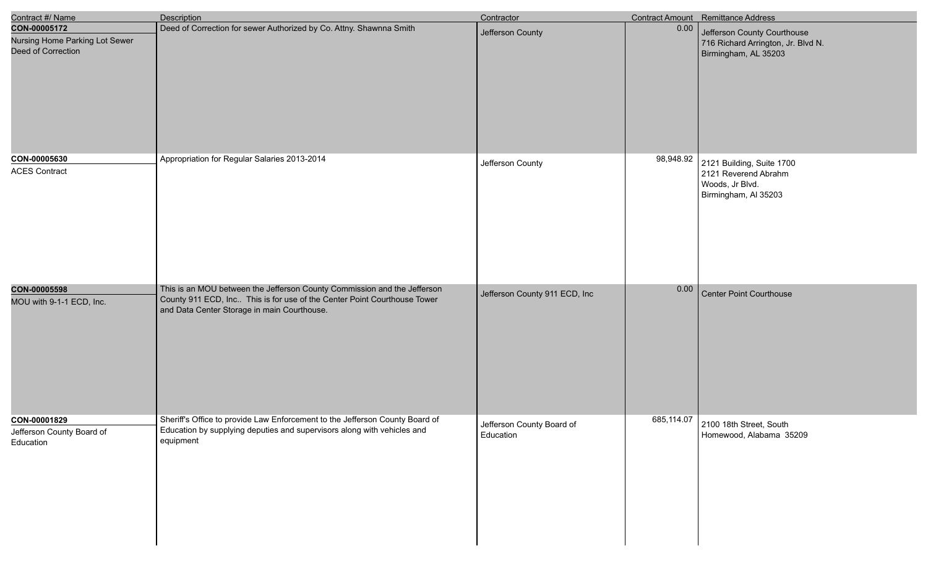| Contract #/ Name                                                     | <b>Description</b>                                                                                                                                                                                  | Contractor                             |           | Contract Amount Remittance Address                                                           |
|----------------------------------------------------------------------|-----------------------------------------------------------------------------------------------------------------------------------------------------------------------------------------------------|----------------------------------------|-----------|----------------------------------------------------------------------------------------------|
| CON-00005172<br>Nursing Home Parking Lot Sewer<br>Deed of Correction | Deed of Correction for sewer Authorized by Co. Attny. Shawnna Smith                                                                                                                                 | Jefferson County                       | 0.00      | Jefferson County Courthouse<br>716 Richard Arrington, Jr. Blvd N.<br>Birmingham, AL 35203    |
| CON-00005630<br><b>ACES Contract</b>                                 | Appropriation for Regular Salaries 2013-2014                                                                                                                                                        | Jefferson County                       | 98,948.92 | 2121 Building, Suite 1700<br>2121 Reverend Abrahm<br>Woods, Jr Blvd.<br>Birmingham, Al 35203 |
| CON-00005598<br>MOU with 9-1-1 ECD, Inc.                             | This is an MOU between the Jefferson County Commission and the Jefferson<br>County 911 ECD, Inc This is for use of the Center Point Courthouse Tower<br>and Data Center Storage in main Courthouse. | Jefferson County 911 ECD, Inc          | 0.00      | <b>Center Point Courthouse</b>                                                               |
| CON-00001829<br>Jefferson County Board of<br>Education               | Sheriff's Office to provide Law Enforcement to the Jefferson County Board of<br>Education by supplying deputies and supervisors along with vehicles and<br>equipment                                | Jefferson County Board of<br>Education |           | 685,114.07 2100 18th Street, South<br>Homewood, Alabama 35209                                |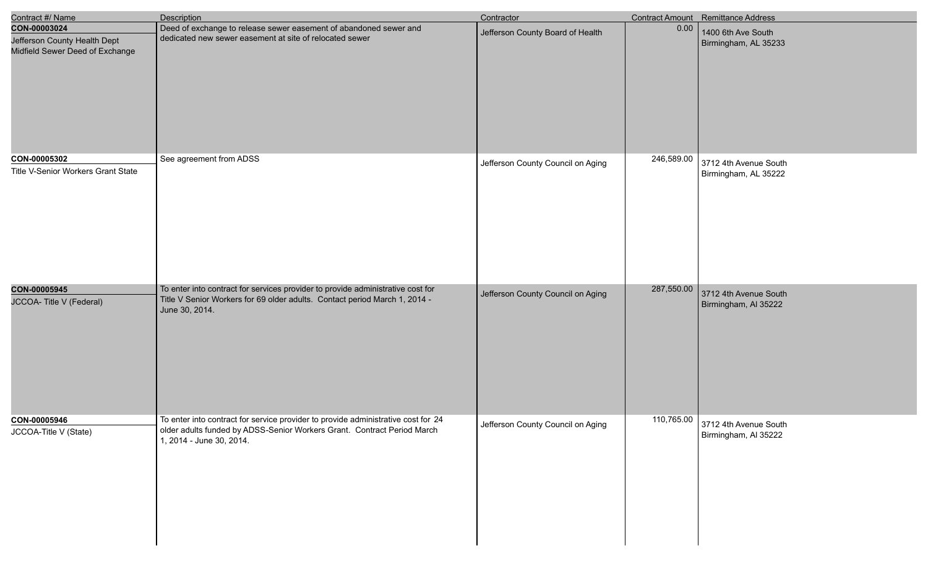| Contract #/ Name                                                                | <b>Description</b>                                                                                                                                                                       | Contractor                        |            | <b>Contract Amount</b> Remittance Address     |
|---------------------------------------------------------------------------------|------------------------------------------------------------------------------------------------------------------------------------------------------------------------------------------|-----------------------------------|------------|-----------------------------------------------|
| CON-00003024<br>Jefferson County Health Dept<br>Midfield Sewer Deed of Exchange | Deed of exchange to release sewer easement of abandoned sewer and<br>dedicated new sewer easement at site of relocated sewer                                                             | Jefferson County Board of Health  | 0.00       | 1400 6th Ave South<br>Birmingham, AL 35233    |
| CON-00005302<br>Title V-Senior Workers Grant State                              | See agreement from ADSS                                                                                                                                                                  | Jefferson County Council on Aging | 246,589.00 | 3712 4th Avenue South<br>Birmingham, AL 35222 |
| CON-00005945<br>JCCOA- Title V (Federal)                                        | To enter into contract for services provider to provide administrative cost for<br>Title V Senior Workers for 69 older adults. Contact period March 1, 2014 -<br>June 30, 2014.          | Jefferson County Council on Aging | 287,550.00 | 3712 4th Avenue South<br>Birmingham, AI 35222 |
| CON-00005946<br>JCCOA-Title V (State)                                           | To enter into contract for service provider to provide administrative cost for 24<br>older adults funded by ADSS-Senior Workers Grant. Contract Period March<br>1, 2014 - June 30, 2014. | Jefferson County Council on Aging | 110,765.00 | 3712 4th Avenue South<br>Birmingham, AI 35222 |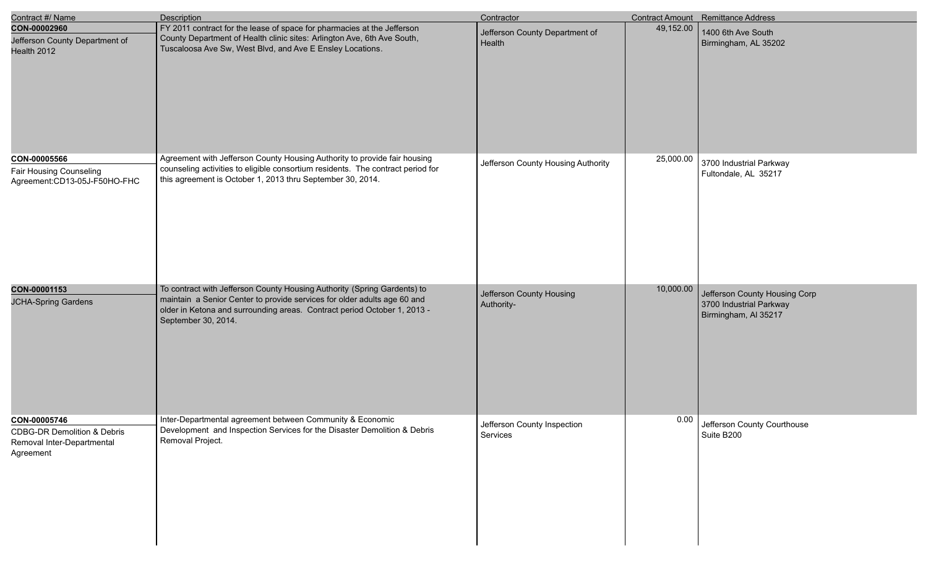| Contract #/ Name                                                                  | Description                                                                                                                                                                 | Contractor                         |           | Contract Amount Remittance Address              |
|-----------------------------------------------------------------------------------|-----------------------------------------------------------------------------------------------------------------------------------------------------------------------------|------------------------------------|-----------|-------------------------------------------------|
| CON-00002960                                                                      | FY 2011 contract for the lease of space for pharmacies at the Jefferson                                                                                                     | Jefferson County Department of     | 49,152.00 | 1400 6th Ave South                              |
| Jefferson County Department of<br>Health 2012                                     | County Department of Health clinic sites: Arlington Ave, 6th Ave South,<br>Tuscaloosa Ave Sw, West Blvd, and Ave E Ensley Locations.                                        | Health                             |           | Birmingham, AL 35202                            |
| CON-00005566                                                                      | Agreement with Jefferson County Housing Authority to provide fair housing                                                                                                   |                                    | 25,000.00 |                                                 |
| Fair Housing Counseling<br>Agreement:CD13-05J-F50HO-FHC                           | counseling activities to eligible consortium residents. The contract period for<br>this agreement is October 1, 2013 thru September 30, 2014.                               | Jefferson County Housing Authority |           | 3700 Industrial Parkway<br>Fultondale, AL 35217 |
| CON-00001153                                                                      | To contract with Jefferson County Housing Authority (Spring Gardents) to                                                                                                    | Jefferson County Housing           | 10,000.00 | Jefferson County Housing Corp                   |
| <b>JCHA-Spring Gardens</b>                                                        | maintain a Senior Center to provide services for older adults age 60 and<br>older in Ketona and surrounding areas. Contract period October 1, 2013 -<br>September 30, 2014. | Authority-                         |           | 3700 Industrial Parkway<br>Birmingham, Al 35217 |
| CON-00005746                                                                      | Inter-Departmental agreement between Community & Economic<br>Development and Inspection Services for the Disaster Demolition & Debris                                       | Jefferson County Inspection        | 0.00      | Jefferson County Courthouse                     |
| <b>CDBG-DR Demolition &amp; Debris</b><br>Removal Inter-Departmental<br>Agreement | Removal Project.                                                                                                                                                            | Services                           |           | Suite B200                                      |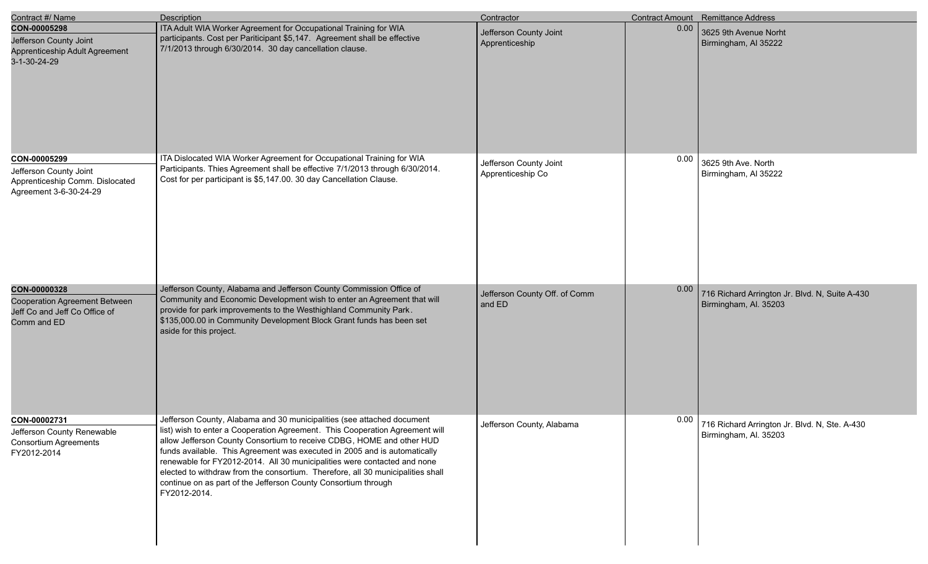| Contract #/ Name                                                                                    | Description                                                                                                                                                                                                                                                                                                                                                                                                                                                                                                                                                   | Contractor                                  |      | Contract Amount Remittance Address                                      |
|-----------------------------------------------------------------------------------------------------|---------------------------------------------------------------------------------------------------------------------------------------------------------------------------------------------------------------------------------------------------------------------------------------------------------------------------------------------------------------------------------------------------------------------------------------------------------------------------------------------------------------------------------------------------------------|---------------------------------------------|------|-------------------------------------------------------------------------|
| CON-00005298<br>Jefferson County Joint<br>Apprenticeship Adult Agreement<br>3-1-30-24-29            | ITA Adult WIA Worker Agreement for Occupational Training for WIA<br>participants. Cost per Pariticipant \$5,147. Agreement shall be effective<br>7/1/2013 through 6/30/2014. 30 day cancellation clause.                                                                                                                                                                                                                                                                                                                                                      | Jefferson County Joint<br>Apprenticeship    | 0.00 | 3625 9th Avenue Norht<br>Birmingham, AI 35222                           |
| CON-00005299<br>Jefferson County Joint<br>Apprenticeship Comm. Dislocated<br>Agreement 3-6-30-24-29 | ITA Dislocated WIA Worker Agreement for Occupational Training for WIA<br>Participants. Thies Agreement shall be effective 7/1/2013 through 6/30/2014.<br>Cost for per participant is \$5,147.00. 30 day Cancellation Clause.                                                                                                                                                                                                                                                                                                                                  | Jefferson County Joint<br>Apprenticeship Co | 0.00 | 3625 9th Ave. North<br>Birmingham, Al 35222                             |
| CON-00000328<br>Cooperation Agreement Between<br>Jeff Co and Jeff Co Office of<br>Comm and ED       | Jefferson County, Alabama and Jefferson County Commission Office of<br>Community and Economic Development wish to enter an Agreement that will<br>provide for park improvements to the Westhighland Community Park.<br>\$135,000.00 in Community Development Block Grant funds has been set<br>aside for this project.                                                                                                                                                                                                                                        | Jefferson County Off. of Comm<br>and ED     | 0.00 | 716 Richard Arrington Jr. Blvd. N, Suite A-430<br>Birmingham, Al. 35203 |
| CON-00002731<br>Jefferson County Renewable<br><b>Consortium Agreements</b><br>FY2012-2014           | Jefferson County, Alabama and 30 municipalities (see attached document<br>list) wish to enter a Cooperation Agreement. This Cooperation Agreement will<br>allow Jefferson County Consortium to receive CDBG, HOME and other HUD<br>funds available. This Agreement was executed in 2005 and is automatically<br>renewable for FY2012-2014. All 30 municipalities were contacted and none<br>elected to withdraw from the consortium. Therefore, all 30 municipalities shall<br>continue on as part of the Jefferson County Consortium through<br>FY2012-2014. | Jefferson County, Alabama                   | 0.00 | 716 Richard Arrington Jr. Blvd. N, Ste. A-430<br>Birmingham, Al. 35203  |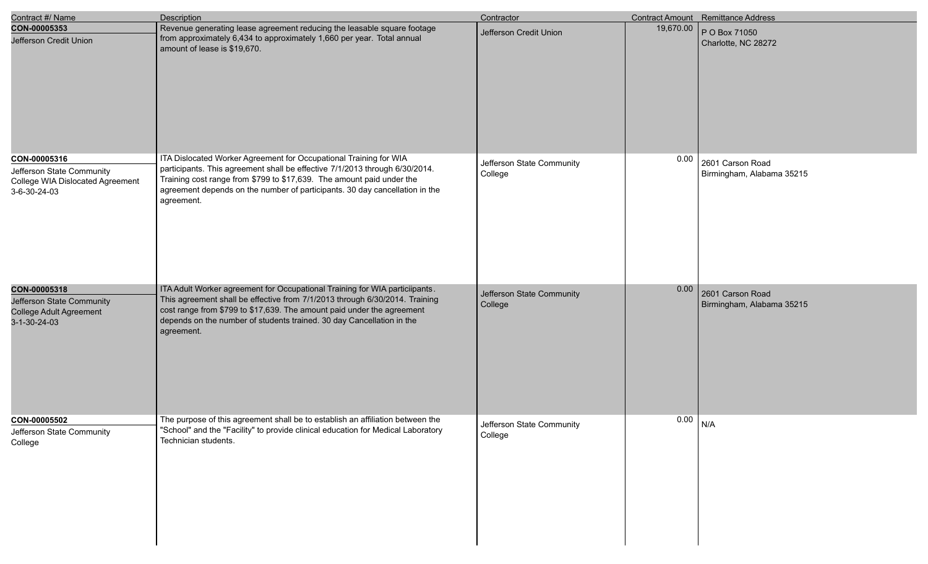| Contract #/ Name                                                                                     | <b>Description</b>                                                                                                                                                                                                                                                                                                          | Contractor                           |           | <b>Contract Amount</b> Remittance Address     |
|------------------------------------------------------------------------------------------------------|-----------------------------------------------------------------------------------------------------------------------------------------------------------------------------------------------------------------------------------------------------------------------------------------------------------------------------|--------------------------------------|-----------|-----------------------------------------------|
| CON-00005353<br>Jefferson Credit Union                                                               | Revenue generating lease agreement reducing the leasable square footage<br>from approximately 6,434 to approximately 1,660 per year. Total annual<br>amount of lease is \$19,670.                                                                                                                                           | Jefferson Credit Union               | 19,670.00 | P O Box 71050<br>Charlotte, NC 28272          |
| CON-00005316<br>Jefferson State Community<br><b>College WIA Dislocated Agreement</b><br>3-6-30-24-03 | ITA Dislocated Worker Agreement for Occupational Training for WIA<br>participants. This agreement shall be effective 7/1/2013 through 6/30/2014.<br>Training cost range from \$799 to \$17,639. The amount paid under the<br>agreement depends on the number of participants. 30 day cancellation in the<br>agreement.      | Jefferson State Community<br>College | 0.00      | 2601 Carson Road<br>Birmingham, Alabama 35215 |
| CON-00005318<br>Jefferson State Community<br>College Adult Agreement<br>$3 - 1 - 30 - 24 - 03$       | ITA Adult Worker agreement for Occupational Training for WIA particiipants.<br>This agreement shall be effective from 7/1/2013 through 6/30/2014. Training<br>cost range from \$799 to \$17,639. The amount paid under the agreement<br>depends on the number of students trained. 30 day Cancellation in the<br>agreement. | Jefferson State Community<br>College | 0.00      | 2601 Carson Road<br>Birmingham, Alabama 35215 |
| CON-00005502<br>Jefferson State Community<br>College                                                 | The purpose of this agreement shall be to establish an affiliation between the<br>"School" and the "Facility" to provide clinical education for Medical Laboratory<br>Technician students.                                                                                                                                  | Jefferson State Community<br>College | 0.00      | N/A                                           |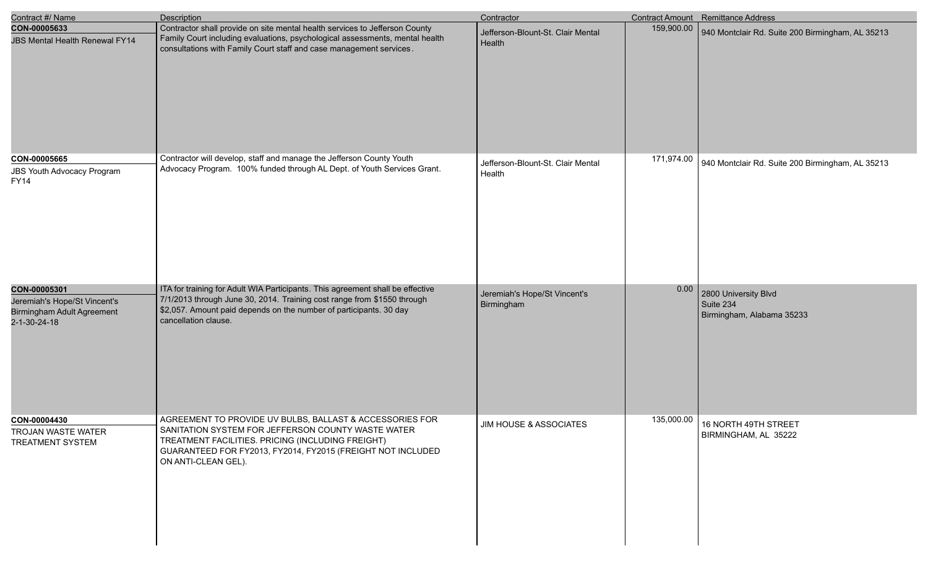| Contract #/ Name                                                                                  | <b>Description</b>                                                                                                                                                                                                                                        | Contractor                                  |            | <b>Contract Amount</b> Remittance Address                      |
|---------------------------------------------------------------------------------------------------|-----------------------------------------------------------------------------------------------------------------------------------------------------------------------------------------------------------------------------------------------------------|---------------------------------------------|------------|----------------------------------------------------------------|
| CON-00005633<br><b>JBS Mental Health Renewal FY14</b>                                             | Contractor shall provide on site mental health services to Jefferson County<br>Family Court including evaluations, psychological assessments, mental health<br>consultations with Family Court staff and case management services.                        | Jefferson-Blount-St. Clair Mental<br>Health | 159,900.00 | 940 Montclair Rd. Suite 200 Birmingham, AL 35213               |
| CON-00005665<br><b>JBS Youth Advocacy Program</b><br><b>FY14</b>                                  | Contractor will develop, staff and manage the Jefferson County Youth<br>Advocacy Program. 100% funded through AL Dept. of Youth Services Grant.                                                                                                           | Jefferson-Blount-St. Clair Mental<br>Health | 171,974.00 | 940 Montclair Rd. Suite 200 Birmingham, AL 35213               |
| CON-00005301<br>Jeremiah's Hope/St Vincent's<br><b>Birmingham Adult Agreement</b><br>2-1-30-24-18 | ITA for training for Adult WIA Participants. This agreement shall be effective<br>7/1/2013 through June 30, 2014. Training cost range from \$1550 through<br>\$2,057. Amount paid depends on the number of participants. 30 day<br>cancellation clause.   | Jeremiah's Hope/St Vincent's<br>Birmingham  | 0.00       | 2800 University Blvd<br>Suite 234<br>Birmingham, Alabama 35233 |
| CON-00004430<br>TROJAN WASTE WATER<br><b>TREATMENT SYSTEM</b>                                     | AGREEMENT TO PROVIDE UV BULBS, BALLAST & ACCESSORIES FOR<br>SANITATION SYSTEM FOR JEFFERSON COUNTY WASTE WATER<br>TREATMENT FACILITIES. PRICING (INCLUDING FREIGHT)<br>GUARANTEED FOR FY2013, FY2014, FY2015 (FREIGHT NOT INCLUDED<br>ON ANTI-CLEAN GEL). | <b>JIM HOUSE &amp; ASSOCIATES</b>           | 135,000.00 | 16 NORTH 49TH STREET<br>BIRMINGHAM, AL 35222                   |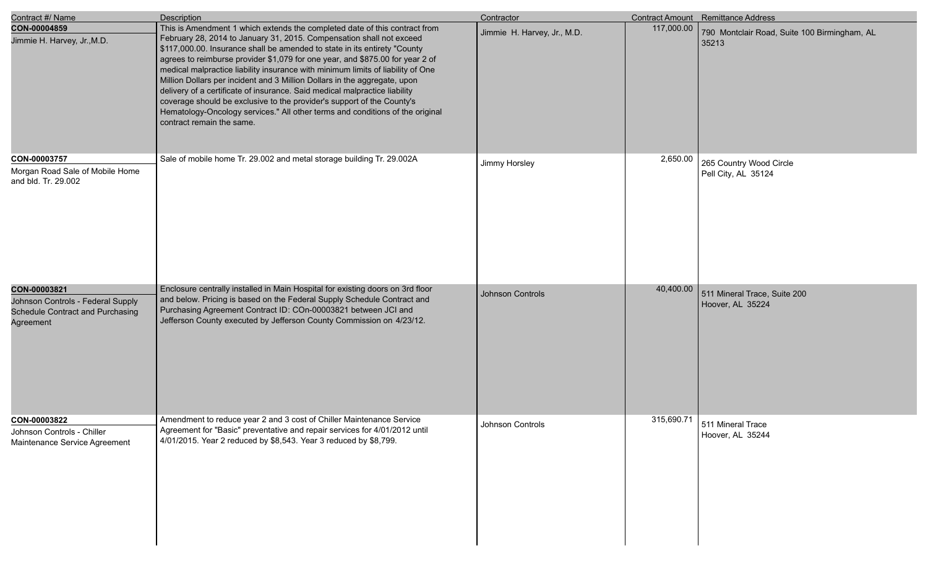| Contract #/ Name                                                                                   | Description                                                                                                                                                                                                                                                                                                                                                                                                                                                                                                                                                                                                                                                                                                                                            | Contractor                  |            | Contract Amount Remittance Address                    |
|----------------------------------------------------------------------------------------------------|--------------------------------------------------------------------------------------------------------------------------------------------------------------------------------------------------------------------------------------------------------------------------------------------------------------------------------------------------------------------------------------------------------------------------------------------------------------------------------------------------------------------------------------------------------------------------------------------------------------------------------------------------------------------------------------------------------------------------------------------------------|-----------------------------|------------|-------------------------------------------------------|
| CON-00004859<br>Jimmie H. Harvey, Jr., M.D.                                                        | This is Amendment 1 which extends the completed date of this contract from<br>February 28, 2014 to January 31, 2015. Compensation shall not exceed<br>\$117,000.00. Insurance shall be amended to state in its entirety "County<br>agrees to reimburse provider \$1,079 for one year, and \$875.00 for year 2 of<br>medical malpractice liability insurance with minimum limits of liability of One<br>Million Dollars per incident and 3 Million Dollars in the aggregate, upon<br>delivery of a certificate of insurance. Said medical malpractice liability<br>coverage should be exclusive to the provider's support of the County's<br>Hematology-Oncology services." All other terms and conditions of the original<br>contract remain the same. | Jimmie H. Harvey, Jr., M.D. | 117,000.00 | 790 Montclair Road, Suite 100 Birmingham, AL<br>35213 |
| CON-00003757<br>Morgan Road Sale of Mobile Home<br>and bld. Tr. 29.002                             | Sale of mobile home Tr. 29.002 and metal storage building Tr. 29.002A                                                                                                                                                                                                                                                                                                                                                                                                                                                                                                                                                                                                                                                                                  | Jimmy Horsley               | 2,650.00   | 265 Country Wood Circle<br>Pell City, AL 35124        |
| CON-00003821<br>Johnson Controls - Federal Supply<br>Schedule Contract and Purchasing<br>Agreement | Enclosure centrally installed in Main Hospital for existing doors on 3rd floor<br>and below. Pricing is based on the Federal Supply Schedule Contract and<br>Purchasing Agreement Contract ID: COn-00003821 between JCI and<br>Jefferson County executed by Jefferson County Commission on 4/23/12.                                                                                                                                                                                                                                                                                                                                                                                                                                                    | Johnson Controls            | 40,400.00  | 511 Mineral Trace, Suite 200<br>Hoover, AL 35224      |
| CON-00003822<br>Johnson Controls - Chiller<br>Maintenance Service Agreement                        | Amendment to reduce year 2 and 3 cost of Chiller Maintenance Service<br>Agreement for "Basic" preventative and repair services for 4/01/2012 until<br>4/01/2015. Year 2 reduced by \$8,543. Year 3 reduced by \$8,799.                                                                                                                                                                                                                                                                                                                                                                                                                                                                                                                                 | Johnson Controls            | 315,690.71 | 511 Mineral Trace<br>Hoover, AL 35244                 |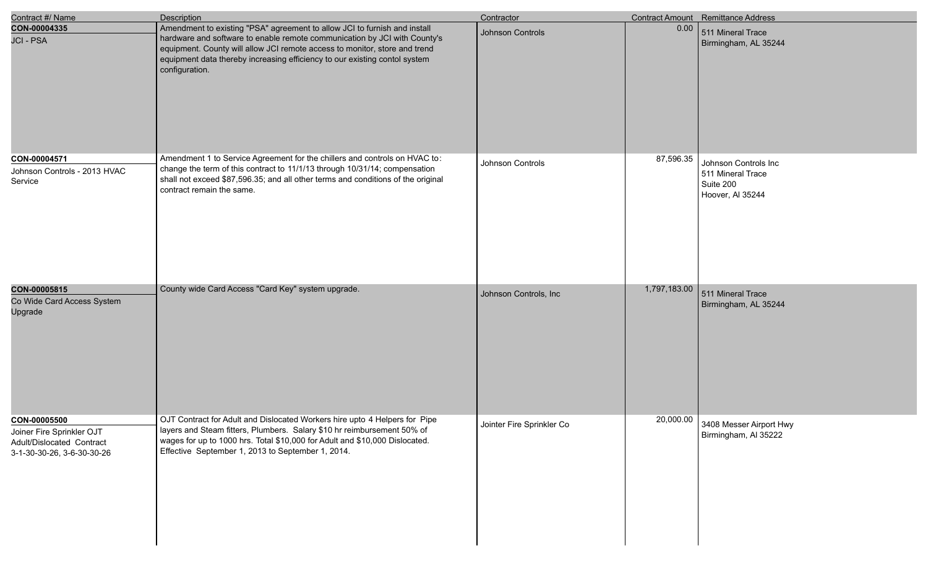| Contract #/ Name                                                                                     | <b>Description</b>                                                                                                                                                                                                                                                                                                                   | Contractor                |              | Contract Amount Remittance Address                                         |
|------------------------------------------------------------------------------------------------------|--------------------------------------------------------------------------------------------------------------------------------------------------------------------------------------------------------------------------------------------------------------------------------------------------------------------------------------|---------------------------|--------------|----------------------------------------------------------------------------|
| CON-00004335<br><b>JCI - PSA</b>                                                                     | Amendment to existing "PSA" agreement to allow JCI to furnish and install<br>hardware and software to enable remote communication by JCI with County's<br>equipment. County will allow JCI remote access to monitor, store and trend<br>equipment data thereby increasing efficiency to our existing contol system<br>configuration. | Johnson Controls          | 0.00         | 511 Mineral Trace<br>Birmingham, AL 35244                                  |
| CON-00004571<br>Johnson Controls - 2013 HVAC<br>Service                                              | Amendment 1 to Service Agreement for the chillers and controls on HVAC to:<br>change the term of this contract to 11/1/13 through 10/31/14; compensation<br>shall not exceed \$87,596.35; and all other terms and conditions of the original<br>contract remain the same.                                                            | Johnson Controls          | 87,596.35    | Johnson Controls Inc<br>511 Mineral Trace<br>Suite 200<br>Hoover, Al 35244 |
| CON-00005815<br>Co Wide Card Access System<br>Upgrade                                                | County wide Card Access "Card Key" system upgrade.                                                                                                                                                                                                                                                                                   | Johnson Controls, Inc     | 1,797,183.00 | 511 Mineral Trace<br>Birmingham, AL 35244                                  |
| CON-00005500<br>Joiner Fire Sprinkler OJT<br>Adult/Dislocated Contract<br>3-1-30-30-26, 3-6-30-30-26 | OJT Contract for Adult and Dislocated Workers hire upto 4 Helpers for Pipe<br>layers and Steam fitters, Plumbers. Salary \$10 hr reimbursement 50% of<br>wages for up to 1000 hrs. Total \$10,000 for Adult and \$10,000 Dislocated.<br>Effective September 1, 2013 to September 1, 2014.                                            | Jointer Fire Sprinkler Co | 20,000.00    | 3408 Messer Airport Hwy<br>Birmingham, Al 35222                            |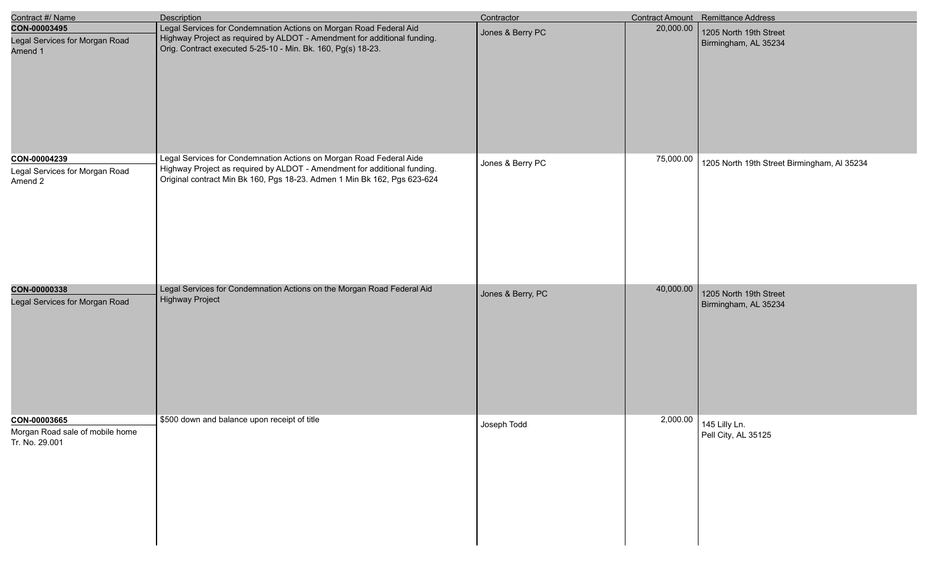| Contract #/ Name                                                  | Description                                                                                                                                                                                                                 | Contractor        |           | Contract Amount Remittance Address             |
|-------------------------------------------------------------------|-----------------------------------------------------------------------------------------------------------------------------------------------------------------------------------------------------------------------------|-------------------|-----------|------------------------------------------------|
| CON-00003495<br>Legal Services for Morgan Road<br>Amend 1         | Legal Services for Condemnation Actions on Morgan Road Federal Aid<br>Highway Project as required by ALDOT - Amendment for additional funding.<br>Orig. Contract executed 5-25-10 - Min. Bk. 160, Pg(s) 18-23.              | Jones & Berry PC  | 20,000.00 | 1205 North 19th Street<br>Birmingham, AL 35234 |
| CON-00004239<br>Legal Services for Morgan Road<br>Amend 2         | Legal Services for Condemnation Actions on Morgan Road Federal Aide<br>Highway Project as required by ALDOT - Amendment for additional funding.<br>Original contract Min Bk 160, Pgs 18-23. Admen 1 Min Bk 162, Pgs 623-624 | Jones & Berry PC  | 75,000.00 | 1205 North 19th Street Birmingham, Al 35234    |
| CON-00000338<br>Legal Services for Morgan Road                    | Legal Services for Condemnation Actions on the Morgan Road Federal Aid<br><b>Highway Project</b>                                                                                                                            | Jones & Berry, PC | 40,000.00 | 1205 North 19th Street<br>Birmingham, AL 35234 |
| CON-00003665<br>Morgan Road sale of mobile home<br>Tr. No. 29.001 | \$500 down and balance upon receipt of title                                                                                                                                                                                | Joseph Todd       |           | 2,000.00 145 Lilly Ln.<br>Pell City, AL 35125  |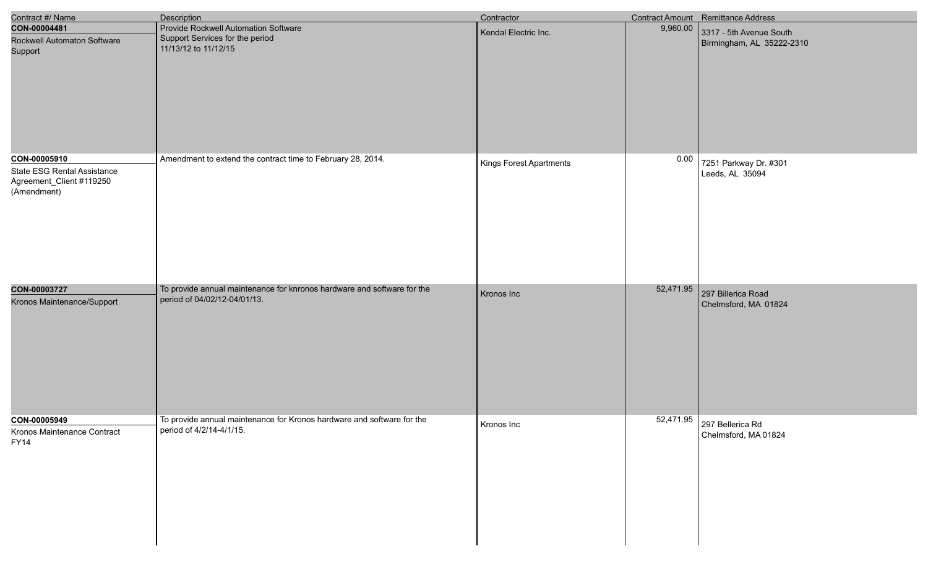| Contract #/ Name                                                                       | <b>Description</b>                                                                                      | Contractor              |           | Contract Amount Remittance Address                   |
|----------------------------------------------------------------------------------------|---------------------------------------------------------------------------------------------------------|-------------------------|-----------|------------------------------------------------------|
| CON-00004481<br>Rockwell Automaton Software<br>Support                                 | Provide Rockwell Automation Software<br>Support Services for the period<br>11/13/12 to 11/12/15         | Kendal Electric Inc.    | 9,960.00  | 3317 - 5th Avenue South<br>Birmingham, AL 35222-2310 |
| CON-00005910<br>State ESG Rental Assistance<br>Agreement_Client #119250<br>(Amendment) | Amendment to extend the contract time to February 28, 2014.                                             | Kings Forest Apartments | 0.00      | 7251 Parkway Dr. #301<br>Leeds, AL 35094             |
| CON-00003727<br>Kronos Maintenance/Support                                             | To provide annual maintenance for knronos hardware and software for the<br>period of 04/02/12-04/01/13. | Kronos Inc              | 52,471.95 | 297 Billerica Road<br>Chelmsford, MA 01824           |
| CON-00005949<br>Kronos Maintenance Contract<br><b>FY14</b>                             | To provide annual maintenance for Kronos hardware and software for the<br>period of 4/2/14-4/1/15.      | Kronos Inc              |           | 52,471.95 297 Bellerica Rd<br>Chelmsford, MA 01824   |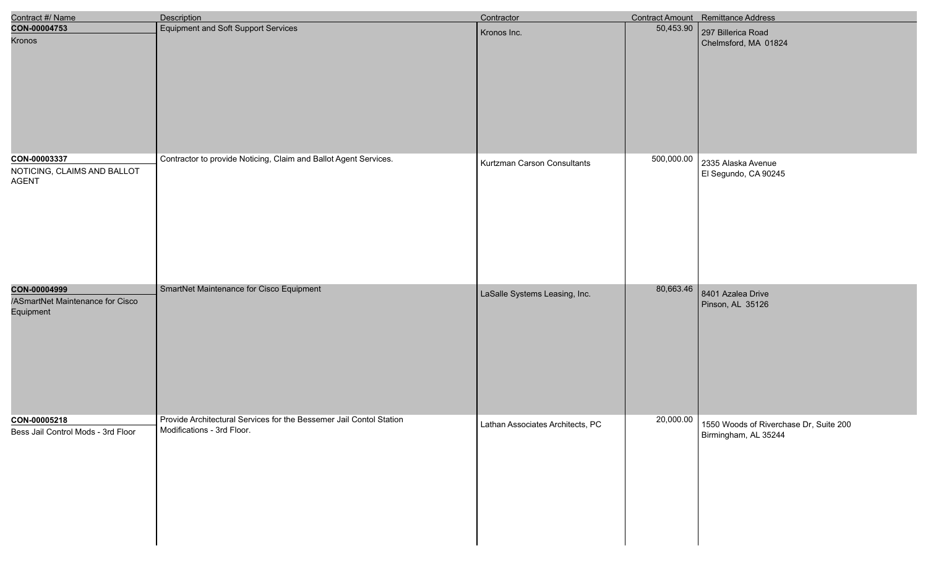| Contract #/ Name                                              | Description                                                                                       | Contractor                       |            | Contract Amount Remittance Address                                                   |
|---------------------------------------------------------------|---------------------------------------------------------------------------------------------------|----------------------------------|------------|--------------------------------------------------------------------------------------|
| CON-00004753<br>Kronos                                        | Equipment and Soft Support Services                                                               | Kronos Inc.                      | 50,453.90  | 297 Billerica Road<br>Chelmsford, MA 01824                                           |
| CON-00003337<br>NOTICING, CLAIMS AND BALLOT<br><b>AGENT</b>   | Contractor to provide Noticing, Claim and Ballot Agent Services.                                  | Kurtzman Carson Consultants      | 500,000.00 | 2335 Alaska Avenue<br>El Segundo, CA 90245                                           |
| CON-00004999<br>/ASmartNet Maintenance for Cisco<br>Equipment | SmartNet Maintenance for Cisco Equipment                                                          | LaSalle Systems Leasing, Inc.    | 80,663.46  | 8401 Azalea Drive<br>Pinson, AL 35126                                                |
| CON-00005218<br>Bess Jail Control Mods - 3rd Floor            | Provide Architectural Services for the Bessemer Jail Contol Station<br>Modifications - 3rd Floor. | Lathan Associates Architects, PC |            | $\boxed{20,000.00}$   1550 Woods of Riverchase Dr, Suite 200<br>Birmingham, AL 35244 |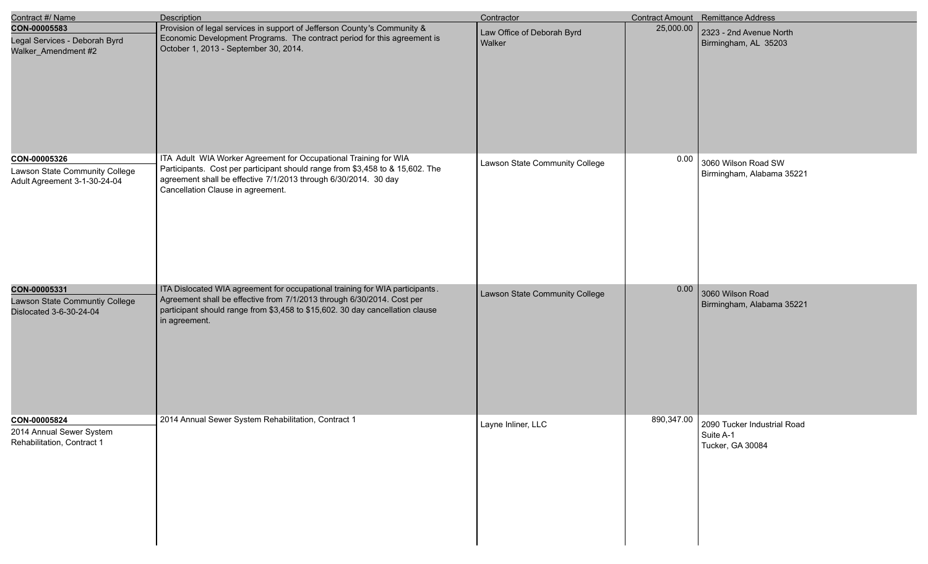| Contract #/ Name                                                               | <b>Description</b>                                                                                                                                                                                                                                        | Contractor                           |            | <b>Contract Amount</b> Remittance Address                    |
|--------------------------------------------------------------------------------|-----------------------------------------------------------------------------------------------------------------------------------------------------------------------------------------------------------------------------------------------------------|--------------------------------------|------------|--------------------------------------------------------------|
| CON-00005583<br>Legal Services - Deborah Byrd<br>Walker_Amendment #2           | Provision of legal services in support of Jefferson County's Community &<br>Economic Development Programs. The contract period for this agreement is<br>October 1, 2013 - September 30, 2014.                                                             | Law Office of Deborah Byrd<br>Walker | 25,000.00  | 2323 - 2nd Avenue North<br>Birmingham, AL 35203              |
| CON-00005326<br>Lawson State Community College<br>Adult Agreement 3-1-30-24-04 | ITA Adult WIA Worker Agreement for Occupational Training for WIA<br>Participants. Cost per participant should range from \$3,458 to & 15,602. The<br>agreement shall be effective 7/1/2013 through 6/30/2014. 30 day<br>Cancellation Clause in agreement. | Lawson State Community College       | 0.00       | 3060 Wilson Road SW<br>Birmingham, Alabama 35221             |
| CON-00005331<br>Lawson State Communtiy College<br>Dislocated 3-6-30-24-04      | ITA Dislocated WIA agreement for occupational training for WIA participants.<br>Agreement shall be effective from 7/1/2013 through 6/30/2014. Cost per<br>participant should range from \$3,458 to \$15,602. 30 day cancellation clause<br>in agreement.  | Lawson State Community College       | 0.00       | 3060 Wilson Road<br>Birmingham, Alabama 35221                |
| CON-00005824<br>2014 Annual Sewer System<br>Rehabilitation, Contract 1         | 2014 Annual Sewer System Rehabilitation, Contract 1                                                                                                                                                                                                       | Layne Inliner, LLC                   | 890,347.00 | 2090 Tucker Industrial Road<br>Suite A-1<br>Tucker, GA 30084 |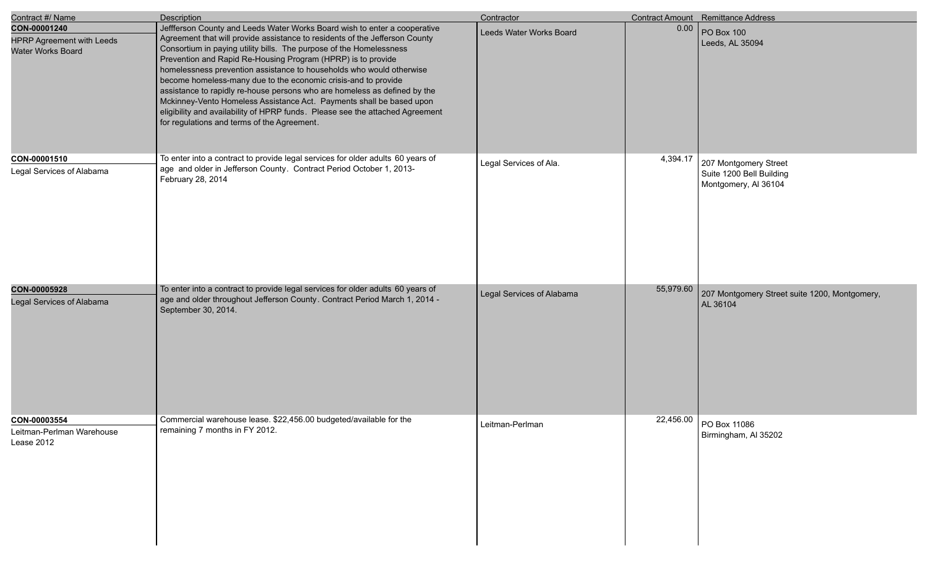| Contract #/ Name                                                      | Description                                                                                                                                                                                                                                                                                                                                                                                                                                                                                                                                                                                                                                                                                                                    | Contractor                |           | Contract Amount Remittance Address                                        |
|-----------------------------------------------------------------------|--------------------------------------------------------------------------------------------------------------------------------------------------------------------------------------------------------------------------------------------------------------------------------------------------------------------------------------------------------------------------------------------------------------------------------------------------------------------------------------------------------------------------------------------------------------------------------------------------------------------------------------------------------------------------------------------------------------------------------|---------------------------|-----------|---------------------------------------------------------------------------|
| CON-00001240<br><b>HPRP Agreement with Leeds</b><br>Water Works Board | Jeffferson County and Leeds Water Works Board wish to enter a cooperative<br>Agreement that will provide assistance to residents of the Jefferson County<br>Consortium in paying utility bills. The purpose of the Homelessness<br>Prevention and Rapid Re-Housing Program (HPRP) is to provide<br>homelessness prevention assistance to households who would otherwise<br>become homeless-many due to the economic crisis-and to provide<br>assistance to rapidly re-house persons who are homeless as defined by the<br>Mckinney-Vento Homeless Assistance Act. Payments shall be based upon<br>eligibility and availability of HPRP funds. Please see the attached Agreement<br>for regulations and terms of the Agreement. | Leeds Water Works Board   | 0.00      | <b>PO Box 100</b><br>Leeds, AL 35094                                      |
| CON-00001510<br>Legal Services of Alabama                             | To enter into a contract to provide legal services for older adults 60 years of<br>age and older in Jefferson County. Contract Period October 1, 2013-<br>February 28, 2014                                                                                                                                                                                                                                                                                                                                                                                                                                                                                                                                                    | Legal Services of Ala.    | 4,394.17  | 207 Montgomery Street<br>Suite 1200 Bell Building<br>Montgomery, Al 36104 |
| CON-00005928<br>Legal Services of Alabama                             | To enter into a contract to provide legal services for older adults 60 years of<br>age and older throughout Jefferson County. Contract Period March 1, 2014 -<br>September 30, 2014.                                                                                                                                                                                                                                                                                                                                                                                                                                                                                                                                           | Legal Services of Alabama | 55,979.60 | 207 Montgomery Street suite 1200, Montgomery,<br>AL 36104                 |
| CON-00003554<br>Leitman-Perlman Warehouse<br>Lease 2012               | Commercial warehouse lease. \$22,456.00 budgeted/available for the<br>remaining 7 months in FY 2012.                                                                                                                                                                                                                                                                                                                                                                                                                                                                                                                                                                                                                           | Leitman-Perlman           |           | 22,456.00 PO Box 11086<br>Birmingham, Al 35202                            |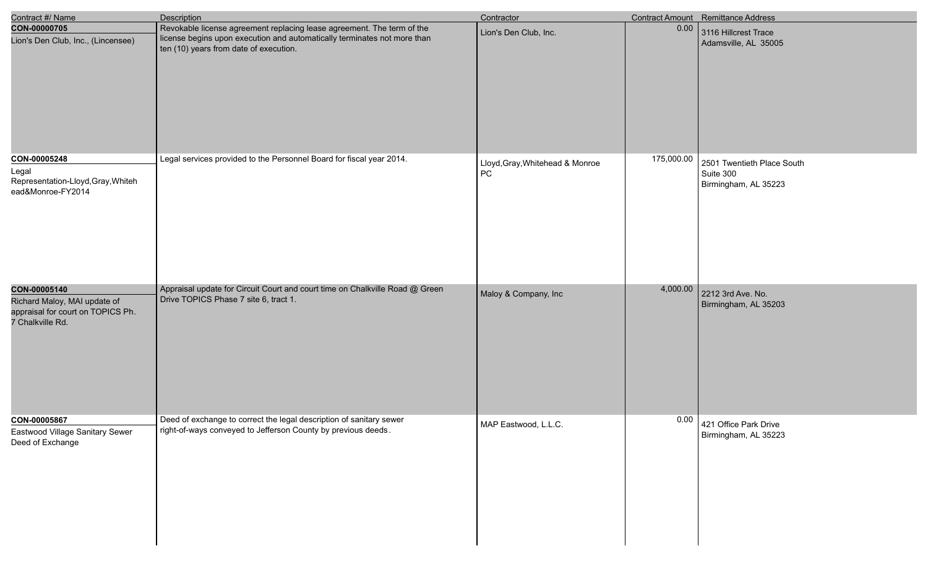| Contract #/ Name                                                                                      | <b>Description</b>                                                                                                                                                                           | Contractor                            |            | Contract Amount Remittance Address                              |
|-------------------------------------------------------------------------------------------------------|----------------------------------------------------------------------------------------------------------------------------------------------------------------------------------------------|---------------------------------------|------------|-----------------------------------------------------------------|
| CON-00000705<br>Lion's Den Club, Inc., (Lincensee)                                                    | Revokable license agreement replacing lease agreement. The term of the<br>license begins upon execution and automatically terminates not more than<br>ten (10) years from date of execution. | Lion's Den Club, Inc.                 | 0.00       | 3116 Hillcrest Trace<br>Adamsville, AL 35005                    |
| CON-00005248<br>Legal<br>Representation-Lloyd, Gray, Whiteh<br>ead&Monroe-FY2014                      | Legal services provided to the Personnel Board for fiscal year 2014.                                                                                                                         | Lloyd, Gray, Whitehead & Monroe<br>PC | 175,000.00 | 2501 Twentieth Place South<br>Suite 300<br>Birmingham, AL 35223 |
| CON-00005140<br>Richard Maloy, MAI update of<br>appraisal for court on TOPICS Ph.<br>7 Chalkville Rd. | Appraisal update for Circuit Court and court time on Chalkville Road @ Green<br>Drive TOPICS Phase 7 site 6, tract 1.                                                                        | Maloy & Company, Inc                  | 4,000.00   | 2212 3rd Ave. No.<br>Birmingham, AL 35203                       |
| CON-00005867<br>Eastwood Village Sanitary Sewer<br>Deed of Exchange                                   | Deed of exchange to correct the legal description of sanitary sewer<br>right-of-ways conveyed to Jefferson County by previous deeds.                                                         | MAP Eastwood, L.L.C.                  | 0.00       | 421 Office Park Drive<br>Birmingham, AL 35223                   |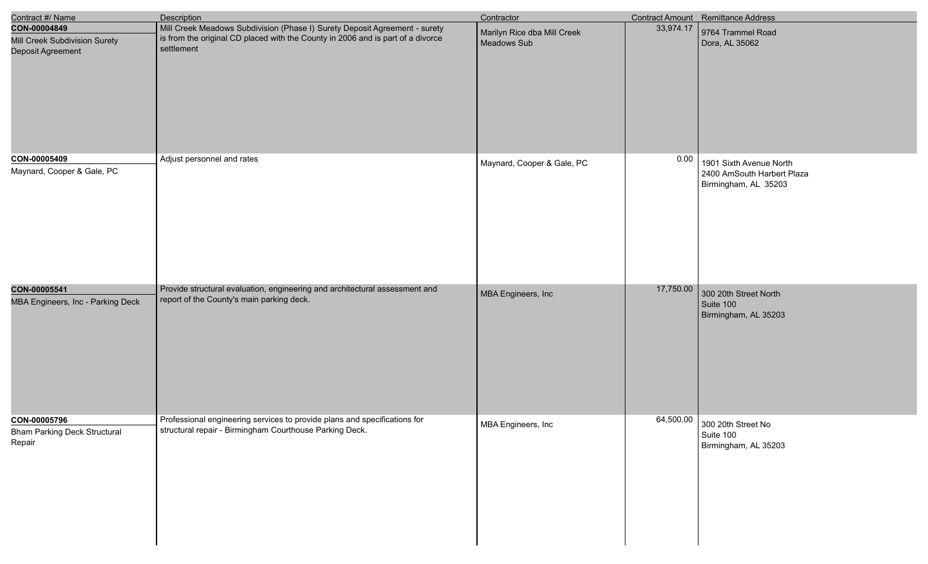| Contract #/ Name                                                   | <b>Description</b>                                                                                                                                                          | Contractor                                 |           | Contract Amount Remittance Address                                            |
|--------------------------------------------------------------------|-----------------------------------------------------------------------------------------------------------------------------------------------------------------------------|--------------------------------------------|-----------|-------------------------------------------------------------------------------|
| CON-00004849<br>Mill Creek Subdivision Surety<br>Deposit Agreement | Mill Creek Meadows Subdivision (Phase I) Surety Deposit Agreement - surety<br>is from the original CD placed with the County in 2006 and is part of a divorce<br>settlement | Marilyn Rice dba Mill Creek<br>Meadows Sub | 33,974.17 | 9764 Trammel Road<br>Dora, AL 35062                                           |
| CON-00005409<br>Maynard, Cooper & Gale, PC                         | Adjust personnel and rates                                                                                                                                                  | Maynard, Cooper & Gale, PC                 | 0.00      | 1901 Sixth Avenue North<br>2400 AmSouth Harbert Plaza<br>Birmingham, AL 35203 |
| CON-00005541<br>MBA Engineers, Inc - Parking Deck                  | Provide structural evaluation, engineering and architectural assessment and<br>report of the County's main parking deck.                                                    | MBA Engineers, Inc                         | 17,750.00 | 300 20th Street North<br>Suite 100<br>Birmingham, AL 35203                    |
| CON-00005796<br><b>Bham Parking Deck Structural</b><br>Repair      | Professional engineering services to provide plans and specifications for<br>structural repair - Birmingham Courthouse Parking Deck.                                        | MBA Engineers, Inc                         | 64,500.00 | 300 20th Street No<br>Suite 100<br>Birmingham, AL 35203                       |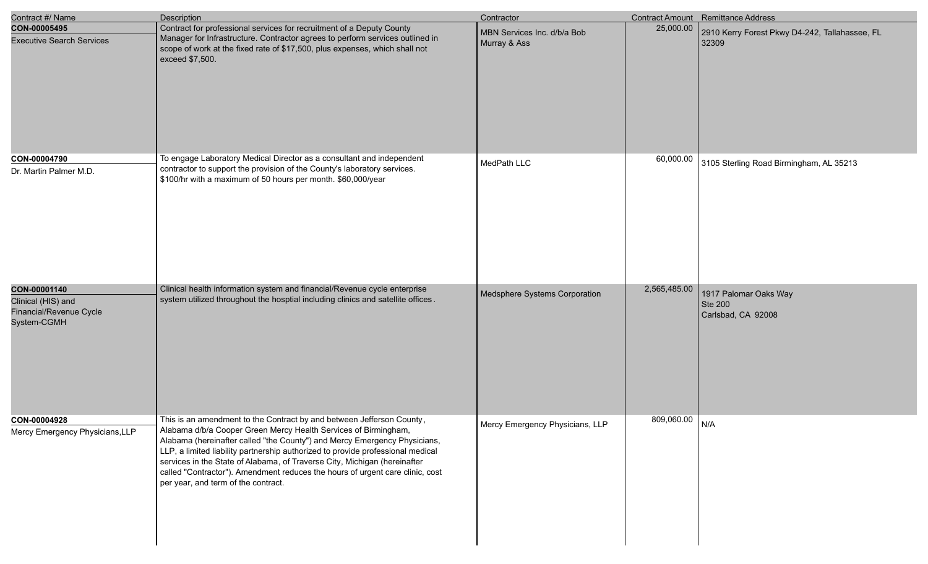| Contract #/ Name                                                             | Description                                                                                                                                                                                                                                                                                                                                                                                                                                                                                                   | Contractor                                  |              | Contract Amount Remittance Address                            |
|------------------------------------------------------------------------------|---------------------------------------------------------------------------------------------------------------------------------------------------------------------------------------------------------------------------------------------------------------------------------------------------------------------------------------------------------------------------------------------------------------------------------------------------------------------------------------------------------------|---------------------------------------------|--------------|---------------------------------------------------------------|
| CON-00005495<br><b>Executive Search Services</b>                             | Contract for professional services for recruitment of a Deputy County<br>Manager for Infrastructure. Contractor agrees to perform services outlined in<br>scope of work at the fixed rate of \$17,500, plus expenses, which shall not<br>exceed \$7,500.                                                                                                                                                                                                                                                      | MBN Services Inc. d/b/a Bob<br>Murray & Ass | 25,000.00    | 2910 Kerry Forest Pkwy D4-242, Tallahassee, FL<br>32309       |
| CON-00004790<br>Dr. Martin Palmer M.D.                                       | To engage Laboratory Medical Director as a consultant and independent<br>contractor to support the provision of the County's laboratory services.<br>\$100/hr with a maximum of 50 hours per month. \$60,000/year                                                                                                                                                                                                                                                                                             | MedPath LLC                                 | 60,000.00    | 3105 Sterling Road Birmingham, AL 35213                       |
| CON-00001140<br>Clinical (HIS) and<br>Financial/Revenue Cycle<br>System-CGMH | Clinical health information system and financial/Revenue cycle enterprise<br>system utilized throughout the hosptial including clinics and satellite offices.                                                                                                                                                                                                                                                                                                                                                 | Medsphere Systems Corporation               | 2,565,485.00 | 1917 Palomar Oaks Way<br><b>Ste 200</b><br>Carlsbad, CA 92008 |
| CON-00004928<br>Mercy Emergency Physicians, LLP                              | This is an amendment to the Contract by and between Jefferson County,<br>Alabama d/b/a Cooper Green Mercy Health Services of Birmingham,<br>Alabama (hereinafter called "the County") and Mercy Emergency Physicians,<br>LLP, a limited liability partnership authorized to provide professional medical<br>services in the State of Alabama, of Traverse City, Michigan (hereinafter<br>called "Contractor"). Amendment reduces the hours of urgent care clinic, cost<br>per year, and term of the contract. | Mercy Emergency Physicians, LLP             | 809,060.00   | N/A                                                           |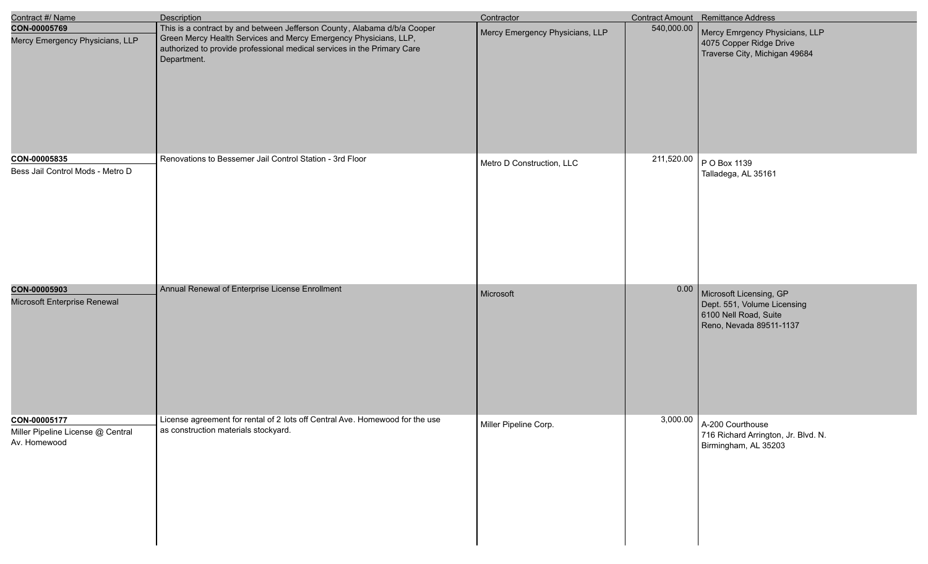| Contract #/ Name                                                  | <b>Description</b>                                                                                                                                                                                                                     | Contractor                      |            | Contract Amount Remittance Address                                                                         |
|-------------------------------------------------------------------|----------------------------------------------------------------------------------------------------------------------------------------------------------------------------------------------------------------------------------------|---------------------------------|------------|------------------------------------------------------------------------------------------------------------|
| CON-00005769<br>Mercy Emergency Physicians, LLP                   | This is a contract by and between Jefferson County, Alabama d/b/a Cooper<br>Green Mercy Health Services and Mercy Emergency Physicians, LLP,<br>authorized to provide professional medical services in the Primary Care<br>Department. | Mercy Emergency Physicians, LLP | 540,000.00 | Mercy Emrgency Physicians, LLP<br>4075 Copper Ridge Drive<br>Traverse City, Michigan 49684                 |
| CON-00005835<br>Bess Jail Control Mods - Metro D                  | Renovations to Bessemer Jail Control Station - 3rd Floor                                                                                                                                                                               | Metro D Construction, LLC       | 211,520.00 | P O Box 1139<br>Talladega, AL 35161                                                                        |
| CON-00005903<br>Microsoft Enterprise Renewal                      | Annual Renewal of Enterprise License Enrollment                                                                                                                                                                                        | Microsoft                       | 0.00       | Microsoft Licensing, GP<br>Dept. 551, Volume Licensing<br>6100 Nell Road, Suite<br>Reno, Nevada 89511-1137 |
| CON-00005177<br>Miller Pipeline License @ Central<br>Av. Homewood | License agreement for rental of 2 lots off Central Ave. Homewood for the use<br>as construction materials stockyard.                                                                                                                   | Miller Pipeline Corp.           | 3,000.00   | A-200 Courthouse<br>716 Richard Arrington, Jr. Blvd. N.<br>Birmingham, AL 35203                            |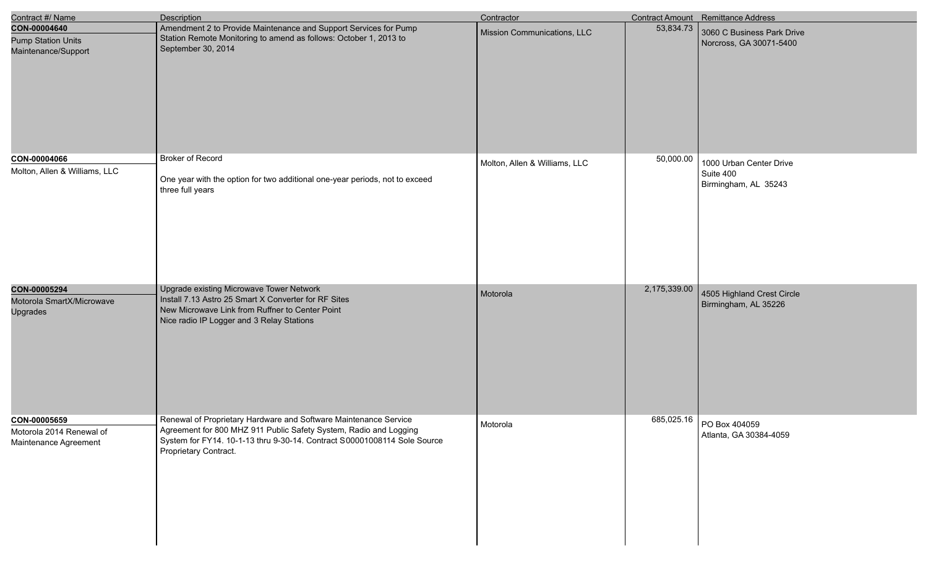| Contract #/ Name                                                  | <b>Description</b>                                                                                                                                                                                                                         | Contractor                    |              | Contract Amount Remittance Address                           |
|-------------------------------------------------------------------|--------------------------------------------------------------------------------------------------------------------------------------------------------------------------------------------------------------------------------------------|-------------------------------|--------------|--------------------------------------------------------------|
| CON-00004640<br><b>Pump Station Units</b><br>Maintenance/Support  | Amendment 2 to Provide Maintenance and Support Services for Pump<br>Station Remote Monitoring to amend as follows: October 1, 2013 to<br>September 30, 2014                                                                                | Mission Communications, LLC   | 53,834.73    | 3060 C Business Park Drive<br>Norcross, GA 30071-5400        |
| CON-00004066<br>Molton, Allen & Williams, LLC                     | <b>Broker of Record</b><br>One year with the option for two additional one-year periods, not to exceed<br>three full years                                                                                                                 | Molton, Allen & Williams, LLC | 50,000.00    | 1000 Urban Center Drive<br>Suite 400<br>Birmingham, AL 35243 |
| CON-00005294<br>Motorola SmartX/Microwave<br>Upgrades             | Upgrade existing Microwave Tower Network<br>Install 7.13 Astro 25 Smart X Converter for RF Sites<br>New Microwave Link from Ruffner to Center Point<br>Nice radio IP Logger and 3 Relay Stations                                           | Motorola                      | 2,175,339.00 | 4505 Highland Crest Circle<br>Birmingham, AL 35226           |
| CON-00005659<br>Motorola 2014 Renewal of<br>Maintenance Agreement | Renewal of Proprietary Hardware and Software Maintenance Service<br>Agreement for 800 MHZ 911 Public Safety System, Radio and Logging<br>System for FY14. 10-1-13 thru 9-30-14. Contract S00001008114 Sole Source<br>Proprietary Contract. | Motorola                      | 685,025.16   | PO Box 404059<br>Atlanta, GA 30384-4059                      |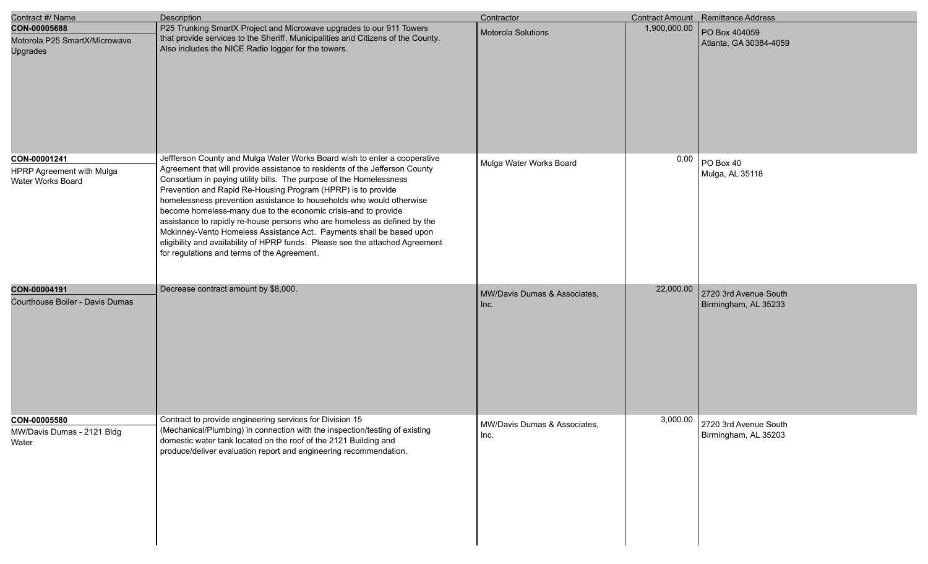| Contract #/ Name                                                 | Description                                                                                                                                                                                                                                                                                                                                                                                                                                                                                                                                                                                                                                                                                                                    | Contractor                           |              | Contract Amount Remittance Address            |
|------------------------------------------------------------------|--------------------------------------------------------------------------------------------------------------------------------------------------------------------------------------------------------------------------------------------------------------------------------------------------------------------------------------------------------------------------------------------------------------------------------------------------------------------------------------------------------------------------------------------------------------------------------------------------------------------------------------------------------------------------------------------------------------------------------|--------------------------------------|--------------|-----------------------------------------------|
| CON-00005688<br>Motorola P25 SmartX/Microwave<br><b>Upgrades</b> | P25 Trunking SmartX Project and Microwave upgrades to our 911 Towers<br>that provide services to the Sheriff, Municipalities and Citizens of the County.<br>Also includes the NICE Radio logger for the towers.                                                                                                                                                                                                                                                                                                                                                                                                                                                                                                                | Motorola Solutions                   | 1,900,000.00 | PO Box 404059<br>Atlanta, GA 30384-4059       |
| CON-00001241<br>HPRP Agreement with Mulga<br>Water Works Board   | Jeffferson County and Mulga Water Works Board wish to enter a cooperative<br>Agreement that will provide assistance to residents of the Jefferson County<br>Consortium in paying utility bills. The purpose of the Homelessness<br>Prevention and Rapid Re-Housing Program (HPRP) is to provide<br>homelessness prevention assistance to households who would otherwise<br>become homeless-many due to the economic crisis-and to provide<br>assistance to rapidly re-house persons who are homeless as defined by the<br>Mckinney-Vento Homeless Assistance Act. Payments shall be based upon<br>eligibility and availability of HPRP funds. Please see the attached Agreement<br>for regulations and terms of the Agreement. | Mulga Water Works Board              | 0.00         | $PO$ Box 40<br>Mulga, AL 35118                |
| CON-00004191<br>Courthouse Boiler - Davis Dumas                  | Decrease contract amount by \$8,000.                                                                                                                                                                                                                                                                                                                                                                                                                                                                                                                                                                                                                                                                                           | MW/Davis Dumas & Associates,<br>Inc. | 22,000.00    | 2720 3rd Avenue South<br>Birmingham, AL 35233 |
| CON-00005580<br>MW/Davis Dumas - 2121 Bldg<br>Water              | Contract to provide engineering services for Division 15<br>(Mechanical/Plumbing) in connection with the inspection/testing of existing<br>domestic water tank located on the roof of the 2121 Building and<br>produce/deliver evaluation report and engineering recommendation.                                                                                                                                                                                                                                                                                                                                                                                                                                               | MW/Davis Dumas & Associates,<br>Inc. | 3,000.00     | 2720 3rd Avenue South<br>Birmingham, AL 35203 |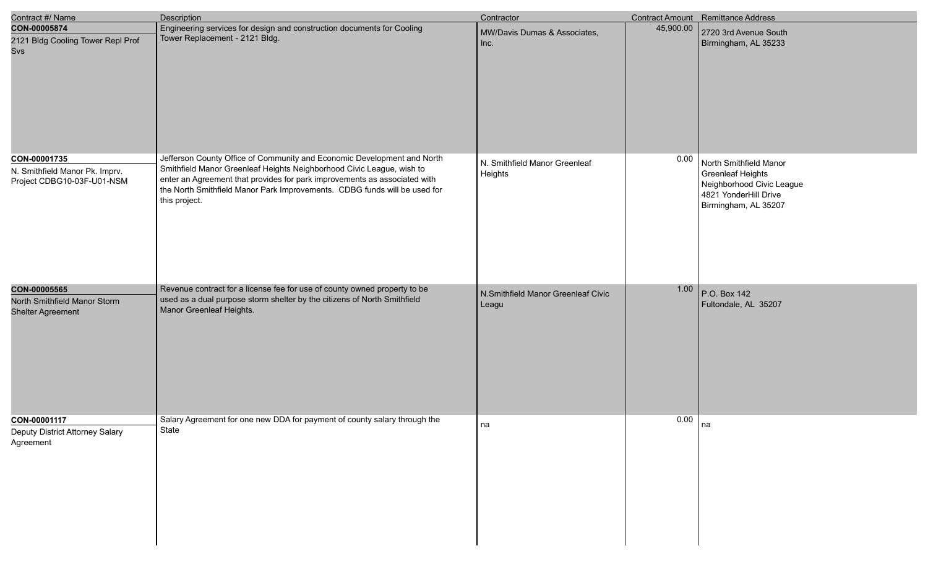| Contract #/ Name                                                             | <b>Description</b>                                                                                                                                                                                                                                                                                                          | Contractor                                  |           | <b>Contract Amount</b> Remittance Address                                                                                        |
|------------------------------------------------------------------------------|-----------------------------------------------------------------------------------------------------------------------------------------------------------------------------------------------------------------------------------------------------------------------------------------------------------------------------|---------------------------------------------|-----------|----------------------------------------------------------------------------------------------------------------------------------|
| CON-00005874<br>2121 Bldg Cooling Tower Repl Prof<br>Svs                     | Engineering services for design and construction documents for Cooling<br>Tower Replacement - 2121 Bldg.                                                                                                                                                                                                                    | MW/Davis Dumas & Associates,<br>Inc.        | 45,900.00 | 2720 3rd Avenue South<br>Birmingham, AL 35233                                                                                    |
| CON-00001735<br>N. Smithfield Manor Pk. Imprv.<br>Project CDBG10-03F-U01-NSM | Jefferson County Office of Community and Economic Development and North<br>Smithfield Manor Greenleaf Heights Neighborhood Civic League, wish to<br>enter an Agreement that provides for park improvements as associated with<br>the North Smithfield Manor Park Improvements. CDBG funds will be used for<br>this project. | N. Smithfield Manor Greenleaf<br>Heights    | 0.00      | North Smithfield Manor<br><b>Greenleaf Heights</b><br>Neighborhood Civic League<br>4821 YonderHill Drive<br>Birmingham, AL 35207 |
| CON-00005565<br>North Smithfield Manor Storm<br><b>Shelter Agreement</b>     | Revenue contract for a license fee for use of county owned property to be<br>used as a dual purpose storm shelter by the citizens of North Smithfield<br>Manor Greenleaf Heights.                                                                                                                                           | N.Smithfield Manor Greenleaf Civic<br>Leagu | 1.00      | P.O. Box 142<br>Fultondale, AL 35207                                                                                             |
| CON-00001117<br>Deputy District Attorney Salary<br>Agreement                 | Salary Agreement for one new DDA for payment of county salary through the<br>State                                                                                                                                                                                                                                          | na                                          | 0.00      | na                                                                                                                               |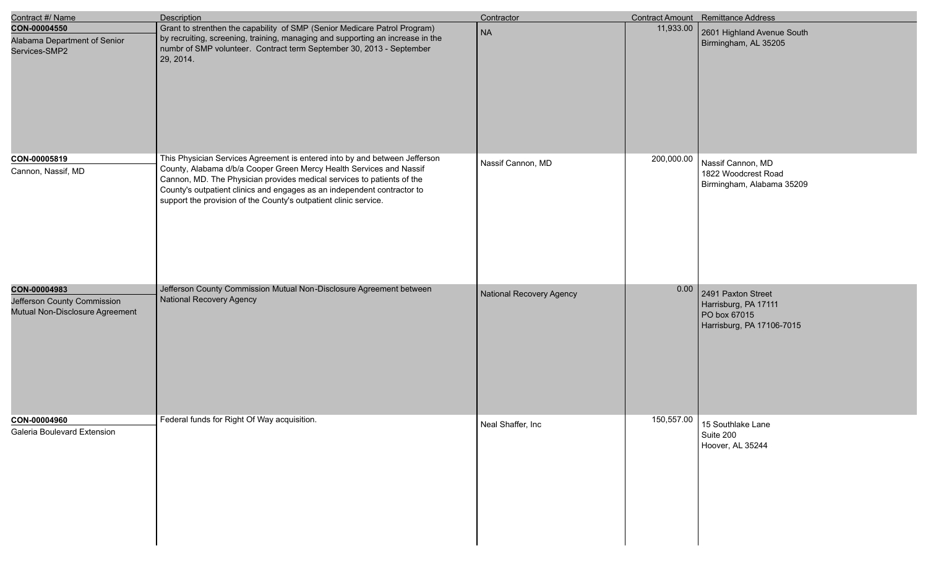| Contract #/ Name                                                               | <b>Description</b>                                                                                                                                                                                                                                                                                                                                                         | Contractor                      |            | Contract Amount Remittance Address                                                      |
|--------------------------------------------------------------------------------|----------------------------------------------------------------------------------------------------------------------------------------------------------------------------------------------------------------------------------------------------------------------------------------------------------------------------------------------------------------------------|---------------------------------|------------|-----------------------------------------------------------------------------------------|
| CON-00004550<br>Alabama Department of Senior<br>Services-SMP2                  | Grant to strenthen the capability of SMP (Senior Medicare Patrol Program)<br>by recruiting, screening, training, managing and supporting an increase in the<br>numbr of SMP volunteer. Contract term September 30, 2013 - September<br>29, 2014.                                                                                                                           | <b>NA</b>                       | 11,933.00  | 2601 Highland Avenue South<br>Birmingham, AL 35205                                      |
| CON-00005819<br>Cannon, Nassif, MD                                             | This Physician Services Agreement is entered into by and between Jefferson<br>County, Alabama d/b/a Cooper Green Mercy Health Services and Nassif<br>Cannon, MD. The Physician provides medical services to patients of the<br>County's outpatient clinics and engages as an independent contractor to<br>support the provision of the County's outpatient clinic service. | Nassif Cannon, MD               | 200,000.00 | Nassif Cannon, MD<br>1822 Woodcrest Road<br>Birmingham, Alabama 35209                   |
| CON-00004983<br>Jefferson County Commission<br>Mutual Non-Disclosure Agreement | Jefferson County Commission Mutual Non-Disclosure Agreement between<br><b>National Recovery Agency</b>                                                                                                                                                                                                                                                                     | <b>National Recovery Agency</b> | 0.00       | 2491 Paxton Street<br>Harrisburg, PA 17111<br>PO box 67015<br>Harrisburg, PA 17106-7015 |
| CON-00004960<br>Galeria Boulevard Extension                                    | Federal funds for Right Of Way acquisition.                                                                                                                                                                                                                                                                                                                                | Neal Shaffer, Inc               | 150,557.00 | 15 Southlake Lane<br>Suite 200<br>Hoover, AL 35244                                      |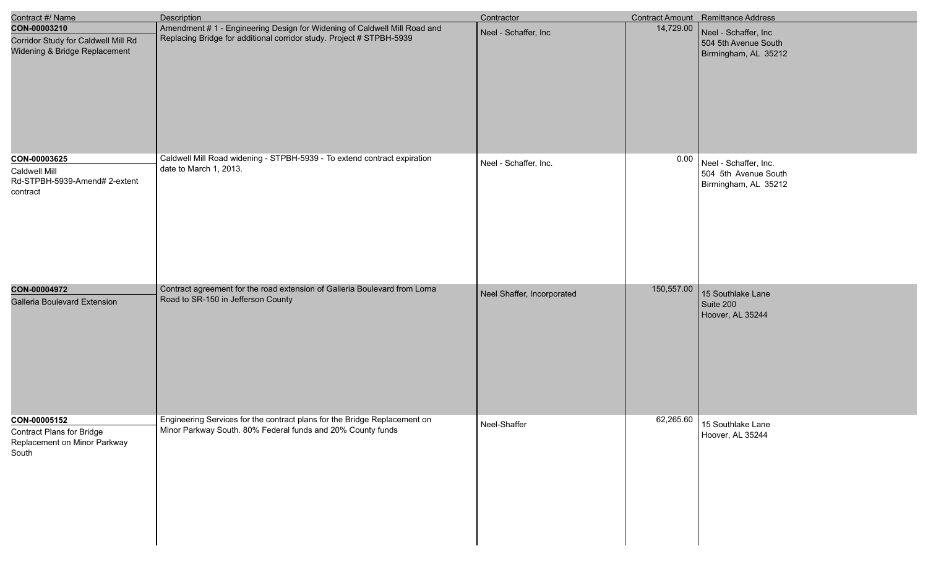| Contract #/ Name                                                                          | Description                                                                                                                                       | Contractor                 |            | Contract Amount Remittance Address                                    |
|-------------------------------------------------------------------------------------------|---------------------------------------------------------------------------------------------------------------------------------------------------|----------------------------|------------|-----------------------------------------------------------------------|
| CON-00003210<br>Corridor Study for Caldwell Mill Rd<br>Widening & Bridge Replacement      | Amendment # 1 - Engineering Design for Widening of Caldwell Mill Road and<br>Replacing Bridge for additional corridor study. Project # STPBH-5939 | Neel - Schaffer, Inc       | 14,729.00  | Neel - Schaffer, Inc<br>504 5th Avenue South<br>Birmingham, AL 35212  |
| CON-00003625<br>Caldwell Mill<br>Rd-STPBH-5939-Amend# 2-extent<br>contract                | Caldwell Mill Road widening - STPBH-5939 - To extend contract expiration<br>date to March 1, 2013.                                                | Neel - Schaffer, Inc.      | 0.00       | Neel - Schaffer, Inc.<br>504 5th Avenue South<br>Birmingham, AL 35212 |
| CON-00004972<br><b>Galleria Boulevard Extension</b>                                       | Contract agreement for the road extension of Galleria Boulevard from Lorna<br>Road to SR-150 in Jefferson County                                  | Neel Shaffer, Incorporated | 150,557.00 | 15 Southlake Lane<br>Suite 200<br>Hoover, AL 35244                    |
| CON-00005152<br><b>Contract Plans for Bridge</b><br>Replacement on Minor Parkway<br>South | Engineering Services for the contract plans for the Bridge Replacement on<br>Minor Parkway South. 80% Federal funds and 20% County funds          | Neel-Shaffer               | 62,265.60  | 15 Southlake Lane<br>Hoover, AL 35244                                 |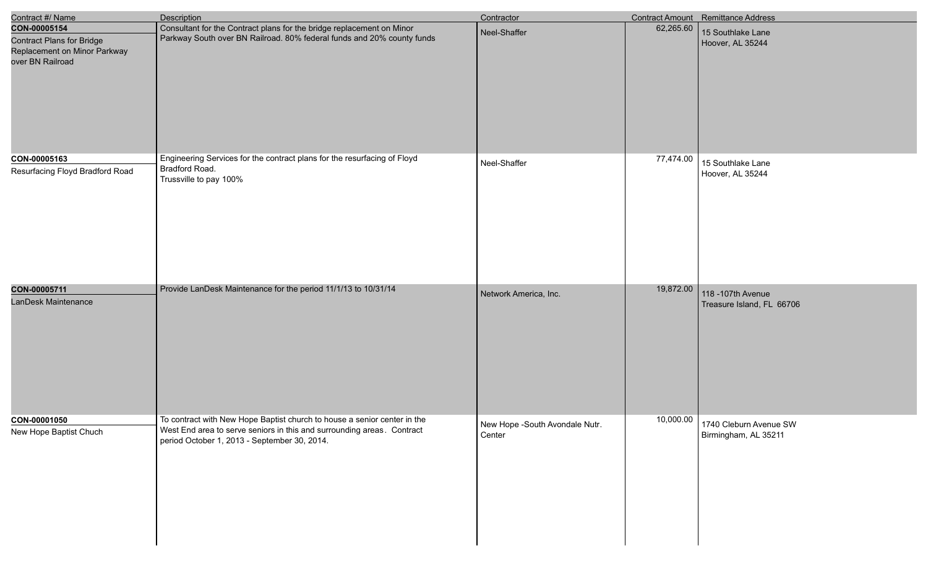| Contract #/ Name                                                                                     | <b>Description</b>                                                                                                                                                                                 | Contractor                               |           | Contract Amount Remittance Address              |
|------------------------------------------------------------------------------------------------------|----------------------------------------------------------------------------------------------------------------------------------------------------------------------------------------------------|------------------------------------------|-----------|-------------------------------------------------|
| CON-00005154<br><b>Contract Plans for Bridge</b><br>Replacement on Minor Parkway<br>over BN Railroad | Consultant for the Contract plans for the bridge replacement on Minor<br>Parkway South over BN Railroad. 80% federal funds and 20% county funds                                                    | Neel-Shaffer                             | 62,265.60 | 15 Southlake Lane<br>Hoover, AL 35244           |
| CON-00005163<br>Resurfacing Floyd Bradford Road                                                      | Engineering Services for the contract plans for the resurfacing of Floyd<br>Bradford Road.<br>Trussville to pay 100%                                                                               | Neel-Shaffer                             | 77,474.00 | 15 Southlake Lane<br>Hoover, AL 35244           |
| CON-00005711<br>LanDesk Maintenance                                                                  | Provide LanDesk Maintenance for the period 11/1/13 to 10/31/14                                                                                                                                     | Network America, Inc.                    | 19,872.00 | 118 - 107th Avenue<br>Treasure Island, FL 66706 |
| CON-00001050<br>New Hope Baptist Chuch                                                               | To contract with New Hope Baptist church to house a senior center in the<br>West End area to serve seniors in this and surrounding areas. Contract<br>period October 1, 2013 - September 30, 2014. | New Hope -South Avondale Nutr.<br>Center | 10,000.00 | 1740 Cleburn Avenue SW<br>Birmingham, AL 35211  |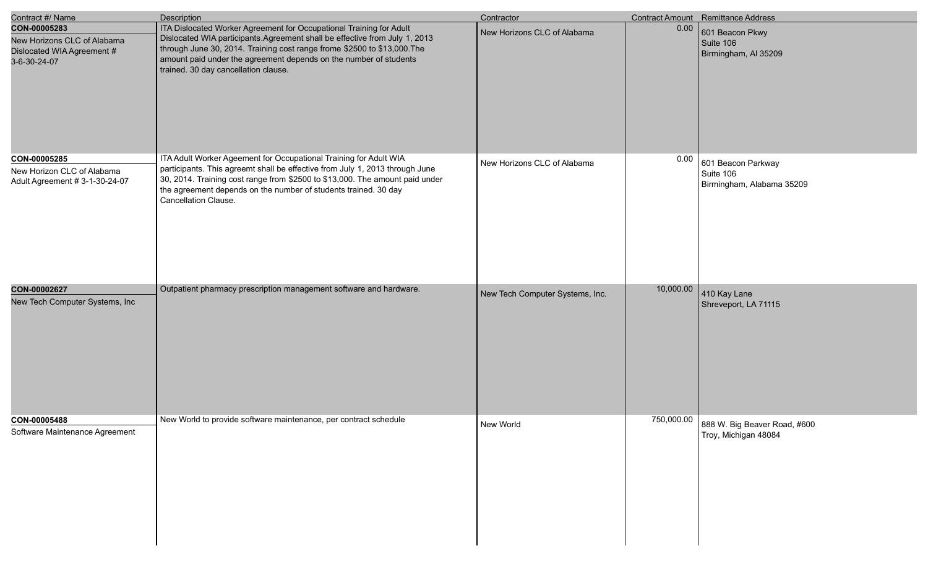| Contract #/ Name                                                                          | <b>Description</b>                                                                                                                                                                                                                                                                                                                          | Contractor                      |            | Contract Amount Remittance Address                           |
|-------------------------------------------------------------------------------------------|---------------------------------------------------------------------------------------------------------------------------------------------------------------------------------------------------------------------------------------------------------------------------------------------------------------------------------------------|---------------------------------|------------|--------------------------------------------------------------|
| CON-00005283<br>New Horizons CLC of Alabama<br>Dislocated WIA Agreement #<br>3-6-30-24-07 | ITA Dislocated Worker Agreement for Occupational Training for Adult<br>Dislocated WIA participants. Agreement shall be effective from July 1, 2013<br>through June 30, 2014. Training cost range frome \$2500 to \$13,000. The<br>amount paid under the agreement depends on the number of students<br>trained. 30 day cancellation clause. | New Horizons CLC of Alabama     | 0.00       | 601 Beacon Pkwy<br>Suite 106<br>Birmingham, Al 35209         |
| CON-00005285<br>New Horizon CLC of Alabama<br>Adult Agreement # 3-1-30-24-07              | ITA Adult Worker Ageement for Occupational Training for Adult WIA<br>participants. This agreemt shall be effective from July 1, 2013 through June<br>30, 2014. Training cost range from \$2500 to \$13,000. The amount paid under<br>the agreement depends on the number of students trained. 30 day<br>Cancellation Clause.                | New Horizons CLC of Alabama     | 0.00       | 601 Beacon Parkway<br>Suite 106<br>Birmingham, Alabama 35209 |
| CON-00002627<br>New Tech Computer Systems, Inc                                            | Outpatient pharmacy prescription management software and hardware.                                                                                                                                                                                                                                                                          | New Tech Computer Systems, Inc. | 10,000.00  | 410 Kay Lane<br>Shreveport, LA 71115                         |
| CON-00005488<br>Software Maintenance Agreement                                            | New World to provide software maintenance, per contract schedule                                                                                                                                                                                                                                                                            | New World                       | 750,000.00 | 888 W. Big Beaver Road, #600<br>Troy, Michigan 48084         |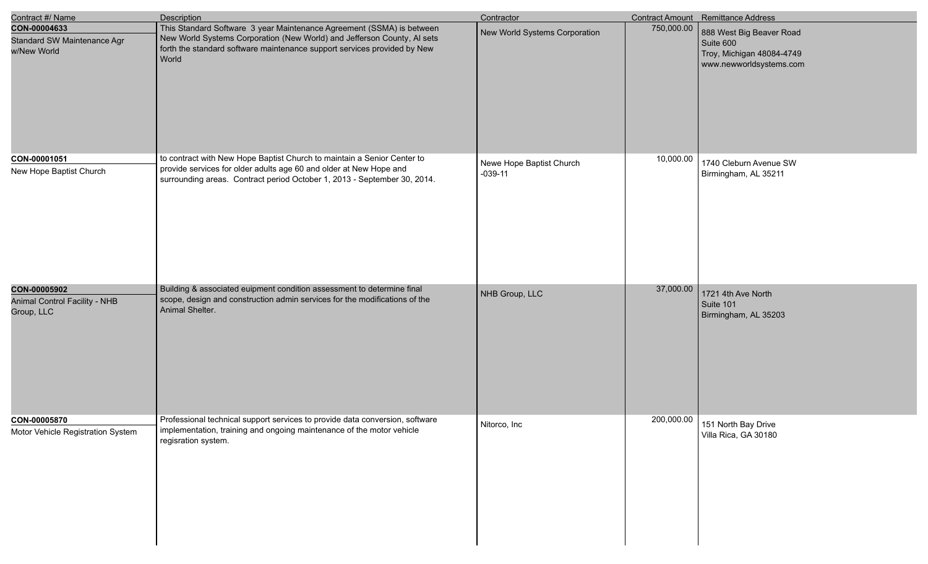| Contract #/ Name                                            | <b>Description</b>                                                                                                                                                                                                                    | Contractor                            |            | Contract Amount Remittance Address                                                            |
|-------------------------------------------------------------|---------------------------------------------------------------------------------------------------------------------------------------------------------------------------------------------------------------------------------------|---------------------------------------|------------|-----------------------------------------------------------------------------------------------|
| CON-00004633<br>Standard SW Maintenance Agr<br>w/New World  | This Standard Software 3 year Maintenance Agreement (SSMA) is between<br>New World Systems Corporation (New World) and Jefferson County, AI sets<br>forth the standard software maintenance support services provided by New<br>World | New World Systems Corporation         | 750,000.00 | 888 West Big Beaver Road<br>Suite 600<br>Troy, Michigan 48084-4749<br>www.newworldsystems.com |
| CON-00001051<br>New Hope Baptist Church                     | to contract with New Hope Baptist Church to maintain a Senior Center to<br>provide services for older adults age 60 and older at New Hope and<br>surrounding areas. Contract period October 1, 2013 - September 30, 2014.             | Newe Hope Baptist Church<br>$-039-11$ | 10,000.00  | 1740 Cleburn Avenue SW<br>Birmingham, AL 35211                                                |
| CON-00005902<br>Animal Control Facility - NHB<br>Group, LLC | Building & associated euipment condition assessment to determine final<br>scope, design and construction admin services for the modifications of the<br>Animal Shelter.                                                               | NHB Group, LLC                        | 37,000.00  | 1721 4th Ave North<br>Suite 101<br>Birmingham, AL 35203                                       |
| CON-00005870<br>Motor Vehicle Registration System           | Professional technical support services to provide data conversion, software<br>implementation, training and ongoing maintenance of the motor vehicle<br>regisration system.                                                          | Nitorco, Inc                          | 200,000.00 | 151 North Bay Drive<br>Villa Rica, GA 30180                                                   |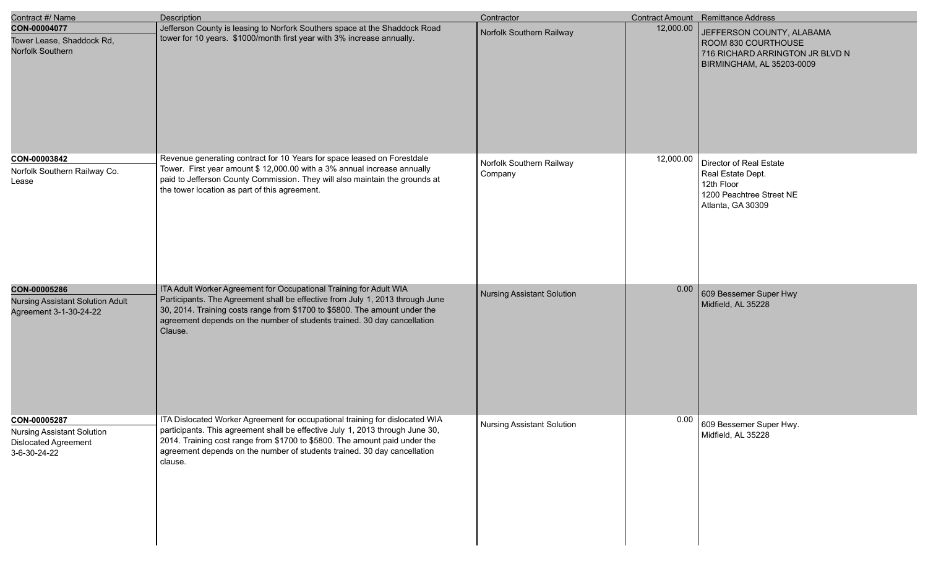| Contract #/ Name                                                                                 | <b>Description</b>                                                                                                                                                                                                                                                                                                                 | Contractor                          |           | Contract Amount Remittance Address                                                                               |
|--------------------------------------------------------------------------------------------------|------------------------------------------------------------------------------------------------------------------------------------------------------------------------------------------------------------------------------------------------------------------------------------------------------------------------------------|-------------------------------------|-----------|------------------------------------------------------------------------------------------------------------------|
| CON-00004077<br>Tower Lease, Shaddock Rd,<br>Norfolk Southern                                    | Jefferson County is leasing to Norfork Southers space at the Shaddock Road<br>tower for 10 years. \$1000/month first year with 3% increase annually.                                                                                                                                                                               | Norfolk Southern Railway            | 12,000.00 | JEFFERSON COUNTY, ALABAMA<br>ROOM 830 COURTHOUSE<br>716 RICHARD ARRINGTON JR BLVD N<br>BIRMINGHAM, AL 35203-0009 |
| CON-00003842<br>Norfolk Southern Railway Co.<br>Lease                                            | Revenue generating contract for 10 Years for space leased on Forestdale<br>Tower. First year amount \$ 12,000.00 with a 3% annual increase annually<br>paid to Jefferson County Commission. They will also maintain the grounds at<br>the tower location as part of this agreement.                                                | Norfolk Southern Railway<br>Company | 12,000.00 | Director of Real Estate<br>Real Estate Dept.<br>12th Floor<br>1200 Peachtree Street NE<br>Atlanta, GA 30309      |
| CON-00005286<br><b>Nursing Assistant Solution Adult</b><br>Agreement 3-1-30-24-22                | ITA Adult Worker Agreement for Occupational Training for Adult WIA<br>Participants. The Agreement shall be effective from July 1, 2013 through June<br>30, 2014. Training costs range from \$1700 to \$5800. The amount under the<br>agreement depends on the number of students trained. 30 day cancellation<br>Clause.           | <b>Nursing Assistant Solution</b>   | 0.00      | 609 Bessemer Super Hwy<br>Midfield, AL 35228                                                                     |
| CON-00005287<br><b>Nursing Assistant Solution</b><br><b>Dislocated Agreement</b><br>3-6-30-24-22 | ITA Dislocated Worker Agreement for occupational training for dislocated WIA<br>participants. This agreement shall be effective July 1, 2013 through June 30,<br>2014. Training cost range from \$1700 to \$5800. The amount paid under the<br>agreement depends on the number of students trained. 30 day cancellation<br>clause. | <b>Nursing Assistant Solution</b>   | 0.00      | 609 Bessemer Super Hwy.<br>Midfield, AL 35228                                                                    |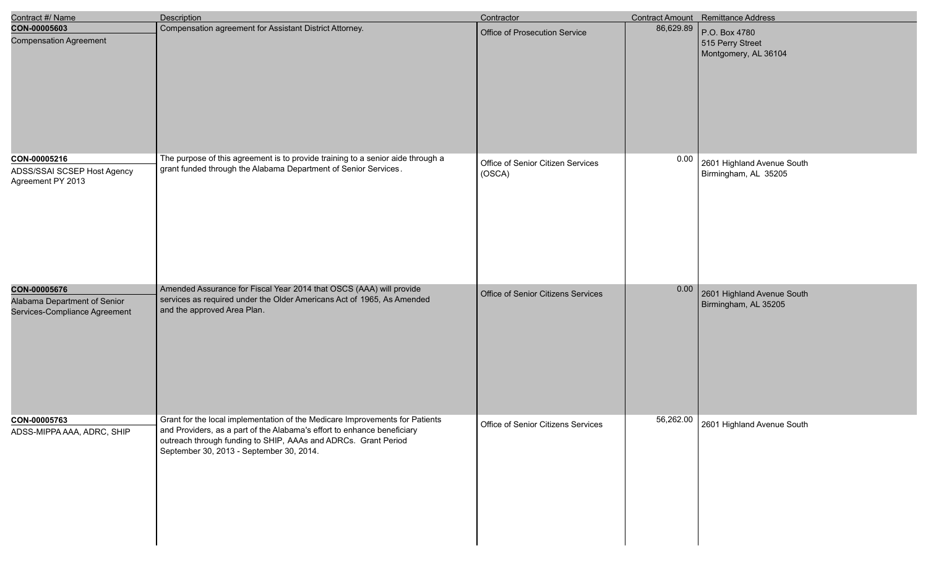| Contract #/ Name                                              | <b>Description</b>                                                                                                                                 | Contractor                         |           | <b>Contract Amount</b> Remittance Address |
|---------------------------------------------------------------|----------------------------------------------------------------------------------------------------------------------------------------------------|------------------------------------|-----------|-------------------------------------------|
| CON-00005603<br><b>Compensation Agreement</b>                 | Compensation agreement for Assistant District Attorney.                                                                                            | Office of Prosecution Service      | 86,629.89 | P.O. Box 4780<br>515 Perry Street         |
|                                                               |                                                                                                                                                    |                                    |           | Montgomery, AL 36104                      |
|                                                               |                                                                                                                                                    |                                    |           |                                           |
|                                                               |                                                                                                                                                    |                                    |           |                                           |
|                                                               |                                                                                                                                                    |                                    |           |                                           |
|                                                               |                                                                                                                                                    |                                    |           |                                           |
|                                                               |                                                                                                                                                    |                                    |           |                                           |
| CON-00005216                                                  | The purpose of this agreement is to provide training to a senior aide through a<br>grant funded through the Alabama Department of Senior Services. | Office of Senior Citizen Services  | 0.00      | 2601 Highland Avenue South                |
| ADSS/SSAI SCSEP Host Agency<br>Agreement PY 2013              |                                                                                                                                                    | (OSCA)                             |           | Birmingham, AL 35205                      |
|                                                               |                                                                                                                                                    |                                    |           |                                           |
|                                                               |                                                                                                                                                    |                                    |           |                                           |
|                                                               |                                                                                                                                                    |                                    |           |                                           |
|                                                               |                                                                                                                                                    |                                    |           |                                           |
|                                                               |                                                                                                                                                    |                                    |           |                                           |
| CON-00005676                                                  | Amended Assurance for Fiscal Year 2014 that OSCS (AAA) will provide                                                                                | Office of Senior Citizens Services | 0.00      | 2601 Highland Avenue South                |
| Alabama Department of Senior<br>Services-Compliance Agreement | services as required under the Older Americans Act of 1965, As Amended<br>and the approved Area Plan.                                              |                                    |           | Birmingham, AL 35205                      |
|                                                               |                                                                                                                                                    |                                    |           |                                           |
|                                                               |                                                                                                                                                    |                                    |           |                                           |
|                                                               |                                                                                                                                                    |                                    |           |                                           |
|                                                               |                                                                                                                                                    |                                    |           |                                           |
|                                                               |                                                                                                                                                    |                                    |           |                                           |
| CON-00005763                                                  | Grant for the local implementation of the Medicare Improvements for Patients                                                                       | Office of Senior Citizens Services |           | 56,262.00 2601 Highland Avenue South      |
| ADSS-MIPPA AAA, ADRC, SHIP                                    | and Providers, as a part of the Alabama's effort to enhance beneficiary<br>outreach through funding to SHIP, AAAs and ADRCs. Grant Period          |                                    |           |                                           |
|                                                               | September 30, 2013 - September 30, 2014.                                                                                                           |                                    |           |                                           |
|                                                               |                                                                                                                                                    |                                    |           |                                           |
|                                                               |                                                                                                                                                    |                                    |           |                                           |
|                                                               |                                                                                                                                                    |                                    |           |                                           |
|                                                               |                                                                                                                                                    |                                    |           |                                           |
|                                                               |                                                                                                                                                    |                                    |           |                                           |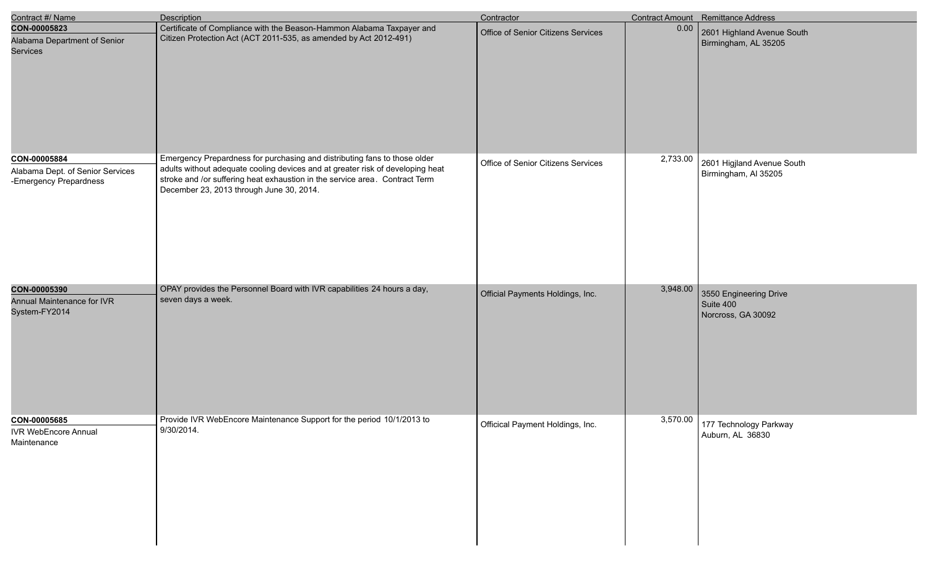| Contract #/ Name                                                           | Description                                                                                                                                                                                                                                                                            | Contractor                         |          | <b>Contract Amount</b> Remittance Address                 |
|----------------------------------------------------------------------------|----------------------------------------------------------------------------------------------------------------------------------------------------------------------------------------------------------------------------------------------------------------------------------------|------------------------------------|----------|-----------------------------------------------------------|
| CON-00005823<br>Alabama Department of Senior<br><b>Services</b>            | Certificate of Compliance with the Beason-Hammon Alabama Taxpayer and<br>Citizen Protection Act (ACT 2011-535, as amended by Act 2012-491)                                                                                                                                             | Office of Senior Citizens Services | 0.00     | 2601 Highland Avenue South<br>Birmingham, AL 35205        |
| CON-00005884<br>Alabama Dept. of Senior Services<br>-Emergency Prepardness | Emergency Prepardness for purchasing and distributing fans to those older<br>adults without adequate cooling devices and at greater risk of developing heat<br>stroke and /or suffering heat exhaustion in the service area. Contract Term<br>December 23, 2013 through June 30, 2014. | Office of Senior Citizens Services | 2,733.00 | 2601 Higjland Avenue South<br>Birmingham, Al 35205        |
| CON-00005390<br>Annual Maintenance for IVR<br>System-FY2014                | OPAY provides the Personnel Board with IVR capabilities 24 hours a day,<br>seven days a week.                                                                                                                                                                                          | Official Payments Holdings, Inc.   | 3,948.00 | 3550 Engineering Drive<br>Suite 400<br>Norcross, GA 30092 |
| CON-00005685<br><b>IVR WebEncore Annual</b><br>Maintenance                 | Provide IVR WebEncore Maintenance Support for the period 10/1/2013 to<br>9/30/2014.                                                                                                                                                                                                    | Officical Payment Holdings, Inc.   | 3,570.00 | 177 Technology Parkway<br>Auburn, AL 36830                |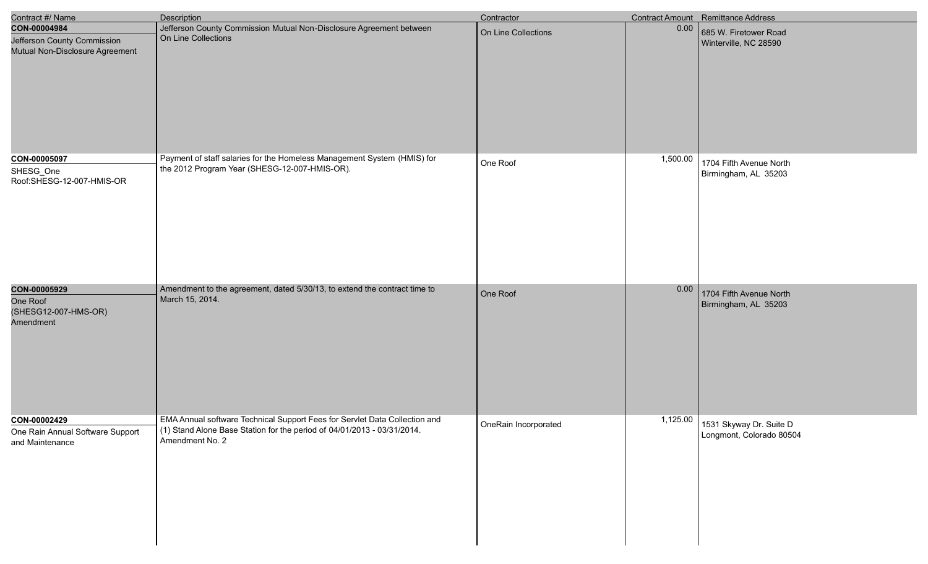| Contract #/ Name                                                               | Description                                                                                                                                                                     | Contractor           |          | Contract Amount Remittance Address                  |
|--------------------------------------------------------------------------------|---------------------------------------------------------------------------------------------------------------------------------------------------------------------------------|----------------------|----------|-----------------------------------------------------|
| CON-00004984<br>Jefferson County Commission<br>Mutual Non-Disclosure Agreement | Jefferson County Commission Mutual Non-Disclosure Agreement between<br>On Line Collections                                                                                      | On Line Collections  | 0.00     | 685 W. Firetower Road<br>Winterville, NC 28590      |
| CON-00005097<br>SHESG_One<br>Roof:SHESG-12-007-HMIS-OR                         | Payment of staff salaries for the Homeless Management System (HMIS) for<br>the 2012 Program Year (SHESG-12-007-HMIS-OR).                                                        | One Roof             | 1,500.00 | 1704 Fifth Avenue North<br>Birmingham, AL 35203     |
| CON-00005929<br>One Roof<br>(SHESG12-007-HMS-OR)<br>Amendment                  | Amendment to the agreement, dated 5/30/13, to extend the contract time to<br>March 15, 2014.                                                                                    | One Roof             | 0.00     | 1704 Fifth Avenue North<br>Birmingham, AL 35203     |
| CON-00002429<br>One Rain Annual Software Support<br>and Maintenance            | <b>EMA Annual software Technical Support Fees for Servlet Data Collection and</b><br>(1) Stand Alone Base Station for the period of 04/01/2013 - 03/31/2014.<br>Amendment No. 2 | OneRain Incorporated | 1,125.00 | 1531 Skyway Dr. Suite D<br>Longmont, Colorado 80504 |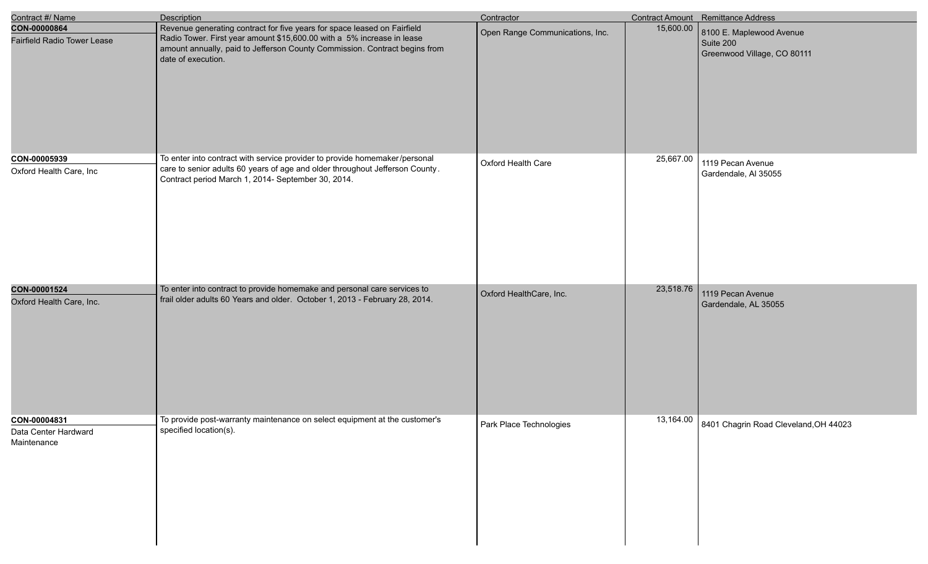| Contract #/ Name                                    | Description                                                                                                                                                                                                                                            | Contractor                      |           | Contract Amount Remittance Address                                   |
|-----------------------------------------------------|--------------------------------------------------------------------------------------------------------------------------------------------------------------------------------------------------------------------------------------------------------|---------------------------------|-----------|----------------------------------------------------------------------|
| CON-00000864<br><b>Fairfield Radio Tower Lease</b>  | Revenue generating contract for five years for space leased on Fairfield<br>Radio Tower. First year amount \$15,600.00 with a 5% increase in lease<br>amount annually, paid to Jefferson County Commission. Contract begins from<br>date of execution. | Open Range Communications, Inc. | 15,600.00 | 8100 E. Maplewood Avenue<br>Suite 200<br>Greenwood Village, CO 80111 |
|                                                     |                                                                                                                                                                                                                                                        |                                 |           |                                                                      |
| CON-00005939<br>Oxford Health Care, Inc             | To enter into contract with service provider to provide homemaker/personal<br>care to senior adults 60 years of age and older throughout Jefferson County.<br>Contract period March 1, 2014- September 30, 2014.                                       | Oxford Health Care              | 25,667.00 | 1119 Pecan Avenue<br>Gardendale, Al 35055                            |
| CON-00001524<br>Oxford Health Care, Inc.            | To enter into contract to provide homemake and personal care services to<br>frail older adults 60 Years and older. October 1, 2013 - February 28, 2014.                                                                                                | Oxford HealthCare, Inc.         | 23,518.76 | 1119 Pecan Avenue<br>Gardendale, AL 35055                            |
| CON-00004831<br>Data Center Hardward<br>Maintenance | To provide post-warranty maintenance on select equipment at the customer's<br>specified location(s).                                                                                                                                                   | Park Place Technologies         |           | 13,164.00 8401 Chagrin Road Cleveland, OH 44023                      |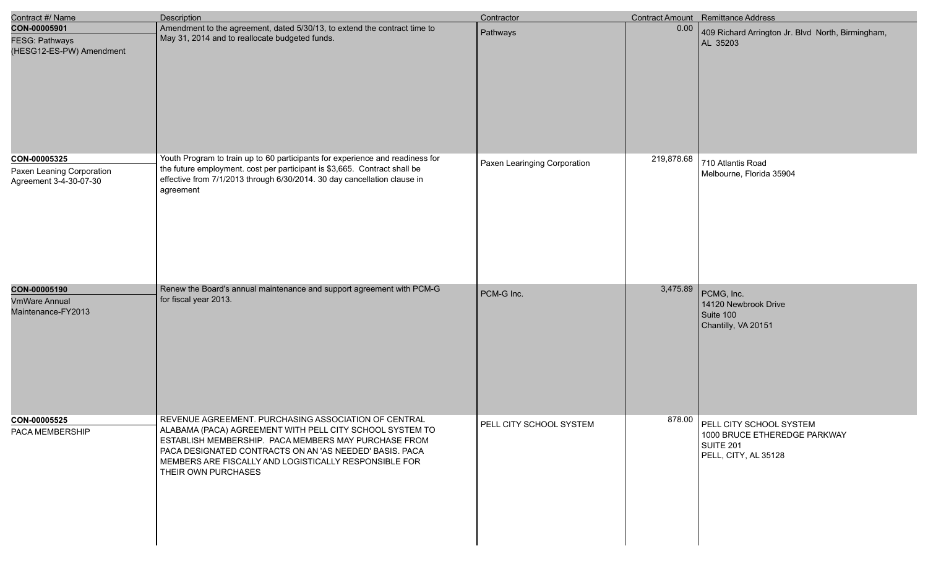| Contract #/ Name                                                    | Description                                                                                                                                                                                                                                                                                                         | Contractor                   |            | <b>Contract Amount</b> Remittance Address                                                           |
|---------------------------------------------------------------------|---------------------------------------------------------------------------------------------------------------------------------------------------------------------------------------------------------------------------------------------------------------------------------------------------------------------|------------------------------|------------|-----------------------------------------------------------------------------------------------------|
| CON-00005901<br>FESG: Pathways<br>(HESG12-ES-PW) Amendment          | Amendment to the agreement, dated 5/30/13, to extend the contract time to<br>May 31, 2014 and to reallocate budgeted funds.                                                                                                                                                                                         | Pathways                     | 0.00       | 409 Richard Arrington Jr. Blvd North, Birmingham,<br>AL 35203                                       |
| CON-00005325<br>Paxen Leaning Corporation<br>Agreement 3-4-30-07-30 | Youth Program to train up to 60 participants for experience and readiness for<br>the future employment. cost per participant is \$3,665. Contract shall be<br>effective from 7/1/2013 through 6/30/2014. 30 day cancellation clause in<br>agreement                                                                 | Paxen Learinging Corporation | 219,878.68 | 710 Atlantis Road<br>Melbourne, Florida 35904                                                       |
| CON-00005190<br><b>VmWare Annual</b><br>Maintenance-FY2013          | Renew the Board's annual maintenance and support agreement with PCM-G<br>for fiscal year 2013.                                                                                                                                                                                                                      | PCM-G Inc.                   | 3,475.89   | PCMG, Inc.<br>14120 Newbrook Drive<br>Suite 100<br>Chantilly, VA 20151                              |
| CON-00005525<br>PACA MEMBERSHIP                                     | REVENUE AGREEMENT. PURCHASING ASSOCIATION OF CENTRAL<br>ALABAMA (PACA) AGREEMENT WITH PELL CITY SCHOOL SYSTEM TO<br>ESTABLISH MEMBERSHIP. PACA MEMBERS MAY PURCHASE FROM<br>PACA DESIGNATED CONTRACTS ON AN 'AS NEEDED' BASIS. PACA<br>MEMBERS ARE FISCALLY AND LOGISTICALLY RESPONSIBLE FOR<br>THEIR OWN PURCHASES | PELL CITY SCHOOL SYSTEM      |            | 878.00 PELL CITY SCHOOL SYSTEM<br>1000 BRUCE ETHEREDGE PARKWAY<br>SUITE 201<br>PELL, CITY, AL 35128 |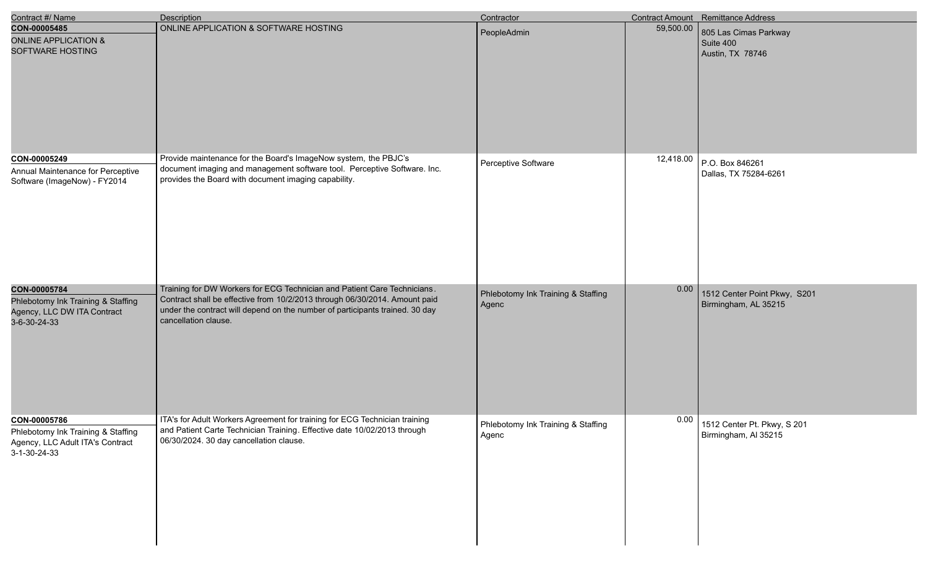| Contract #/ Name                                                                                       | <b>Description</b>                                                                                                                                                                                                                                             | Contractor                                  |           | <b>Contract Amount</b> Remittance Address              |
|--------------------------------------------------------------------------------------------------------|----------------------------------------------------------------------------------------------------------------------------------------------------------------------------------------------------------------------------------------------------------------|---------------------------------------------|-----------|--------------------------------------------------------|
| CON-00005485<br><b>ONLINE APPLICATION &amp;</b><br>SOFTWARE HOSTING                                    | ONLINE APPLICATION & SOFTWARE HOSTING                                                                                                                                                                                                                          | PeopleAdmin                                 | 59,500.00 | 805 Las Cimas Parkway<br>Suite 400<br>Austin, TX 78746 |
| CON-00005249<br>Annual Maintenance for Perceptive<br>Software (ImageNow) - FY2014                      | Provide maintenance for the Board's ImageNow system, the PBJC's<br>document imaging and management software tool. Perceptive Software. Inc.<br>provides the Board with document imaging capability.                                                            | Perceptive Software                         | 12,418.00 | P.O. Box 846261<br>Dallas, TX 75284-6261               |
| CON-00005784<br>Phlebotomy Ink Training & Staffing<br>Agency, LLC DW ITA Contract<br>3-6-30-24-33      | Training for DW Workers for ECG Technician and Patient Care Technicians.<br>Contract shall be effective from 10/2/2013 through 06/30/2014. Amount paid<br>under the contract will depend on the number of participants trained. 30 day<br>cancellation clause. | Phlebotomy Ink Training & Staffing<br>Agenc | 0.00      | 1512 Center Point Pkwy, S201<br>Birmingham, AL 35215   |
| CON-00005786<br>Phlebotomy Ink Training & Staffing<br>Agency, LLC Adult ITA's Contract<br>3-1-30-24-33 | ITA's for Adult Workers Agreement for training for ECG Technician training<br>and Patient Carte Technician Training. Effective date 10/02/2013 through<br>06/30/2024. 30 day cancellation clause.                                                              | Phlebotomy Ink Training & Staffing<br>Agenc | 0.00      | 1512 Center Pt. Pkwy, S 201<br>Birmingham, Al 35215    |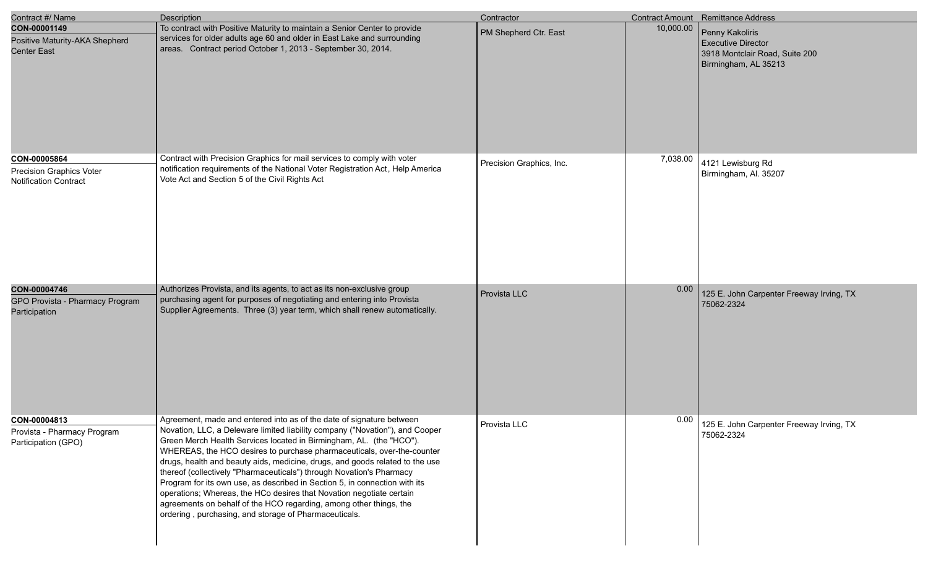| Contract #/ Name                                                                | <b>Description</b>                                                                                                                                                                                                                                                                                                                                                                                                                                                                                                                                                                                                                                                                                                                                 | Contractor               |           | <b>Contract Amount</b> Remittance Address                                                              |
|---------------------------------------------------------------------------------|----------------------------------------------------------------------------------------------------------------------------------------------------------------------------------------------------------------------------------------------------------------------------------------------------------------------------------------------------------------------------------------------------------------------------------------------------------------------------------------------------------------------------------------------------------------------------------------------------------------------------------------------------------------------------------------------------------------------------------------------------|--------------------------|-----------|--------------------------------------------------------------------------------------------------------|
| CON-00001149<br>Positive Maturity-AKA Shepherd<br><b>Center East</b>            | To contract with Positive Maturity to maintain a Senior Center to provide<br>services for older adults age 60 and older in East Lake and surrounding<br>areas. Contract period October 1, 2013 - September 30, 2014.                                                                                                                                                                                                                                                                                                                                                                                                                                                                                                                               | PM Shepherd Ctr. East    | 10,000.00 | Penny Kakoliris<br><b>Executive Director</b><br>3918 Montclair Road, Suite 200<br>Birmingham, AL 35213 |
| CON-00005864<br><b>Precision Graphics Voter</b><br><b>Notification Contract</b> | Contract with Precision Graphics for mail services to comply with voter<br>notification requirements of the National Voter Registration Act, Help America<br>Vote Act and Section 5 of the Civil Rights Act                                                                                                                                                                                                                                                                                                                                                                                                                                                                                                                                        | Precision Graphics, Inc. | 7,038.00  | 4121 Lewisburg Rd<br>Birmingham, Al. 35207                                                             |
| CON-00004746<br>GPO Provista - Pharmacy Program<br>Participation                | Authorizes Provista, and its agents, to act as its non-exclusive group<br>purchasing agent for purposes of negotiating and entering into Provista<br>Supplier Agreements. Three (3) year term, which shall renew automatically.                                                                                                                                                                                                                                                                                                                                                                                                                                                                                                                    | Provista LLC             | 0.00      | 125 E. John Carpenter Freeway Irving, TX<br>75062-2324                                                 |
| CON-00004813<br>Provista - Pharmacy Program<br>Participation (GPO)              | Agreement, made and entered into as of the date of signature between<br>Novation, LLC, a Deleware limited liability company ("Novation"), and Cooper<br>Green Merch Health Services located in Birmingham, AL. (the "HCO").<br>WHEREAS, the HCO desires to purchase pharmaceuticals, over-the-counter<br>drugs, health and beauty aids, medicine, drugs, and goods related to the use<br>thereof (collectively "Pharmaceuticals") through Novation's Pharmacy<br>Program for its own use, as described in Section 5, in connection with its<br>operations; Whereas, the HCo desires that Novation negotiate certain<br>agreements on behalf of the HCO regarding, among other things, the<br>ordering, purchasing, and storage of Pharmaceuticals. | Provista LLC             | 0.00      | 125 E. John Carpenter Freeway Irving, TX<br>75062-2324                                                 |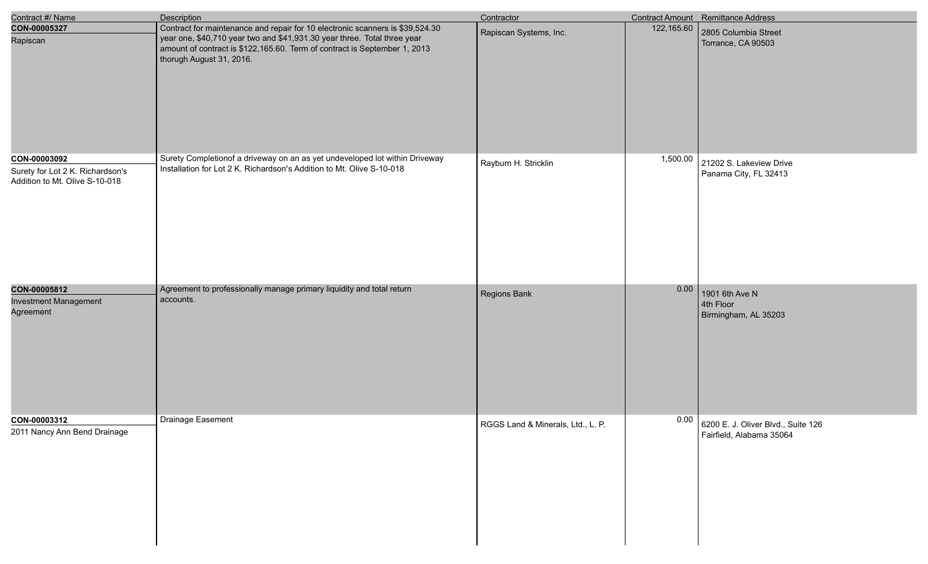| Contract #/ Name                                                                   | <b>Description</b>                                                                                                                                                                                                                                                 | Contractor                        |            | Contract Amount Remittance Address                             |
|------------------------------------------------------------------------------------|--------------------------------------------------------------------------------------------------------------------------------------------------------------------------------------------------------------------------------------------------------------------|-----------------------------------|------------|----------------------------------------------------------------|
| CON-00005327<br>Rapiscan                                                           | Contract for maintenance and repair for 10 electronic scanners is \$39,524.30<br>year one, \$40,710 year two and \$41,931.30 year three. Total three year<br>amount of contract is \$122,165.60. Term of contract is September 1, 2013<br>thorugh August 31, 2016. | Rapiscan Systems, Inc.            | 122,165.60 | 2805 Columbia Street<br>Torrance, CA 90503                     |
| CON-00003092<br>Surety for Lot 2 K. Richardson's<br>Addition to Mt. Olive S-10-018 | Surety Completionof a driveway on an as yet undeveloped lot within Driveway<br>Installation for Lot 2 K. Richardson's Addition to Mt. Olive S-10-018                                                                                                               | Rayburn H. Stricklin              | 1,500.00   | 21202 S. Lakeview Drive<br>Panama City, FL 32413               |
| CON-00005812<br><b>Investment Management</b><br>Agreement                          | Agreement to professionally manage primary liquidity and total return<br>accounts.                                                                                                                                                                                 | Regions Bank                      | 0.00       | 1901 6th Ave N<br>4th Floor<br>Birmingham, AL 35203            |
| CON-00003312<br>2011 Nancy Ann Bend Drainage                                       | Drainage Easement                                                                                                                                                                                                                                                  | RGGS Land & Minerals, Ltd., L. P. | 0.00       | 6200 E. J. Oliver Blvd., Suite 126<br>Fairfield, Alabama 35064 |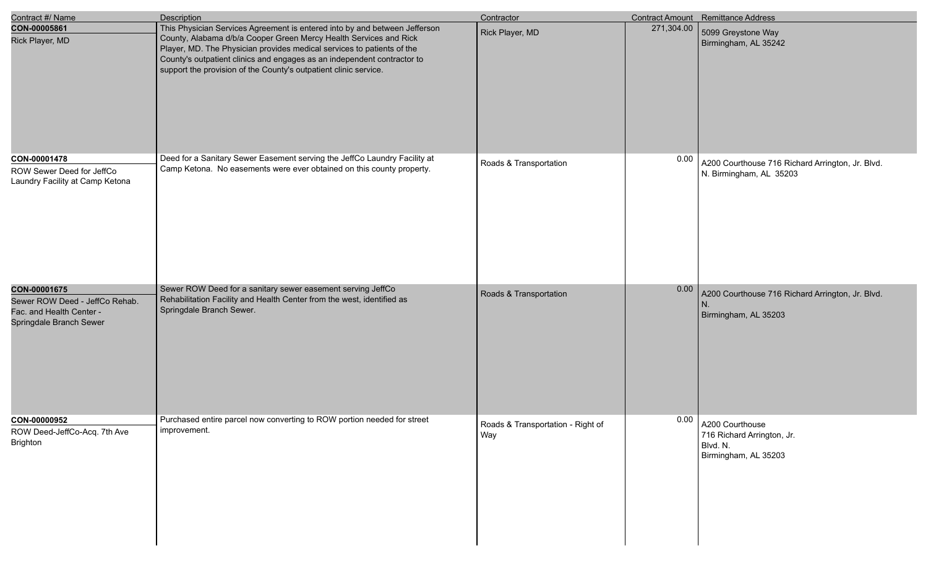| Contract #/ Name                                                                                      | Description                                                                                                                                                                                                                                                                                                                                                              | Contractor                               |            | <b>Contract Amount</b> Remittance Address                                         |
|-------------------------------------------------------------------------------------------------------|--------------------------------------------------------------------------------------------------------------------------------------------------------------------------------------------------------------------------------------------------------------------------------------------------------------------------------------------------------------------------|------------------------------------------|------------|-----------------------------------------------------------------------------------|
| CON-00005861<br>Rick Player, MD                                                                       | This Physician Services Agreement is entered into by and between Jefferson<br>County, Alabama d/b/a Cooper Green Mercy Health Services and Rick<br>Player, MD. The Physician provides medical services to patients of the<br>County's outpatient clinics and engages as an independent contractor to<br>support the provision of the County's outpatient clinic service. | Rick Player, MD                          | 271,304.00 | 5099 Greystone Way<br>Birmingham, AL 35242                                        |
| CON-00001478<br>ROW Sewer Deed for JeffCo<br>Laundry Facility at Camp Ketona                          | Deed for a Sanitary Sewer Easement serving the JeffCo Laundry Facility at<br>Camp Ketona. No easements were ever obtained on this county property.                                                                                                                                                                                                                       | Roads & Transportation                   | 0.00       | A200 Courthouse 716 Richard Arrington, Jr. Blvd.<br>N. Birmingham, AL 35203       |
| CON-00001675<br>Sewer ROW Deed - JeffCo Rehab.<br>Fac. and Health Center -<br>Springdale Branch Sewer | Sewer ROW Deed for a sanitary sewer easement serving JeffCo<br>Rehabilitation Facility and Health Center from the west, identified as<br>Springdale Branch Sewer.                                                                                                                                                                                                        | Roads & Transportation                   | 0.00       | A200 Courthouse 716 Richard Arrington, Jr. Blvd.<br>Birmingham, AL 35203          |
| CON-00000952<br>ROW Deed-JeffCo-Acq. 7th Ave<br><b>Brighton</b>                                       | Purchased entire parcel now converting to ROW portion needed for street<br>improvement.                                                                                                                                                                                                                                                                                  | Roads & Transportation - Right of<br>Way | 0.00       | A200 Courthouse<br>716 Richard Arrington, Jr.<br>Blvd. N.<br>Birmingham, AL 35203 |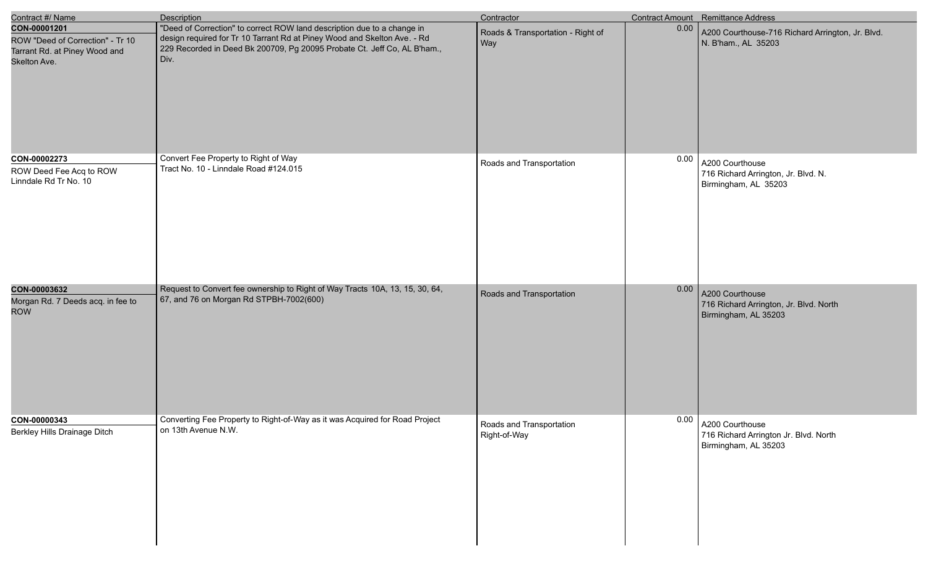| Contract #/ Name                                                                                  | <b>Description</b>                                                                                                                                                                                                                      | Contractor                                      |      | Contract Amount Remittance Address                                                |
|---------------------------------------------------------------------------------------------------|-----------------------------------------------------------------------------------------------------------------------------------------------------------------------------------------------------------------------------------------|-------------------------------------------------|------|-----------------------------------------------------------------------------------|
| CON-00001201<br>ROW "Deed of Correction" - Tr 10<br>Tarrant Rd. at Piney Wood and<br>Skelton Ave. | "Deed of Correction" to correct ROW land description due to a change in<br>design required for Tr 10 Tarrant Rd at Piney Wood and Skelton Ave. - Rd<br>229 Recorded in Deed Bk 200709, Pg 20095 Probate Ct. Jeff Co, AL B'ham.,<br>Div. | Roads & Transportation - Right of<br><b>Way</b> | 0.00 | A200 Courthouse-716 Richard Arrington, Jr. Blvd.<br>N. B'ham., AL 35203           |
| CON-00002273<br>ROW Deed Fee Acq to ROW<br>Linndale Rd Tr No. 10                                  | Convert Fee Property to Right of Way<br>Tract No. 10 - Linndale Road #124.015                                                                                                                                                           | Roads and Transportation                        | 0.00 | A200 Courthouse<br>716 Richard Arrington, Jr. Blvd. N.<br>Birmingham, AL 35203    |
| CON-00003632<br>Morgan Rd. 7 Deeds acq. in fee to<br><b>ROW</b>                                   | Request to Convert fee ownership to Right of Way Tracts 10A, 13, 15, 30, 64,<br>67, and 76 on Morgan Rd STPBH-7002(600)                                                                                                                 | Roads and Transportation                        | 0.00 | A200 Courthouse<br>716 Richard Arrington, Jr. Blvd. North<br>Birmingham, AL 35203 |
| CON-00000343<br>Berkley Hills Drainage Ditch                                                      | Converting Fee Property to Right-of-Way as it was Acquired for Road Project<br>on 13th Avenue N.W.                                                                                                                                      | Roads and Transportation<br>Right-of-Way        | 0.00 | A200 Courthouse<br>716 Richard Arrington Jr. Blvd. North<br>Birmingham, AL 35203  |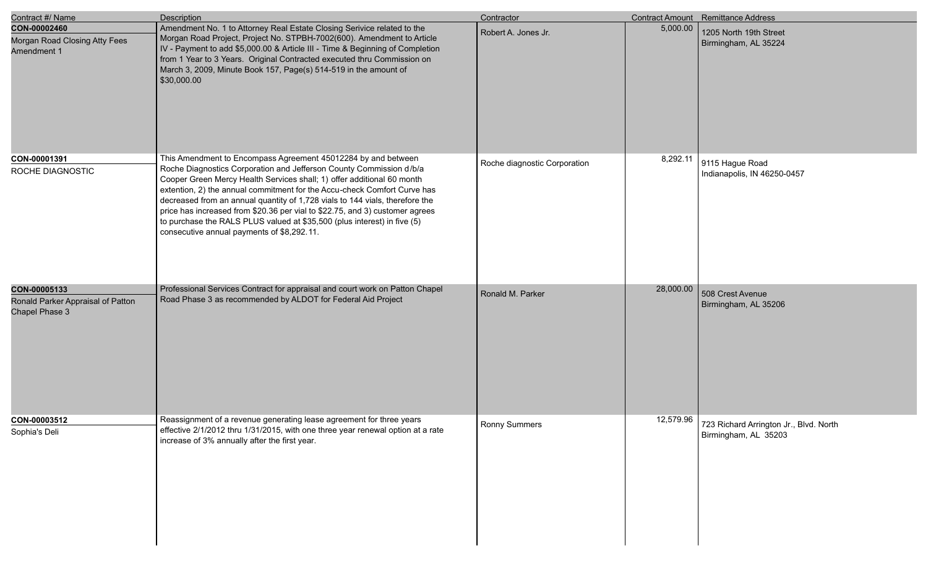| Contract #/ Name                                                    | <b>Description</b>                                                                                                                                                                                                                                                                                                                                                                                                                                                                                                                                                                   | Contractor                   |           | Contract Amount Remittance Address                             |
|---------------------------------------------------------------------|--------------------------------------------------------------------------------------------------------------------------------------------------------------------------------------------------------------------------------------------------------------------------------------------------------------------------------------------------------------------------------------------------------------------------------------------------------------------------------------------------------------------------------------------------------------------------------------|------------------------------|-----------|----------------------------------------------------------------|
| CON-00002460<br>Morgan Road Closing Atty Fees<br>Amendment 1        | Amendment No. 1 to Attorney Real Estate Closing Serivice related to the<br>Morgan Road Project, Project No. STPBH-7002(600). Amendment to Article<br>IV - Payment to add \$5,000.00 & Article III - Time & Beginning of Completion<br>from 1 Year to 3 Years. Original Contracted executed thru Commission on<br>March 3, 2009, Minute Book 157, Page(s) 514-519 in the amount of<br>\$30,000.00                                                                                                                                                                                     | Robert A. Jones Jr.          | 5,000.00  | 1205 North 19th Street<br>Birmingham, AL 35224                 |
| CON-00001391<br>ROCHE DIAGNOSTIC                                    | This Amendment to Encompass Agreement 45012284 by and between<br>Roche Diagnostics Corporation and Jefferson County Commission d/b/a<br>Cooper Green Mercy Health Services shall; 1) offer additional 60 month<br>extention, 2) the annual commitment for the Accu-check Comfort Curve has<br>decreased from an annual quantity of 1,728 vials to 144 vials, therefore the<br>price has increased from \$20.36 per vial to \$22.75, and 3) customer agrees<br>to purchase the RALS PLUS valued at \$35,500 (plus interest) in five (5)<br>consecutive annual payments of \$8,292.11. | Roche diagnostic Corporation | 8,292.11  | 9115 Hague Road<br>Indianapolis, IN 46250-0457                 |
| CON-00005133<br>Ronald Parker Appraisal of Patton<br>Chapel Phase 3 | Professional Services Contract for appraisal and court work on Patton Chapel<br>Road Phase 3 as recommended by ALDOT for Federal Aid Project                                                                                                                                                                                                                                                                                                                                                                                                                                         | Ronald M. Parker             | 28,000.00 | 508 Crest Avenue<br>Birmingham, AL 35206                       |
| CON-00003512<br>Sophia's Deli                                       | Reassignment of a revenue generating lease agreement for three years<br>effective 2/1/2012 thru 1/31/2015, with one three year renewal option at a rate<br>increase of 3% annually after the first year.                                                                                                                                                                                                                                                                                                                                                                             | Ronny Summers                | 12,579.96 | 723 Richard Arrington Jr., Blvd. North<br>Birmingham, AL 35203 |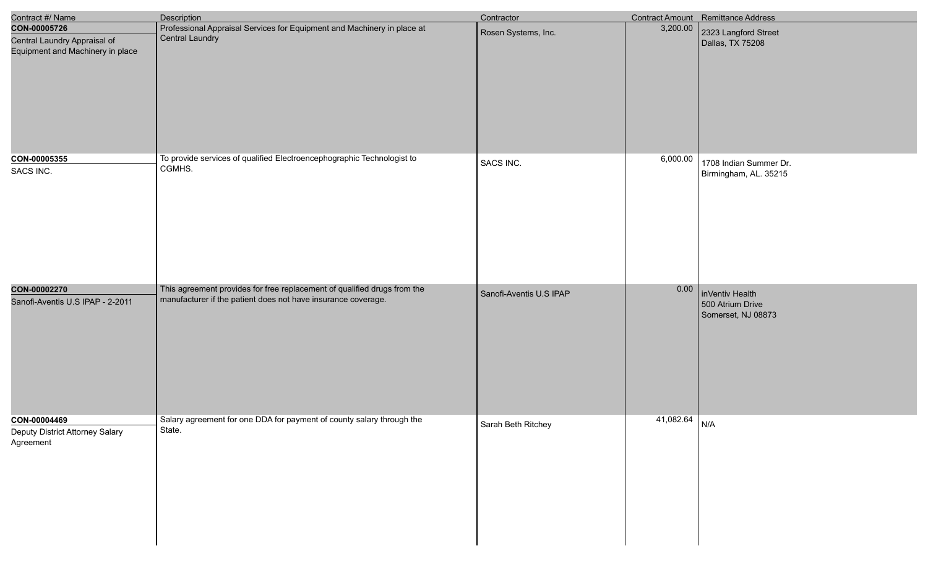| Contract #/ Name                                                                 | Description                                                                                                                               | Contractor              |                 | Contract Amount Remittance Address                        |
|----------------------------------------------------------------------------------|-------------------------------------------------------------------------------------------------------------------------------------------|-------------------------|-----------------|-----------------------------------------------------------|
| CON-00005726<br>Central Laundry Appraisal of<br>Equipment and Machinery in place | Professional Appraisal Services for Equipment and Machinery in place at<br><b>Central Laundry</b>                                         | Rosen Systems, Inc.     | 3,200.00        | 2323 Langford Street<br>Dallas, TX 75208                  |
| CON-00005355<br>SACS INC.                                                        | To provide services of qualified Electroencephographic Technologist to<br>CGMHS.                                                          | SACS INC.               | 6,000.00        | 1708 Indian Summer Dr.<br>Birmingham, AL. 35215           |
| CON-00002270<br>Sanofi-Aventis U.S IPAP - 2-2011                                 | This agreement provides for free replacement of qualified drugs from the<br>manufacturer if the patient does not have insurance coverage. | Sanofi-Aventis U.S IPAP | 0.00            | inVentiv Health<br>500 Atrium Drive<br>Somerset, NJ 08873 |
| CON-00004469<br>Deputy District Attorney Salary<br>Agreement                     | Salary agreement for one DDA for payment of county salary through the<br>State.                                                           | Sarah Beth Ritchey      | $41,082.64$ N/A |                                                           |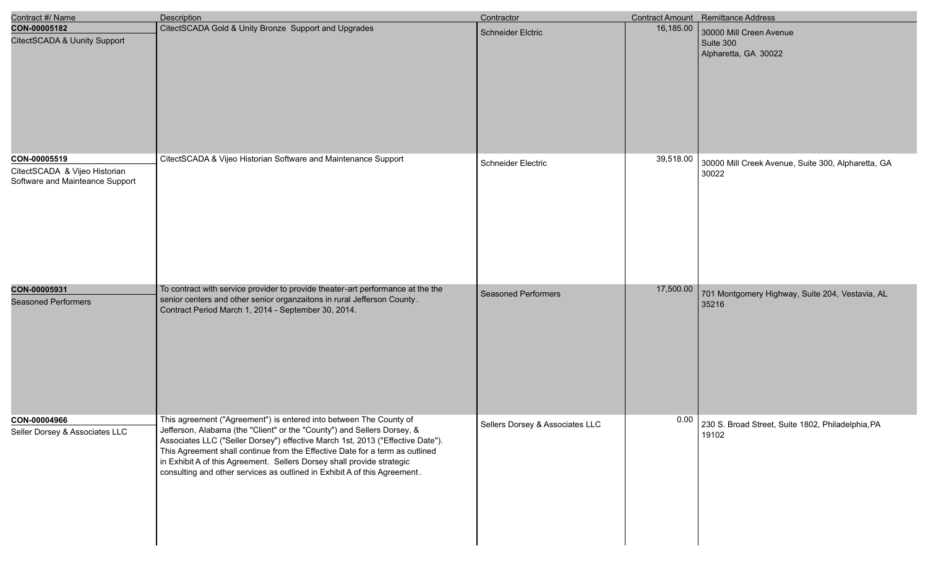| Contract #/ Name                                                                 | <b>Description</b>                                                                                                                                                                                                                                                                                                                                                                                                                                                     | Contractor                      |           | <b>Contract Amount</b> Remittance Address                    |
|----------------------------------------------------------------------------------|------------------------------------------------------------------------------------------------------------------------------------------------------------------------------------------------------------------------------------------------------------------------------------------------------------------------------------------------------------------------------------------------------------------------------------------------------------------------|---------------------------------|-----------|--------------------------------------------------------------|
| CON-00005182<br>CitectSCADA & Uunity Support                                     | CitectSCADA Gold & Unity Bronze Support and Upgrades                                                                                                                                                                                                                                                                                                                                                                                                                   | <b>Schneider Elctric</b>        | 16,185.00 | 30000 Mill Creen Avenue<br>Suite 300<br>Alpharetta, GA 30022 |
| CON-00005519<br>CitectSCADA & Vijeo Historian<br>Software and Mainteance Support | CitectSCADA & Vijeo Historian Software and Maintenance Support                                                                                                                                                                                                                                                                                                                                                                                                         | Schneider Electric              | 39,518.00 | 30000 Mill Creek Avenue, Suite 300, Alpharetta, GA<br>30022  |
| CON-00005931<br><b>Seasoned Performers</b>                                       | To contract with service provider to provide theater-art performance at the the<br>senior centers and other senior organzaitons in rural Jefferson County.<br>Contract Period March 1, 2014 - September 30, 2014.                                                                                                                                                                                                                                                      | <b>Seasoned Performers</b>      | 17,500.00 | 701 Montgomery Highway, Suite 204, Vestavia, AL<br>35216     |
| CON-00004966<br>Seller Dorsey & Associates LLC                                   | This agreement ("Agreement") is entered into between The County of<br>Jefferson, Alabama (the "Client" or the "County") and Sellers Dorsey, &<br>Associates LLC ("Seller Dorsey") effective March 1st, 2013 ("Effective Date").<br>This Agreement shall continue from the Effective Date for a term as outlined<br>in Exhibit A of this Agreement. Sellers Dorsey shall provide strategic<br>consulting and other services as outlined in Exhibit A of this Agreement. | Sellers Dorsey & Associates LLC | 0.00      | 230 S. Broad Street, Suite 1802, Philadelphia, PA<br>19102   |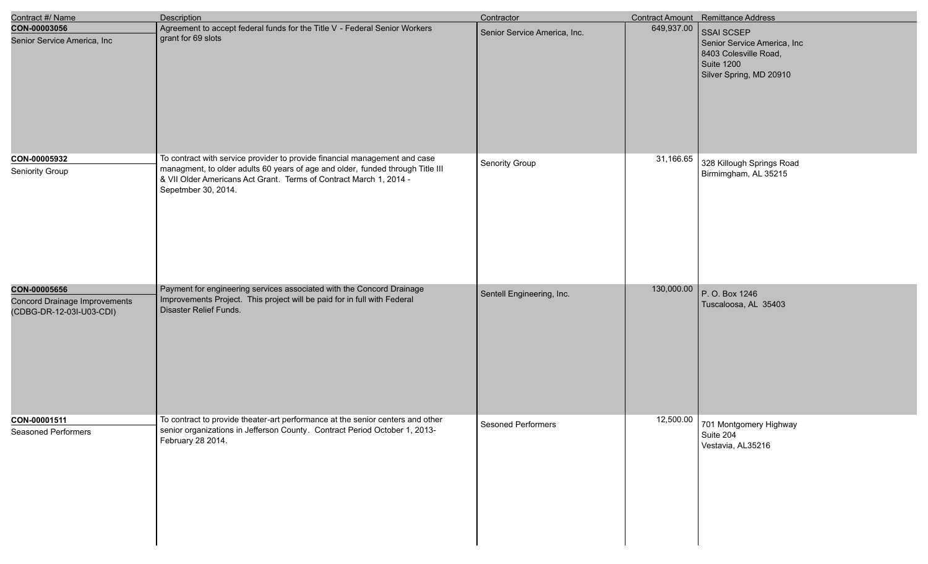| Contract #/ Name                                                          | <b>Description</b>                                                                                                                                                                                                                                        | Contractor                   |            | Contract Amount Remittance Address                                                                          |
|---------------------------------------------------------------------------|-----------------------------------------------------------------------------------------------------------------------------------------------------------------------------------------------------------------------------------------------------------|------------------------------|------------|-------------------------------------------------------------------------------------------------------------|
| CON-00003056<br>Senior Service America, Inc                               | Agreement to accept federal funds for the Title V - Federal Senior Workers<br>grant for 69 slots                                                                                                                                                          | Senior Service America, Inc. | 649,937.00 | SSAI SCSEP<br>Senior Service America, Inc<br>8403 Colesville Road,<br>Suite 1200<br>Silver Spring, MD 20910 |
| CON-00005932<br>Seniority Group                                           | To contract with service provider to provide financial management and case<br>managment, to older adults 60 years of age and older, funded through Title III<br>& VII Older Americans Act Grant. Terms of Contract March 1, 2014 -<br>Sepetmber 30, 2014. | Senority Group               | 31,166.65  | 328 Killough Springs Road<br>Birmimgham, AL 35215                                                           |
| CON-00005656<br>Concord Drainage Improvements<br>(CDBG-DR-12-03I-U03-CDI) | Payment for engineering services associated with the Concord Drainage<br>Improvements Project. This project will be paid for in full with Federal<br>Disaster Relief Funds.                                                                               | Sentell Engineering, Inc.    | 130,000.00 | P. O. Box 1246<br>Tuscaloosa, AL 35403                                                                      |
| CON-00001511<br><b>Seasoned Performers</b>                                | To contract to provide theater-art performance at the senior centers and other<br>senior organizations in Jefferson County. Contract Period October 1, 2013-<br>February 28 2014.                                                                         | Sesoned Performers           | 12,500.00  | 701 Montgomery Highway<br>Suite 204<br>Vestavia, AL35216                                                    |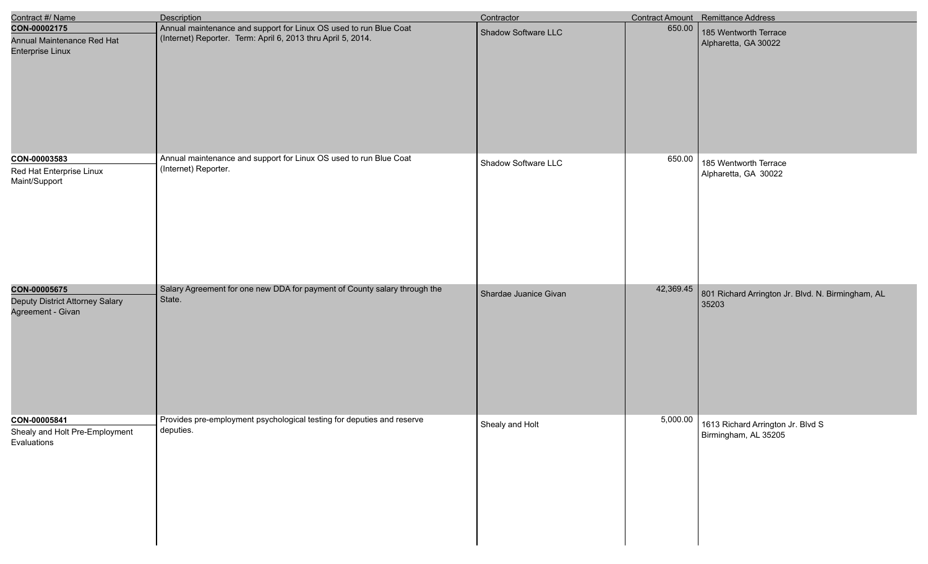| Contract #/ Name                                                      | Description                                                                                                                       | Contractor            |           | Contract Amount Remittance Address                                 |
|-----------------------------------------------------------------------|-----------------------------------------------------------------------------------------------------------------------------------|-----------------------|-----------|--------------------------------------------------------------------|
| CON-00002175<br>Annual Maintenance Red Hat<br><b>Enterprise Linux</b> | Annual maintenance and support for Linux OS used to run Blue Coat<br>(Internet) Reporter. Term: April 6, 2013 thru April 5, 2014. | Shadow Software LLC   | 650.00    | 185 Wentworth Terrace<br>Alpharetta, GA 30022                      |
| CON-00003583<br>Red Hat Enterprise Linux<br>Maint/Support             | Annual maintenance and support for Linux OS used to run Blue Coat<br>(Internet) Reporter.                                         | Shadow Software LLC   | 650.00    | 185 Wentworth Terrace<br>Alpharetta, GA 30022                      |
| CON-00005675<br>Deputy District Attorney Salary<br>Agreement - Givan  | Salary Agreement for one new DDA for payment of County salary through the<br>State.                                               | Shardae Juanice Givan | 42,369.45 | 801 Richard Arrington Jr. Blvd. N. Birmingham, AL<br>35203         |
| CON-00005841<br>Shealy and Holt Pre-Employment<br>Evaluations         | Provides pre-employment psychological testing for deputies and reserve<br>deputies.                                               | Shealy and Holt       |           | 5,000.00 1613 Richard Arrington Jr. Blvd S<br>Birmingham, AL 35205 |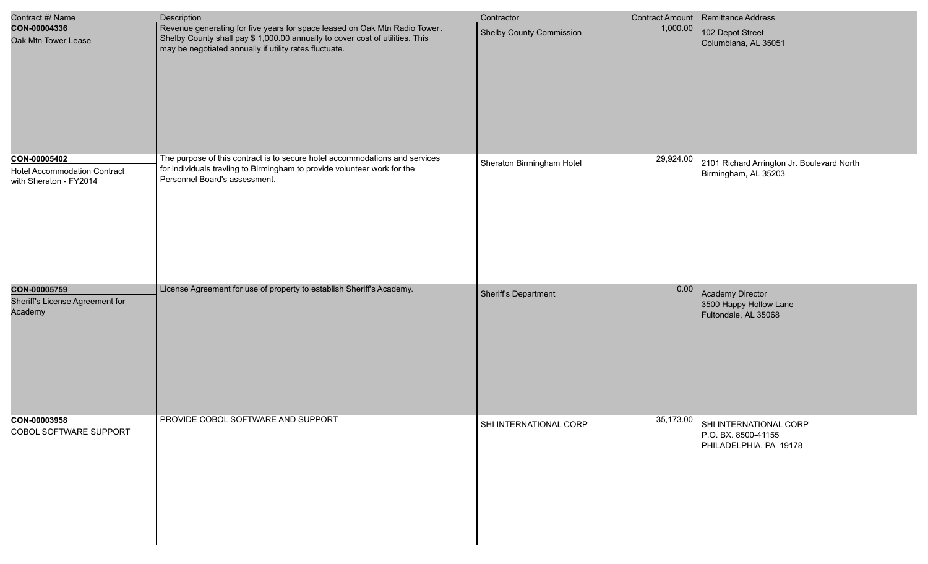| Contract #/ Name                                                              | Description                                                                                                                                                                                                           | Contractor                      |           | Contract Amount Remittance Address                                                |
|-------------------------------------------------------------------------------|-----------------------------------------------------------------------------------------------------------------------------------------------------------------------------------------------------------------------|---------------------------------|-----------|-----------------------------------------------------------------------------------|
| CON-00004336<br>Oak Mtn Tower Lease                                           | Revenue generating for five years for space leased on Oak Mtn Radio Tower.<br>Shelby County shall pay \$ 1,000.00 annually to cover cost of utilities. This<br>may be negotiated annually if utility rates fluctuate. | <b>Shelby County Commission</b> | 1,000.00  | 102 Depot Street<br>Columbiana, AL 35051                                          |
| CON-00005402<br><b>Hotel Accommodation Contract</b><br>with Sheraton - FY2014 | The purpose of this contract is to secure hotel accommodations and services<br>for individuals travling to Birmingham to provide volunteer work for the<br>Personnel Board's assessment.                              | Sheraton Birmingham Hotel       | 29,924.00 | 2101 Richard Arrington Jr. Boulevard North<br>Birmingham, AL 35203                |
| CON-00005759<br>Sheriff's License Agreement for<br>Academy                    | License Agreement for use of property to establish Sheriff's Academy.                                                                                                                                                 | Sheriff's Department            |           | 0.00 Academy Director<br>3500 Happy Hollow Lane<br>Fultondale, AL 35068           |
| CON-00003958<br>COBOL SOFTWARE SUPPORT                                        | PROVIDE COBOL SOFTWARE AND SUPPORT                                                                                                                                                                                    | SHI INTERNATIONAL CORP          |           | 35,173.00 SHI INTERNATIONAL CORP<br>P.O. BX. 8500-41155<br>PHILADELPHIA, PA 19178 |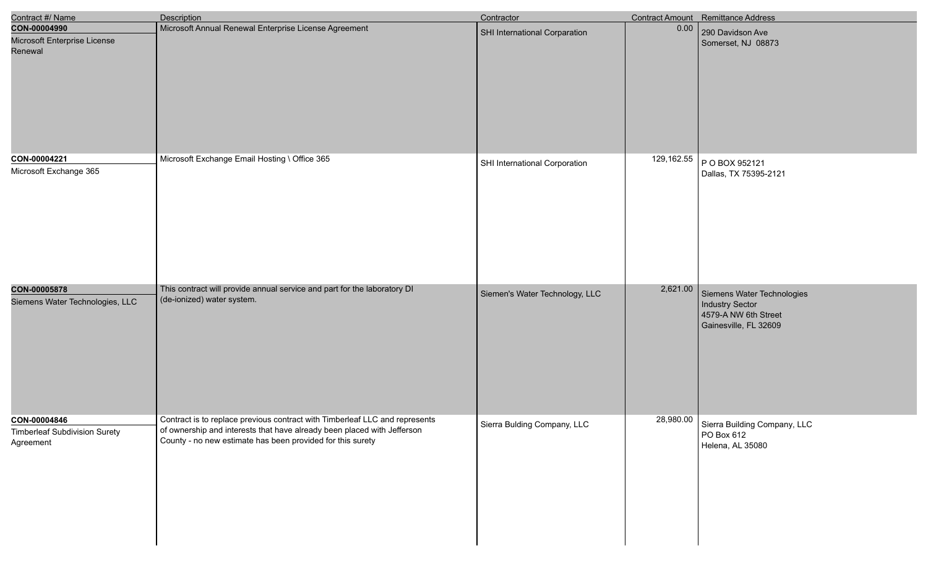| Contract #/ Name                                                  | Description                                                                                                                                                                                                          | Contractor                     |            | Contract Amount Remittance Address                                                             |
|-------------------------------------------------------------------|----------------------------------------------------------------------------------------------------------------------------------------------------------------------------------------------------------------------|--------------------------------|------------|------------------------------------------------------------------------------------------------|
| CON-00004990<br>Microsoft Enterprise License<br>Renewal           | Microsoft Annual Renewal Enterprise License Agreement                                                                                                                                                                | SHI International Corparation  | 0.00       | 290 Davidson Ave<br>Somerset, NJ 08873                                                         |
| CON-00004221<br>Microsoft Exchange 365                            | Microsoft Exchange Email Hosting \ Office 365                                                                                                                                                                        | SHI International Corporation  | 129,162.55 | P O BOX 952121<br>Dallas, TX 75395-2121                                                        |
| CON-00005878<br>Siemens Water Technologies, LLC                   | This contract will provide annual service and part for the laboratory DI<br>(de-ionized) water system.                                                                                                               | Siemen's Water Technology, LLC | 2,621.00   | Siemens Water Technologies<br>Industry Sector<br>4579-A NW 6th Street<br>Gainesville, FL 32609 |
| CON-00004846<br><b>Timberleaf Subdivision Surety</b><br>Agreement | Contract is to replace previous contract with Timberleaf LLC and represents<br>of ownership and interests that have already been placed with Jefferson<br>County - no new estimate has been provided for this surety | Sierra Bulding Company, LLC    |            | 28,980.00 Sierra Building Company, LLC<br>PO Box 612<br>Helena, AL 35080                       |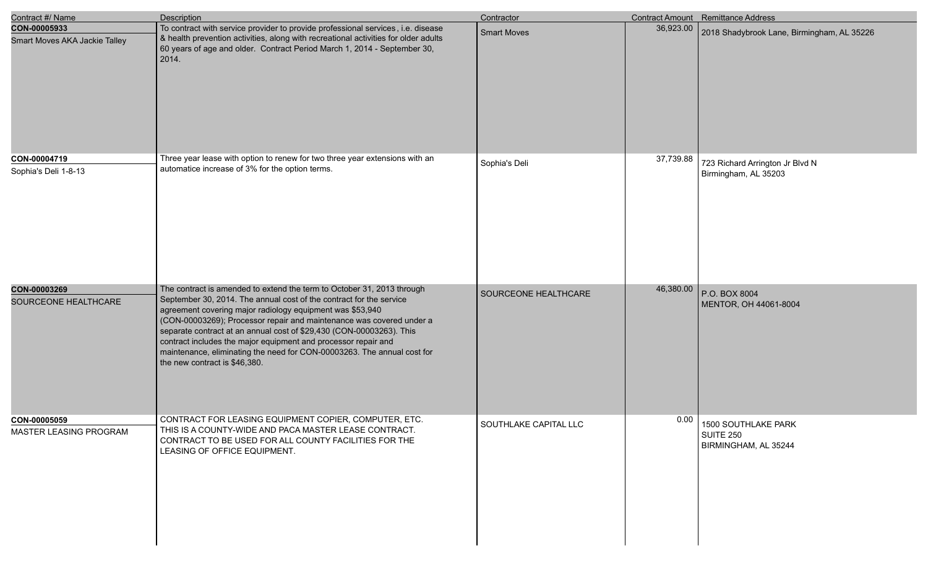| Contract #/ Name                              | <b>Description</b>                                                                                                                                                                                                                                                                                                                                                                                                                                                                                                                       | Contractor            |           | <b>Contract Amount</b> Remittance Address                |
|-----------------------------------------------|------------------------------------------------------------------------------------------------------------------------------------------------------------------------------------------------------------------------------------------------------------------------------------------------------------------------------------------------------------------------------------------------------------------------------------------------------------------------------------------------------------------------------------------|-----------------------|-----------|----------------------------------------------------------|
| CON-00005933<br>Smart Moves AKA Jackie Talley | To contract with service provider to provide professional services, i.e. disease<br>& health prevention activities, along with recreational activities for older adults<br>60 years of age and older. Contract Period March 1, 2014 - September 30,<br>$\vert$ 2014.                                                                                                                                                                                                                                                                     | <b>Smart Moves</b>    | 36,923.00 | 2018 Shadybrook Lane, Birmingham, AL 35226               |
| CON-00004719<br>Sophia's Deli 1-8-13          | Three year lease with option to renew for two three year extensions with an<br>automatice increase of 3% for the option terms.                                                                                                                                                                                                                                                                                                                                                                                                           | Sophia's Deli         | 37,739.88 | 723 Richard Arrington Jr Blvd N<br>Birmingham, AL 35203  |
| CON-00003269<br>SOURCEONE HEALTHCARE          | The contract is amended to extend the term to October 31, 2013 through<br>September 30, 2014. The annual cost of the contract for the service<br>agreement covering major radiology equipment was \$53,940<br>(CON-00003269); Processor repair and maintenance was covered under a<br>separate contract at an annual cost of \$29,430 (CON-00003263). This<br>contract includes the major equipment and processor repair and<br>maintenance, eliminating the need for CON-00003263. The annual cost for<br>the new contract is \$46,380. | SOURCEONE HEALTHCARE  | 46,380.00 | P.O. BOX 8004<br>MENTOR, OH 44061-8004                   |
| CON-00005059<br>MASTER LEASING PROGRAM        | CONTRACT FOR LEASING EQUIPMENT COPIER, COMPUTER, ETC.<br>THIS IS A COUNTY-WIDE AND PACA MASTER LEASE CONTRACT.<br>CONTRACT TO BE USED FOR ALL COUNTY FACILITIES FOR THE<br>LEASING OF OFFICE EQUIPMENT.                                                                                                                                                                                                                                                                                                                                  | SOUTHLAKE CAPITAL LLC | 0.00      | 1500 SOUTHLAKE PARK<br>SUITE 250<br>BIRMINGHAM, AL 35244 |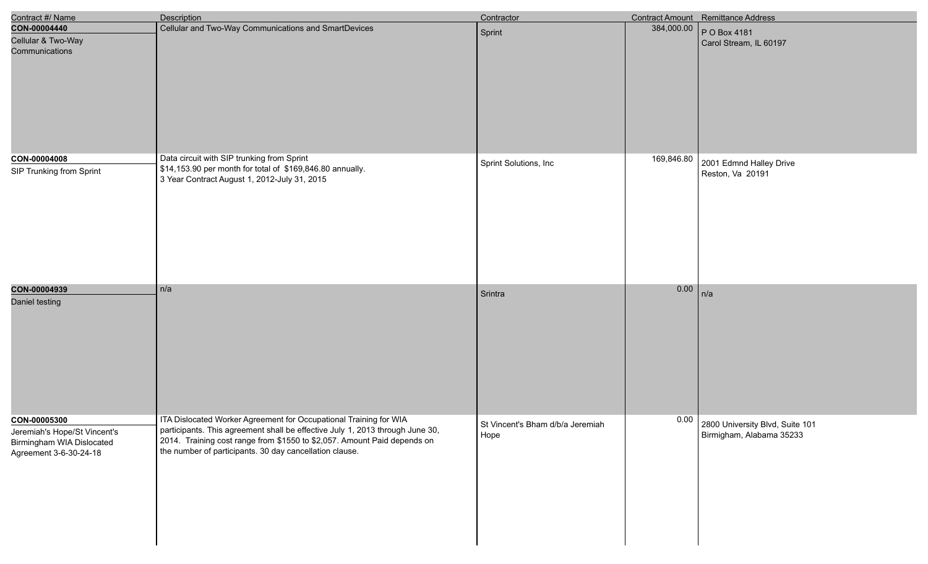| Contract #/ Name                                                                    | <b>Description</b>                                                                                                                                 | Contractor                       |            | Contract Amount Remittance Address |
|-------------------------------------------------------------------------------------|----------------------------------------------------------------------------------------------------------------------------------------------------|----------------------------------|------------|------------------------------------|
| CON-00004440                                                                        | Cellular and Two-Way Communications and SmartDevices                                                                                               | Sprint                           | 384,000.00 | P O Box 4181                       |
| Cellular & Two-Way<br>Communications                                                |                                                                                                                                                    |                                  |            | Carol Stream, IL 60197             |
| CON-00004008                                                                        | Data circuit with SIP trunking from Sprint                                                                                                         | Sprint Solutions, Inc            | 169,846.80 | 2001 Edmnd Halley Drive            |
| SIP Trunking from Sprint                                                            | \$14,153.90 per month for total of \$169,846.80 annually.<br>3 Year Contract August 1, 2012-July 31, 2015                                          |                                  |            | Reston, Va 20191                   |
| CON-00004939                                                                        | n/a                                                                                                                                                | Srintra                          | 0.00       | n/a                                |
| Daniel testing                                                                      |                                                                                                                                                    |                                  |            |                                    |
| CON-00005300                                                                        | ITA Dislocated Worker Agreement for Occupational Training for WIA<br>participants. This agreement shall be effective July 1, 2013 through June 30, | St Vincent's Bham d/b/a Jeremiah | 0.00       | 2800 University Blvd, Suite 101    |
| Jeremiah's Hope/St Vincent's<br>Birmingham WIA Dislocated<br>Agreement 3-6-30-24-18 | 2014. Training cost range from \$1550 to \$2,057. Amount Paid depends on<br>the number of participants. 30 day cancellation clause.                | Hope                             |            | Birmigham, Alabama 35233           |

e<br>V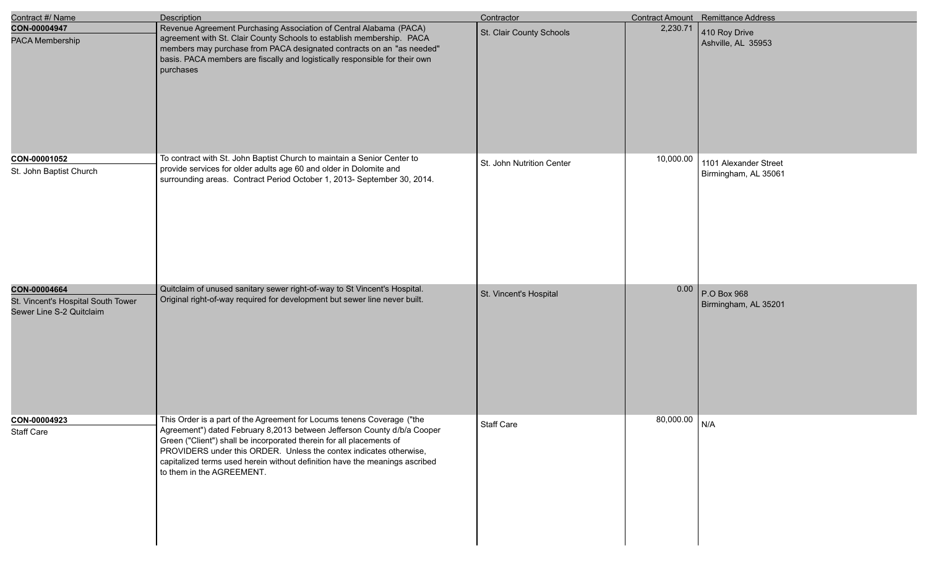| Contract #/ Name                                                               | Description                                                                                                                                                                                                                                                                                                                                                                                                 | Contractor                |           | Contract Amount Remittance Address            |
|--------------------------------------------------------------------------------|-------------------------------------------------------------------------------------------------------------------------------------------------------------------------------------------------------------------------------------------------------------------------------------------------------------------------------------------------------------------------------------------------------------|---------------------------|-----------|-----------------------------------------------|
| CON-00004947<br>PACA Membership                                                | Revenue Agreement Purchasing Association of Central Alabama (PACA)<br>agreement with St. Clair County Schools to establish membership. PACA<br>members may purchase from PACA designated contracts on an "as needed"<br>basis. PACA members are fiscally and logistically responsible for their own<br>purchases                                                                                            | St. Clair County Schools  | 2,230.71  | 410 Roy Drive<br>Ashville, AL 35953           |
| CON-00001052<br>St. John Baptist Church                                        | To contract with St. John Baptist Church to maintain a Senior Center to<br>provide services for older adults age 60 and older in Dolomite and<br>surrounding areas. Contract Period October 1, 2013- September 30, 2014.                                                                                                                                                                                    | St. John Nutrition Center | 10,000.00 | 1101 Alexander Street<br>Birmingham, AL 35061 |
| CON-00004664<br>St. Vincent's Hospital South Tower<br>Sewer Line S-2 Quitclaim | Quitclaim of unused sanitary sewer right-of-way to St Vincent's Hospital.<br>Original right-of-way required for development but sewer line never built.                                                                                                                                                                                                                                                     | St. Vincent's Hospital    | 0.00      | P.O Box 968<br>Birmingham, AL 35201           |
| CON-00004923<br>Staff Care                                                     | This Order is a part of the Agreement for Locums tenens Coverage ("the<br>Agreement") dated February 8,2013 between Jefferson County d/b/a Cooper<br>Green ("Client") shall be incorporated therein for all placements of<br>PROVIDERS under this ORDER. Unless the contex indicates otherwise,<br>capitalized terms used herein without definition have the meanings ascribed<br>to them in the AGREEMENT. | Staff Care                | 80,000.00 | N/A                                           |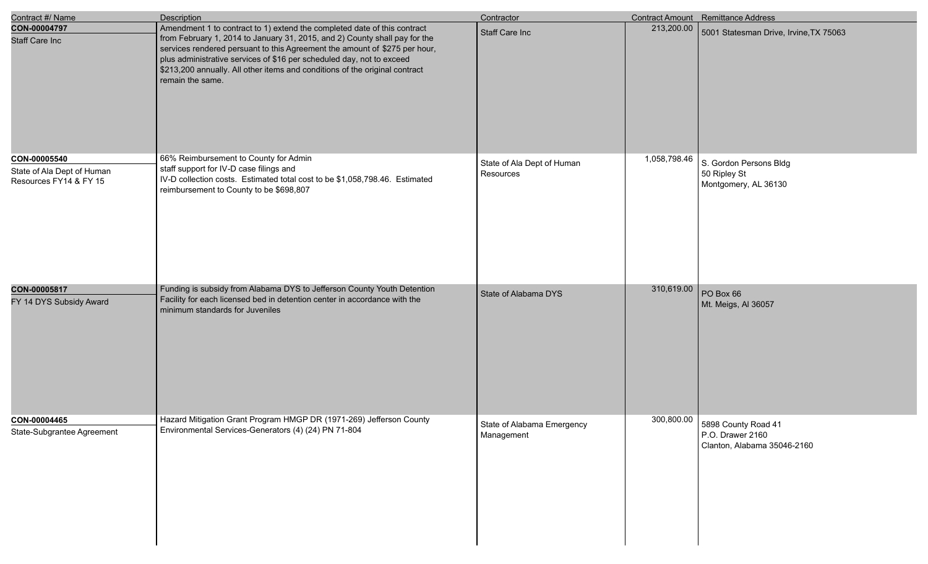| Contract #/ Name                                                     | <b>Description</b>                                                                                                                                                                                                                                                                                                                                                                                               | Contractor                               |              | <b>Contract Amount</b> Remittance Address                              |
|----------------------------------------------------------------------|------------------------------------------------------------------------------------------------------------------------------------------------------------------------------------------------------------------------------------------------------------------------------------------------------------------------------------------------------------------------------------------------------------------|------------------------------------------|--------------|------------------------------------------------------------------------|
| CON-00004797<br><b>Staff Care Inc</b>                                | Amendment 1 to contract to 1) extend the completed date of this contract<br>from February 1, 2014 to January 31, 2015, and 2) County shall pay for the<br>services rendered persuant to this Agreement the amount of \$275 per hour,<br>plus administrative services of \$16 per scheduled day, not to exceed<br>\$213,200 annually. All other items and conditions of the original contract<br>remain the same. | <b>Staff Care Inc</b>                    | 213,200.00   | 5001 Statesman Drive, Irvine, TX 75063                                 |
| CON-00005540<br>State of Ala Dept of Human<br>Resources FY14 & FY 15 | 66% Reimbursement to County for Admin<br>staff support for IV-D case filings and<br>IV-D collection costs. Estimated total cost to be \$1,058,798.46. Estimated<br>reimbursement to County to be \$698,807                                                                                                                                                                                                       | State of Ala Dept of Human<br>Resources  | 1,058,798.46 | S. Gordon Persons Bldg<br>50 Ripley St<br>Montgomery, AL 36130         |
| CON-00005817<br>FY 14 DYS Subsidy Award                              | Funding is subsidy from Alabama DYS to Jefferson County Youth Detention<br>Facility for each licensed bed in detention center in accordance with the<br>minimum standards for Juveniles                                                                                                                                                                                                                          | State of Alabama DYS                     | 310,619.00   | PO Box 66<br>Mt. Meigs, AI 36057                                       |
| CON-00004465<br>State-Subgrantee Agreement                           | Hazard Mitigation Grant Program HMGP DR (1971-269) Jefferson County<br>Environmental Services-Generators (4) (24) PN 71-804                                                                                                                                                                                                                                                                                      | State of Alabama Emergency<br>Management | 300,800.00   | 5898 County Road 41<br>P.O. Drawer 2160<br>Clanton, Alabama 35046-2160 |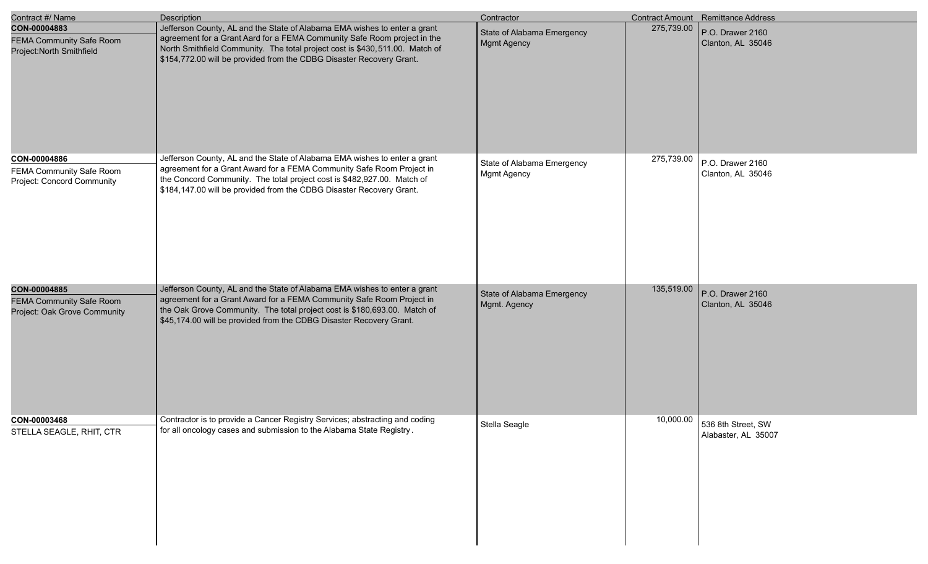| Contract #/ Name                                                                | Description                                                                                                                                                                                                                                                                                                   | Contractor                                       |            | Contract Amount Remittance Address        |
|---------------------------------------------------------------------------------|---------------------------------------------------------------------------------------------------------------------------------------------------------------------------------------------------------------------------------------------------------------------------------------------------------------|--------------------------------------------------|------------|-------------------------------------------|
| CON-00004883<br><b>FEMA Community Safe Room</b><br>Project: North Smithfield    | Jefferson County, AL and the State of Alabama EMA wishes to enter a grant<br>agreement for a Grant Aard for a FEMA Community Safe Room project in the<br>North Smithfield Community. The total project cost is \$430,511.00. Match of<br>\$154,772.00 will be provided from the CDBG Disaster Recovery Grant. | State of Alabama Emergency<br>Mgmt Agency        | 275,739.00 | P.O. Drawer 2160<br>Clanton, AL 35046     |
| CON-00004886<br>FEMA Community Safe Room<br>Project: Concord Community          | Jefferson County, AL and the State of Alabama EMA wishes to enter a grant<br>agreement for a Grant Award for a FEMA Community Safe Room Project in<br>the Concord Community. The total project cost is \$482,927.00. Match of<br>\$184,147.00 will be provided from the CDBG Disaster Recovery Grant.         | State of Alabama Emergency<br><b>Mgmt Agency</b> | 275,739.00 | P.O. Drawer 2160<br>Clanton, AL 35046     |
| CON-00004885<br><b>FEMA Community Safe Room</b><br>Project: Oak Grove Community | Jefferson County, AL and the State of Alabama EMA wishes to enter a grant<br>agreement for a Grant Award for a FEMA Community Safe Room Project in<br>the Oak Grove Community. The total project cost is \$180,693.00. Match of<br>\$45,174.00 will be provided from the CDBG Disaster Recovery Grant.        | State of Alabama Emergency<br>Mgmt. Agency       | 135,519.00 | P.O. Drawer 2160<br>Clanton, AL 35046     |
| CON-00003468<br>STELLA SEAGLE, RHIT, CTR                                        | Contractor is to provide a Cancer Registry Services; abstracting and coding<br>for all oncology cases and submission to the Alabama State Registry.                                                                                                                                                           | Stella Seagle                                    | 10,000.00  | 536 8th Street, SW<br>Alabaster, AL 35007 |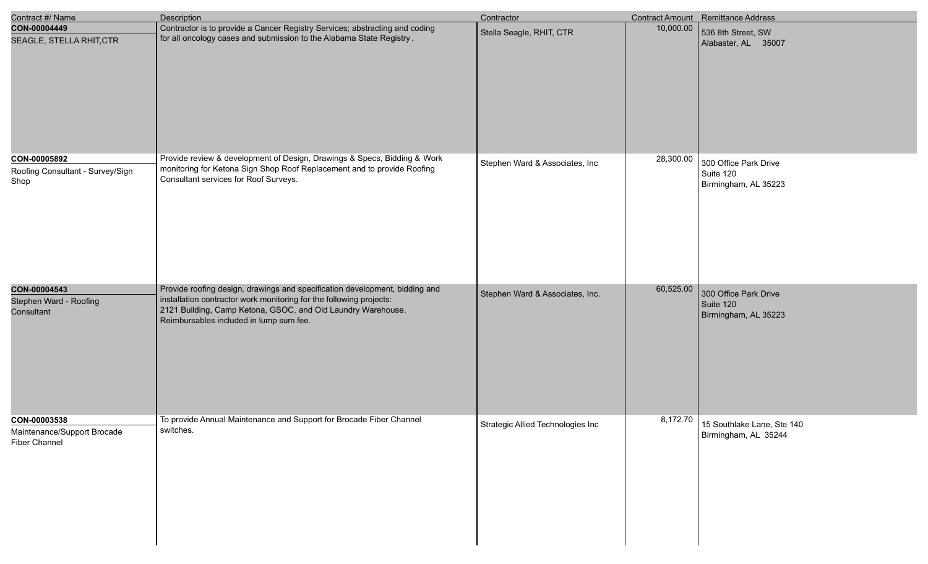| Contract #/ Name                                                    | <b>Description</b>                                                                                                                                                                                                                                            | Contractor                        |           | Contract Amount Remittance Address                         |
|---------------------------------------------------------------------|---------------------------------------------------------------------------------------------------------------------------------------------------------------------------------------------------------------------------------------------------------------|-----------------------------------|-----------|------------------------------------------------------------|
| CON-00004449<br>SEAGLE, STELLA RHIT, CTR                            | Contractor is to provide a Cancer Registry Services; abstracting and coding<br>for all oncology cases and submission to the Alabama State Registry.                                                                                                           | Stella Seagle, RHIT, CTR          | 10,000.00 | 536 8th Street, SW<br>Alabaster, AL 35007                  |
| CON-00005892<br>Roofing Consultant - Survey/Sign<br>Shop            | Provide review & development of Design, Drawings & Specs, Bidding & Work<br>monitoring for Ketona Sign Shop Roof Replacement and to provide Roofing<br>Consultant services for Roof Surveys.                                                                  | Stephen Ward & Associates, Inc    | 28,300.00 | 300 Office Park Drive<br>Suite 120<br>Birmingham, AL 35223 |
| CON-00004543<br>Stephen Ward - Roofing<br>Consultant                | Provide roofing design, drawings and specification development, bidding and<br>installation contractor work monitoring for the following projects:<br>2121 Building, Camp Ketona, GSOC, and Old Laundry Warehouse.<br>Reimbursables included in lump sum fee. | Stephen Ward & Associates, Inc.   | 60,525.00 | 300 Office Park Drive<br>Suite 120<br>Birmingham, AL 35223 |
| CON-00003538<br>Maintenance/Support Brocade<br><b>Fiber Channel</b> | To provide Annual Maintenance and Support for Brocade Fiber Channel<br>switches.                                                                                                                                                                              | Strategic Allied Technologies Inc | 8,172.70  | 15 Southlake Lane, Ste 140<br>Birmingham, AL 35244         |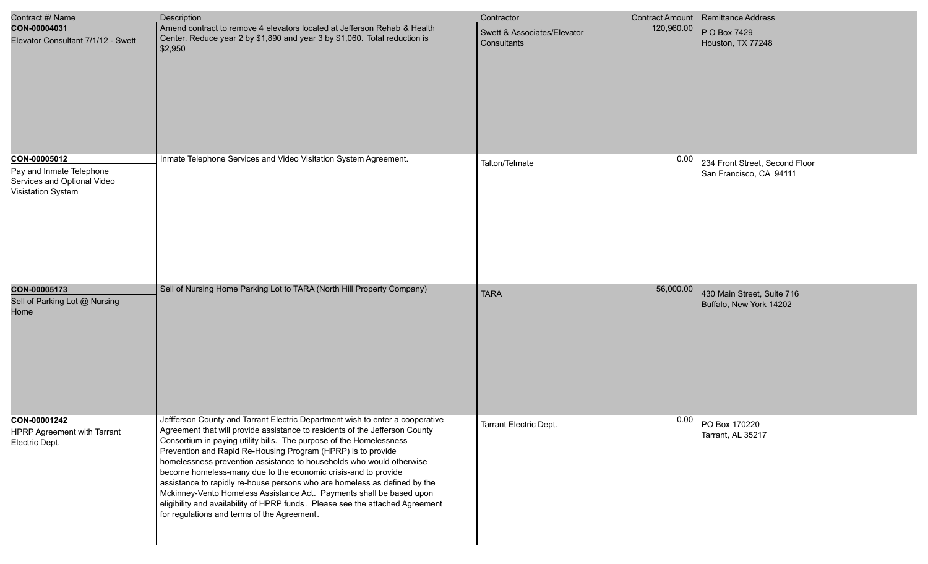| Contract #/ Name                                                              | Description                                                                                                                                                                                                                                                                                                                                                                                                                                                                                                                                                                                                                                                                                                                        | Contractor                                 |            | Contract Amount Remittance Address |
|-------------------------------------------------------------------------------|------------------------------------------------------------------------------------------------------------------------------------------------------------------------------------------------------------------------------------------------------------------------------------------------------------------------------------------------------------------------------------------------------------------------------------------------------------------------------------------------------------------------------------------------------------------------------------------------------------------------------------------------------------------------------------------------------------------------------------|--------------------------------------------|------------|------------------------------------|
| CON-00004031<br>Elevator Consultant 7/1/12 - Swett                            | Amend contract to remove 4 elevators located at Jefferson Rehab & Health<br>Center. Reduce year 2 by \$1,890 and year 3 by \$1,060. Total reduction is<br>\$2,950                                                                                                                                                                                                                                                                                                                                                                                                                                                                                                                                                                  | Swett & Associates/Elevator<br>Consultants | 120,960.00 | P O Box 7429<br>Houston, TX 77248  |
|                                                                               |                                                                                                                                                                                                                                                                                                                                                                                                                                                                                                                                                                                                                                                                                                                                    |                                            |            |                                    |
| CON-00005012                                                                  | Inmate Telephone Services and Video Visitation System Agreement.                                                                                                                                                                                                                                                                                                                                                                                                                                                                                                                                                                                                                                                                   | Talton/Telmate                             | 0.00       | 234 Front Street, Second Floor     |
| Pay and Inmate Telephone<br>Services and Optional Video<br>Visistation System |                                                                                                                                                                                                                                                                                                                                                                                                                                                                                                                                                                                                                                                                                                                                    |                                            |            | San Francisco, CA 94111            |
| CON-00005173                                                                  | Sell of Nursing Home Parking Lot to TARA (North Hill Property Company)                                                                                                                                                                                                                                                                                                                                                                                                                                                                                                                                                                                                                                                             | <b>TARA</b>                                | 56,000.00  | 430 Main Street, Suite 716         |
| Sell of Parking Lot @ Nursing<br>Home                                         |                                                                                                                                                                                                                                                                                                                                                                                                                                                                                                                                                                                                                                                                                                                                    |                                            |            | Buffalo, New York 14202            |
| CON-00001242<br>HPRP Agreement with Tarrant<br>Electric Dept.                 | Jeffferson County and Tarrant Electric Department wish to enter a cooperative<br>Agreement that will provide assistance to residents of the Jefferson County<br>Consortium in paying utility bills. The purpose of the Homelessness<br>Prevention and Rapid Re-Housing Program (HPRP) is to provide<br>homelessness prevention assistance to households who would otherwise<br>become homeless-many due to the economic crisis-and to provide<br>assistance to rapidly re-house persons who are homeless as defined by the<br>Mckinney-Vento Homeless Assistance Act. Payments shall be based upon<br>eligibility and availability of HPRP funds. Please see the attached Agreement<br>for regulations and terms of the Agreement. | Tarrant Electric Dept.                     | 0.00       | PO Box 170220<br>Tarrant, AL 35217 |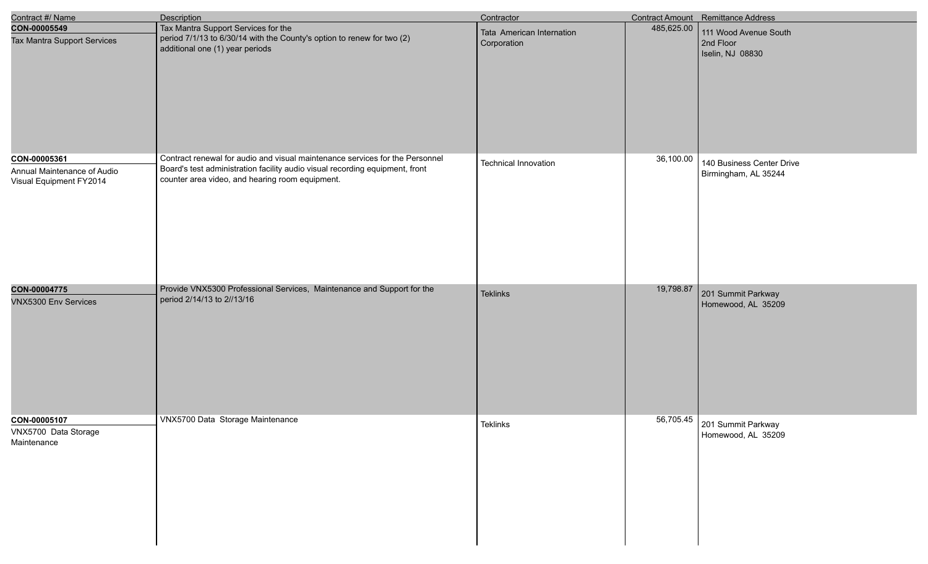| Contract #/ Name                                                       | <b>Description</b>                                                                                                                                                                                              | Contractor                               |            | Contract Amount Remittance Address                     |
|------------------------------------------------------------------------|-----------------------------------------------------------------------------------------------------------------------------------------------------------------------------------------------------------------|------------------------------------------|------------|--------------------------------------------------------|
| CON-00005549<br>Tax Mantra Support Services                            | Tax Mantra Support Services for the<br>period 7/1/13 to 6/30/14 with the County's option to renew for two (2)<br>additional one (1) year periods                                                                | Tata American Internation<br>Corporation | 485,625.00 | 111 Wood Avenue South<br>2nd Floor<br>Iselin, NJ 08830 |
| CON-00005361<br>Annual Maintenance of Audio<br>Visual Equipment FY2014 | Contract renewal for audio and visual maintenance services for the Personnel<br>Board's test administration facility audio visual recording equipment, front<br>counter area video, and hearing room equipment. | <b>Technical Innovation</b>              | 36,100.00  | 140 Business Center Drive<br>Birmingham, AL 35244      |
| CON-00004775<br><b>VNX5300 Env Services</b>                            | Provide VNX5300 Professional Services, Maintenance and Support for the<br>period 2/14/13 to 2//13/16                                                                                                            | <b>Teklinks</b>                          | 19,798.87  | 201 Summit Parkway<br>Homewood, AL 35209               |
| CON-00005107<br>VNX5700 Data Storage<br>Maintenance                    | VNX5700 Data Storage Maintenance                                                                                                                                                                                | Teklinks                                 | 56,705.45  | 201 Summit Parkway<br>Homewood, AL 35209               |

I

I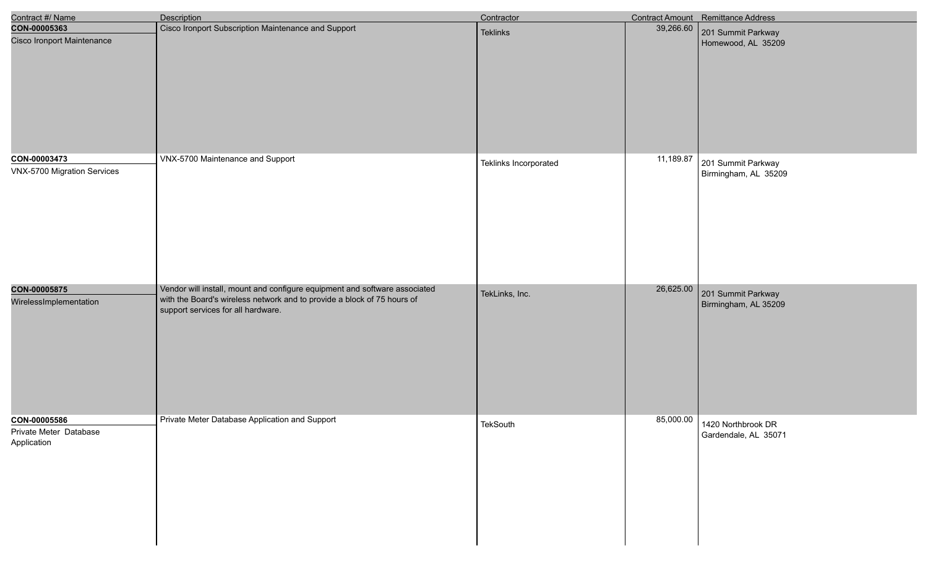| Contract #/ Name                                      | <b>Description</b>                                                                                                                                                                          | Contractor            |           | Contract Amount Remittance Address                   |
|-------------------------------------------------------|---------------------------------------------------------------------------------------------------------------------------------------------------------------------------------------------|-----------------------|-----------|------------------------------------------------------|
| CON-00005363<br><b>Cisco Ironport Maintenance</b>     | Cisco Ironport Subscription Maintenance and Support                                                                                                                                         | <b>Teklinks</b>       | 39,266.60 | 201 Summit Parkway<br>Homewood, AL 35209             |
| CON-00003473<br>VNX-5700 Migration Services           | VNX-5700 Maintenance and Support                                                                                                                                                            | Teklinks Incorporated | 11,189.87 | 201 Summit Parkway<br>Birmingham, AL 35209           |
| CON-00005875<br>WirelessImplementation                | Vendor will install, mount and configure equipment and software associated<br>with the Board's wireless network and to provide a block of 75 hours of<br>support services for all hardware. | TekLinks, Inc.        | 26,625.00 | 201 Summit Parkway<br>Birmingham, AL 35209           |
| CON-00005586<br>Private Meter Database<br>Application | Private Meter Database Application and Support                                                                                                                                              | TekSouth              |           | 85,000.00 1420 Northbrook DR<br>Gardendale, AL 35071 |

e<br>V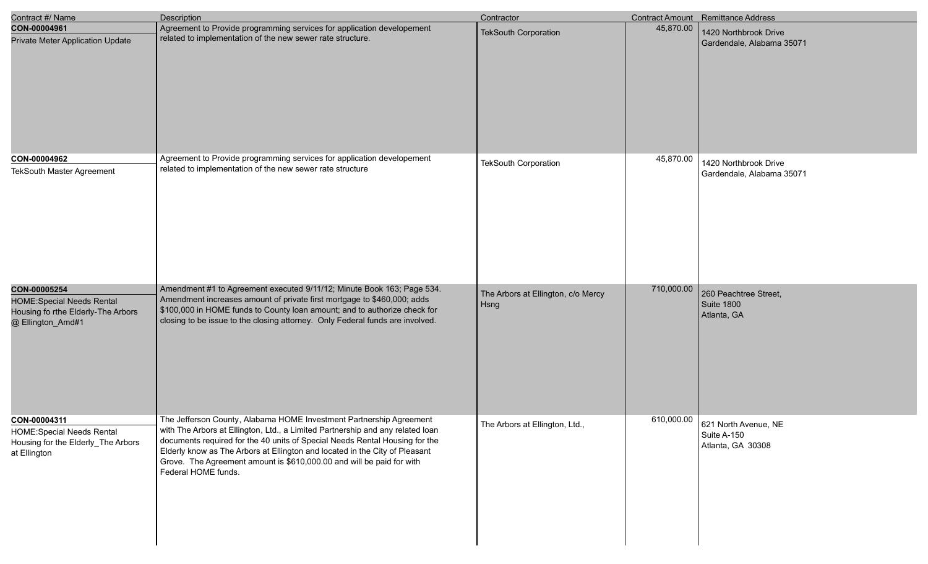| Contract #/ Name                                                                                            | <b>Description</b>                                                                                                                                                                                                                                                                                                                                                                                                  | Contractor                                 |            | Contract Amount Remittance Address                        |
|-------------------------------------------------------------------------------------------------------------|---------------------------------------------------------------------------------------------------------------------------------------------------------------------------------------------------------------------------------------------------------------------------------------------------------------------------------------------------------------------------------------------------------------------|--------------------------------------------|------------|-----------------------------------------------------------|
| CON-00004961<br>Private Meter Application Update                                                            | Agreement to Provide programming services for application developement<br>related to implementation of the new sewer rate structure.                                                                                                                                                                                                                                                                                | <b>TekSouth Corporation</b>                | 45,870.00  | 1420 Northbrook Drive<br>Gardendale, Alabama 35071        |
| CON-00004962<br><b>TekSouth Master Agreement</b>                                                            | Agreement to Provide programming services for application developement<br>related to implementation of the new sewer rate structure                                                                                                                                                                                                                                                                                 | <b>TekSouth Corporation</b>                | 45,870.00  | 1420 Northbrook Drive<br>Gardendale, Alabama 35071        |
| CON-00005254<br><b>HOME:Special Needs Rental</b><br>Housing fo rthe Elderly-The Arbors<br>@ Ellington_Amd#1 | Amendment #1 to Agreement executed 9/11/12; Minute Book 163; Page 534.<br>Amendment increases amount of private first mortgage to \$460,000; adds<br>\$100,000 in HOME funds to County loan amount; and to authorize check for<br>closing to be issue to the closing attorney. Only Federal funds are involved.                                                                                                     | The Arbors at Ellington, c/o Mercy<br>Hsng | 710,000.00 | 260 Peachtree Street,<br><b>Suite 1800</b><br>Atlanta, GA |
| CON-00004311<br><b>HOME:Special Needs Rental</b><br>Housing for the Elderly_The Arbors<br>at Ellington      | The Jefferson County, Alabama HOME Investment Partnership Agreement<br>with The Arbors at Ellington, Ltd., a Limited Partnership and any related loan<br>documents required for the 40 units of Special Needs Rental Housing for the<br>Elderly know as The Arbors at Ellington and located in the City of Pleasant<br>Grove. The Agreement amount is \$610,000.00 and will be paid for with<br>Federal HOME funds. | The Arbors at Ellington, Ltd.,             | 610,000.00 | 621 North Avenue, NE<br>Suite A-150<br>Atlanta, GA 30308  |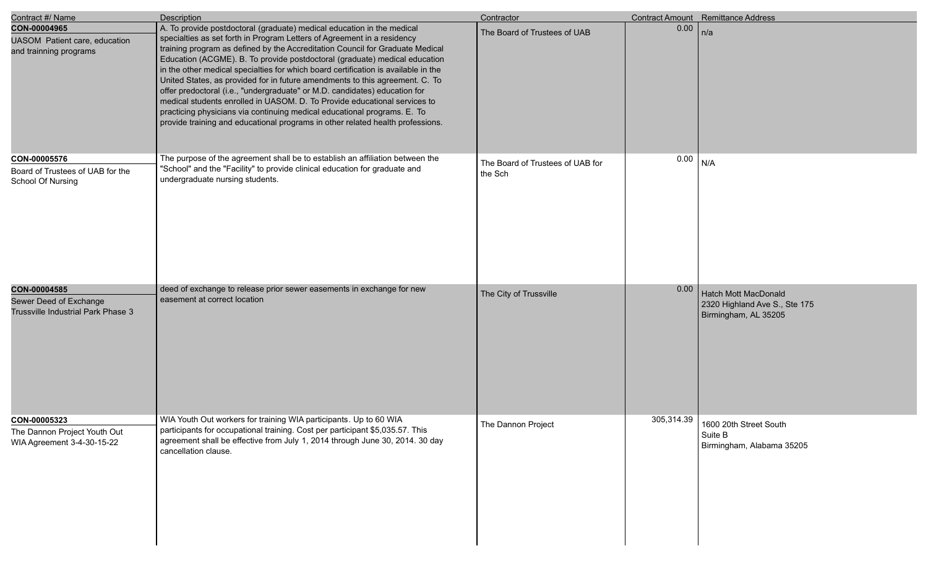| Contract #/ Name                                                             | <b>Description</b>                                                                                                                                                                                                                                                                                                                                                                                                                                                                                                                                                                                                                                                                                                                                                                                              | Contractor                                  |            | <b>Contract Amount</b> Remittance Address                                            |
|------------------------------------------------------------------------------|-----------------------------------------------------------------------------------------------------------------------------------------------------------------------------------------------------------------------------------------------------------------------------------------------------------------------------------------------------------------------------------------------------------------------------------------------------------------------------------------------------------------------------------------------------------------------------------------------------------------------------------------------------------------------------------------------------------------------------------------------------------------------------------------------------------------|---------------------------------------------|------------|--------------------------------------------------------------------------------------|
| CON-00004965<br>UASOM Patient care, education<br>and trainning programs      | A. To provide postdoctoral (graduate) medical education in the medical<br>specialties as set forth in Program Letters of Agreement in a residency<br>training program as defined by the Accreditation Council for Graduate Medical<br>Education (ACGME). B. To provide postdoctoral (graduate) medical education<br>in the other medical specialties for which board certification is available in the<br>United States, as provided for in future amendments to this agreement. C. To<br>offer predoctoral (i.e., "undergraduate" or M.D. candidates) education for<br>medical students enrolled in UASOM. D. To Provide educational services to<br>practicing physicians via continuing medical educational programs. E. To<br>provide training and educational programs in other related health professions. | The Board of Trustees of UAB                | 0.00       | n/a                                                                                  |
| CON-00005576<br>Board of Trustees of UAB for the<br>School Of Nursing        | The purpose of the agreement shall be to establish an affiliation between the<br>"School" and the "Facility" to provide clinical education for graduate and<br>undergraduate nursing students.                                                                                                                                                                                                                                                                                                                                                                                                                                                                                                                                                                                                                  | The Board of Trustees of UAB for<br>the Sch | 0.00       | N/A                                                                                  |
| CON-00004585<br>Sewer Deed of Exchange<br>Trussville Industrial Park Phase 3 | deed of exchange to release prior sewer easements in exchange for new<br>easement at correct location                                                                                                                                                                                                                                                                                                                                                                                                                                                                                                                                                                                                                                                                                                           | The City of Trussville                      | 0.00       | <b>Hatch Mott MacDonald</b><br>2320 Highland Ave S., Ste 175<br>Birmingham, AL 35205 |
| CON-00005323<br>The Dannon Project Youth Out<br>WIA Agreement 3-4-30-15-22   | WIA Youth Out workers for training WIA participants. Up to 60 WIA<br>participants for occupational training. Cost per participant \$5,035.57. This<br>agreement shall be effective from July 1, 2014 through June 30, 2014. 30 day<br>cancellation clause.                                                                                                                                                                                                                                                                                                                                                                                                                                                                                                                                                      | The Dannon Project                          | 305,314.39 | 1600 20th Street South<br>Suite B<br>Birmingham, Alabama 35205                       |

e<br>V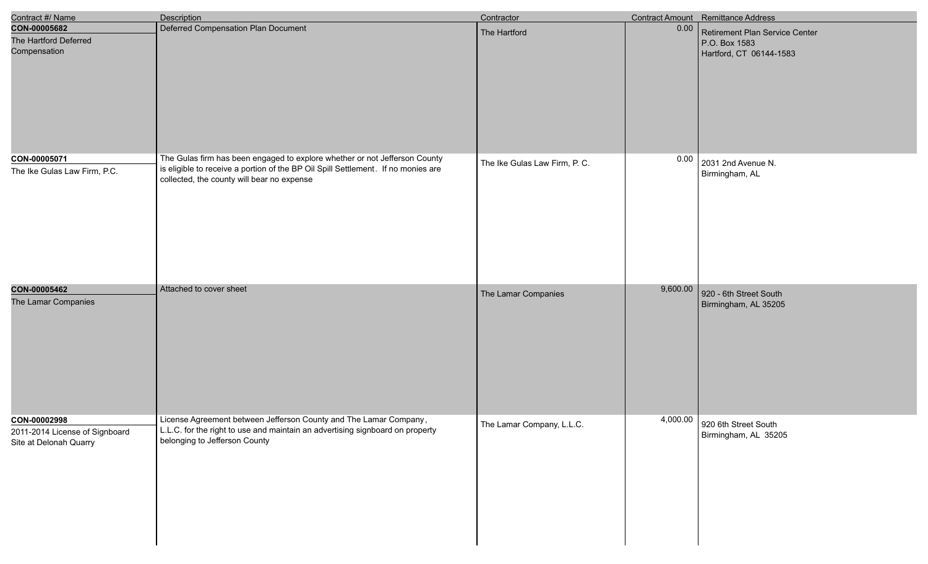| Contract #/ Name                                                         | <b>Description</b>                                                                                                                                                                                            | Contractor                    |          | <b>Contract Amount</b> Remittance Address                                  |
|--------------------------------------------------------------------------|---------------------------------------------------------------------------------------------------------------------------------------------------------------------------------------------------------------|-------------------------------|----------|----------------------------------------------------------------------------|
| CON-00005682<br>The Hartford Deferred<br>Compensation                    | Deferred Compensation Plan Document                                                                                                                                                                           | The Hartford                  | 0.00     | Retirement Plan Service Center<br>P.O. Box 1583<br>Hartford, CT 06144-1583 |
| CON-00005071<br>The Ike Gulas Law Firm, P.C.                             | The Gulas firm has been engaged to explore whether or not Jefferson County<br>is eligible to receive a portion of the BP Oil Spill Settlement. If no monies are<br>collected, the county will bear no expense | The Ike Gulas Law Firm, P. C. | 0.00     | 2031 2nd Avenue N.<br>Birmingham, AL                                       |
| CON-00005462<br>The Lamar Companies                                      | Attached to cover sheet                                                                                                                                                                                       | The Lamar Companies           | 9,600.00 | 920 - 6th Street South<br>Birmingham, AL 35205                             |
| CON-00002998<br>2011-2014 License of Signboard<br>Site at Delonah Quarry | License Agreement between Jefferson County and The Lamar Company,<br>L.L.C. for the right to use and maintain an advertising signboard on property<br>belonging to Jefferson County                           | The Lamar Company, L.L.C.     |          | 4,000.00 920 6th Street South<br>Birmingham, AL 35205                      |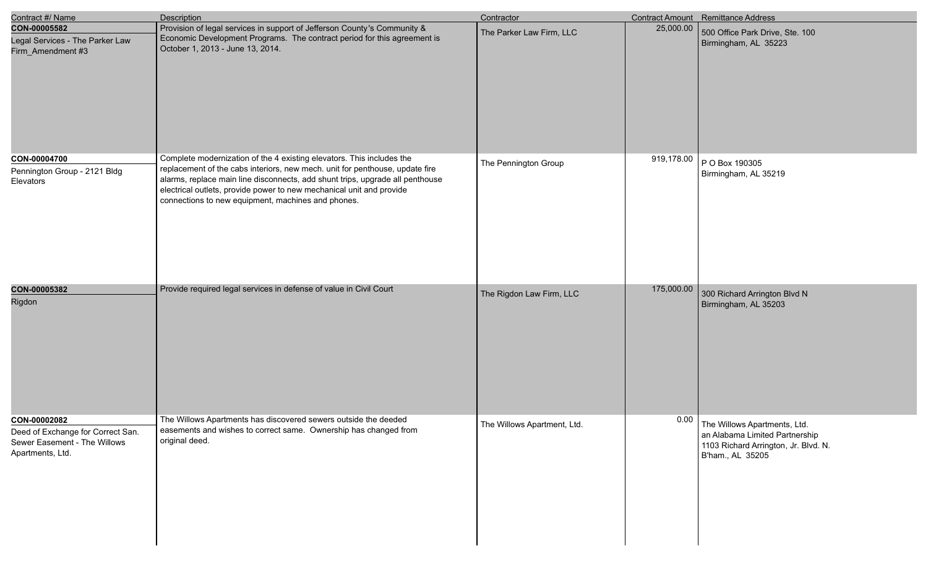| Contract #/ Name                                                                                      | <b>Description</b>                                                                                                                                                                                                                                                                                                                                                   | Contractor                  |            | <b>Contract Amount</b> Remittance Address                                                                                  |
|-------------------------------------------------------------------------------------------------------|----------------------------------------------------------------------------------------------------------------------------------------------------------------------------------------------------------------------------------------------------------------------------------------------------------------------------------------------------------------------|-----------------------------|------------|----------------------------------------------------------------------------------------------------------------------------|
| CON-00005582<br>Legal Services - The Parker Law<br>Firm_Amendment #3                                  | Provision of legal services in support of Jefferson County's Community &<br>Economic Development Programs. The contract period for this agreement is<br>October 1, 2013 - June 13, 2014.                                                                                                                                                                             | The Parker Law Firm, LLC    | 25,000.00  | 500 Office Park Drive, Ste. 100<br>Birmingham, AL 35223                                                                    |
| CON-00004700<br>Pennington Group - 2121 Bldg<br>Elevators                                             | Complete modernization of the 4 existing elevators. This includes the<br>replacement of the cabs interiors, new mech. unit for penthouse, update fire<br>alarms, replace main line disconnects, add shunt trips, upgrade all penthouse<br>electrical outlets, provide power to new mechanical unit and provide<br>connections to new equipment, machines and phones. | The Pennington Group        | 919,178.00 | P O Box 190305<br>Birmingham, AL 35219                                                                                     |
| CON-00005382<br>Rigdon                                                                                | Provide required legal services in defense of value in Civil Court                                                                                                                                                                                                                                                                                                   | The Rigdon Law Firm, LLC    | 175,000.00 | 300 Richard Arrington Blvd N<br>Birmingham, AL 35203                                                                       |
| CON-00002082<br>Deed of Exchange for Correct San.<br>Sewer Easement - The Willows<br>Apartments, Ltd. | The Willows Apartments has discovered sewers outside the deeded<br>easements and wishes to correct same. Ownership has changed from<br>original deed.                                                                                                                                                                                                                | The Willows Apartment, Ltd. | 0.00       | The Willows Apartments, Ltd.<br>an Alabama Limited Partnership<br>1103 Richard Arrington, Jr. Blvd. N.<br>B'ham., AL 35205 |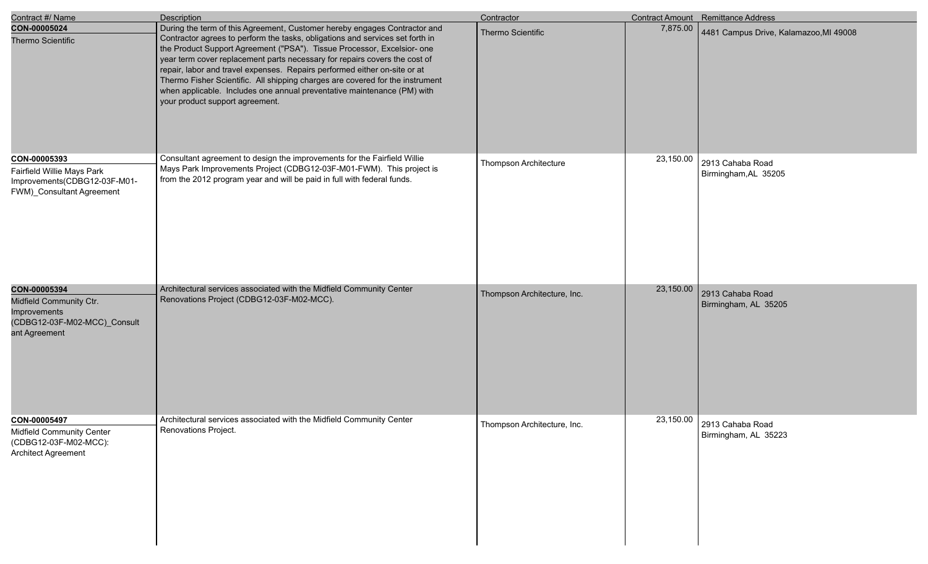| Contract #/ Name                                                                                         | Description                                                                                                                                                                                                                                                                                                                                                                                                                                                                                                                                                                                     | Contractor                  |           | <b>Contract Amount</b> Remittance Address          |
|----------------------------------------------------------------------------------------------------------|-------------------------------------------------------------------------------------------------------------------------------------------------------------------------------------------------------------------------------------------------------------------------------------------------------------------------------------------------------------------------------------------------------------------------------------------------------------------------------------------------------------------------------------------------------------------------------------------------|-----------------------------|-----------|----------------------------------------------------|
| CON-00005024<br><b>Thermo Scientific</b>                                                                 | During the term of this Agreement, Customer hereby engages Contractor and<br>Contractor agrees to perform the tasks, obligations and services set forth in<br>the Product Support Agreement ("PSA"). Tissue Processor, Excelsior- one<br>year term cover replacement parts necessary for repairs covers the cost of<br>repair, labor and travel expenses. Repairs performed either on-site or at<br>Thermo Fisher Scientific. All shipping charges are covered for the instrument<br>when applicable. Includes one annual preventative maintenance (PM) with<br>your product support agreement. | Thermo Scientific           | 7,875.00  | 4481 Campus Drive, Kalamazoo, MI 49008             |
| CON-00005393<br>Fairfield Willie Mays Park<br>Improvements(CDBG12-03F-M01-<br>FWM) Consultant Agreement  | Consultant agreement to design the improvements for the Fairfield Willie<br>Mays Park Improvements Project (CDBG12-03F-M01-FWM). This project is<br>from the 2012 program year and will be paid in full with federal funds.                                                                                                                                                                                                                                                                                                                                                                     | Thompson Architecture       | 23,150.00 | 2913 Cahaba Road<br>Birmingham, AL 35205           |
| CON-00005394<br>Midfield Community Ctr.<br>Improvements<br>(CDBG12-03F-M02-MCC)_Consult<br>ant Agreement | Architectural services associated with the Midfield Community Center<br>Renovations Project (CDBG12-03F-M02-MCC).                                                                                                                                                                                                                                                                                                                                                                                                                                                                               | Thompson Architecture, Inc. | 23,150.00 | 2913 Cahaba Road<br>Birmingham, AL 35205           |
| CON-00005497<br><b>Midfield Community Center</b><br>(CDBG12-03F-M02-MCC):<br>Architect Agreement         | Architectural services associated with the Midfield Community Center<br>Renovations Project.                                                                                                                                                                                                                                                                                                                                                                                                                                                                                                    | Thompson Architecture, Inc. |           | 23,150.00 2913 Cahaba Road<br>Birmingham, AL 35223 |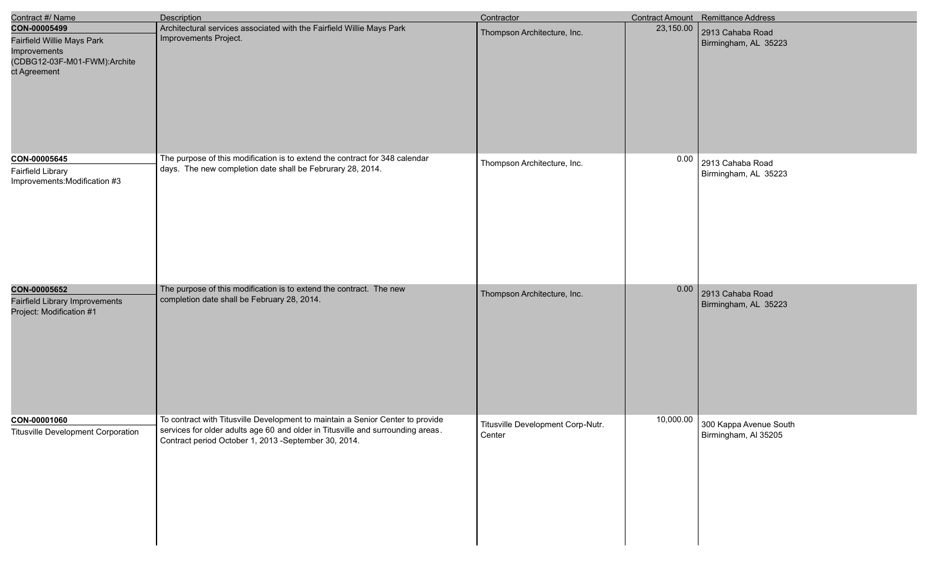| Contract #/ Name                                                                                           | <b>Description</b>                                                                                                                                                                                                        | Contractor                                  |           | Contract Amount Remittance Address                       |
|------------------------------------------------------------------------------------------------------------|---------------------------------------------------------------------------------------------------------------------------------------------------------------------------------------------------------------------------|---------------------------------------------|-----------|----------------------------------------------------------|
| CON-00005499<br>Fairfield Willie Mays Park<br>Improvements<br>(CDBG12-03F-M01-FWM):Archite<br>ct Agreement | Architectural services associated with the Fairfield Willie Mays Park<br>Improvements Project.                                                                                                                            | Thompson Architecture, Inc.                 | 23,150.00 | 2913 Cahaba Road<br>Birmingham, AL 35223                 |
| CON-00005645<br><b>Fairfield Library</b><br>Improvements: Modification #3                                  | The purpose of this modification is to extend the contract for 348 calendar<br>days. The new completion date shall be Februrary 28, 2014.                                                                                 | Thompson Architecture, Inc.                 | 0.00      | 2913 Cahaba Road<br>Birmingham, AL 35223                 |
| CON-00005652<br>Fairfield Library Improvements<br>Project: Modification #1                                 | The purpose of this modification is to extend the contract. The new<br>completion date shall be February 28, 2014.                                                                                                        | Thompson Architecture, Inc.                 | 0.00      | 2913 Cahaba Road<br>Birmingham, AL 35223                 |
| CON-00001060<br><b>Titusville Development Corporation</b>                                                  | To contract with Titusville Development to maintain a Senior Center to provide<br>services for older adults age 60 and older in Titusville and surrounding areas.<br>Contract period October 1, 2013 -September 30, 2014. | Titusville Development Corp-Nutr.<br>Center |           | 10,000.00 300 Kappa Avenue South<br>Birmingham, AI 35205 |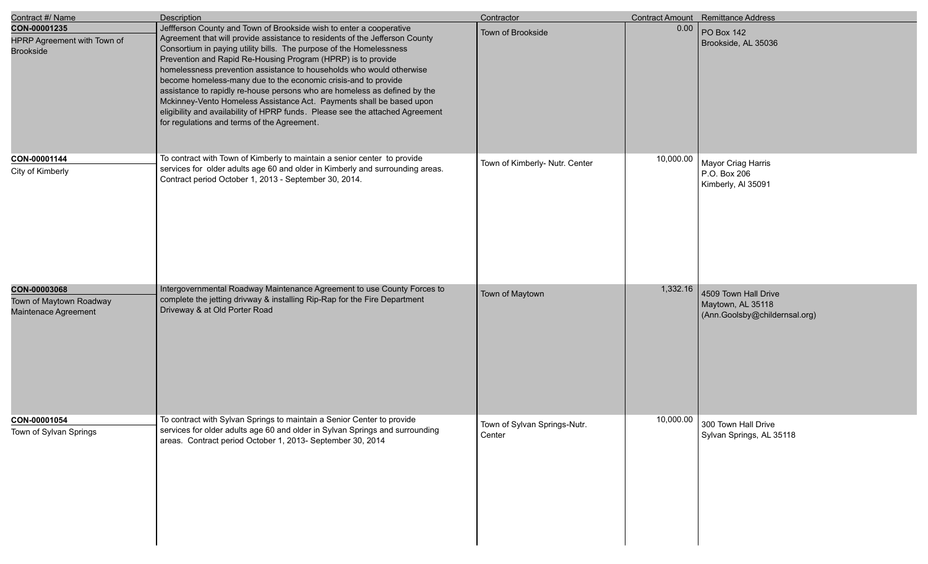| Contract #/ Name                                                | Description                                                                                                                                                                                                                                                                                                                                                                                                                                                                                                                                                                                                                                                                                                              | Contractor                             |           | <b>Contract Amount</b> Remittance Address                                  |
|-----------------------------------------------------------------|--------------------------------------------------------------------------------------------------------------------------------------------------------------------------------------------------------------------------------------------------------------------------------------------------------------------------------------------------------------------------------------------------------------------------------------------------------------------------------------------------------------------------------------------------------------------------------------------------------------------------------------------------------------------------------------------------------------------------|----------------------------------------|-----------|----------------------------------------------------------------------------|
| CON-00001235<br>HPRP Agreement with Town of<br><b>Brookside</b> | Jeffferson County and Town of Brookside wish to enter a cooperative<br>Agreement that will provide assistance to residents of the Jefferson County<br>Consortium in paying utility bills. The purpose of the Homelessness<br>Prevention and Rapid Re-Housing Program (HPRP) is to provide<br>homelessness prevention assistance to households who would otherwise<br>become homeless-many due to the economic crisis-and to provide<br>assistance to rapidly re-house persons who are homeless as defined by the<br>Mckinney-Vento Homeless Assistance Act. Payments shall be based upon<br>eligibility and availability of HPRP funds. Please see the attached Agreement<br>for regulations and terms of the Agreement. | Town of Brookside                      | 0.00      | PO Box 142<br>Brookside, AL 35036                                          |
| CON-00001144<br>City of Kimberly                                | To contract with Town of Kimberly to maintain a senior center to provide<br>services for older adults age 60 and older in Kimberly and surrounding areas.<br>Contract period October 1, 2013 - September 30, 2014.                                                                                                                                                                                                                                                                                                                                                                                                                                                                                                       | Town of Kimberly- Nutr. Center         | 10,000.00 | Mayor Criag Harris<br>P.O. Box 206<br>Kimberly, Al 35091                   |
| CON-00003068<br>Town of Maytown Roadway<br>Maintenace Agreement | Intergovernmental Roadway Maintenance Agreement to use County Forces to<br>complete the jetting drivway & installing Rip-Rap for the Fire Department<br>Driveway & at Old Porter Road                                                                                                                                                                                                                                                                                                                                                                                                                                                                                                                                    | Town of Maytown                        | 1,332.16  | 4509 Town Hall Drive<br>Maytown, AL 35118<br>(Ann.Goolsby@childernsal.org) |
| CON-00001054<br>Town of Sylvan Springs                          | To contract with Sylvan Springs to maintain a Senior Center to provide<br>services for older adults age 60 and older in Sylvan Springs and surrounding<br>areas. Contract period October 1, 2013- September 30, 2014                                                                                                                                                                                                                                                                                                                                                                                                                                                                                                     | Town of Sylvan Springs-Nutr.<br>Center |           | 10,000.00 300 Town Hall Drive<br>Sylvan Springs, AL 35118                  |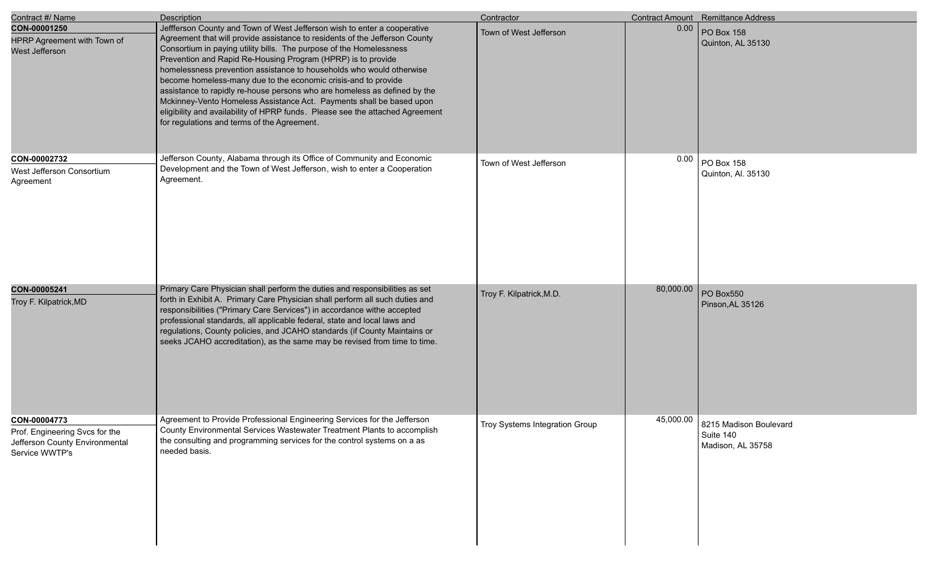| Contract #/ Name                                                                                   | Description                                                                                                                                                                                                                                                                                                                                                                                                                                                                                                                                                                                                                                                                                                                   | Contractor                     |           | <b>Contract Amount</b> Remittance Address                |
|----------------------------------------------------------------------------------------------------|-------------------------------------------------------------------------------------------------------------------------------------------------------------------------------------------------------------------------------------------------------------------------------------------------------------------------------------------------------------------------------------------------------------------------------------------------------------------------------------------------------------------------------------------------------------------------------------------------------------------------------------------------------------------------------------------------------------------------------|--------------------------------|-----------|----------------------------------------------------------|
| CON-00001250<br>HPRP Agreement with Town of<br>West Jefferson                                      | Jeffferson County and Town of West Jefferson wish to enter a cooperative<br>Agreement that will provide assistance to residents of the Jefferson County<br>Consortium in paying utility bills. The purpose of the Homelessness<br>Prevention and Rapid Re-Housing Program (HPRP) is to provide<br>homelessness prevention assistance to households who would otherwise<br>become homeless-many due to the economic crisis-and to provide<br>assistance to rapidly re-house persons who are homeless as defined by the<br>Mckinney-Vento Homeless Assistance Act. Payments shall be based upon<br>eligibility and availability of HPRP funds. Please see the attached Agreement<br>for regulations and terms of the Agreement. | Town of West Jefferson         | 0.00      | PO Box 158<br>Quinton, AL 35130                          |
| CON-00002732<br>West Jefferson Consortium<br>Agreement                                             | Jefferson County, Alabama through its Office of Community and Economic<br>Development and the Town of West Jefferson, wish to enter a Cooperation<br>Agreement.                                                                                                                                                                                                                                                                                                                                                                                                                                                                                                                                                               | Town of West Jefferson         | 0.00      | PO Box 158<br>Quinton, Al. 35130                         |
| CON-00005241<br>Troy F. Kilpatrick, MD                                                             | Primary Care Physician shall perform the duties and responsibilities as set<br>forth in Exhibit A. Primary Care Physician shall perform all such duties and<br>responsibilities ("Primary Care Services") in accordance withe accepted<br>professional standards, all applicable federal, state and local laws and<br>regulations, County policies, and JCAHO standards (if County Maintains or<br>seeks JCAHO accreditation), as the same may be revised from time to time.                                                                                                                                                                                                                                                  | Troy F. Kilpatrick, M.D.       | 80,000.00 | PO Box550<br>Pinson, AL 35126                            |
| CON-00004773<br>Prof. Engineering Svcs for the<br>Jefferson County Environmental<br>Service WWTP's | Agreement to Provide Professional Engineering Services for the Jefferson<br>County Environmental Services Wastewater Treatment Plants to accomplish<br>the consulting and programming services for the control systems on a as<br>needed basis.                                                                                                                                                                                                                                                                                                                                                                                                                                                                               | Troy Systems Integration Group | 45,000.00 | 8215 Madison Boulevard<br>Suite 140<br>Madison, AL 35758 |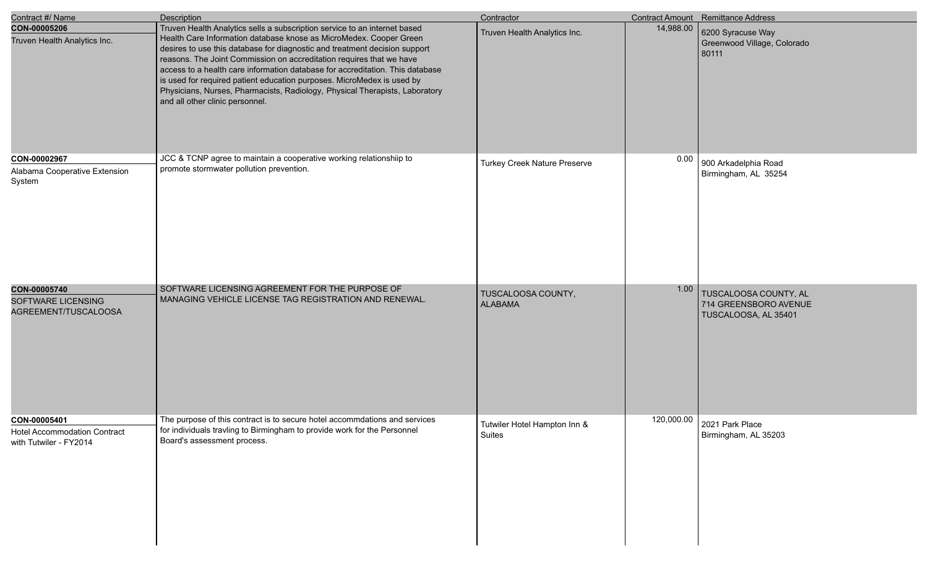| Contract #/ Name                                                              | <b>Description</b>                                                                                                                                                                                                                                                                                                                                                                                                                                                                                                                                                                 | Contractor                             |           | Contract Amount Remittance Address                                     |
|-------------------------------------------------------------------------------|------------------------------------------------------------------------------------------------------------------------------------------------------------------------------------------------------------------------------------------------------------------------------------------------------------------------------------------------------------------------------------------------------------------------------------------------------------------------------------------------------------------------------------------------------------------------------------|----------------------------------------|-----------|------------------------------------------------------------------------|
| CON-00005206<br>Truven Health Analytics Inc.                                  | Truven Health Analytics sells a subscription service to an internet based<br>Health Care Information database knose as MicroMedex. Cooper Green<br>desires to use this database for diagnostic and treatment decision support<br>reasons. The Joint Commission on accreditation requires that we have<br>access to a health care information database for accreditation. This database<br>is used for required patient education purposes. MicroMedex is used by<br>Physicians, Nurses, Pharmacists, Radiology, Physical Therapists, Laboratory<br>and all other clinic personnel. | Truven Health Analytics Inc.           | 14,988.00 | 6200 Syracuse Way<br>Greenwood Village, Colorado<br>80111              |
| CON-00002967<br>Alabama Cooperative Extension<br>System                       | JCC & TCNP agree to maintain a cooperative working relationshiip to<br>promote stormwater pollution prevention.                                                                                                                                                                                                                                                                                                                                                                                                                                                                    | <b>Turkey Creek Nature Preserve</b>    | 0.00      | 900 Arkadelphia Road<br>Birmingham, AL 35254                           |
| CON-00005740<br><b>SOFTWARE LICENSING</b><br>AGREEMENT/TUSCALOOSA             | SOFTWARE LICENSING AGREEMENT FOR THE PURPOSE OF<br>MANAGING VEHICLE LICENSE TAG REGISTRATION AND RENEWAL.                                                                                                                                                                                                                                                                                                                                                                                                                                                                          | TUSCALOOSA COUNTY,<br><b>ALABAMA</b>   | 1.00      | TUSCALOOSA COUNTY, AL<br>714 GREENSBORO AVENUE<br>TUSCALOOSA, AL 35401 |
| CON-00005401<br><b>Hotel Accommodation Contract</b><br>with Tutwiler - FY2014 | The purpose of this contract is to secure hotel accommdations and services<br>for individuals travling to Birmingham to provide work for the Personnel<br>Board's assessment process.                                                                                                                                                                                                                                                                                                                                                                                              | Tutwiler Hotel Hampton Inn &<br>Suites |           | 120,000.00 2021 Park Place<br>Birmingham, AL 35203                     |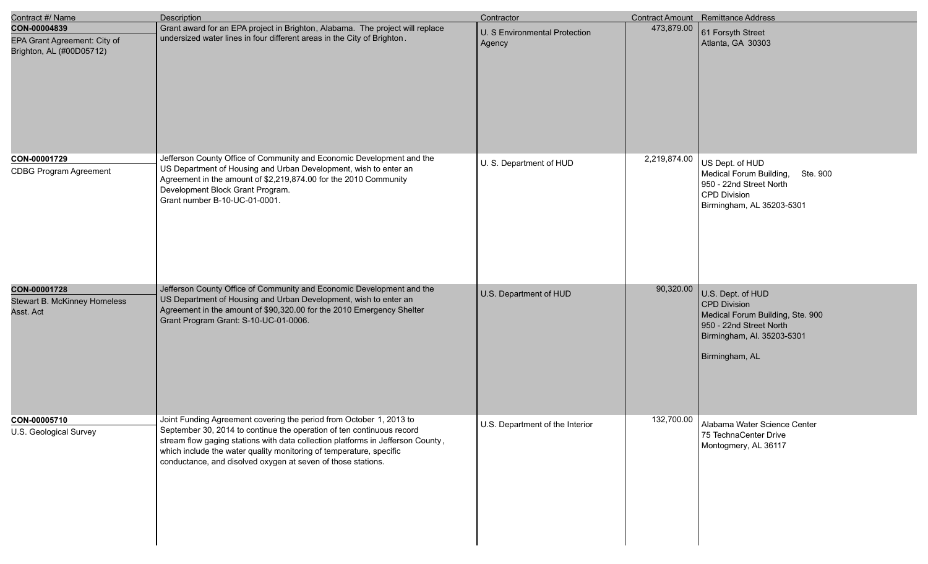| Contract #/ Name                                                         | <b>Description</b>                                                                                                                                                                                                                                                                                                                                                     | Contractor                              |              | Contract Amount Remittance Address                                                                                                                      |
|--------------------------------------------------------------------------|------------------------------------------------------------------------------------------------------------------------------------------------------------------------------------------------------------------------------------------------------------------------------------------------------------------------------------------------------------------------|-----------------------------------------|--------------|---------------------------------------------------------------------------------------------------------------------------------------------------------|
| CON-00004839<br>EPA Grant Agreement: City of<br>Brighton, AL (#00D05712) | Grant award for an EPA project in Brighton, Alabama. The project will replace<br>undersized water lines in four different areas in the City of Brighton.                                                                                                                                                                                                               | U. S Environmental Protection<br>Agency | 473,879.00   | 61 Forsyth Street<br>Atlanta, GA 30303                                                                                                                  |
| CON-00001729<br><b>CDBG Program Agreement</b>                            | Jefferson County Office of Community and Economic Development and the<br>US Department of Housing and Urban Development, wish to enter an<br>Agreement in the amount of \$2,219,874.00 for the 2010 Community<br>Development Block Grant Program.<br>Grant number B-10-UC-01-0001.                                                                                     | U. S. Department of HUD                 | 2,219,874.00 | US Dept. of HUD<br>Medical Forum Building, Ste. 900<br>950 - 22nd Street North<br><b>CPD Division</b><br>Birmingham, AL 35203-5301                      |
| CON-00001728<br>Stewart B. McKinney Homeless<br>Asst. Act                | Jefferson County Office of Community and Economic Development and the<br>US Department of Housing and Urban Development, wish to enter an<br>Agreement in the amount of \$90,320.00 for the 2010 Emergency Shelter<br>Grant Program Grant: S-10-UC-01-0006.                                                                                                            | U.S. Department of HUD                  | 90,320.00    | U.S. Dept. of HUD<br><b>CPD Division</b><br>Medical Forum Building, Ste. 900<br>950 - 22nd Street North<br>Birmingham, Al. 35203-5301<br>Birmingham, AL |
| CON-00005710<br>U.S. Geological Survey                                   | Joint Funding Agreement covering the period from October 1, 2013 to<br>September 30, 2014 to continue the operation of ten continuous record<br>stream flow gaging stations with data collection platforms in Jefferson County,<br>which include the water quality monitoring of temperature, specific<br>conductance, and disolved oxygen at seven of those stations. | U.S. Department of the Interior         | 132,700.00   | Alabama Water Science Center<br>75 TechnaCenter Drive<br>Montogmery, AL 36117                                                                           |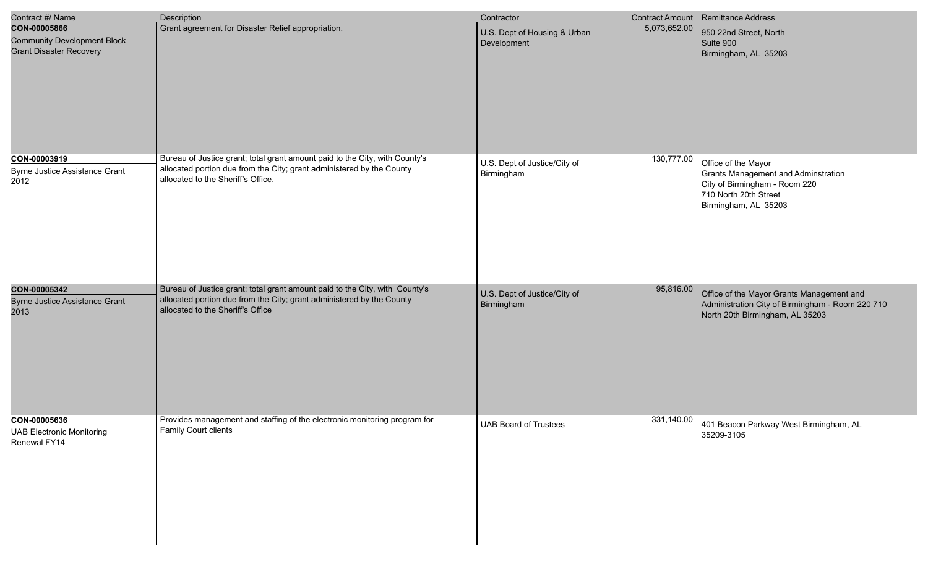| Contract #/ Name                                                                     | <b>Description</b>                                                                                                                                                                         | Contractor                                  |              | Contract Amount Remittance Address                                                                                                           |
|--------------------------------------------------------------------------------------|--------------------------------------------------------------------------------------------------------------------------------------------------------------------------------------------|---------------------------------------------|--------------|----------------------------------------------------------------------------------------------------------------------------------------------|
| CON-00005866<br><b>Community Development Block</b><br><b>Grant Disaster Recovery</b> | Grant agreement for Disaster Relief appropriation.                                                                                                                                         | U.S. Dept of Housing & Urban<br>Development | 5,073,652.00 | 950 22nd Street, North<br>Suite 900<br>Birmingham, AL 35203                                                                                  |
| CON-00003919<br><b>Byrne Justice Assistance Grant</b><br>2012                        | Bureau of Justice grant; total grant amount paid to the City, with County's<br>allocated portion due from the City; grant administered by the County<br>allocated to the Sheriff's Office. | U.S. Dept of Justice/City of<br>Birmingham  | 130,777.00   | Office of the Mayor<br>Grants Management and Adminstration<br>City of Birmingham - Room 220<br>710 North 20th Street<br>Birmingham, AL 35203 |
| CON-00005342<br><b>Byrne Justice Assistance Grant</b><br>2013                        | Bureau of Justice grant; total grant amount paid to the City, with County's<br>allocated portion due from the City; grant administered by the County<br>allocated to the Sheriff's Office  | U.S. Dept of Justice/City of<br>Birmingham  | 95,816.00    | Office of the Mayor Grants Management and<br>Administration City of Birmingham - Room 220 710<br>North 20th Birmingham, AL 35203             |
| CON-00005636<br><b>UAB Electronic Monitoring</b><br>Renewal FY14                     | Provides management and staffing of the electronic monitoring program for<br>Family Court clients                                                                                          | <b>UAB Board of Trustees</b>                | 331,140.00   | 401 Beacon Parkway West Birmingham, AL<br>35209-3105                                                                                         |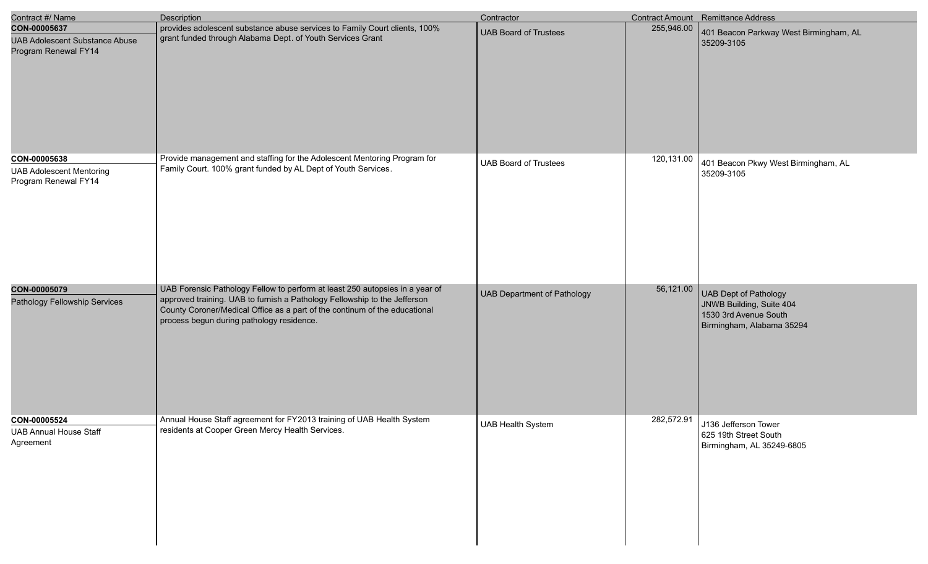| Contract #/ Name                                                              | Description                                                                                                                                                                                                                                                                          | Contractor                         |            | Contract Amount Remittance Address                                                                             |
|-------------------------------------------------------------------------------|--------------------------------------------------------------------------------------------------------------------------------------------------------------------------------------------------------------------------------------------------------------------------------------|------------------------------------|------------|----------------------------------------------------------------------------------------------------------------|
| CON-00005637<br><b>UAB Adolescent Substance Abuse</b><br>Program Renewal FY14 | provides adolescent substance abuse services to Family Court clients, 100%<br>grant funded through Alabama Dept. of Youth Services Grant                                                                                                                                             | <b>UAB Board of Trustees</b>       | 255,946.00 | 401 Beacon Parkway West Birmingham, AL<br>35209-3105                                                           |
| CON-00005638<br><b>UAB Adolescent Mentoring</b><br>Program Renewal FY14       | Provide management and staffing for the Adolescent Mentoring Program for<br>Family Court. 100% grant funded by AL Dept of Youth Services.                                                                                                                                            | <b>UAB Board of Trustees</b>       | 120,131.00 | 401 Beacon Pkwy West Birmingham, AL<br>35209-3105                                                              |
| CON-00005079<br>Pathology Fellowship Services                                 | UAB Forensic Pathology Fellow to perform at least 250 autopsies in a year of<br>approved training. UAB to furnish a Pathology Fellowship to the Jefferson<br>County Coroner/Medical Office as a part of the continum of the educational<br>process begun during pathology residence. | <b>UAB Department of Pathology</b> | 56,121.00  | <b>UAB Dept of Pathology</b><br>JNWB Building, Suite 404<br>1530 3rd Avenue South<br>Birmingham, Alabama 35294 |
| CON-00005524<br><b>UAB Annual House Staff</b><br>Agreement                    | Annual House Staff agreement for FY2013 training of UAB Health System<br>residents at Cooper Green Mercy Health Services.                                                                                                                                                            | <b>UAB Health System</b>           | 282,572.91 | J136 Jefferson Tower<br>625 19th Street South<br>Birmingham, AL 35249-6805                                     |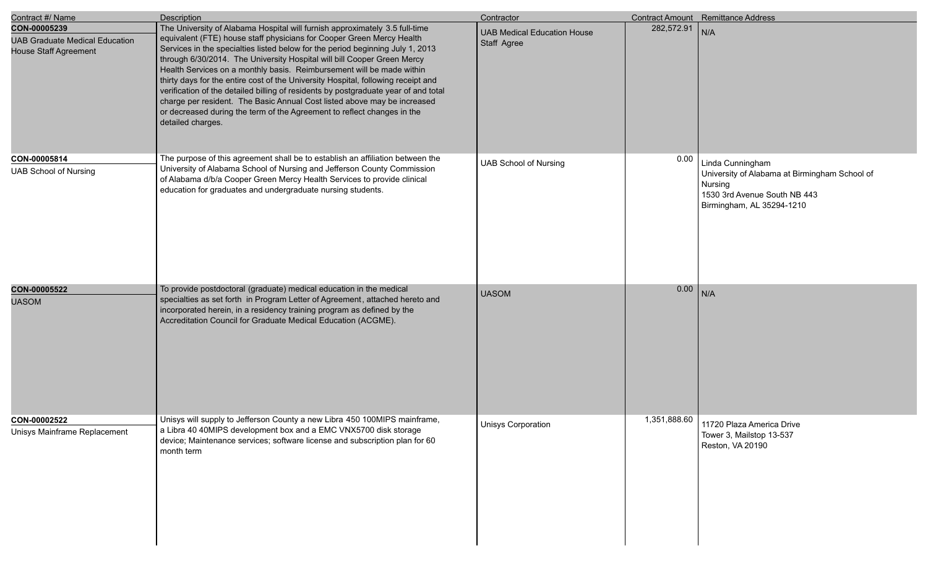| Contract #/ Name                                                                      | Description                                                                                                                                                                                                                                                                                                                                                                                                                                                                                                                                                                                                                                                                                                                                        | Contractor                                        |              | Contract Amount Remittance Address                                                                                                        |
|---------------------------------------------------------------------------------------|----------------------------------------------------------------------------------------------------------------------------------------------------------------------------------------------------------------------------------------------------------------------------------------------------------------------------------------------------------------------------------------------------------------------------------------------------------------------------------------------------------------------------------------------------------------------------------------------------------------------------------------------------------------------------------------------------------------------------------------------------|---------------------------------------------------|--------------|-------------------------------------------------------------------------------------------------------------------------------------------|
| CON-00005239<br><b>UAB Graduate Medical Education</b><br><b>House Staff Agreement</b> | The University of Alabama Hospital will furnish approximately 3.5 full-time<br>equivalent (FTE) house staff physicians for Cooper Green Mercy Health<br>Services in the specialties listed below for the period beginning July 1, 2013<br>through 6/30/2014. The University Hospital will bill Cooper Green Mercy<br>Health Services on a monthly basis. Reimbursement will be made within<br>thirty days for the entire cost of the University Hospital, following receipt and<br>verification of the detailed billing of residents by postgraduate year of and total<br>charge per resident. The Basic Annual Cost listed above may be increased<br>or decreased during the term of the Agreement to reflect changes in the<br>detailed charges. | <b>UAB Medical Education House</b><br>Staff Agree | 282,572.91   | N/A                                                                                                                                       |
| CON-00005814<br><b>UAB School of Nursing</b>                                          | The purpose of this agreement shall be to establish an affiliation between the<br>University of Alabama School of Nursing and Jefferson County Commission<br>of Alabama d/b/a Cooper Green Mercy Health Services to provide clinical<br>education for graduates and undergraduate nursing students.                                                                                                                                                                                                                                                                                                                                                                                                                                                | <b>UAB School of Nursing</b>                      | 0.00         | Linda Cunningham<br>University of Alabama at Birmingham School of<br>Nursing<br>1530 3rd Avenue South NB 443<br>Birmingham, AL 35294-1210 |
| CON-00005522<br><b>UASOM</b>                                                          | To provide postdoctoral (graduate) medical education in the medical<br>specialties as set forth in Program Letter of Agreement, attached hereto and<br>incorporated herein, in a residency training program as defined by the<br>Accreditation Council for Graduate Medical Education (ACGME).                                                                                                                                                                                                                                                                                                                                                                                                                                                     | <b>UASOM</b>                                      | 0.00         | N/A                                                                                                                                       |
| CON-00002522<br>Unisys Mainframe Replacement                                          | Unisys will supply to Jefferson County a new Libra 450 100MIPS mainframe,<br>a Libra 40 40MIPS development box and a EMC VNX5700 disk storage<br>device; Maintenance services; software license and subscription plan for 60<br>month term                                                                                                                                                                                                                                                                                                                                                                                                                                                                                                         | Unisys Corporation                                | 1,351,888.60 | 11720 Plaza America Drive<br>Tower 3, Mailstop 13-537<br>Reston, VA 20190                                                                 |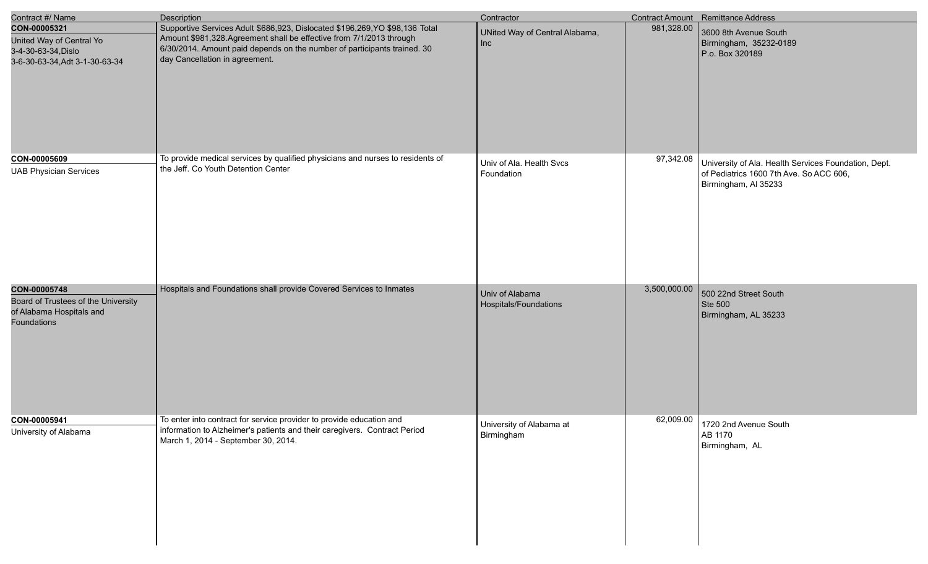| Contract #/ Name                                                                                      | Description                                                                                                                                                                                                                                                       | Contractor                               |              | Contract Amount Remittance Address                                                                                      |
|-------------------------------------------------------------------------------------------------------|-------------------------------------------------------------------------------------------------------------------------------------------------------------------------------------------------------------------------------------------------------------------|------------------------------------------|--------------|-------------------------------------------------------------------------------------------------------------------------|
| CON-00005321<br>United Way of Central Yo<br>3-4-30-63-34, Dislo<br>3-6-30-63-34, Adt 3-1-30-63-34     | Supportive Services Adult \$686,923, Dislocated \$196,269,YO \$98,136 Total<br>Amount \$981,328. Agreement shall be effective from 7/1/2013 through<br>6/30/2014. Amount paid depends on the number of participants trained. 30<br>day Cancellation in agreement. | UNited Way of Central Alabama,<br>Inc    | 981,328.00   | 3600 8th Avenue South<br>Birmingham, 35232-0189<br>P.o. Box 320189                                                      |
| CON-00005609<br><b>UAB Physician Services</b>                                                         | To provide medical services by qualified physicians and nurses to residents of<br>the Jeff. Co Youth Detention Center                                                                                                                                             | Univ of Ala. Health Svcs<br>Foundation   | 97,342.08    | University of Ala. Health Services Foundation, Dept.<br>of Pediatrics 1600 7th Ave. So ACC 606,<br>Birmingham, Al 35233 |
| CON-00005748<br>Board of Trustees of the University<br>of Alabama Hospitals and<br><b>Foundations</b> | Hospitals and Foundations shall provide Covered Services to Inmates                                                                                                                                                                                               | Univ of Alabama<br>Hospitals/Foundations | 3,500,000.00 | 500 22nd Street South<br>Ste 500<br>Birmingham, AL 35233                                                                |
| CON-00005941<br>University of Alabama                                                                 | To enter into contract for service provider to provide education and<br>information to Alzheimer's patients and their caregivers. Contract Period<br>March 1, 2014 - September 30, 2014.                                                                          | University of Alabama at<br>Birmingham   | 62,009.00    | 1720 2nd Avenue South<br>AB 1170<br>Birmingham, AL                                                                      |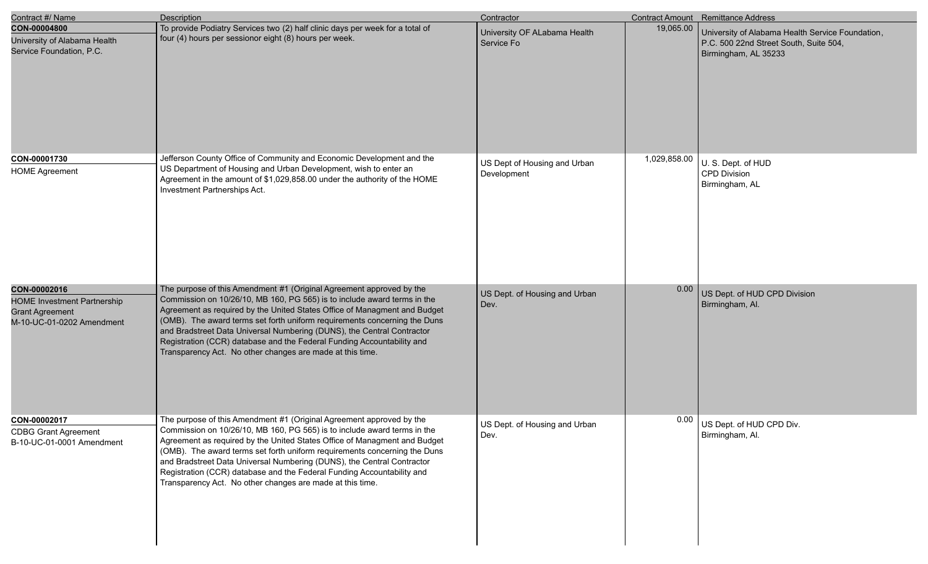| Contract #/ Name                                                                                          | <b>Description</b>                                                                                                                                                                                                                                                                                                                                                                                                                                                                                                          | Contractor                                  |              | Contract Amount Remittance Address                                                                                 |
|-----------------------------------------------------------------------------------------------------------|-----------------------------------------------------------------------------------------------------------------------------------------------------------------------------------------------------------------------------------------------------------------------------------------------------------------------------------------------------------------------------------------------------------------------------------------------------------------------------------------------------------------------------|---------------------------------------------|--------------|--------------------------------------------------------------------------------------------------------------------|
| CON-00004800<br>University of Alabama Health<br>Service Foundation, P.C.                                  | To provide Podiatry Services two (2) half clinic days per week for a total of<br>four (4) hours per sessionor eight (8) hours per week.                                                                                                                                                                                                                                                                                                                                                                                     | University OF ALabama Health<br>Service Fo  | 19,065.00    | University of Alabama Health Service Foundation,<br>P.C. 500 22nd Street South, Suite 504,<br>Birmingham, AL 35233 |
| CON-00001730<br><b>HOME Agreement</b>                                                                     | Jefferson County Office of Community and Economic Development and the<br>US Department of Housing and Urban Development, wish to enter an<br>Agreement in the amount of \$1,029,858.00 under the authority of the HOME<br>Investment Partnerships Act.                                                                                                                                                                                                                                                                      | US Dept of Housing and Urban<br>Development | 1,029,858.00 | U. S. Dept. of HUD<br>CPD Division<br>Birmingham, AL                                                               |
| CON-00002016<br><b>HOME Investment Partnership</b><br><b>Grant Agreement</b><br>M-10-UC-01-0202 Amendment | The purpose of this Amendment #1 (Original Agreement approved by the<br>Commission on 10/26/10, MB 160, PG 565) is to include award terms in the<br>Agreement as required by the United States Office of Managment and Budget<br>(OMB). The award terms set forth uniform requirements concerning the Duns<br>and Bradstreet Data Universal Numbering (DUNS), the Central Contractor<br>Registration (CCR) database and the Federal Funding Accountability and<br>Transparency Act. No other changes are made at this time. | US Dept. of Housing and Urban<br>Dev.       | 0.00         | US Dept. of HUD CPD Division<br>Birmingham, Al.                                                                    |
| CON-00002017<br><b>CDBG Grant Agreement</b><br>B-10-UC-01-0001 Amendment                                  | The purpose of this Amendment #1 (Original Agreement approved by the<br>Commission on 10/26/10, MB 160, PG 565) is to include award terms in the<br>Agreement as required by the United States Office of Managment and Budget<br>(OMB). The award terms set forth uniform requirements concerning the Duns<br>and Bradstreet Data Universal Numbering (DUNS), the Central Contractor<br>Registration (CCR) database and the Federal Funding Accountability and<br>Transparency Act. No other changes are made at this time. | US Dept. of Housing and Urban<br>Dev.       | $0.00$       | US Dept. of HUD CPD Div.<br>Birmingham, Al.                                                                        |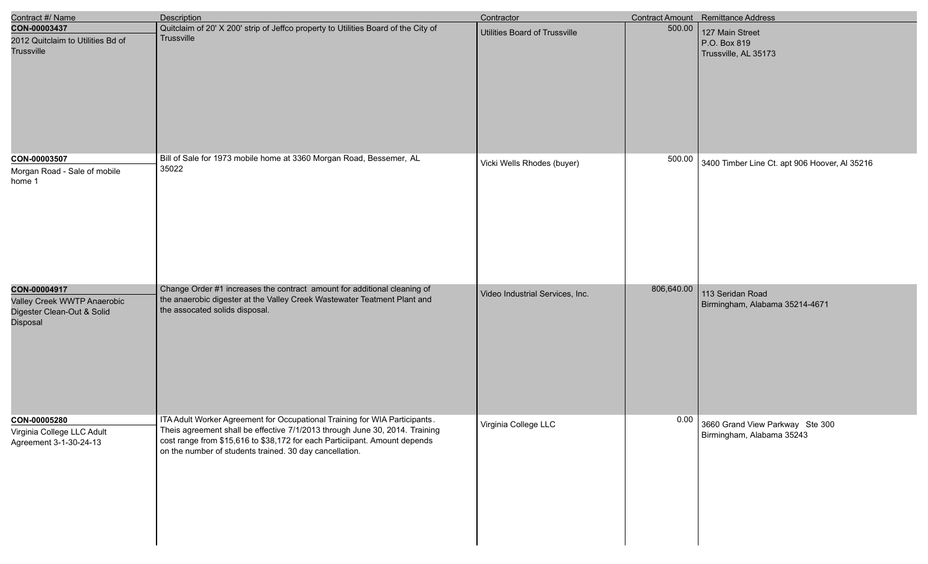| Contract #/ Name                                                                      | <b>Description</b>                                                                                                                                                                                                                                                                                 | Contractor                      |            | Contract Amount Remittance Address                                  |
|---------------------------------------------------------------------------------------|----------------------------------------------------------------------------------------------------------------------------------------------------------------------------------------------------------------------------------------------------------------------------------------------------|---------------------------------|------------|---------------------------------------------------------------------|
| CON-00003437<br>2012 Quitclaim to Utilities Bd of<br>Trussville                       | Quitclaim of 20' X 200' strip of Jeffco property to Utilities Board of the City of<br>Trussville                                                                                                                                                                                                   | Utilities Board of Trussville   | 500.00     | 127 Main Street<br>P.O. Box 819<br>Trussville, AL 35173             |
| CON-00003507<br>Morgan Road - Sale of mobile<br>home 1                                | Bill of Sale for 1973 mobile home at 3360 Morgan Road, Bessemer, AL<br>35022                                                                                                                                                                                                                       | Vicki Wells Rhodes (buyer)      | 500.00     | 3400 Timber Line Ct. apt 906 Hoover, Al 35216                       |
| CON-00004917<br>Valley Creek WWTP Anaerobic<br>Digester Clean-Out & Solid<br>Disposal | Change Order #1 increases the contract amount for additional cleaning of<br>the anaerobic digester at the Valley Creek Wastewater Teatment Plant and<br>the assocated solids disposal.                                                                                                             | Video Industrial Services, Inc. | 806,640.00 | 113 Seridan Road<br>Birmingham, Alabama 35214-4671                  |
| CON-00005280<br>Virginia College LLC Adult<br>Agreement 3-1-30-24-13                  | ITA Adult Worker Agreement for Occupational Training for WIA Participants.<br>Theis agreement shall be effective 7/1/2013 through June 30, 2014. Training<br>cost range from \$15,616 to \$38,172 for each Particiipant. Amount depends<br>on the number of students trained. 30 day cancellation. | Virginia College LLC            |            | $0.00$ 3660 Grand View Parkway Ste 300<br>Birmingham, Alabama 35243 |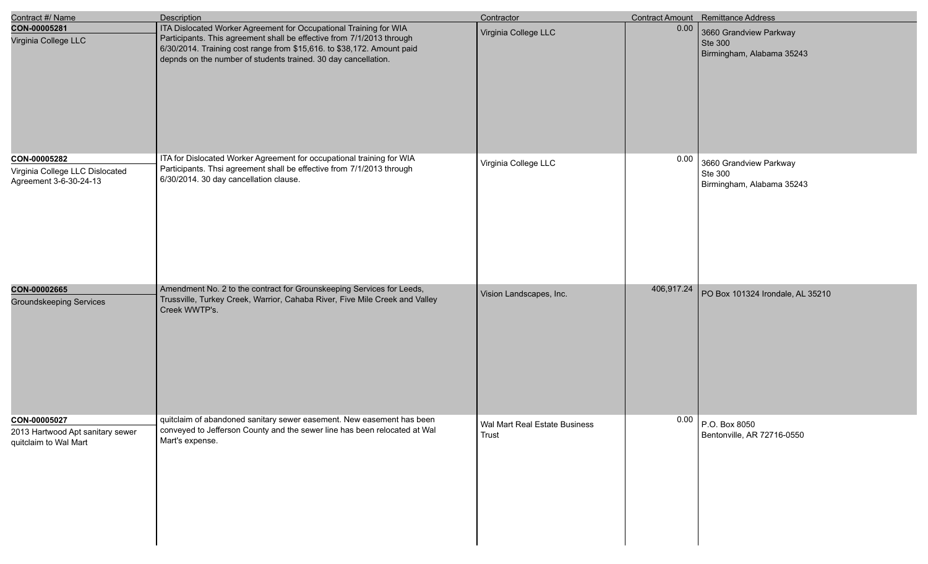| Contract #/ Name                                                          | <b>Description</b>                                                                                                                                                                                                                                                                     | Contractor                             |            | Contract Amount Remittance Address                                    |
|---------------------------------------------------------------------------|----------------------------------------------------------------------------------------------------------------------------------------------------------------------------------------------------------------------------------------------------------------------------------------|----------------------------------------|------------|-----------------------------------------------------------------------|
| CON-00005281<br>Virginia College LLC                                      | ITA Dislocated Worker Agreement for Occupational Training for WIA<br>Participants. This agreement shall be effective from 7/1/2013 through<br>6/30/2014. Training cost range from \$15,616. to \$38,172. Amount paid<br>depnds on the number of students trained. 30 day cancellation. | Virginia College LLC                   | 0.00       | 3660 Grandview Parkway<br><b>Ste 300</b><br>Birmingham, Alabama 35243 |
| CON-00005282<br>Virginia College LLC Dislocated<br>Agreement 3-6-30-24-13 | ITA for Dislocated Worker Agreement for occupational training for WIA<br>Participants. Thsi agreement shall be effective from 7/1/2013 through<br>6/30/2014. 30 day cancellation clause.                                                                                               | Virginia College LLC                   | 0.00       | 3660 Grandview Parkway<br>Ste 300<br>Birmingham, Alabama 35243        |
| CON-00002665<br><b>Groundskeeping Services</b>                            | Amendment No. 2 to the contract for Grounskeeping Services for Leeds,<br>Trussville, Turkey Creek, Warrior, Cahaba River, Five Mile Creek and Valley<br>Creek WWTP's.                                                                                                                  | Vision Landscapes, Inc.                | 406,917.24 | PO Box 101324 Irondale, AL 35210                                      |
| CON-00005027<br>2013 Hartwood Apt sanitary sewer<br>quitclaim to Wal Mart | quitclaim of abandoned sanitary sewer easement. New easement has been<br>conveyed to Jefferson County and the sewer line has been relocated at Wal<br>Mart's expense.                                                                                                                  | Wal Mart Real Estate Business<br>Trust |            | $0.00$ P.O. Box 8050<br>Bentonville, AR 72716-0550                    |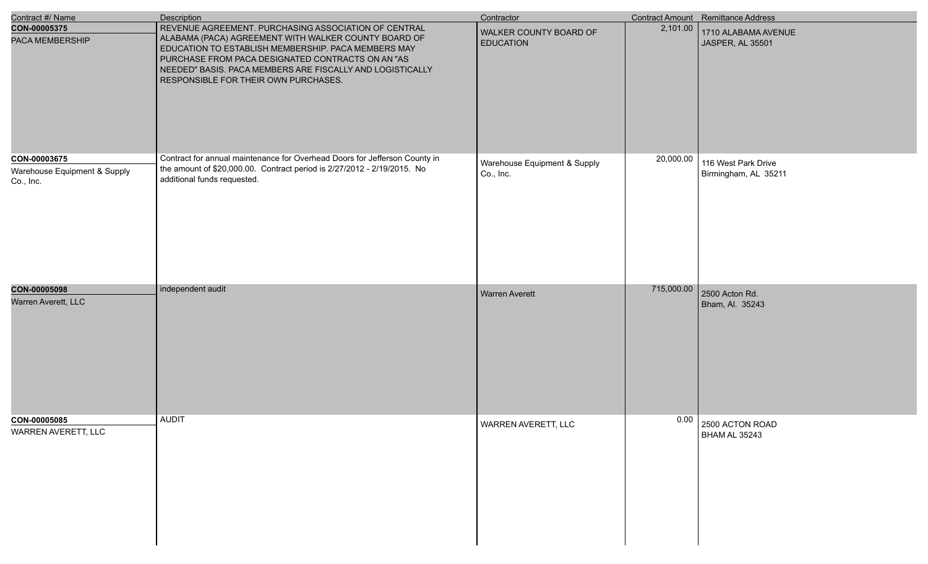| Contract #/ Name                             | <b>Description</b>                                                                                                                                                                                                                                                                                                            | Contractor                                 |            | Contract Amount Remittance Address      |
|----------------------------------------------|-------------------------------------------------------------------------------------------------------------------------------------------------------------------------------------------------------------------------------------------------------------------------------------------------------------------------------|--------------------------------------------|------------|-----------------------------------------|
| CON-00005375<br>PACA MEMBERSHIP              | REVENUE AGREEMENT. PURCHASING ASSOCIATION OF CENTRAL<br>ALABAMA (PACA) AGREEMENT WITH WALKER COUNTY BOARD OF<br>EDUCATION TO ESTABLISH MEMBERSHIP. PACA MEMBERS MAY<br>PURCHASE FROM PACA DESIGNATED CONTRACTS ON AN "AS<br>NEEDED" BASIS. PACA MEMBERS ARE FISCALLY AND LOGISTICALLY<br>RESPONSIBLE FOR THEIR OWN PURCHASES. | WALKER COUNTY BOARD OF<br><b>EDUCATION</b> | 2,101.00   | 1710 ALABAMA AVENUE<br>JASPER, AL 35501 |
| CON-00003675<br>Warehouse Equipment & Supply | Contract for annual maintenance for Overhead Doors for Jefferson County in<br>the amount of \$20,000.00. Contract period is 2/27/2012 - 2/19/2015. No                                                                                                                                                                         | Warehouse Equipment & Supply               | 20,000.00  | 116 West Park Drive                     |
| Co., Inc.                                    | additional funds requested.                                                                                                                                                                                                                                                                                                   | Co., Inc.                                  |            | Birmingham, AL 35211                    |
| CON-00005098                                 | independent audit                                                                                                                                                                                                                                                                                                             | <b>Warren Averett</b>                      | 715,000.00 | 2500 Acton Rd.                          |
| Warren Averett, LLC                          |                                                                                                                                                                                                                                                                                                                               |                                            |            | Bham, Al. 35243                         |
| CON-00005085<br>WARREN AVERETT, LLC          | <b>AUDIT</b>                                                                                                                                                                                                                                                                                                                  | WARREN AVERETT, LLC                        |            | $0.00$ 2500 ACTON ROAD<br>BHAM AL 35243 |
|                                              |                                                                                                                                                                                                                                                                                                                               |                                            |            |                                         |

e<br>V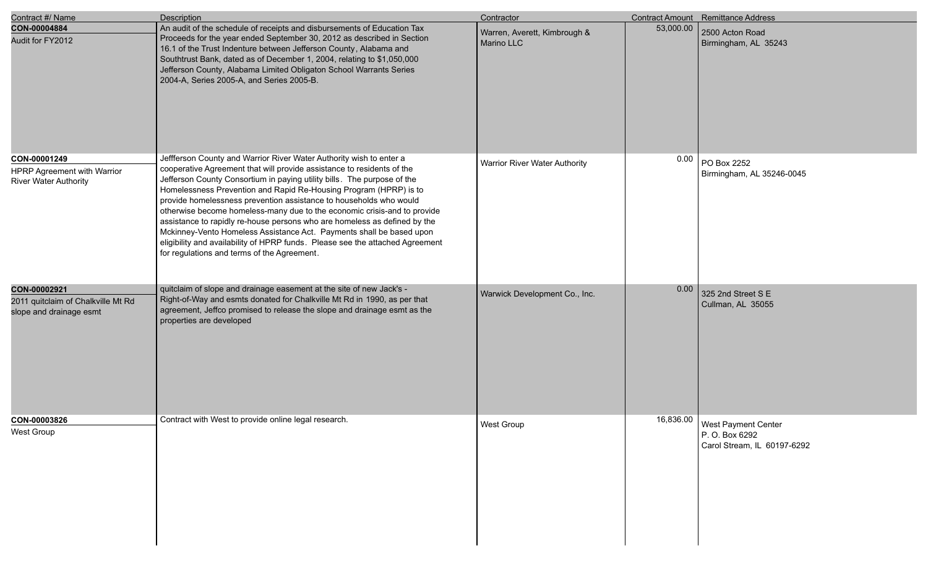| Contract #/ Name                                                              | <b>Description</b>                                                                                                                                                                                                                                                                                                                                                                                                                                                                                                                                                                                                                                                                                                                   | Contractor                                 |           | <b>Contract Amount</b> Remittance Address                                   |
|-------------------------------------------------------------------------------|--------------------------------------------------------------------------------------------------------------------------------------------------------------------------------------------------------------------------------------------------------------------------------------------------------------------------------------------------------------------------------------------------------------------------------------------------------------------------------------------------------------------------------------------------------------------------------------------------------------------------------------------------------------------------------------------------------------------------------------|--------------------------------------------|-----------|-----------------------------------------------------------------------------|
| CON-00004884<br>Audit for FY2012                                              | An audit of the schedule of receipts and disbursements of Education Tax<br>Proceeds for the year ended September 30, 2012 as described in Section<br>16.1 of the Trust Indenture between Jefferson County, Alabama and<br>Southtrust Bank, dated as of December 1, 2004, relating to \$1,050,000<br>Jefferson County, Alabama Limited Obligaton School Warrants Series<br>2004-A, Series 2005-A, and Series 2005-B.                                                                                                                                                                                                                                                                                                                  | Warren, Averett, Kimbrough &<br>Marino LLC | 53,000.00 | 2500 Acton Road<br>Birmingham, AL 35243                                     |
| CON-00001249<br>HPRP Agreement with Warrior<br><b>River Water Authority</b>   | Jeffferson County and Warrior River Water Authority wish to enter a<br>cooperative Agreement that will provide assistance to residents of the<br>Jefferson County Consortium in paying utility bills. The purpose of the<br>Homelessness Prevention and Rapid Re-Housing Program (HPRP) is to<br>provide homelessness prevention assistance to households who would<br>otherwise become homeless-many due to the economic crisis-and to provide<br>assistance to rapidly re-house persons who are homeless as defined by the<br>Mckinney-Vento Homeless Assistance Act. Payments shall be based upon<br>eligibility and availability of HPRP funds. Please see the attached Agreement<br>for regulations and terms of the Agreement. | Warrior River Water Authority              | 0.00      | PO Box 2252<br>Birmingham, AL 35246-0045                                    |
| CON-00002921<br>2011 quitclaim of Chalkville Mt Rd<br>slope and drainage esmt | quitclaim of slope and drainage easement at the site of new Jack's -<br>Right-of-Way and esmts donated for Chalkville Mt Rd in 1990, as per that<br>agreement, Jeffco promised to release the slope and drainage esmt as the<br>properties are developed                                                                                                                                                                                                                                                                                                                                                                                                                                                                             | Warwick Development Co., Inc.              | 0.00      | 325 2nd Street S E<br>Cullman, AL 35055                                     |
| CON-00003826<br>West Group                                                    | Contract with West to provide online legal research.                                                                                                                                                                                                                                                                                                                                                                                                                                                                                                                                                                                                                                                                                 | West Group                                 | 16,836.00 | <b>West Payment Center</b><br>P. O. Box 6292<br>Carol Stream, IL 60197-6292 |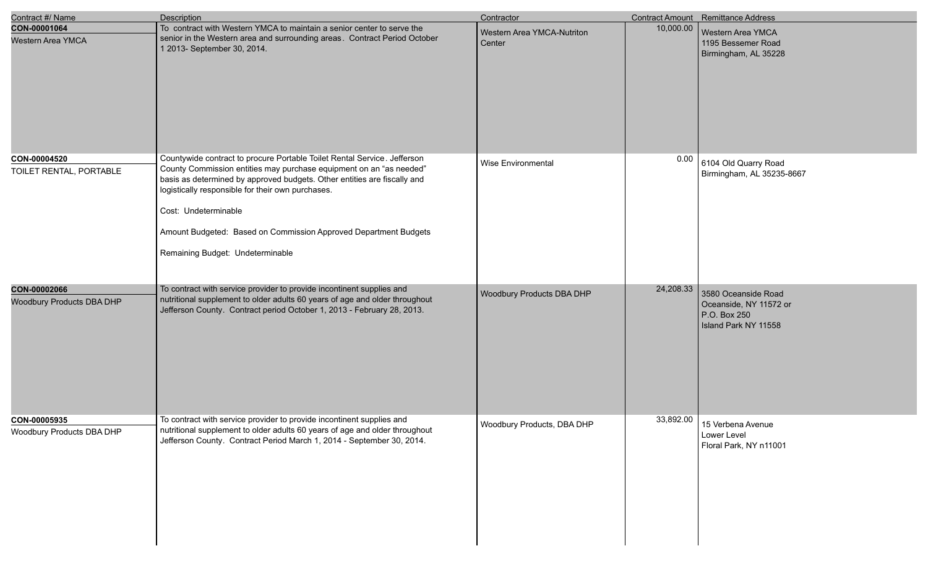| Contract #/ Name                                 | Description                                                                                                                                                                                                                                                                                                                                                                                                      | Contractor                           |           | Contract Amount Remittance Address                                                    |
|--------------------------------------------------|------------------------------------------------------------------------------------------------------------------------------------------------------------------------------------------------------------------------------------------------------------------------------------------------------------------------------------------------------------------------------------------------------------------|--------------------------------------|-----------|---------------------------------------------------------------------------------------|
| CON-00001064<br><b>Western Area YMCA</b>         | To contract with Western YMCA to maintain a senior center to serve the<br>senior in the Western area and surrounding areas. Contract Period October<br>1 2013- September 30, 2014.                                                                                                                                                                                                                               | Western Area YMCA-Nutriton<br>Center | 10,000.00 | Western Area YMCA<br>1195 Bessemer Road<br>Birmingham, AL 35228                       |
| CON-00004520<br>TOILET RENTAL, PORTABLE          | Countywide contract to procure Portable Toilet Rental Service. Jefferson<br>County Commission entities may purchase equipment on an "as needed"<br>basis as determined by approved budgets. Other entities are fiscally and<br>logistically responsible for their own purchases.<br>Cost: Undeterminable<br>Amount Budgeted: Based on Commission Approved Department Budgets<br>Remaining Budget: Undeterminable | Wise Environmental                   | 0.00      | 6104 Old Quarry Road<br>Birmingham, AL 35235-8667                                     |
| CON-00002066<br><b>Woodbury Products DBA DHP</b> | To contract with service provider to provide incontinent supplies and<br>nutritional supplement to older adults 60 years of age and older throughout<br>Jefferson County. Contract period October 1, 2013 - February 28, 2013.                                                                                                                                                                                   | Woodbury Products DBA DHP            | 24,208.33 | 3580 Oceanside Road<br>Oceanside, NY 11572 or<br>P.O. Box 250<br>Island Park NY 11558 |
| CON-00005935<br>Woodbury Products DBA DHP        | To contract with service provider to provide incontinent supplies and<br>nutritional supplement to older adults 60 years of age and older throughout<br>Jefferson County. Contract Period March 1, 2014 - September 30, 2014.                                                                                                                                                                                    | Woodbury Products, DBA DHP           | 33,892.00 | 15 Verbena Avenue<br>Lower Level<br>Floral Park, NY n11001                            |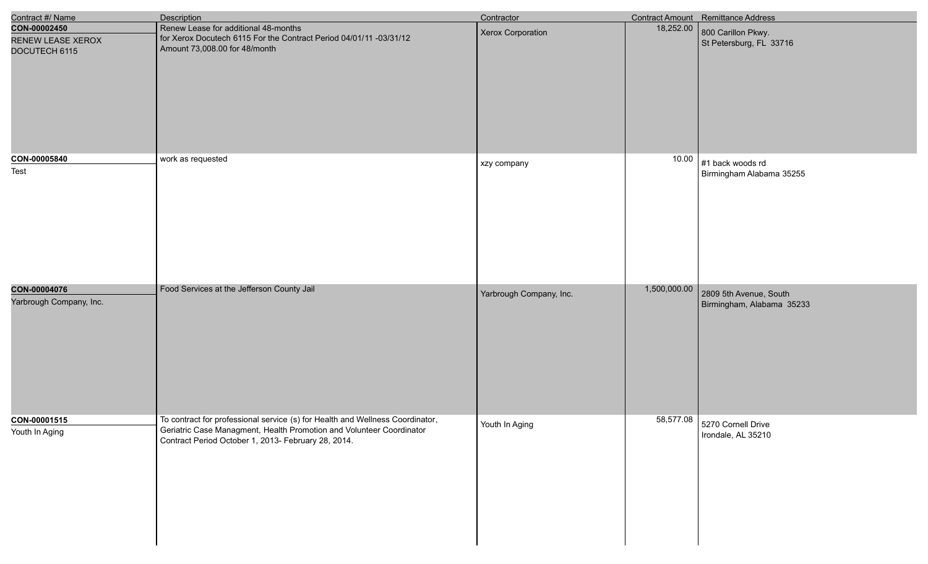| Contract #/ Name                                   | Description                                                                                                                                                                                                  | Contractor              |              | Contract Amount Remittance Address                  |
|----------------------------------------------------|--------------------------------------------------------------------------------------------------------------------------------------------------------------------------------------------------------------|-------------------------|--------------|-----------------------------------------------------|
| CON-00002450<br>RENEW LEASE XEROX<br>DOCUTECH 6115 | Renew Lease for additional 48-months<br>for Xerox Docutech 6115 For the Contract Period 04/01/11 -03/31/12<br>Amount 73,008.00 for 48/month                                                                  | Xerox Corporation       | 18,252.00    | 800 Carillon Pkwy.<br>St Petersburg, FL 33716       |
| CON-00005840<br>Test                               | work as requested                                                                                                                                                                                            | xzy company             | 10.00        | $#1$ back woods rd<br>Birmingham Alabama 35255      |
| CON-00004076<br>Yarbrough Company, Inc.            | Food Services at the Jefferson County Jail                                                                                                                                                                   | Yarbrough Company, Inc. | 1,500,000.00 | 2809 5th Avenue, South<br>Birmingham, Alabama 35233 |
| CON-00001515<br>Youth In Aging                     | To contract for professional service (s) for Health and Wellness Coordinator,<br>Geriatric Case Managment, Health Promotion and Volunteer Coordinator<br>Contract Period October 1, 2013- February 28, 2014. | Youth In Aging          |              | 58,577.08 5270 Cornell Drive<br>Irondale, AL 35210  |